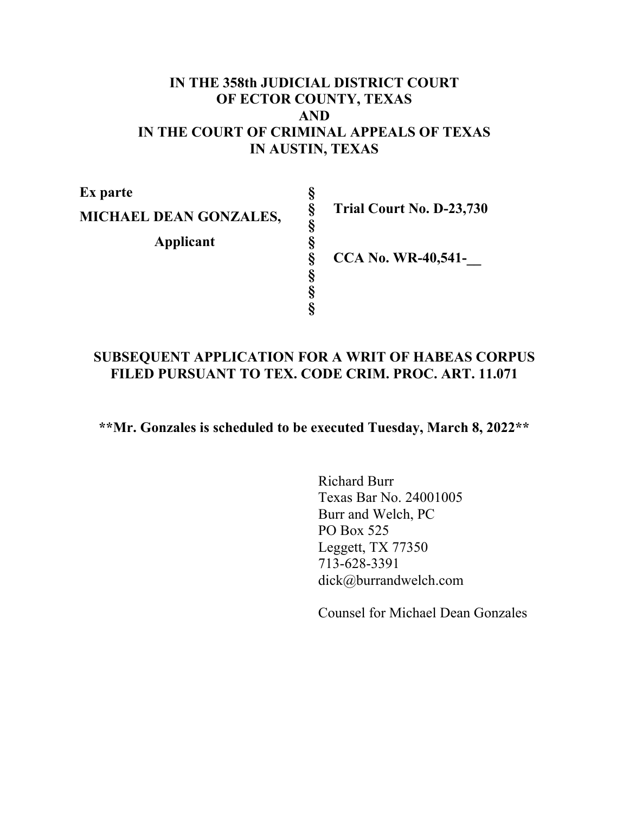## **IN THE 358th JUDICIAL DISTRICT COURT OF ECTOR COUNTY, TEXAS AND IN THE COURT OF CRIMINAL APPEALS OF TEXAS IN AUSTIN, TEXAS**

**§ § § § § § § §** 

**Ex parte MICHAEL DEAN GONZALES, Applicant** 

**Trial Court No. D-23,730** 

**CCA No. WR-40,541-\_\_** 

# **SUBSEQUENT APPLICATION FOR A WRIT OF HABEAS CORPUS FILED PURSUANT TO TEX. CODE CRIM. PROC. ART. 11.071**

**\*\*Mr. Gonzales is scheduled to be executed Tuesday, March 8, 2022\*\*** 

Richard Burr Texas Bar No. 24001005 Burr and Welch, PC PO Box 525 Leggett, TX 77350 713-628-3391 dick@burrandwelch.com

Counsel for Michael Dean Gonzales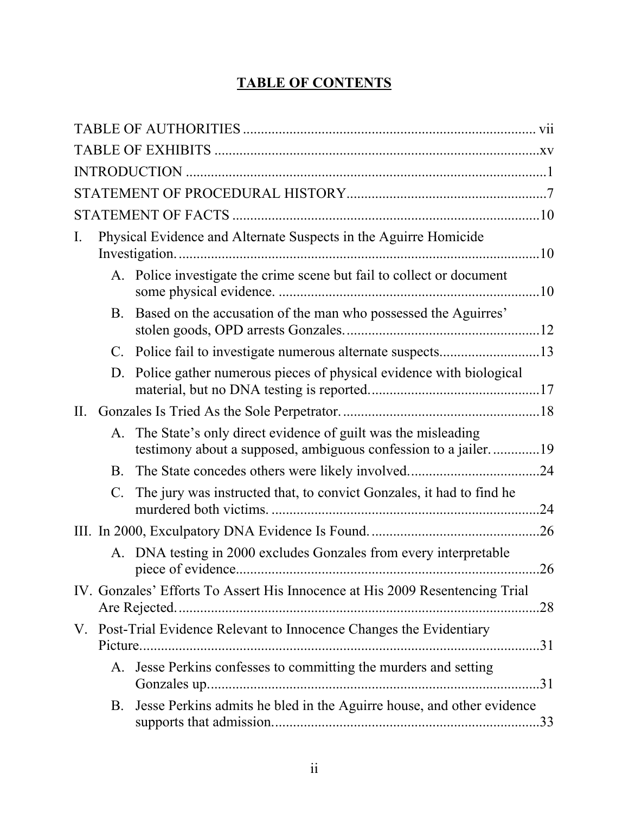# **TABLE OF CONTENTS**

| Ι. |           | Physical Evidence and Alternate Suspects in the Aguirre Homicide                                                               |
|----|-----------|--------------------------------------------------------------------------------------------------------------------------------|
|    |           | A. Police investigate the crime scene but fail to collect or document                                                          |
|    | B.        | Based on the accusation of the man who possessed the Aguirres'                                                                 |
|    | C.        |                                                                                                                                |
|    | D.        | Police gather numerous pieces of physical evidence with biological                                                             |
| Η. |           |                                                                                                                                |
|    | А.        | The State's only direct evidence of guilt was the misleading<br>testimony about a supposed, ambiguous confession to a jailer19 |
|    | <b>B.</b> |                                                                                                                                |
|    | C.        | The jury was instructed that, to convict Gonzales, it had to find he<br>.24                                                    |
|    |           | .26                                                                                                                            |
|    |           | A. DNA testing in 2000 excludes Gonzales from every interpretable<br>.26                                                       |
|    |           | IV. Gonzales' Efforts To Assert His Innocence at His 2009 Resentencing Trial                                                   |
|    |           | V. Post-Trial Evidence Relevant to Innocence Changes the Evidentiary                                                           |
|    |           | A. Jesse Perkins confesses to committing the murders and setting                                                               |
|    | B.        | Jesse Perkins admits he bled in the Aguirre house, and other evidence                                                          |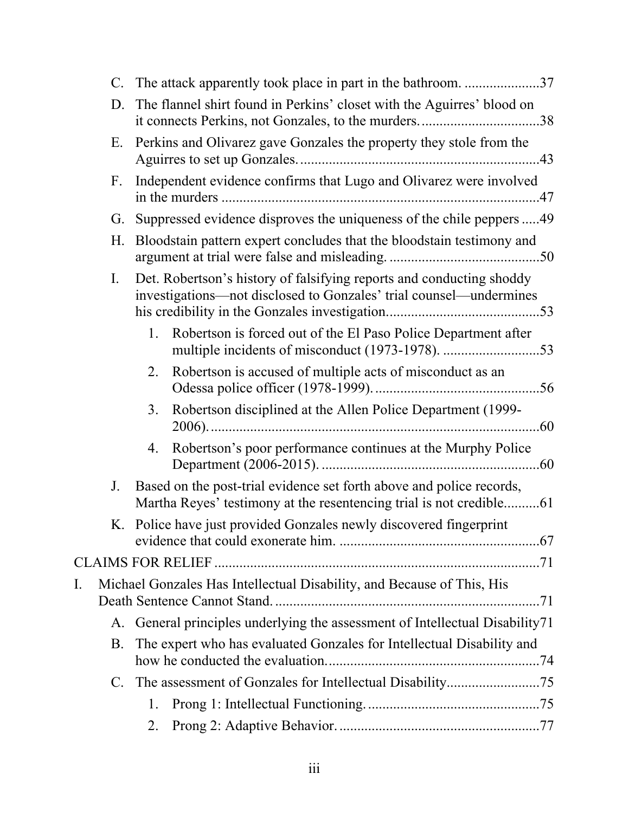|    |    |    | C. The attack apparently took place in part in the bathroom. 37                                                                             |  |
|----|----|----|---------------------------------------------------------------------------------------------------------------------------------------------|--|
|    | D. |    | The flannel shirt found in Perkins' closet with the Aguirres' blood on                                                                      |  |
|    | Е. |    | Perkins and Olivarez gave Gonzales the property they stole from the                                                                         |  |
|    | F. |    | Independent evidence confirms that Lugo and Olivarez were involved                                                                          |  |
|    | G. |    | Suppressed evidence disproves the uniqueness of the chile peppers 49                                                                        |  |
|    | Н. |    | Bloodstain pattern expert concludes that the bloodstain testimony and                                                                       |  |
|    | I. |    | Det. Robertson's history of falsifying reports and conducting shoddy<br>investigations—not disclosed to Gonzales' trial counsel—undermines  |  |
|    |    | 1. | Robertson is forced out of the El Paso Police Department after                                                                              |  |
|    |    | 2. | Robertson is accused of multiple acts of misconduct as an                                                                                   |  |
|    |    | 3. | Robertson disciplined at the Allen Police Department (1999-                                                                                 |  |
|    |    | 4. | Robertson's poor performance continues at the Murphy Police                                                                                 |  |
|    | J. |    | Based on the post-trial evidence set forth above and police records,<br>Martha Reyes' testimony at the resentencing trial is not credible61 |  |
|    |    |    | K. Police have just provided Gonzales newly discovered fingerprint                                                                          |  |
|    |    |    |                                                                                                                                             |  |
| I. |    |    | Michael Gonzales Has Intellectual Disability, and Because of This, His                                                                      |  |
|    | А. |    | General principles underlying the assessment of Intellectual Disability71                                                                   |  |
|    | Β. |    | The expert who has evaluated Gonzales for Intellectual Disability and                                                                       |  |
|    | C. |    |                                                                                                                                             |  |
|    |    | 1. |                                                                                                                                             |  |
|    |    | 2. |                                                                                                                                             |  |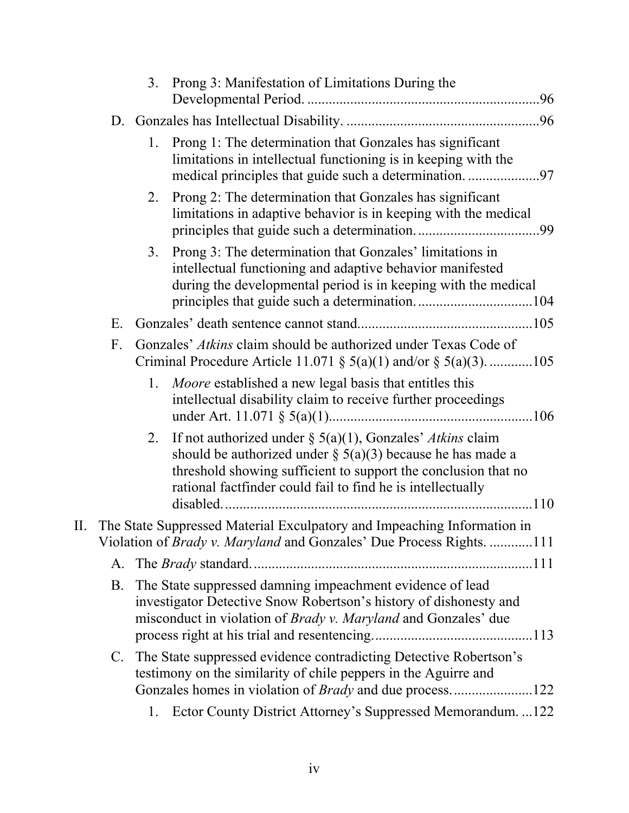|    | 3. | Prong 3: Manifestation of Limitations During the                                                                                                                                                                                                               |
|----|----|----------------------------------------------------------------------------------------------------------------------------------------------------------------------------------------------------------------------------------------------------------------|
|    |    |                                                                                                                                                                                                                                                                |
|    | 1. | Prong 1: The determination that Gonzales has significant<br>limitations in intellectual functioning is in keeping with the                                                                                                                                     |
|    | 2. | Prong 2: The determination that Gonzales has significant<br>limitations in adaptive behavior is in keeping with the medical                                                                                                                                    |
|    | 3. | Prong 3: The determination that Gonzales' limitations in<br>intellectual functioning and adaptive behavior manifested<br>during the developmental period is in keeping with the medical                                                                        |
| Е. |    |                                                                                                                                                                                                                                                                |
| F. |    | Gonzales' Atkins claim should be authorized under Texas Code of<br>Criminal Procedure Article 11.071 $\S$ 5(a)(1) and/or $\S$ 5(a)(3). 105                                                                                                                     |
|    | 1. | Moore established a new legal basis that entitles this<br>intellectual disability claim to receive further proceedings                                                                                                                                         |
|    | 2. | If not authorized under $\S$ 5(a)(1), Gonzales' Atkins claim<br>should be authorized under $\S$ 5(a)(3) because he has made a<br>threshold showing sufficient to support the conclusion that no<br>rational factfinder could fail to find he is intellectually |
|    |    | II. The State Suppressed Material Exculpatory and Impeaching Information in                                                                                                                                                                                    |
|    |    | Violation of <i>Brady v. Maryland</i> and Gonzales' Due Process Rights. 111                                                                                                                                                                                    |
| А. |    |                                                                                                                                                                                                                                                                |
| B. |    | The State suppressed damning impeachment evidence of lead<br>investigator Detective Snow Robertson's history of dishonesty and<br>misconduct in violation of Brady v. Maryland and Gonzales' due                                                               |
| C. |    | The State suppressed evidence contradicting Detective Robertson's<br>testimony on the similarity of chile peppers in the Aguirre and                                                                                                                           |
|    | 1. | Ector County District Attorney's Suppressed Memorandum. 122                                                                                                                                                                                                    |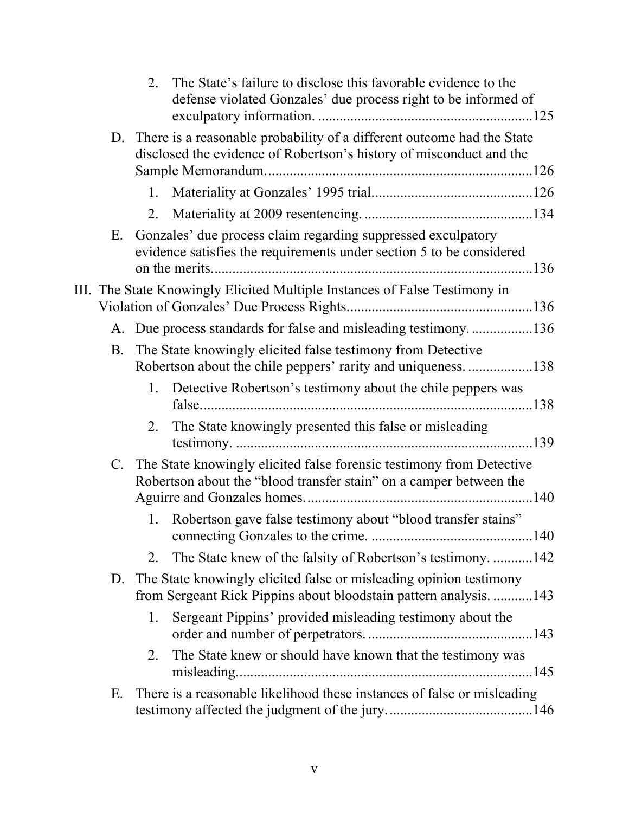|    | 2. | The State's failure to disclose this favorable evidence to the<br>defense violated Gonzales' due process right to be informed of                 |
|----|----|--------------------------------------------------------------------------------------------------------------------------------------------------|
|    |    | D. There is a reasonable probability of a different outcome had the State<br>disclosed the evidence of Robertson's history of misconduct and the |
|    | 1. |                                                                                                                                                  |
|    | 2. |                                                                                                                                                  |
| Е. |    | Gonzales' due process claim regarding suppressed exculpatory<br>evidence satisfies the requirements under section 5 to be considered             |
|    |    | III. The State Knowingly Elicited Multiple Instances of False Testimony in                                                                       |
|    |    | A. Due process standards for false and misleading testimony136                                                                                   |
| В. |    | The State knowingly elicited false testimony from Detective<br>Robertson about the chile peppers' rarity and uniqueness. 138                     |
|    | 1. | Detective Robertson's testimony about the chile peppers was                                                                                      |
|    | 2. | The State knowingly presented this false or misleading                                                                                           |
|    |    | C. The State knowingly elicited false forensic testimony from Detective<br>Robertson about the "blood transfer stain" on a camper between the    |
|    | 1. | Robertson gave false testimony about "blood transfer stains"                                                                                     |
|    | 2. | The State knew of the falsity of Robertson's testimony. 142                                                                                      |
| D. |    | The State knowingly elicited false or misleading opinion testimony<br>from Sergeant Rick Pippins about bloodstain pattern analysis143            |
|    | 1. | Sergeant Pippins' provided misleading testimony about the                                                                                        |
|    | 2. | The State knew or should have known that the testimony was                                                                                       |
| Ε. |    | There is a reasonable likelihood these instances of false or misleading                                                                          |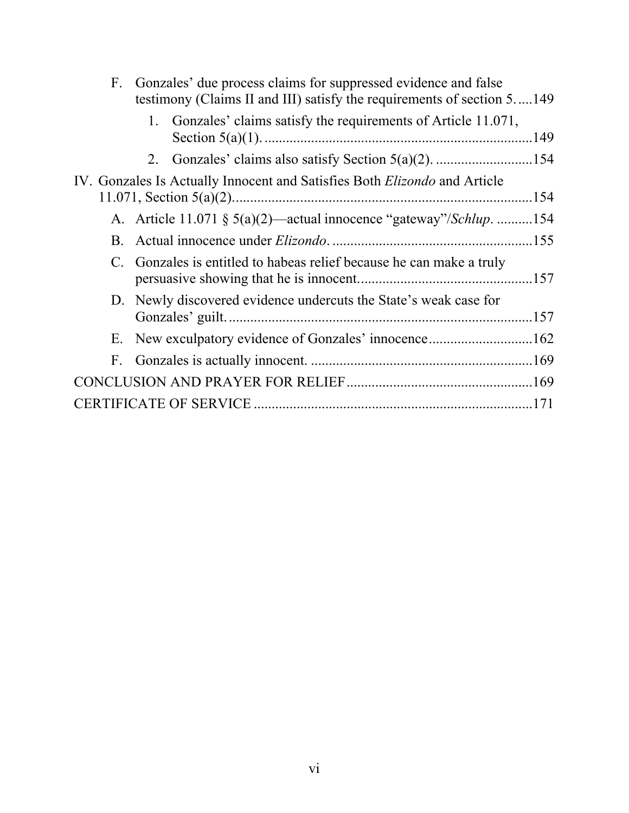| $F_{\cdot}$    | Gonzales' due process claims for suppressed evidence and false<br>testimony (Claims II and III) satisfy the requirements of section 5149 |  |
|----------------|------------------------------------------------------------------------------------------------------------------------------------------|--|
|                | Gonzales' claims satisfy the requirements of Article 11.071,<br>1.                                                                       |  |
|                |                                                                                                                                          |  |
|                | IV. Gonzales Is Actually Innocent and Satisfies Both <i>Elizondo</i> and Article                                                         |  |
|                | A. Article 11.071 § 5(a)(2)—actual innocence "gateway"/Schlup. 154                                                                       |  |
| $\mathbf{B}$ . |                                                                                                                                          |  |
|                | C. Gonzales is entitled to habeas relief because he can make a truly                                                                     |  |
|                | D. Newly discovered evidence undercuts the State's weak case for                                                                         |  |
|                |                                                                                                                                          |  |
| F.             |                                                                                                                                          |  |
|                |                                                                                                                                          |  |
|                |                                                                                                                                          |  |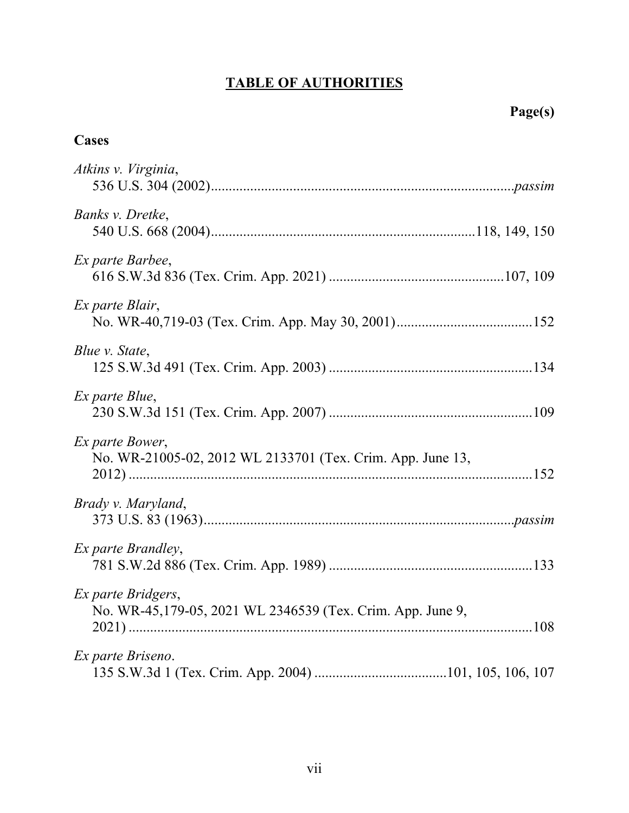# **TABLE OF AUTHORITIES**

# **Cases**

| Atkins v. Virginia,                                                              |
|----------------------------------------------------------------------------------|
| Banks v. Dretke,                                                                 |
| Ex parte Barbee,                                                                 |
| Ex parte Blair,                                                                  |
| Blue v. State,                                                                   |
| Ex parte Blue,                                                                   |
| Ex parte Bower,<br>No. WR-21005-02, 2012 WL 2133701 (Tex. Crim. App. June 13,    |
| Brady v. Maryland,                                                               |
| <i>Ex parte Brandley,</i>                                                        |
| Ex parte Bridgers,<br>No. WR-45,179-05, 2021 WL 2346539 (Tex. Crim. App. June 9, |
| Ex parte Briseno.                                                                |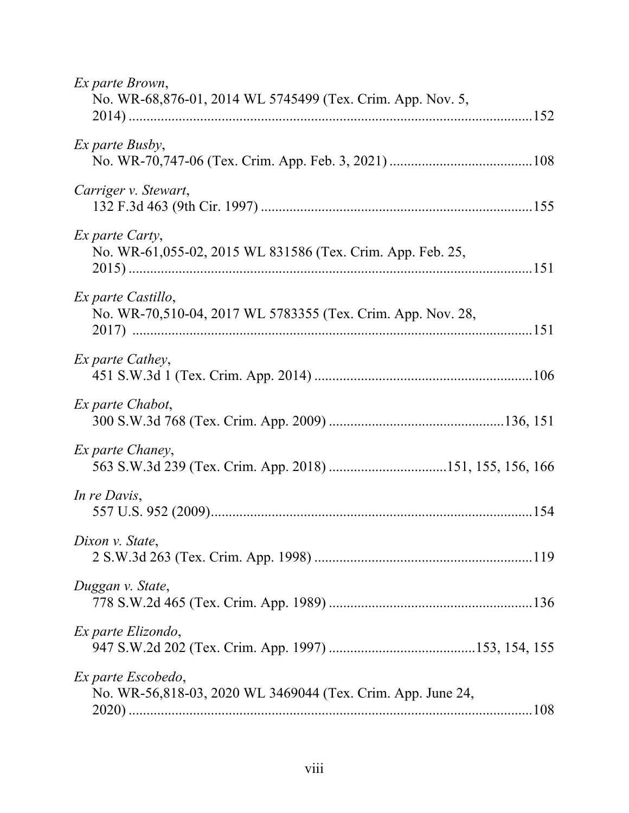| Ex parte Brown,<br>No. WR-68,876-01, 2014 WL 5745499 (Tex. Crim. App. Nov. 5,     |
|-----------------------------------------------------------------------------------|
| Ex parte Busby,                                                                   |
| Carriger v. Stewart,                                                              |
| Ex parte Carty,<br>No. WR-61,055-02, 2015 WL 831586 (Tex. Crim. App. Feb. 25,     |
| Ex parte Castillo,<br>No. WR-70,510-04, 2017 WL 5783355 (Tex. Crim. App. Nov. 28, |
| Ex parte Cathey,                                                                  |
| Ex parte Chabot,                                                                  |
| Ex parte Chaney,<br>563 S.W.3d 239 (Tex. Crim. App. 2018) 151, 155, 156, 166      |
| In re Davis,                                                                      |
| Dixon v. State,                                                                   |
| Duggan v. State,                                                                  |
| Ex parte Elizondo,                                                                |
| Ex parte Escobedo,<br>No. WR-56,818-03, 2020 WL 3469044 (Tex. Crim. App. June 24, |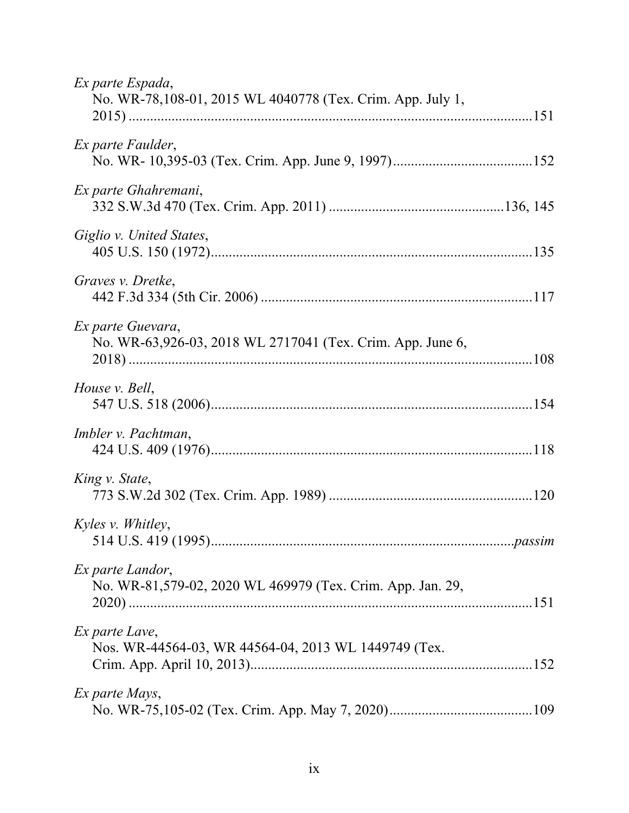| Ex parte Espada,<br>No. WR-78,108-01, 2015 WL 4040778 (Tex. Crim. App. July 1,  |
|---------------------------------------------------------------------------------|
| Ex parte Faulder,                                                               |
| Ex parte Ghahremani,                                                            |
| Giglio v. United States,                                                        |
| Graves v. Dretke,                                                               |
| Ex parte Guevara,<br>No. WR-63,926-03, 2018 WL 2717041 (Tex. Crim. App. June 6, |
| House v. Bell,                                                                  |
| Imbler v. Pachtman,                                                             |
| King v. State,                                                                  |
| Kyles v. Whitley,                                                               |
| Ex parte Landor,<br>No. WR-81,579-02, 2020 WL 469979 (Tex. Crim. App. Jan. 29,  |
| Ex parte Lave,<br>Nos. WR-44564-03, WR 44564-04, 2013 WL 1449749 (Tex.          |
| Ex parte Mays,                                                                  |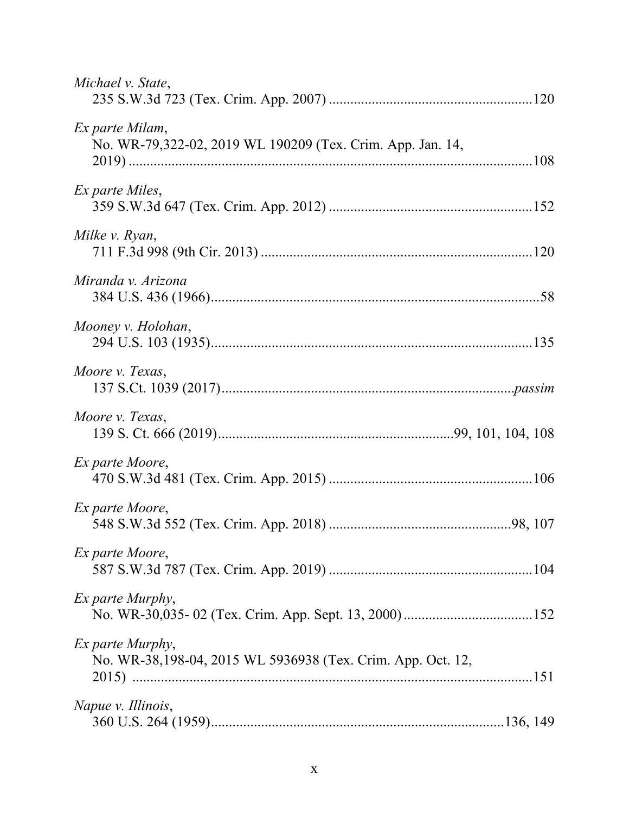| Michael v. State,                                                               |
|---------------------------------------------------------------------------------|
| Ex parte Milam,<br>No. WR-79,322-02, 2019 WL 190209 (Tex. Crim. App. Jan. 14,   |
| Ex parte Miles,                                                                 |
| Milke v. Ryan,                                                                  |
| Miranda v. Arizona                                                              |
| Mooney v. Holohan,                                                              |
| Moore v. Texas,                                                                 |
| Moore v. Texas,                                                                 |
| Ex parte Moore,                                                                 |
| Ex parte Moore,                                                                 |
| Ex parte Moore,                                                                 |
| <i>Ex parte Murphy,</i>                                                         |
| Ex parte Murphy,<br>No. WR-38,198-04, 2015 WL 5936938 (Tex. Crim. App. Oct. 12, |
| Napue v. Illinois,                                                              |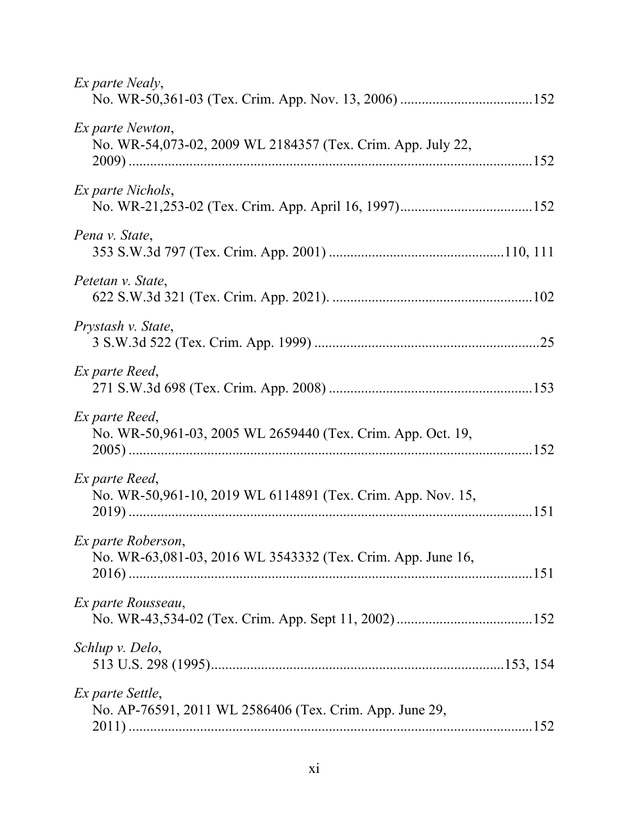| Ex parte Nealy,                                                                   |
|-----------------------------------------------------------------------------------|
| Ex parte Newton,<br>No. WR-54,073-02, 2009 WL 2184357 (Tex. Crim. App. July 22,   |
| Ex parte Nichols,                                                                 |
| Pena v. State,                                                                    |
| Petetan v. State,                                                                 |
| Prystash v. State,                                                                |
| Ex parte Reed,                                                                    |
| Ex parte Reed,<br>No. WR-50,961-03, 2005 WL 2659440 (Tex. Crim. App. Oct. 19,     |
| Ex parte Reed,<br>No. WR-50,961-10, 2019 WL 6114891 (Tex. Crim. App. Nov. 15,     |
| Ex parte Roberson,<br>No. WR-63,081-03, 2016 WL 3543332 (Tex. Crim. App. June 16, |
| Ex parte Rousseau,                                                                |
| Schlup v. Delo,                                                                   |
| Ex parte Settle,<br>No. AP-76591, 2011 WL 2586406 (Tex. Crim. App. June 29,       |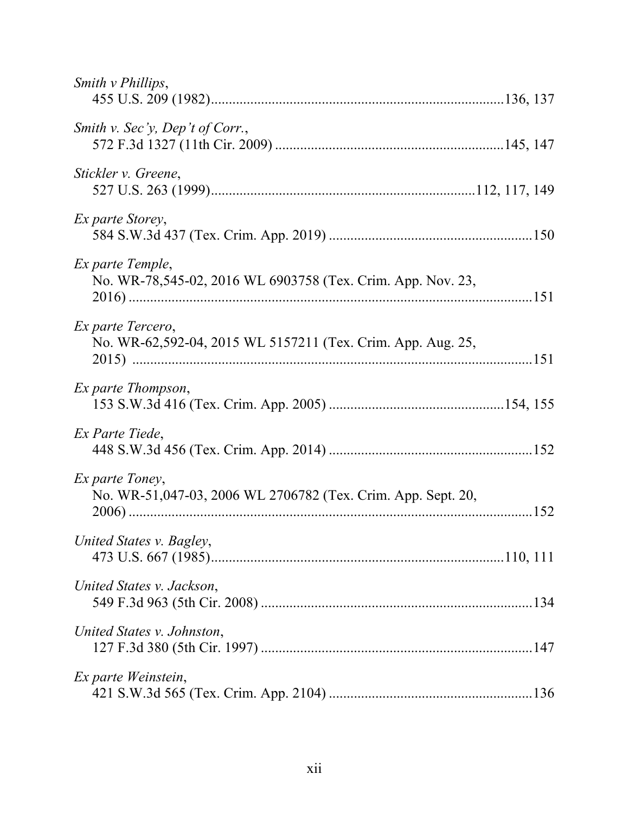| Smith <i>v</i> Phillips,                                                         |
|----------------------------------------------------------------------------------|
| Smith v. Sec'y, Dep't of Corr.,                                                  |
| Stickler v. Greene,                                                              |
| <i>Ex parte Storey,</i>                                                          |
| Ex parte Temple,<br>No. WR-78,545-02, 2016 WL 6903758 (Tex. Crim. App. Nov. 23,  |
| Ex parte Tercero,<br>No. WR-62,592-04, 2015 WL 5157211 (Tex. Crim. App. Aug. 25, |
| Ex parte Thompson,                                                               |
| Ex Parte Tiede,                                                                  |
| Ex parte Toney,<br>No. WR-51,047-03, 2006 WL 2706782 (Tex. Crim. App. Sept. 20,  |
| United States v. Bagley,                                                         |
| United States v. Jackson,                                                        |
| United States v. Johnston,                                                       |
| Ex parte Weinstein,                                                              |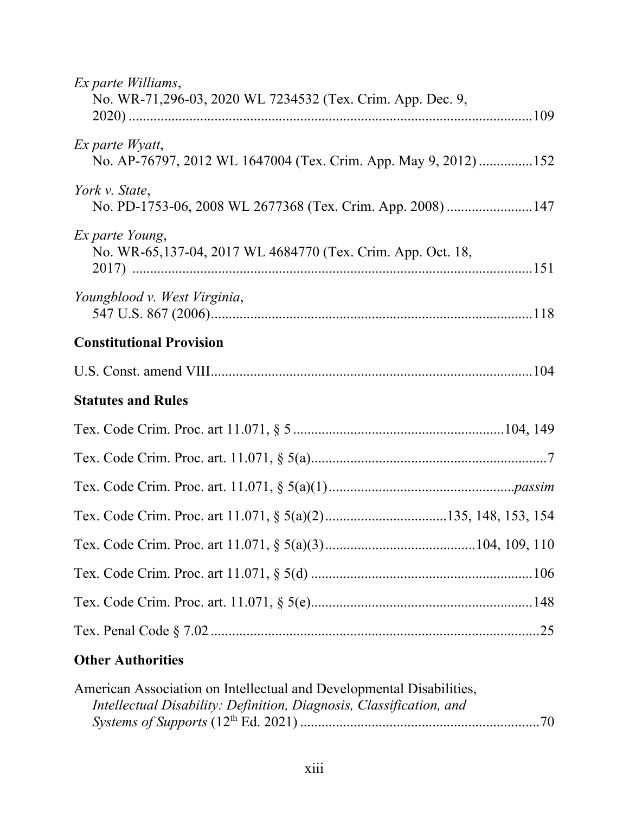| Ex parte Williams,<br>No. WR-71,296-03, 2020 WL 7234532 (Tex. Crim. App. Dec. 9,   |
|------------------------------------------------------------------------------------|
| Ex parte Wyatt,<br>No. AP-76797, 2012 WL 1647004 (Tex. Crim. App. May 9, 2012) 152 |
| York v. State,<br>No. PD-1753-06, 2008 WL 2677368 (Tex. Crim. App. 2008) 147       |
| Ex parte Young,<br>No. WR-65,137-04, 2017 WL 4684770 (Tex. Crim. App. Oct. 18,     |
| Youngblood v. West Virginia,                                                       |
| <b>Constitutional Provision</b>                                                    |
|                                                                                    |
| <b>Statutes and Rules</b>                                                          |
|                                                                                    |
|                                                                                    |
|                                                                                    |
|                                                                                    |
|                                                                                    |
|                                                                                    |
|                                                                                    |
|                                                                                    |
| <b>Other Authorities</b>                                                           |

| American Association on Intellectual and Developmental Disabilities, |  |
|----------------------------------------------------------------------|--|
| Intellectual Disability: Definition, Diagnosis, Classification, and  |  |
|                                                                      |  |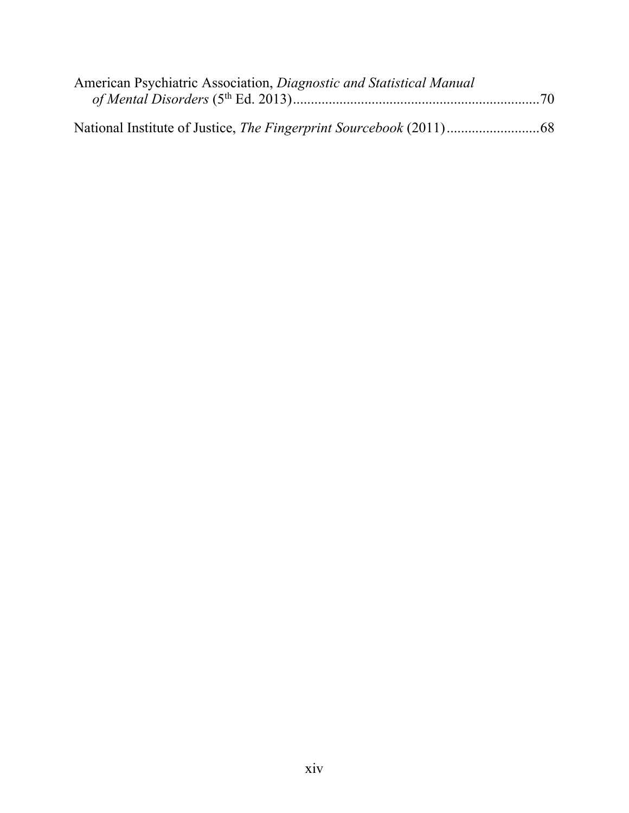| American Psychiatric Association, Diagnostic and Statistical Manual |  |
|---------------------------------------------------------------------|--|
|                                                                     |  |
|                                                                     |  |
|                                                                     |  |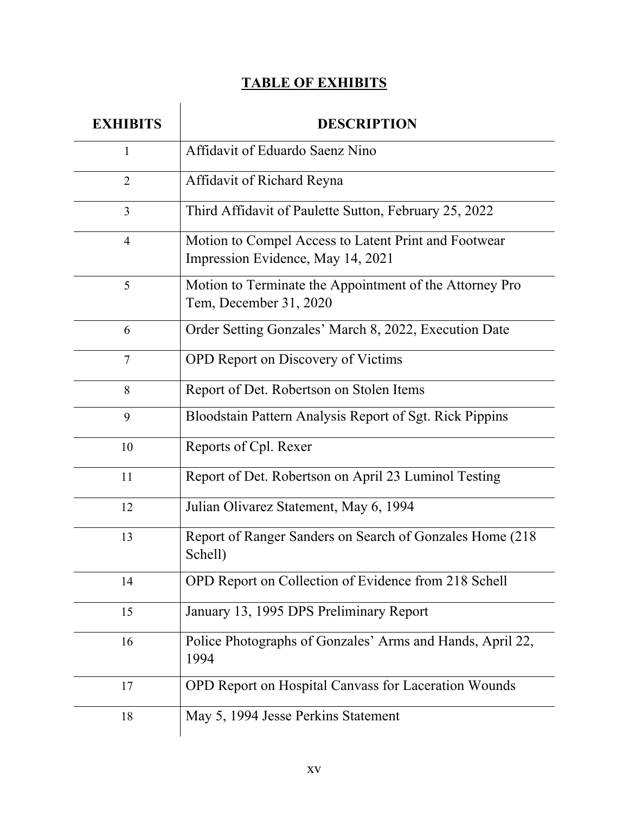# **TABLE OF EXHIBITS**

| <b>EXHIBITS</b> | <b>DESCRIPTION</b>                                                                        |
|-----------------|-------------------------------------------------------------------------------------------|
| 1               | Affidavit of Eduardo Saenz Nino                                                           |
| $\overline{2}$  | Affidavit of Richard Reyna                                                                |
| 3               | Third Affidavit of Paulette Sutton, February 25, 2022                                     |
| $\overline{4}$  | Motion to Compel Access to Latent Print and Footwear<br>Impression Evidence, May 14, 2021 |
| 5               | Motion to Terminate the Appointment of the Attorney Pro<br>Tem, December 31, 2020         |
| 6               | Order Setting Gonzales' March 8, 2022, Execution Date                                     |
| 7               | OPD Report on Discovery of Victims                                                        |
| 8               | Report of Det. Robertson on Stolen Items                                                  |
| 9               | Bloodstain Pattern Analysis Report of Sgt. Rick Pippins                                   |
| 10              | Reports of Cpl. Rexer                                                                     |
| 11              | Report of Det. Robertson on April 23 Luminol Testing                                      |
| 12              | Julian Olivarez Statement, May 6, 1994                                                    |
| 13              | Report of Ranger Sanders on Search of Gonzales Home (218)<br>Schell)                      |
| 14              | OPD Report on Collection of Evidence from 218 Schell                                      |
| 15              | January 13, 1995 DPS Preliminary Report                                                   |
| 16              | Police Photographs of Gonzales' Arms and Hands, April 22,<br>1994                         |
| 17              | OPD Report on Hospital Canvass for Laceration Wounds                                      |
| 18              | May 5, 1994 Jesse Perkins Statement                                                       |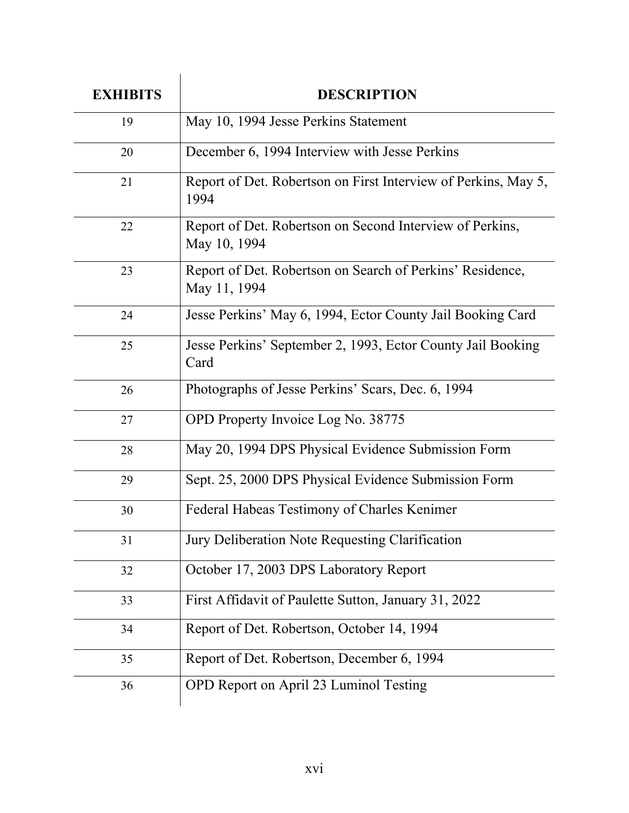| <b>EXHIBITS</b> | <b>DESCRIPTION</b>                                                        |
|-----------------|---------------------------------------------------------------------------|
| 19              | May 10, 1994 Jesse Perkins Statement                                      |
| 20              | December 6, 1994 Interview with Jesse Perkins                             |
| 21              | Report of Det. Robertson on First Interview of Perkins, May 5,<br>1994    |
| 22              | Report of Det. Robertson on Second Interview of Perkins,<br>May 10, 1994  |
| 23              | Report of Det. Robertson on Search of Perkins' Residence,<br>May 11, 1994 |
| 24              | Jesse Perkins' May 6, 1994, Ector County Jail Booking Card                |
| 25              | Jesse Perkins' September 2, 1993, Ector County Jail Booking<br>Card       |
| 26              | Photographs of Jesse Perkins' Scars, Dec. 6, 1994                         |
| 27              | OPD Property Invoice Log No. 38775                                        |
| 28              | May 20, 1994 DPS Physical Evidence Submission Form                        |
| 29              | Sept. 25, 2000 DPS Physical Evidence Submission Form                      |
| 30              | Federal Habeas Testimony of Charles Kenimer                               |
| 31              | Jury Deliberation Note Requesting Clarification                           |
| 32              | October 17, 2003 DPS Laboratory Report                                    |
| 33              | First Affidavit of Paulette Sutton, January 31, 2022                      |
| 34              | Report of Det. Robertson, October 14, 1994                                |
| 35              | Report of Det. Robertson, December 6, 1994                                |
| 36              | OPD Report on April 23 Luminol Testing                                    |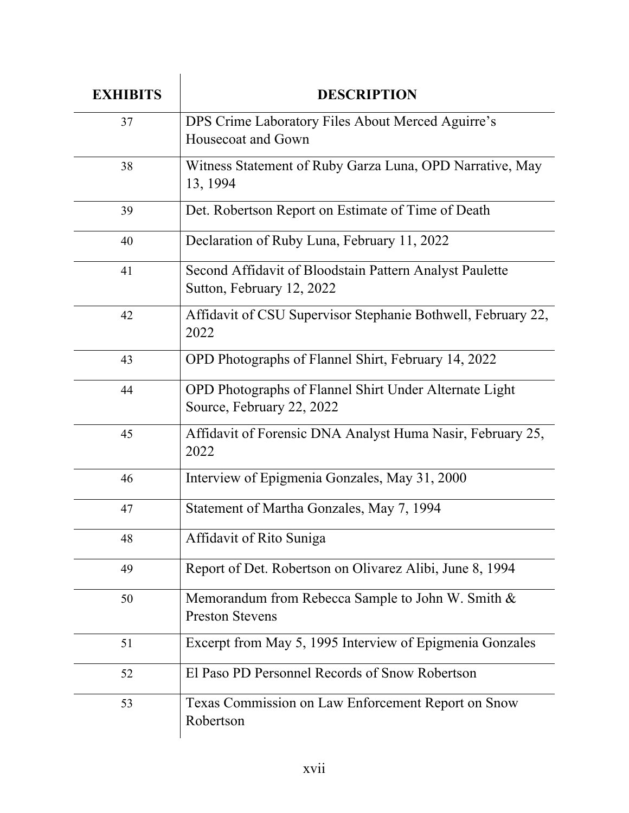| <b>EXHIBITS</b> | <b>DESCRIPTION</b>                                                                   |
|-----------------|--------------------------------------------------------------------------------------|
| 37              | DPS Crime Laboratory Files About Merced Aguirre's<br>Housecoat and Gown              |
| 38              | Witness Statement of Ruby Garza Luna, OPD Narrative, May<br>13, 1994                 |
| 39              | Det. Robertson Report on Estimate of Time of Death                                   |
| 40              | Declaration of Ruby Luna, February 11, 2022                                          |
| 41              | Second Affidavit of Bloodstain Pattern Analyst Paulette<br>Sutton, February 12, 2022 |
| 42              | Affidavit of CSU Supervisor Stephanie Bothwell, February 22,<br>2022                 |
| 43              | OPD Photographs of Flannel Shirt, February 14, 2022                                  |
| 44              | OPD Photographs of Flannel Shirt Under Alternate Light<br>Source, February 22, 2022  |
| 45              | Affidavit of Forensic DNA Analyst Huma Nasir, February 25,<br>2022                   |
| 46              | Interview of Epigmenia Gonzales, May 31, 2000                                        |
| 47              | Statement of Martha Gonzales, May 7, 1994                                            |
| 48              | Affidavit of Rito Suniga                                                             |
| 49              | Report of Det. Robertson on Olivarez Alibi, June 8, 1994                             |
| 50              | Memorandum from Rebecca Sample to John W. Smith &<br><b>Preston Stevens</b>          |
| 51              | Excerpt from May 5, 1995 Interview of Epigmenia Gonzales                             |
| 52              | El Paso PD Personnel Records of Snow Robertson                                       |
| 53              | Texas Commission on Law Enforcement Report on Snow<br>Robertson                      |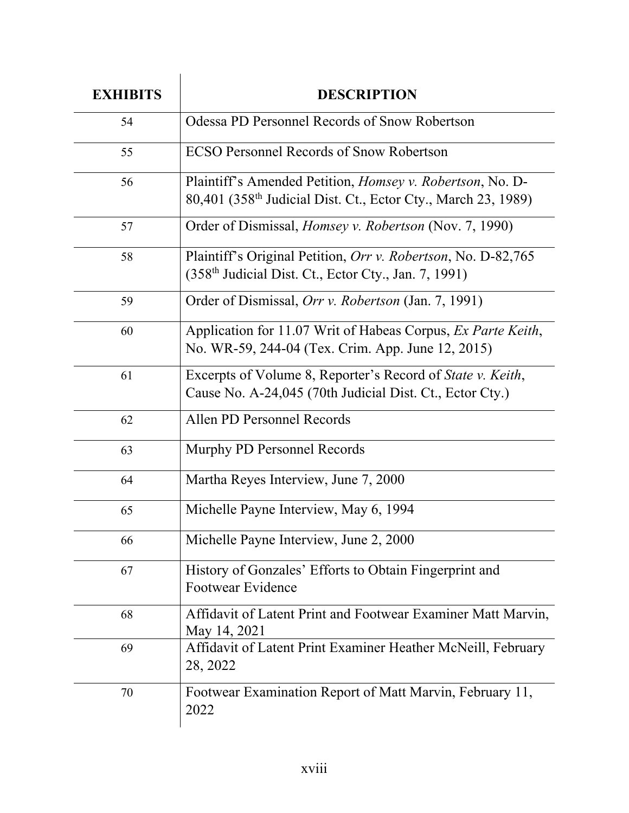| <b>EXHIBITS</b> | <b>DESCRIPTION</b>                                                                                                                             |
|-----------------|------------------------------------------------------------------------------------------------------------------------------------------------|
| 54              | Odessa PD Personnel Records of Snow Robertson                                                                                                  |
| 55              | <b>ECSO Personnel Records of Snow Robertson</b>                                                                                                |
| 56              | Plaintiff's Amended Petition, <i>Homsey v. Robertson</i> , No. D-<br>80,401 (358 <sup>th</sup> Judicial Dist. Ct., Ector Cty., March 23, 1989) |
| 57              | Order of Dismissal, <i>Homsey v. Robertson</i> (Nov. 7, 1990)                                                                                  |
| 58              | Plaintiff's Original Petition, Orr v. Robertson, No. D-82,765<br>$(358th$ Judicial Dist. Ct., Ector Cty., Jan. 7, 1991)                        |
| 59              | Order of Dismissal, Orr v. Robertson (Jan. 7, 1991)                                                                                            |
| 60              | Application for 11.07 Writ of Habeas Corpus, Ex Parte Keith,<br>No. WR-59, 244-04 (Tex. Crim. App. June 12, 2015)                              |
| 61              | Excerpts of Volume 8, Reporter's Record of State v. Keith,<br>Cause No. A-24,045 (70th Judicial Dist. Ct., Ector Cty.)                         |
| 62              | Allen PD Personnel Records                                                                                                                     |
| 63              | Murphy PD Personnel Records                                                                                                                    |
| 64              | Martha Reyes Interview, June 7, 2000                                                                                                           |
| 65              | Michelle Payne Interview, May 6, 1994                                                                                                          |
| 66              | Michelle Payne Interview, June 2, 2000                                                                                                         |
| 67              | History of Gonzales' Efforts to Obtain Fingerprint and<br><b>Footwear Evidence</b>                                                             |
| 68              | Affidavit of Latent Print and Footwear Examiner Matt Marvin,<br>May 14, 2021                                                                   |
| 69              | Affidavit of Latent Print Examiner Heather McNeill, February<br>28, 2022                                                                       |
| 70              | Footwear Examination Report of Matt Marvin, February 11,<br>2022                                                                               |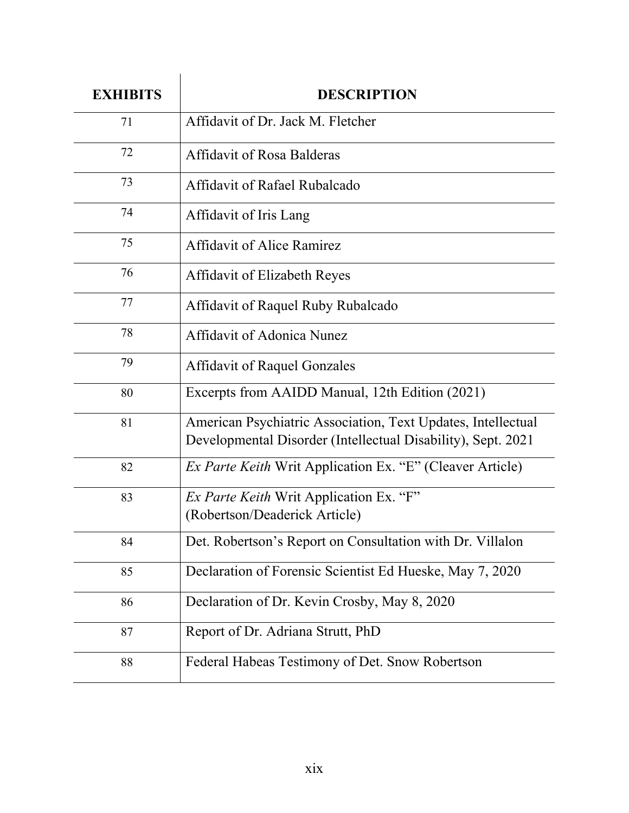| <b>EXHIBITS</b> | <b>DESCRIPTION</b>                                                                                                           |
|-----------------|------------------------------------------------------------------------------------------------------------------------------|
| 71              | Affidavit of Dr. Jack M. Fletcher                                                                                            |
| 72              | <b>Affidavit of Rosa Balderas</b>                                                                                            |
| 73              | Affidavit of Rafael Rubalcado                                                                                                |
| 74              | Affidavit of Iris Lang                                                                                                       |
| 75              | <b>Affidavit of Alice Ramirez</b>                                                                                            |
| 76              | Affidavit of Elizabeth Reyes                                                                                                 |
| 77              | Affidavit of Raquel Ruby Rubalcado                                                                                           |
| 78              | Affidavit of Adonica Nunez                                                                                                   |
| 79              | <b>Affidavit of Raquel Gonzales</b>                                                                                          |
| 80              | Excerpts from AAIDD Manual, 12th Edition (2021)                                                                              |
| 81              | American Psychiatric Association, Text Updates, Intellectual<br>Developmental Disorder (Intellectual Disability), Sept. 2021 |
| 82              | Ex Parte Keith Writ Application Ex. "E" (Cleaver Article)                                                                    |
| 83              | <i>Ex Parte Keith</i> Writ Application Ex. "F"<br>(Robertson/Deaderick Article)                                              |
| 84              | Det. Robertson's Report on Consultation with Dr. Villalon                                                                    |
| 85              | Declaration of Forensic Scientist Ed Hueske, May 7, 2020                                                                     |
| 86              | Declaration of Dr. Kevin Crosby, May 8, 2020                                                                                 |
| 87              | Report of Dr. Adriana Strutt, PhD                                                                                            |
| 88              | Federal Habeas Testimony of Det. Snow Robertson                                                                              |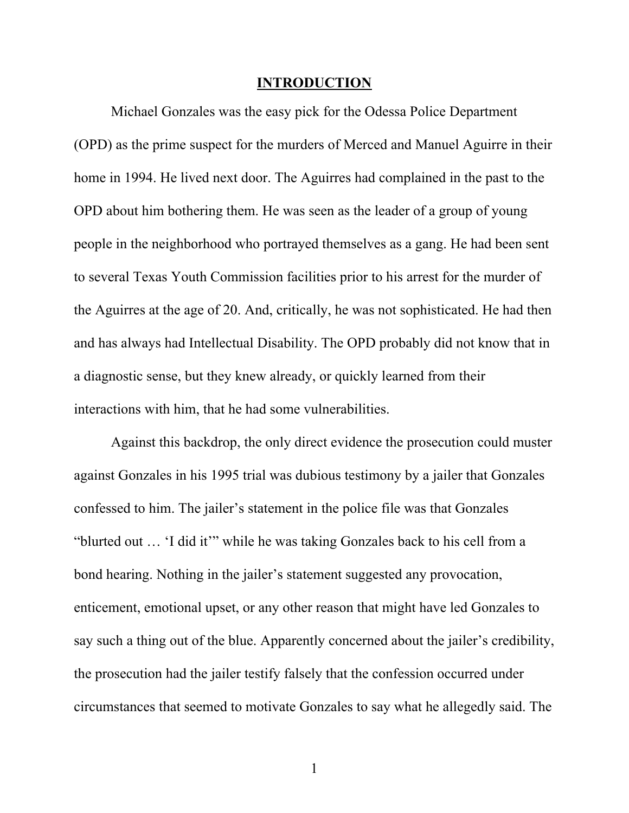#### **INTRODUCTION**

Michael Gonzales was the easy pick for the Odessa Police Department (OPD) as the prime suspect for the murders of Merced and Manuel Aguirre in their home in 1994. He lived next door. The Aguirres had complained in the past to the OPD about him bothering them. He was seen as the leader of a group of young people in the neighborhood who portrayed themselves as a gang. He had been sent to several Texas Youth Commission facilities prior to his arrest for the murder of the Aguirres at the age of 20. And, critically, he was not sophisticated. He had then and has always had Intellectual Disability. The OPD probably did not know that in a diagnostic sense, but they knew already, or quickly learned from their interactions with him, that he had some vulnerabilities.

Against this backdrop, the only direct evidence the prosecution could muster against Gonzales in his 1995 trial was dubious testimony by a jailer that Gonzales confessed to him. The jailer's statement in the police file was that Gonzales "blurted out … 'I did it'" while he was taking Gonzales back to his cell from a bond hearing. Nothing in the jailer's statement suggested any provocation, enticement, emotional upset, or any other reason that might have led Gonzales to say such a thing out of the blue. Apparently concerned about the jailer's credibility, the prosecution had the jailer testify falsely that the confession occurred under circumstances that seemed to motivate Gonzales to say what he allegedly said. The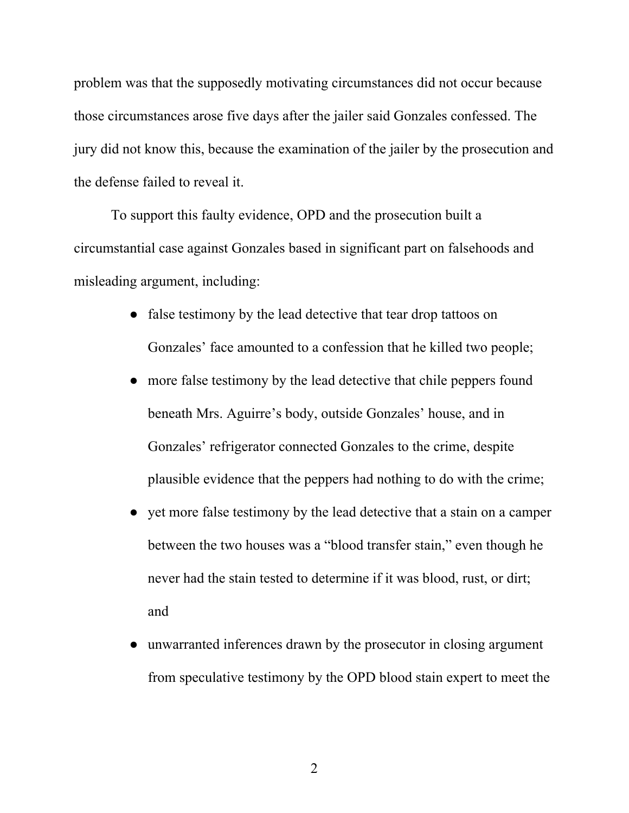problem was that the supposedly motivating circumstances did not occur because those circumstances arose five days after the jailer said Gonzales confessed. The jury did not know this, because the examination of the jailer by the prosecution and the defense failed to reveal it.

To support this faulty evidence, OPD and the prosecution built a circumstantial case against Gonzales based in significant part on falsehoods and misleading argument, including:

- false testimony by the lead detective that tear drop tattoos on Gonzales' face amounted to a confession that he killed two people;
- more false testimony by the lead detective that chile peppers found beneath Mrs. Aguirre's body, outside Gonzales' house, and in Gonzales' refrigerator connected Gonzales to the crime, despite plausible evidence that the peppers had nothing to do with the crime;
- yet more false testimony by the lead detective that a stain on a camper between the two houses was a "blood transfer stain," even though he never had the stain tested to determine if it was blood, rust, or dirt; and
- unwarranted inferences drawn by the prosecutor in closing argument from speculative testimony by the OPD blood stain expert to meet the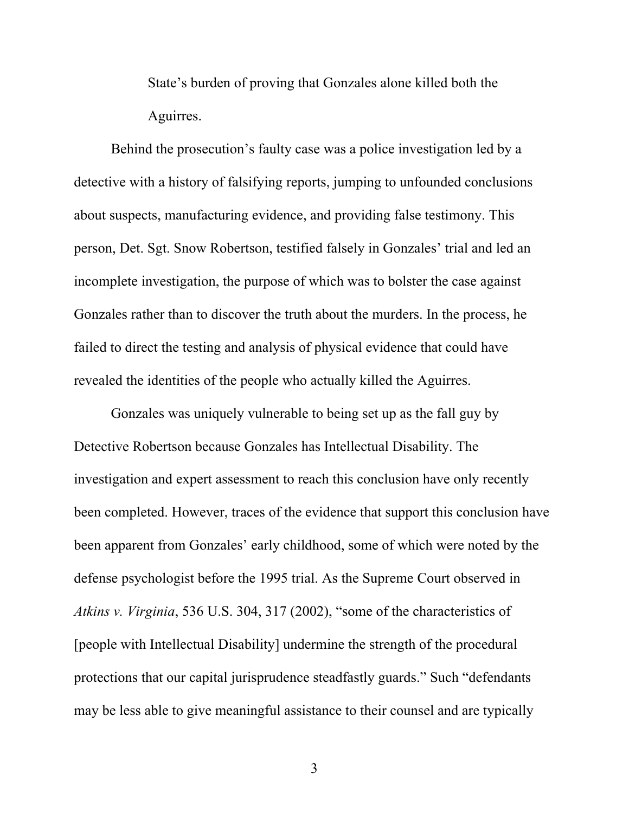State's burden of proving that Gonzales alone killed both the Aguirres.

Behind the prosecution's faulty case was a police investigation led by a detective with a history of falsifying reports, jumping to unfounded conclusions about suspects, manufacturing evidence, and providing false testimony. This person, Det. Sgt. Snow Robertson, testified falsely in Gonzales' trial and led an incomplete investigation, the purpose of which was to bolster the case against Gonzales rather than to discover the truth about the murders. In the process, he failed to direct the testing and analysis of physical evidence that could have revealed the identities of the people who actually killed the Aguirres.

Gonzales was uniquely vulnerable to being set up as the fall guy by Detective Robertson because Gonzales has Intellectual Disability. The investigation and expert assessment to reach this conclusion have only recently been completed. However, traces of the evidence that support this conclusion have been apparent from Gonzales' early childhood, some of which were noted by the defense psychologist before the 1995 trial. As the Supreme Court observed in *Atkins v. Virginia*, 536 U.S. 304, 317 (2002), "some of the characteristics of [people with Intellectual Disability] undermine the strength of the procedural protections that our capital jurisprudence steadfastly guards." Such "defendants may be less able to give meaningful assistance to their counsel and are typically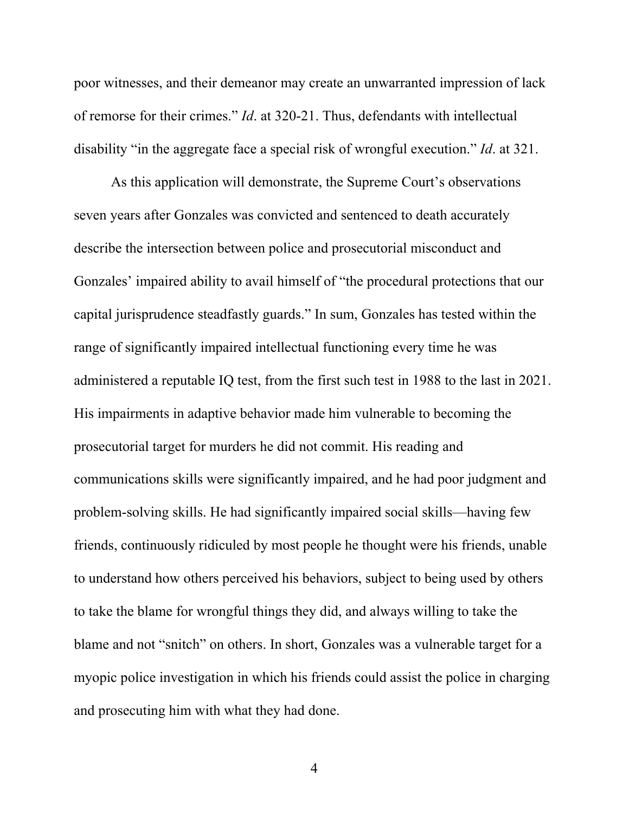poor witnesses, and their demeanor may create an unwarranted impression of lack of remorse for their crimes." *Id*. at 320-21. Thus, defendants with intellectual disability "in the aggregate face a special risk of wrongful execution." *Id*. at 321.

As this application will demonstrate, the Supreme Court's observations seven years after Gonzales was convicted and sentenced to death accurately describe the intersection between police and prosecutorial misconduct and Gonzales' impaired ability to avail himself of "the procedural protections that our capital jurisprudence steadfastly guards." In sum, Gonzales has tested within the range of significantly impaired intellectual functioning every time he was administered a reputable IQ test, from the first such test in 1988 to the last in 2021. His impairments in adaptive behavior made him vulnerable to becoming the prosecutorial target for murders he did not commit. His reading and communications skills were significantly impaired, and he had poor judgment and problem-solving skills. He had significantly impaired social skills—having few friends, continuously ridiculed by most people he thought were his friends, unable to understand how others perceived his behaviors, subject to being used by others to take the blame for wrongful things they did, and always willing to take the blame and not "snitch" on others. In short, Gonzales was a vulnerable target for a myopic police investigation in which his friends could assist the police in charging and prosecuting him with what they had done.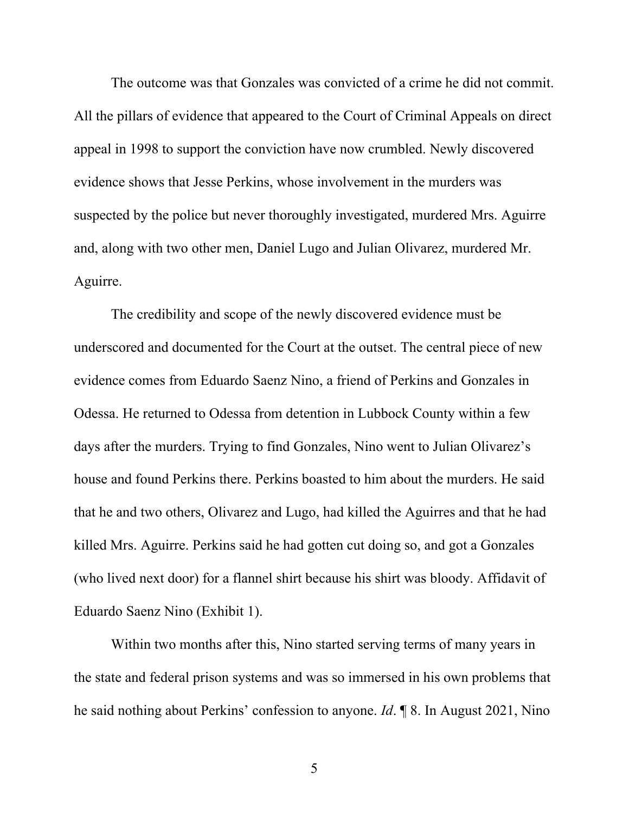The outcome was that Gonzales was convicted of a crime he did not commit. All the pillars of evidence that appeared to the Court of Criminal Appeals on direct appeal in 1998 to support the conviction have now crumbled. Newly discovered evidence shows that Jesse Perkins, whose involvement in the murders was suspected by the police but never thoroughly investigated, murdered Mrs. Aguirre and, along with two other men, Daniel Lugo and Julian Olivarez, murdered Mr. Aguirre.

The credibility and scope of the newly discovered evidence must be underscored and documented for the Court at the outset. The central piece of new evidence comes from Eduardo Saenz Nino, a friend of Perkins and Gonzales in Odessa. He returned to Odessa from detention in Lubbock County within a few days after the murders. Trying to find Gonzales, Nino went to Julian Olivarez's house and found Perkins there. Perkins boasted to him about the murders. He said that he and two others, Olivarez and Lugo, had killed the Aguirres and that he had killed Mrs. Aguirre. Perkins said he had gotten cut doing so, and got a Gonzales (who lived next door) for a flannel shirt because his shirt was bloody. Affidavit of Eduardo Saenz Nino (Exhibit 1).

Within two months after this, Nino started serving terms of many years in the state and federal prison systems and was so immersed in his own problems that he said nothing about Perkins' confession to anyone. *Id*. ¶ 8. In August 2021, Nino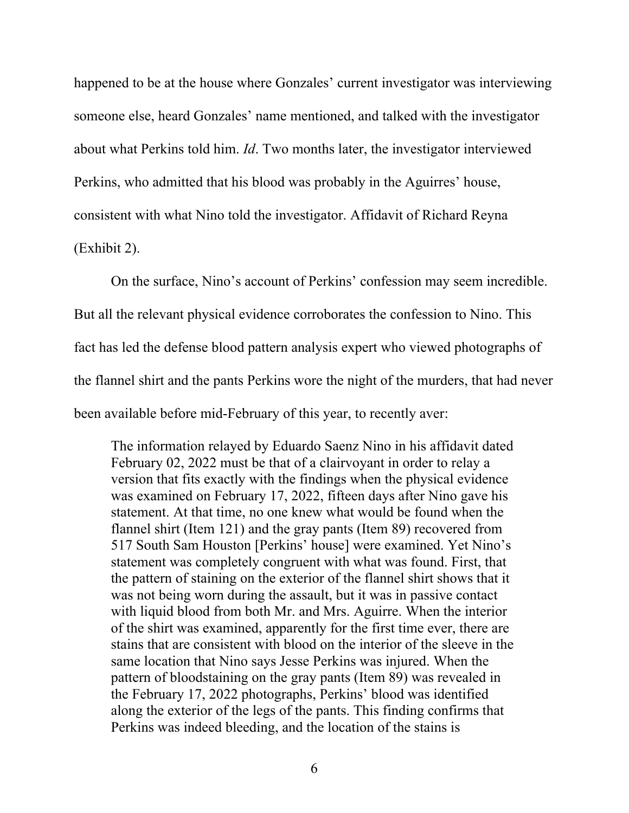happened to be at the house where Gonzales' current investigator was interviewing someone else, heard Gonzales' name mentioned, and talked with the investigator about what Perkins told him. *Id*. Two months later, the investigator interviewed Perkins, who admitted that his blood was probably in the Aguirres' house, consistent with what Nino told the investigator. Affidavit of Richard Reyna (Exhibit 2).

On the surface, Nino's account of Perkins' confession may seem incredible. But all the relevant physical evidence corroborates the confession to Nino. This fact has led the defense blood pattern analysis expert who viewed photographs of the flannel shirt and the pants Perkins wore the night of the murders, that had never been available before mid-February of this year, to recently aver:

The information relayed by Eduardo Saenz Nino in his affidavit dated February 02, 2022 must be that of a clairvoyant in order to relay a version that fits exactly with the findings when the physical evidence was examined on February 17, 2022, fifteen days after Nino gave his statement. At that time, no one knew what would be found when the flannel shirt (Item 121) and the gray pants (Item 89) recovered from 517 South Sam Houston [Perkins' house] were examined. Yet Nino's statement was completely congruent with what was found. First, that the pattern of staining on the exterior of the flannel shirt shows that it was not being worn during the assault, but it was in passive contact with liquid blood from both Mr. and Mrs. Aguirre. When the interior of the shirt was examined, apparently for the first time ever, there are stains that are consistent with blood on the interior of the sleeve in the same location that Nino says Jesse Perkins was injured. When the pattern of bloodstaining on the gray pants (Item 89) was revealed in the February 17, 2022 photographs, Perkins' blood was identified along the exterior of the legs of the pants. This finding confirms that Perkins was indeed bleeding, and the location of the stains is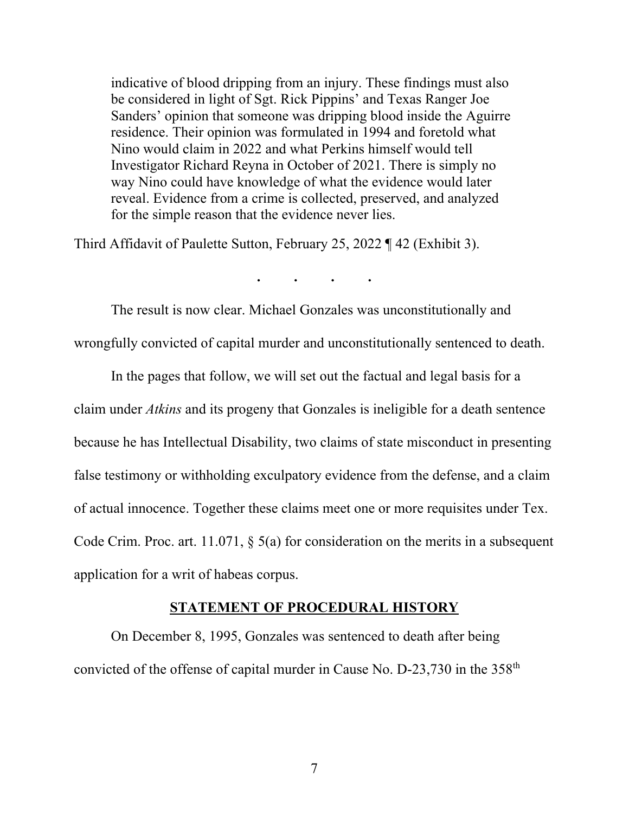indicative of blood dripping from an injury. These findings must also be considered in light of Sgt. Rick Pippins' and Texas Ranger Joe Sanders' opinion that someone was dripping blood inside the Aguirre residence. Their opinion was formulated in 1994 and foretold what Nino would claim in 2022 and what Perkins himself would tell Investigator Richard Reyna in October of 2021. There is simply no way Nino could have knowledge of what the evidence would later reveal. Evidence from a crime is collected, preserved, and analyzed for the simple reason that the evidence never lies.

Third Affidavit of Paulette Sutton, February 25, 2022 ¶ 42 (Exhibit 3).

**. . . .** 

The result is now clear. Michael Gonzales was unconstitutionally and wrongfully convicted of capital murder and unconstitutionally sentenced to death.

In the pages that follow, we will set out the factual and legal basis for a claim under *Atkins* and its progeny that Gonzales is ineligible for a death sentence because he has Intellectual Disability, two claims of state misconduct in presenting false testimony or withholding exculpatory evidence from the defense, and a claim of actual innocence. Together these claims meet one or more requisites under Tex. Code Crim. Proc. art. 11.071, § 5(a) for consideration on the merits in a subsequent application for a writ of habeas corpus.

#### **STATEMENT OF PROCEDURAL HISTORY**

On December 8, 1995, Gonzales was sentenced to death after being convicted of the offense of capital murder in Cause No. D-23,730 in the 358<sup>th</sup>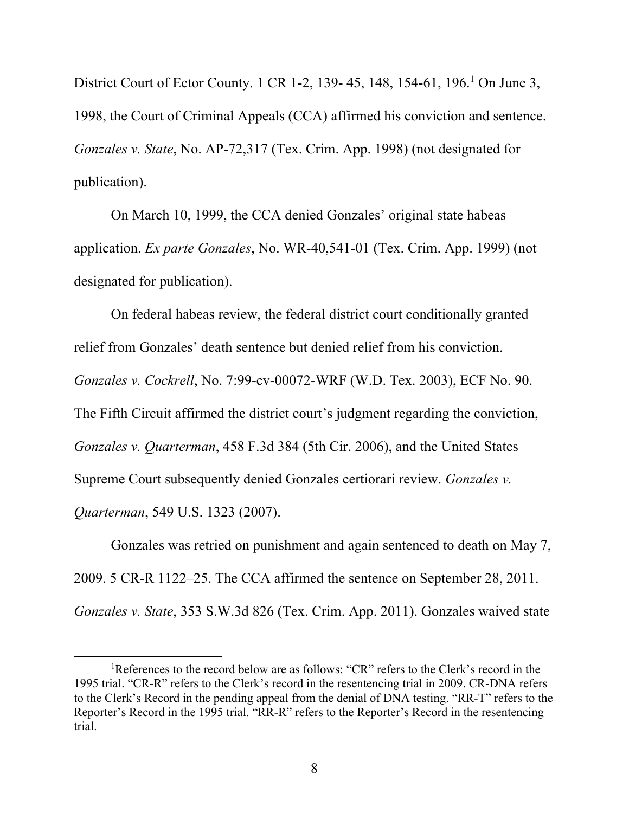District Court of Ector County. 1 CR 1-2, 139- 45, 148, 154-61, 196.<sup>1</sup> On June 3, 1998, the Court of Criminal Appeals (CCA) affirmed his conviction and sentence. *Gonzales v. State*, No. AP-72,317 (Tex. Crim. App. 1998) (not designated for publication).

On March 10, 1999, the CCA denied Gonzales' original state habeas application. *Ex parte Gonzales*, No. WR-40,541-01 (Tex. Crim. App. 1999) (not designated for publication).

On federal habeas review, the federal district court conditionally granted relief from Gonzales' death sentence but denied relief from his conviction. *Gonzales v. Cockrell*, No. 7:99-cv-00072-WRF (W.D. Tex. 2003), ECF No. 90. The Fifth Circuit affirmed the district court's judgment regarding the conviction, *Gonzales v. Quarterman*, 458 F.3d 384 (5th Cir. 2006), and the United States Supreme Court subsequently denied Gonzales certiorari review. *Gonzales v. Quarterman*, 549 U.S. 1323 (2007).

Gonzales was retried on punishment and again sentenced to death on May 7, 2009. 5 CR-R 1122–25. The CCA affirmed the sentence on September 28, 2011. *Gonzales v. State*, 353 S.W.3d 826 (Tex. Crim. App. 2011). Gonzales waived state

<sup>&</sup>lt;sup>1</sup>References to the record below are as follows: "CR" refers to the Clerk's record in the 1995 trial. "CR-R" refers to the Clerk's record in the resentencing trial in 2009. CR-DNA refers to the Clerk's Record in the pending appeal from the denial of DNA testing. "RR-T" refers to the Reporter's Record in the 1995 trial. "RR-R" refers to the Reporter's Record in the resentencing trial.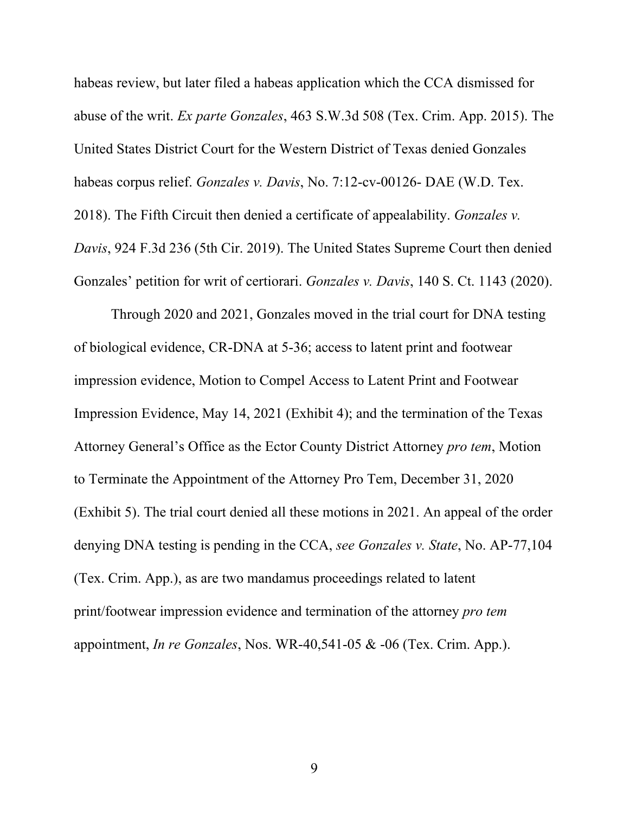habeas review, but later filed a habeas application which the CCA dismissed for abuse of the writ. *Ex parte Gonzales*, 463 S.W.3d 508 (Tex. Crim. App. 2015). The United States District Court for the Western District of Texas denied Gonzales habeas corpus relief. *Gonzales v. Davis*, No. 7:12-cv-00126- DAE (W.D. Tex. 2018). The Fifth Circuit then denied a certificate of appealability. *Gonzales v. Davis*, 924 F.3d 236 (5th Cir. 2019). The United States Supreme Court then denied Gonzales' petition for writ of certiorari. *Gonzales v. Davis*, 140 S. Ct. 1143 (2020).

Through 2020 and 2021, Gonzales moved in the trial court for DNA testing of biological evidence, CR-DNA at 5-36; access to latent print and footwear impression evidence, Motion to Compel Access to Latent Print and Footwear Impression Evidence, May 14, 2021 (Exhibit 4); and the termination of the Texas Attorney General's Office as the Ector County District Attorney *pro tem*, Motion to Terminate the Appointment of the Attorney Pro Tem, December 31, 2020 (Exhibit 5). The trial court denied all these motions in 2021. An appeal of the order denying DNA testing is pending in the CCA, *see Gonzales v. State*, No. AP-77,104 (Tex. Crim. App.), as are two mandamus proceedings related to latent print/footwear impression evidence and termination of the attorney *pro tem* appointment, *In re Gonzales*, Nos. WR-40,541-05 & -06 (Tex. Crim. App.).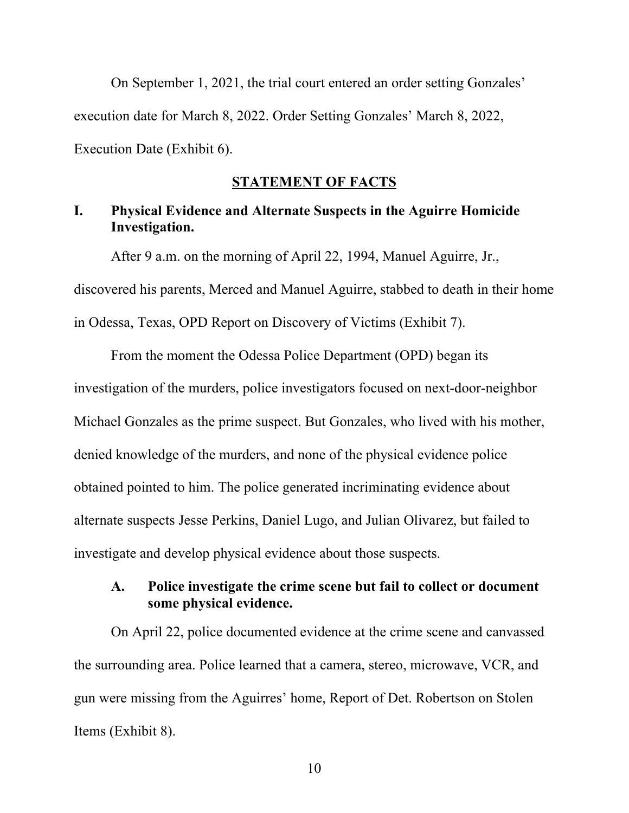On September 1, 2021, the trial court entered an order setting Gonzales' execution date for March 8, 2022. Order Setting Gonzales' March 8, 2022, Execution Date (Exhibit 6).

### **STATEMENT OF FACTS**

# **I. Physical Evidence and Alternate Suspects in the Aguirre Homicide Investigation.**

After 9 a.m. on the morning of April 22, 1994, Manuel Aguirre, Jr., discovered his parents, Merced and Manuel Aguirre, stabbed to death in their home in Odessa, Texas, OPD Report on Discovery of Victims (Exhibit 7).

From the moment the Odessa Police Department (OPD) began its investigation of the murders, police investigators focused on next-door-neighbor Michael Gonzales as the prime suspect. But Gonzales, who lived with his mother, denied knowledge of the murders, and none of the physical evidence police obtained pointed to him. The police generated incriminating evidence about alternate suspects Jesse Perkins, Daniel Lugo, and Julian Olivarez, but failed to investigate and develop physical evidence about those suspects.

### **A. Police investigate the crime scene but fail to collect or document some physical evidence.**

On April 22, police documented evidence at the crime scene and canvassed the surrounding area. Police learned that a camera, stereo, microwave, VCR, and gun were missing from the Aguirres' home, Report of Det. Robertson on Stolen Items (Exhibit 8).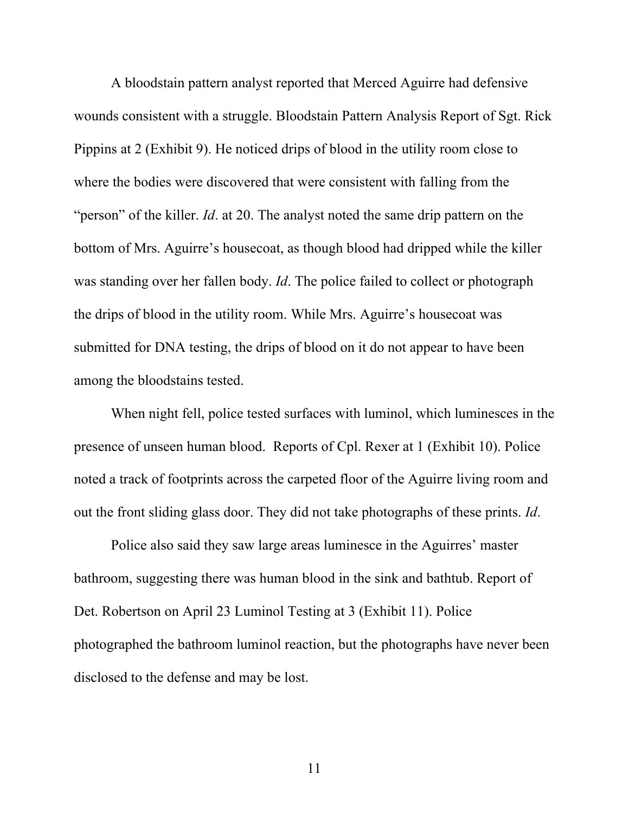A bloodstain pattern analyst reported that Merced Aguirre had defensive wounds consistent with a struggle. Bloodstain Pattern Analysis Report of Sgt. Rick Pippins at 2 (Exhibit 9). He noticed drips of blood in the utility room close to where the bodies were discovered that were consistent with falling from the "person" of the killer. *Id*. at 20. The analyst noted the same drip pattern on the bottom of Mrs. Aguirre's housecoat, as though blood had dripped while the killer was standing over her fallen body. *Id*. The police failed to collect or photograph the drips of blood in the utility room. While Mrs. Aguirre's housecoat was submitted for DNA testing, the drips of blood on it do not appear to have been among the bloodstains tested.

When night fell, police tested surfaces with luminol, which luminesces in the presence of unseen human blood. Reports of Cpl. Rexer at 1 (Exhibit 10). Police noted a track of footprints across the carpeted floor of the Aguirre living room and out the front sliding glass door. They did not take photographs of these prints. *Id*.

Police also said they saw large areas luminesce in the Aguirres' master bathroom, suggesting there was human blood in the sink and bathtub. Report of Det. Robertson on April 23 Luminol Testing at 3 (Exhibit 11). Police photographed the bathroom luminol reaction, but the photographs have never been disclosed to the defense and may be lost.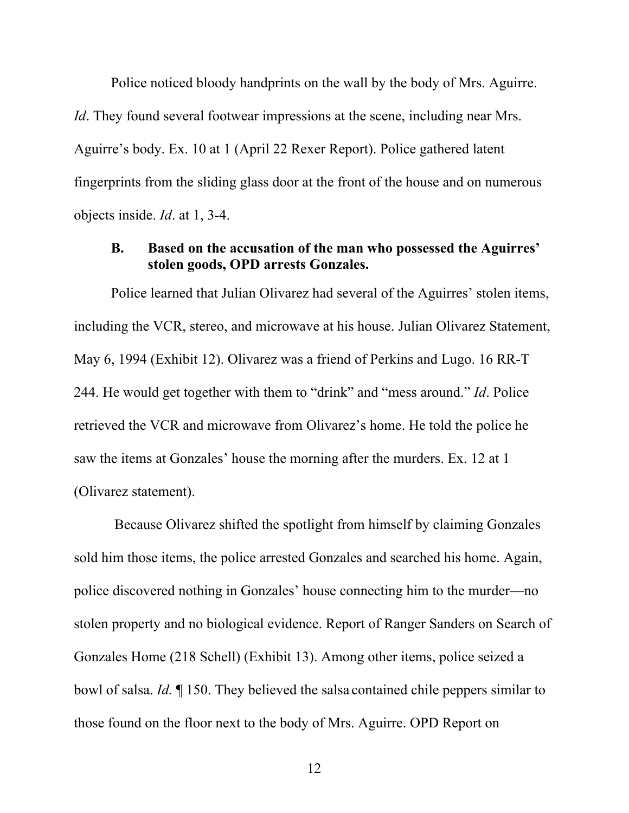Police noticed bloody handprints on the wall by the body of Mrs. Aguirre. *Id*. They found several footwear impressions at the scene, including near Mrs. Aguirre's body. Ex. 10 at 1 (April 22 Rexer Report). Police gathered latent fingerprints from the sliding glass door at the front of the house and on numerous objects inside. *Id*. at 1, 3-4.

### **B. Based on the accusation of the man who possessed the Aguirres' stolen goods, OPD arrests Gonzales.**

Police learned that Julian Olivarez had several of the Aguirres' stolen items, including the VCR, stereo, and microwave at his house. Julian Olivarez Statement, May 6, 1994 (Exhibit 12). Olivarez was a friend of Perkins and Lugo. 16 RR-T 244. He would get together with them to "drink" and "mess around." *Id*. Police retrieved the VCR and microwave from Olivarez's home. He told the police he saw the items at Gonzales' house the morning after the murders. Ex. 12 at 1 (Olivarez statement).

 Because Olivarez shifted the spotlight from himself by claiming Gonzales sold him those items, the police arrested Gonzales and searched his home. Again, police discovered nothing in Gonzales' house connecting him to the murder—no stolen property and no biological evidence. Report of Ranger Sanders on Search of Gonzales Home (218 Schell) (Exhibit 13). Among other items, police seized a bowl of salsa. *Id.* ¶ 150. They believed the salsa contained chile peppers similar to those found on the floor next to the body of Mrs. Aguirre. OPD Report on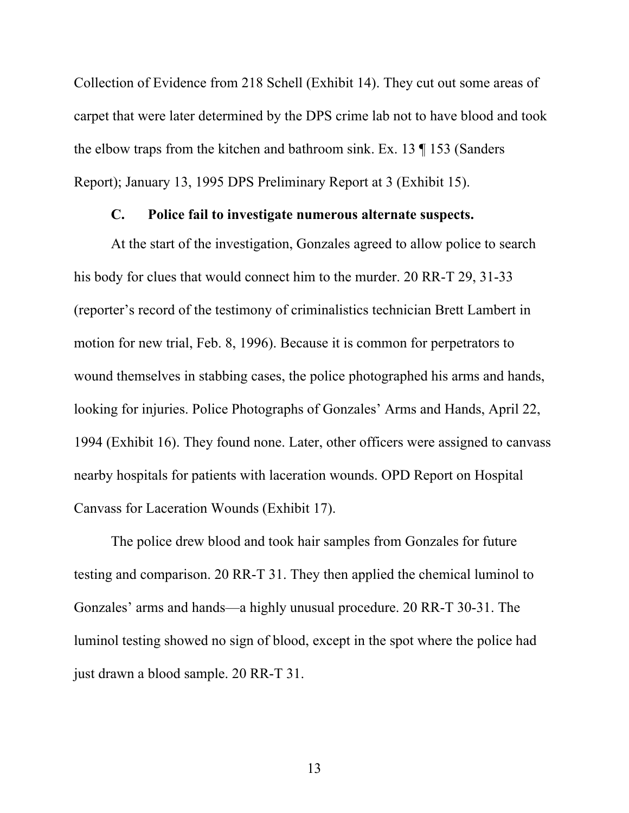Collection of Evidence from 218 Schell (Exhibit 14). They cut out some areas of carpet that were later determined by the DPS crime lab not to have blood and took the elbow traps from the kitchen and bathroom sink. Ex. 13 ¶ 153 (Sanders Report); January 13, 1995 DPS Preliminary Report at 3 (Exhibit 15).

#### **C. Police fail to investigate numerous alternate suspects.**

At the start of the investigation, Gonzales agreed to allow police to search his body for clues that would connect him to the murder. 20 RR-T 29, 31-33 (reporter's record of the testimony of criminalistics technician Brett Lambert in motion for new trial, Feb. 8, 1996). Because it is common for perpetrators to wound themselves in stabbing cases, the police photographed his arms and hands, looking for injuries. Police Photographs of Gonzales' Arms and Hands, April 22, 1994 (Exhibit 16). They found none. Later, other officers were assigned to canvass nearby hospitals for patients with laceration wounds. OPD Report on Hospital Canvass for Laceration Wounds (Exhibit 17).

The police drew blood and took hair samples from Gonzales for future testing and comparison. 20 RR-T 31. They then applied the chemical luminol to Gonzales' arms and hands—a highly unusual procedure. 20 RR-T 30-31. The luminol testing showed no sign of blood, except in the spot where the police had just drawn a blood sample. 20 RR-T 31.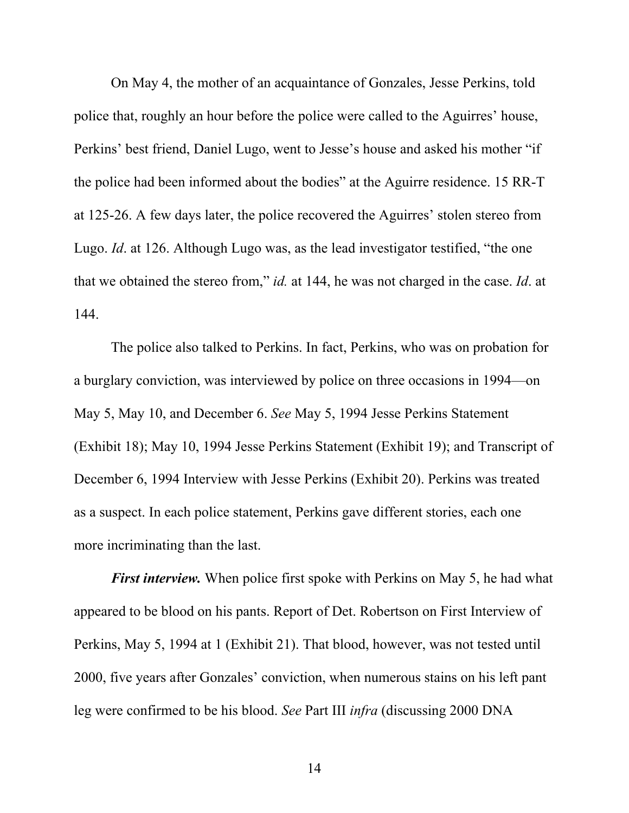On May 4, the mother of an acquaintance of Gonzales, Jesse Perkins, told police that, roughly an hour before the police were called to the Aguirres' house, Perkins' best friend, Daniel Lugo, went to Jesse's house and asked his mother "if the police had been informed about the bodies" at the Aguirre residence. 15 RR-T at 125-26. A few days later, the police recovered the Aguirres' stolen stereo from Lugo. *Id*. at 126. Although Lugo was, as the lead investigator testified, "the one that we obtained the stereo from," *id.* at 144, he was not charged in the case. *Id*. at 144.

The police also talked to Perkins. In fact, Perkins, who was on probation for a burglary conviction, was interviewed by police on three occasions in 1994—on May 5, May 10, and December 6. *See* May 5, 1994 Jesse Perkins Statement (Exhibit 18); May 10, 1994 Jesse Perkins Statement (Exhibit 19); and Transcript of December 6, 1994 Interview with Jesse Perkins (Exhibit 20). Perkins was treated as a suspect. In each police statement, Perkins gave different stories, each one more incriminating than the last.

*First interview.* When police first spoke with Perkins on May 5, he had what appeared to be blood on his pants. Report of Det. Robertson on First Interview of Perkins, May 5, 1994 at 1 (Exhibit 21). That blood, however, was not tested until 2000, five years after Gonzales' conviction, when numerous stains on his left pant leg were confirmed to be his blood. *See* Part III *infra* (discussing 2000 DNA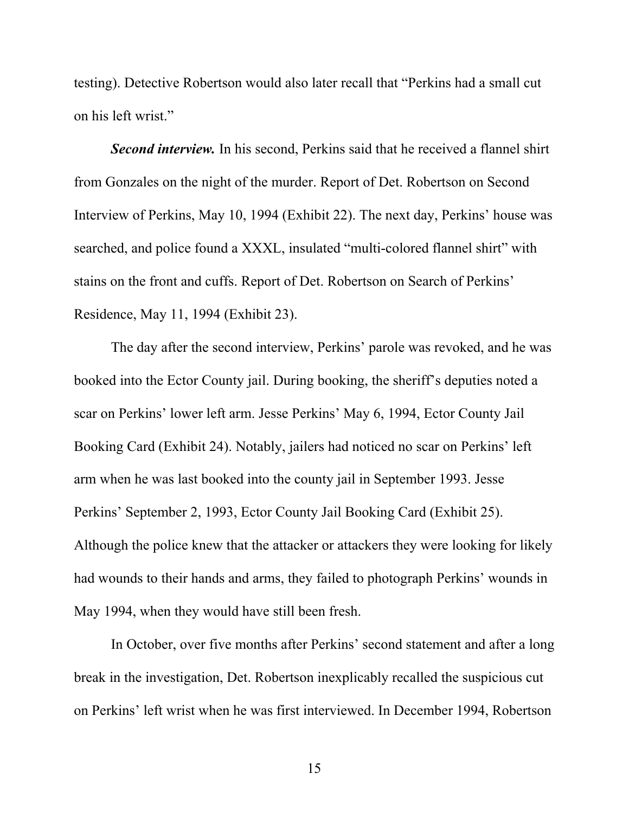testing). Detective Robertson would also later recall that "Perkins had a small cut on his left wrist."

*Second interview.* In his second, Perkins said that he received a flannel shirt from Gonzales on the night of the murder. Report of Det. Robertson on Second Interview of Perkins, May 10, 1994 (Exhibit 22). The next day, Perkins' house was searched, and police found a XXXL, insulated "multi-colored flannel shirt" with stains on the front and cuffs. Report of Det. Robertson on Search of Perkins' Residence, May 11, 1994 (Exhibit 23).

The day after the second interview, Perkins' parole was revoked, and he was booked into the Ector County jail. During booking, the sheriff's deputies noted a scar on Perkins' lower left arm. Jesse Perkins' May 6, 1994, Ector County Jail Booking Card (Exhibit 24). Notably, jailers had noticed no scar on Perkins' left arm when he was last booked into the county jail in September 1993. Jesse Perkins' September 2, 1993, Ector County Jail Booking Card (Exhibit 25). Although the police knew that the attacker or attackers they were looking for likely had wounds to their hands and arms, they failed to photograph Perkins' wounds in May 1994, when they would have still been fresh.

In October, over five months after Perkins' second statement and after a long break in the investigation, Det. Robertson inexplicably recalled the suspicious cut on Perkins' left wrist when he was first interviewed. In December 1994, Robertson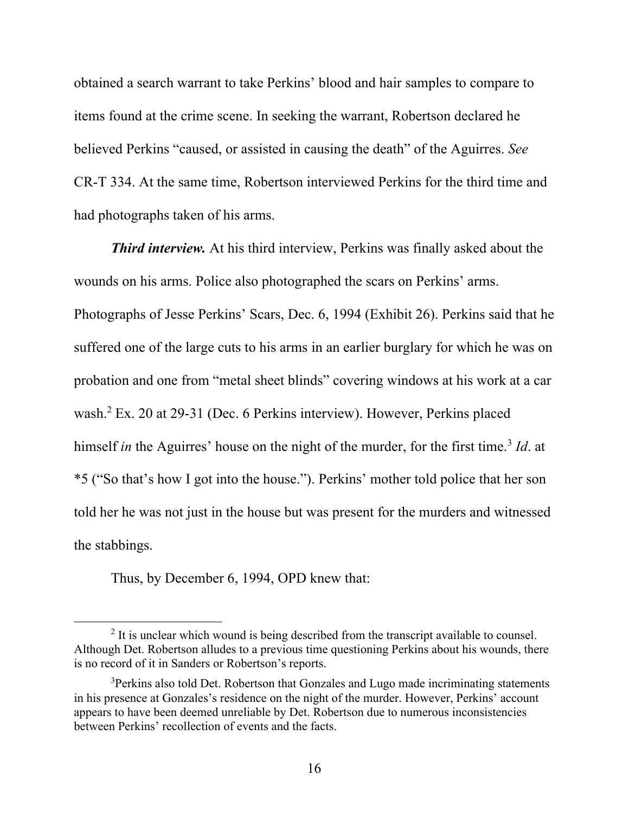obtained a search warrant to take Perkins' blood and hair samples to compare to items found at the crime scene. In seeking the warrant, Robertson declared he believed Perkins "caused, or assisted in causing the death" of the Aguirres. *See* CR-T 334. At the same time, Robertson interviewed Perkins for the third time and had photographs taken of his arms.

*Third interview.* At his third interview, Perkins was finally asked about the wounds on his arms. Police also photographed the scars on Perkins' arms. Photographs of Jesse Perkins' Scars, Dec. 6, 1994 (Exhibit 26). Perkins said that he suffered one of the large cuts to his arms in an earlier burglary for which he was on probation and one from "metal sheet blinds" covering windows at his work at a car wash.<sup>2</sup> Ex. 20 at 29-31 (Dec. 6 Perkins interview). However, Perkins placed himself *in* the Aguirres' house on the night of the murder, for the first time.<sup>3</sup> *Id*. at \*5 ("So that's how I got into the house."). Perkins' mother told police that her son told her he was not just in the house but was present for the murders and witnessed the stabbings.

Thus, by December 6, 1994, OPD knew that:

 $2$  It is unclear which wound is being described from the transcript available to counsel. Although Det. Robertson alludes to a previous time questioning Perkins about his wounds, there is no record of it in Sanders or Robertson's reports.

<sup>&</sup>lt;sup>3</sup>Perkins also told Det. Robertson that Gonzales and Lugo made incriminating statements in his presence at Gonzales's residence on the night of the murder. However, Perkins' account appears to have been deemed unreliable by Det. Robertson due to numerous inconsistencies between Perkins' recollection of events and the facts.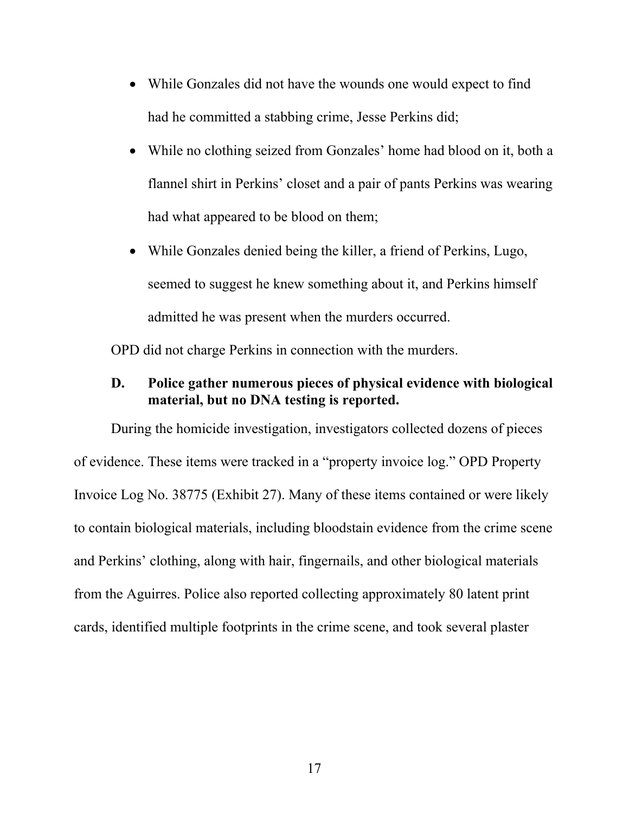- While Gonzales did not have the wounds one would expect to find had he committed a stabbing crime, Jesse Perkins did;
- While no clothing seized from Gonzales' home had blood on it, both a flannel shirt in Perkins' closet and a pair of pants Perkins was wearing had what appeared to be blood on them;
- While Gonzales denied being the killer, a friend of Perkins, Lugo, seemed to suggest he knew something about it, and Perkins himself admitted he was present when the murders occurred.

OPD did not charge Perkins in connection with the murders.

#### **D. Police gather numerous pieces of physical evidence with biological material, but no DNA testing is reported.**

During the homicide investigation, investigators collected dozens of pieces of evidence. These items were tracked in a "property invoice log." OPD Property Invoice Log No. 38775 (Exhibit 27). Many of these items contained or were likely to contain biological materials, including bloodstain evidence from the crime scene and Perkins' clothing, along with hair, fingernails, and other biological materials from the Aguirres. Police also reported collecting approximately 80 latent print cards, identified multiple footprints in the crime scene, and took several plaster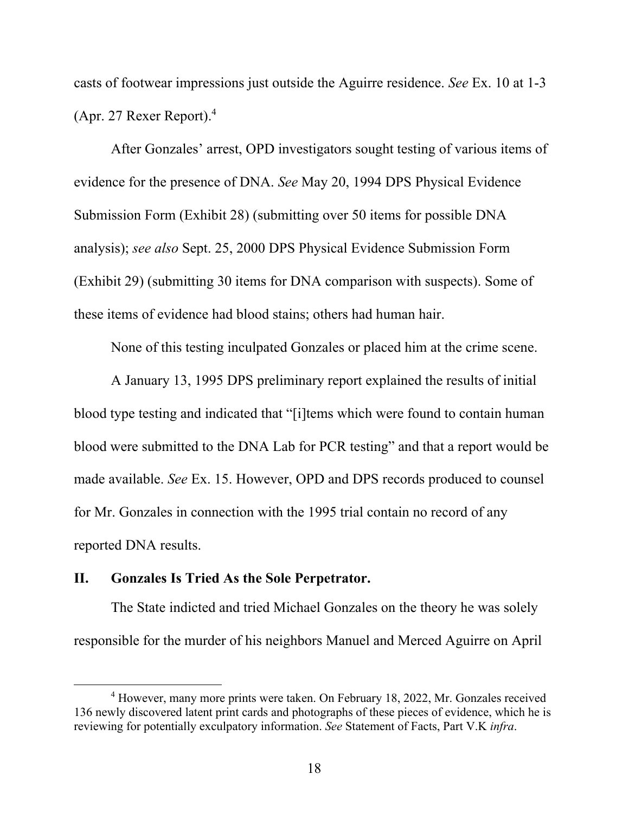casts of footwear impressions just outside the Aguirre residence. *See* Ex. 10 at 1-3 (Apr. 27 Rexer Report).4

After Gonzales' arrest, OPD investigators sought testing of various items of evidence for the presence of DNA. *See* May 20, 1994 DPS Physical Evidence Submission Form (Exhibit 28) (submitting over 50 items for possible DNA analysis); *see also* Sept. 25, 2000 DPS Physical Evidence Submission Form (Exhibit 29) (submitting 30 items for DNA comparison with suspects). Some of these items of evidence had blood stains; others had human hair.

None of this testing inculpated Gonzales or placed him at the crime scene.

A January 13, 1995 DPS preliminary report explained the results of initial blood type testing and indicated that "[i]tems which were found to contain human blood were submitted to the DNA Lab for PCR testing" and that a report would be made available. *See* Ex. 15. However, OPD and DPS records produced to counsel for Mr. Gonzales in connection with the 1995 trial contain no record of any reported DNA results.

#### **II. Gonzales Is Tried As the Sole Perpetrator.**

The State indicted and tried Michael Gonzales on the theory he was solely responsible for the murder of his neighbors Manuel and Merced Aguirre on April

<sup>&</sup>lt;sup>4</sup> However, many more prints were taken. On February 18, 2022, Mr. Gonzales received 136 newly discovered latent print cards and photographs of these pieces of evidence, which he is reviewing for potentially exculpatory information. *See* Statement of Facts, Part V.K *infra*.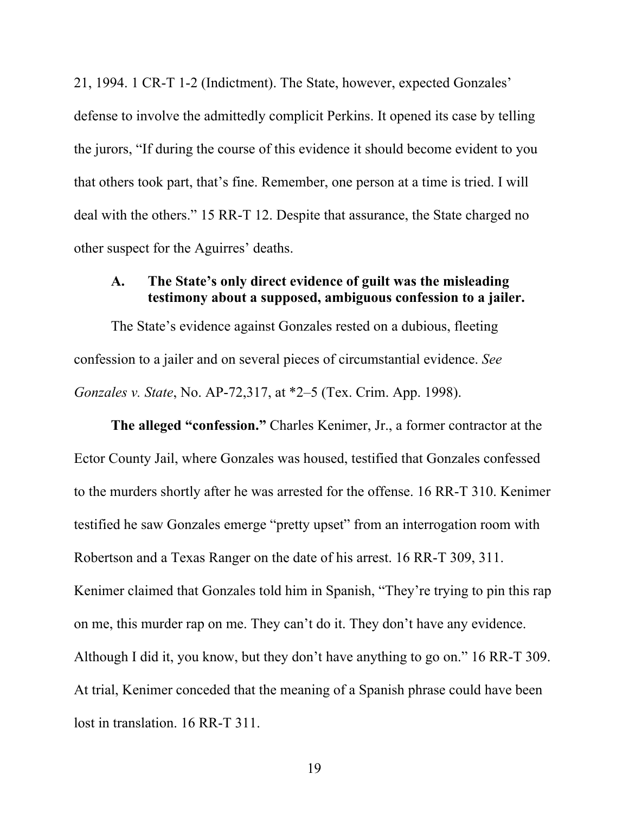21, 1994. 1 CR-T 1-2 (Indictment). The State, however, expected Gonzales' defense to involve the admittedly complicit Perkins. It opened its case by telling the jurors, "If during the course of this evidence it should become evident to you that others took part, that's fine. Remember, one person at a time is tried. I will deal with the others." 15 RR-T 12. Despite that assurance, the State charged no other suspect for the Aguirres' deaths.

## **A. The State's only direct evidence of guilt was the misleading testimony about a supposed, ambiguous confession to a jailer.**

The State's evidence against Gonzales rested on a dubious, fleeting confession to a jailer and on several pieces of circumstantial evidence. *See Gonzales v. State*, No. AP-72,317, at \*2–5 (Tex. Crim. App. 1998).

**The alleged "confession."** Charles Kenimer, Jr., a former contractor at the Ector County Jail, where Gonzales was housed, testified that Gonzales confessed to the murders shortly after he was arrested for the offense. 16 RR-T 310. Kenimer testified he saw Gonzales emerge "pretty upset" from an interrogation room with Robertson and a Texas Ranger on the date of his arrest. 16 RR-T 309, 311. Kenimer claimed that Gonzales told him in Spanish, "They're trying to pin this rap on me, this murder rap on me. They can't do it. They don't have any evidence. Although I did it, you know, but they don't have anything to go on." 16 RR-T 309. At trial, Kenimer conceded that the meaning of a Spanish phrase could have been lost in translation. 16 RR-T 311.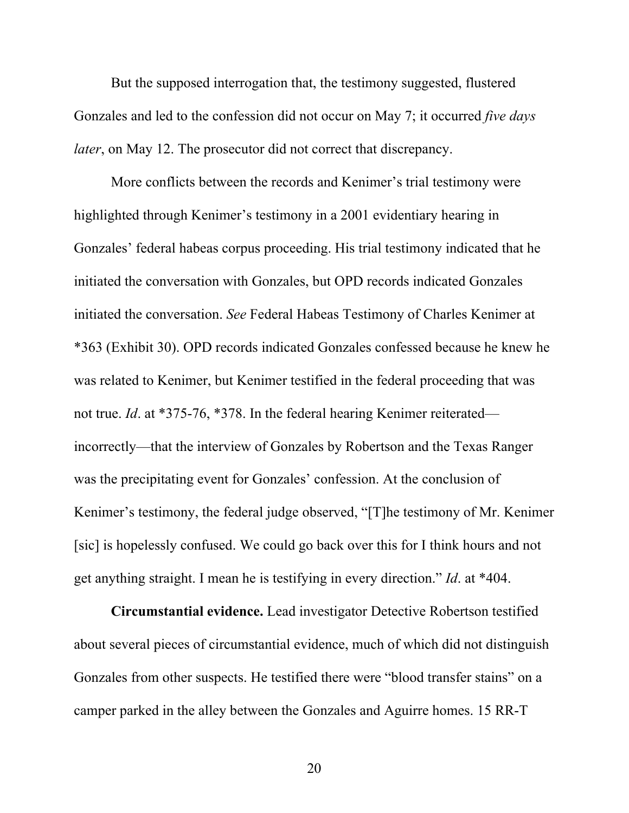But the supposed interrogation that, the testimony suggested, flustered Gonzales and led to the confession did not occur on May 7; it occurred *five days later*, on May 12. The prosecutor did not correct that discrepancy.

More conflicts between the records and Kenimer's trial testimony were highlighted through Kenimer's testimony in a 2001 evidentiary hearing in Gonzales' federal habeas corpus proceeding. His trial testimony indicated that he initiated the conversation with Gonzales, but OPD records indicated Gonzales initiated the conversation. *See* Federal Habeas Testimony of Charles Kenimer at \*363 (Exhibit 30). OPD records indicated Gonzales confessed because he knew he was related to Kenimer, but Kenimer testified in the federal proceeding that was not true. *Id*. at \*375-76, \*378. In the federal hearing Kenimer reiterated incorrectly—that the interview of Gonzales by Robertson and the Texas Ranger was the precipitating event for Gonzales' confession. At the conclusion of Kenimer's testimony, the federal judge observed, "[T]he testimony of Mr. Kenimer [sic] is hopelessly confused. We could go back over this for I think hours and not get anything straight. I mean he is testifying in every direction." *Id*. at \*404.

**Circumstantial evidence.** Lead investigator Detective Robertson testified about several pieces of circumstantial evidence, much of which did not distinguish Gonzales from other suspects. He testified there were "blood transfer stains" on a camper parked in the alley between the Gonzales and Aguirre homes. 15 RR-T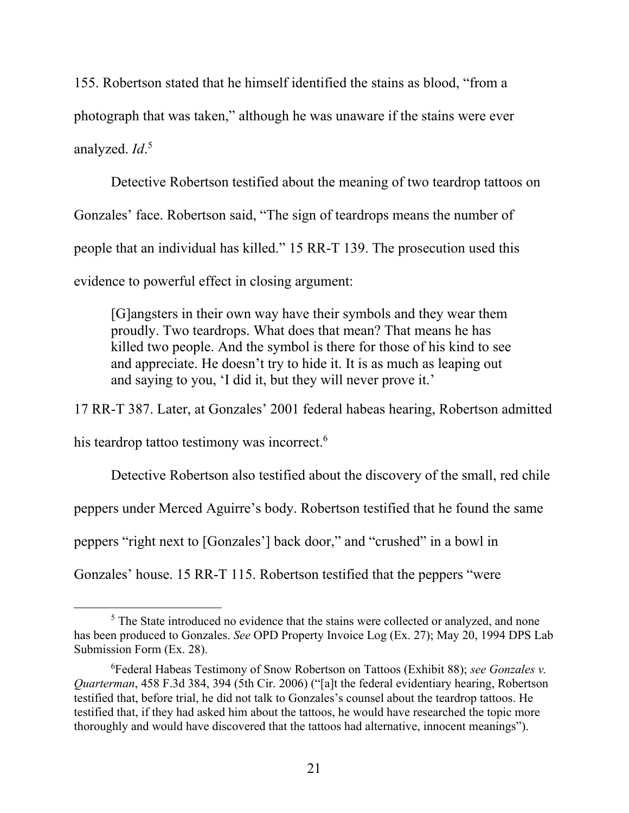155. Robertson stated that he himself identified the stains as blood, "from a photograph that was taken," although he was unaware if the stains were ever analyzed. *Id*. 5

Detective Robertson testified about the meaning of two teardrop tattoos on Gonzales' face. Robertson said, "The sign of teardrops means the number of people that an individual has killed." 15 RR-T 139. The prosecution used this evidence to powerful effect in closing argument:

[G]angsters in their own way have their symbols and they wear them proudly. Two teardrops. What does that mean? That means he has killed two people. And the symbol is there for those of his kind to see and appreciate. He doesn't try to hide it. It is as much as leaping out and saying to you, 'I did it, but they will never prove it.'

17 RR-T 387. Later, at Gonzales' 2001 federal habeas hearing, Robertson admitted

his teardrop tattoo testimony was incorrect.<sup>6</sup>

Detective Robertson also testified about the discovery of the small, red chile

peppers under Merced Aguirre's body. Robertson testified that he found the same

peppers "right next to [Gonzales'] back door," and "crushed" in a bowl in

Gonzales' house. 15 RR-T 115. Robertson testified that the peppers "were

 $<sup>5</sup>$  The State introduced no evidence that the stains were collected or analyzed, and none</sup> has been produced to Gonzales. *See* OPD Property Invoice Log (Ex. 27); May 20, 1994 DPS Lab Submission Form (Ex. 28).

<sup>6</sup> Federal Habeas Testimony of Snow Robertson on Tattoos (Exhibit 88); *see Gonzales v. Quarterman*, 458 F.3d 384, 394 (5th Cir. 2006) ("[a]t the federal evidentiary hearing, Robertson testified that, before trial, he did not talk to Gonzales's counsel about the teardrop tattoos. He testified that, if they had asked him about the tattoos, he would have researched the topic more thoroughly and would have discovered that the tattoos had alternative, innocent meanings").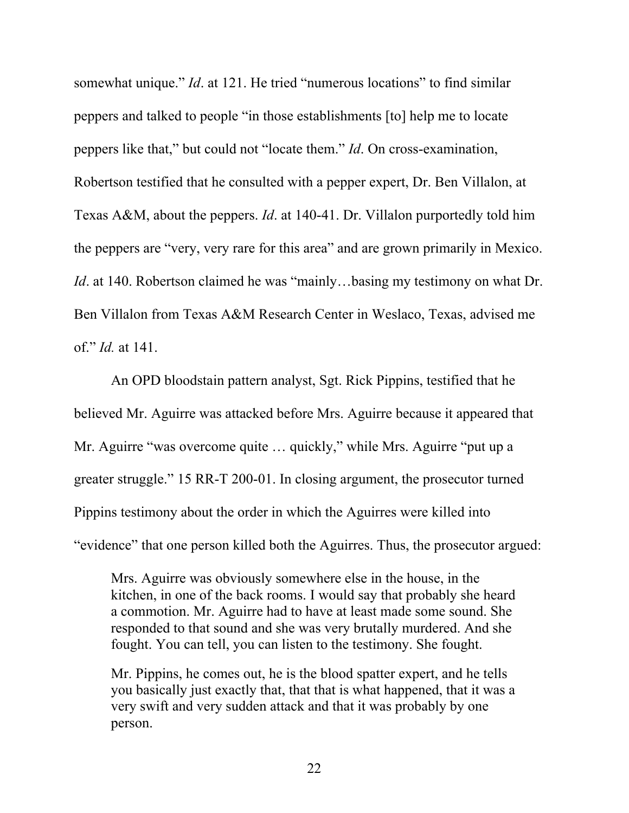somewhat unique." *Id*. at 121. He tried "numerous locations" to find similar peppers and talked to people "in those establishments [to] help me to locate peppers like that," but could not "locate them." *Id*. On cross-examination, Robertson testified that he consulted with a pepper expert, Dr. Ben Villalon, at Texas A&M, about the peppers. *Id*. at 140-41. Dr. Villalon purportedly told him the peppers are "very, very rare for this area" and are grown primarily in Mexico. *Id.* at 140. Robertson claimed he was "mainly...basing my testimony on what Dr. Ben Villalon from Texas A&M Research Center in Weslaco, Texas, advised me of." *Id.* at 141.

An OPD bloodstain pattern analyst, Sgt. Rick Pippins, testified that he believed Mr. Aguirre was attacked before Mrs. Aguirre because it appeared that Mr. Aguirre "was overcome quite … quickly," while Mrs. Aguirre "put up a greater struggle." 15 RR-T 200-01. In closing argument, the prosecutor turned Pippins testimony about the order in which the Aguirres were killed into "evidence" that one person killed both the Aguirres. Thus, the prosecutor argued:

Mrs. Aguirre was obviously somewhere else in the house, in the kitchen, in one of the back rooms. I would say that probably she heard a commotion. Mr. Aguirre had to have at least made some sound. She responded to that sound and she was very brutally murdered. And she fought. You can tell, you can listen to the testimony. She fought.

Mr. Pippins, he comes out, he is the blood spatter expert, and he tells you basically just exactly that, that that is what happened, that it was a very swift and very sudden attack and that it was probably by one person.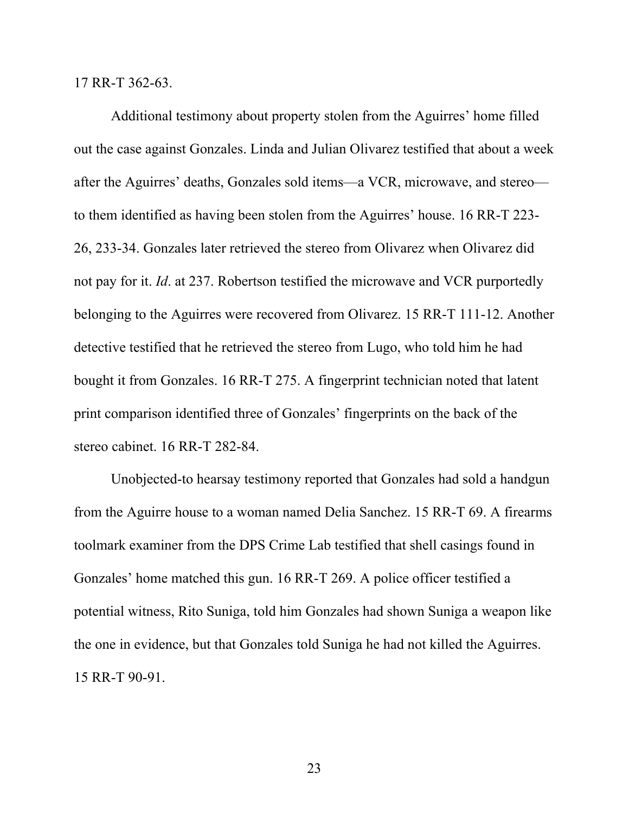17 RR-T 362-63.

Additional testimony about property stolen from the Aguirres' home filled out the case against Gonzales. Linda and Julian Olivarez testified that about a week after the Aguirres' deaths, Gonzales sold items—a VCR, microwave, and stereo to them identified as having been stolen from the Aguirres' house. 16 RR-T 223- 26, 233-34. Gonzales later retrieved the stereo from Olivarez when Olivarez did not pay for it. *Id*. at 237. Robertson testified the microwave and VCR purportedly belonging to the Aguirres were recovered from Olivarez. 15 RR-T 111-12. Another detective testified that he retrieved the stereo from Lugo, who told him he had bought it from Gonzales. 16 RR-T 275. A fingerprint technician noted that latent print comparison identified three of Gonzales' fingerprints on the back of the stereo cabinet. 16 RR-T 282-84.

Unobjected-to hearsay testimony reported that Gonzales had sold a handgun from the Aguirre house to a woman named Delia Sanchez. 15 RR-T 69. A firearms toolmark examiner from the DPS Crime Lab testified that shell casings found in Gonzales' home matched this gun. 16 RR-T 269. A police officer testified a potential witness, Rito Suniga, told him Gonzales had shown Suniga a weapon like the one in evidence, but that Gonzales told Suniga he had not killed the Aguirres. 15 RR-T 90-91.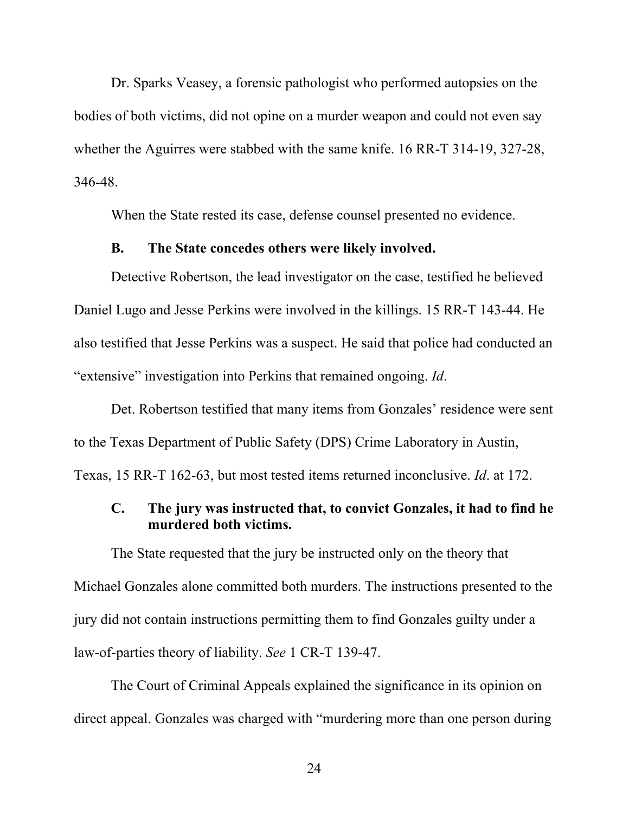Dr. Sparks Veasey, a forensic pathologist who performed autopsies on the bodies of both victims, did not opine on a murder weapon and could not even say whether the Aguirres were stabbed with the same knife. 16 RR-T 314-19, 327-28, 346-48.

When the State rested its case, defense counsel presented no evidence.

#### **B. The State concedes others were likely involved.**

Detective Robertson, the lead investigator on the case, testified he believed Daniel Lugo and Jesse Perkins were involved in the killings. 15 RR-T 143-44. He also testified that Jesse Perkins was a suspect. He said that police had conducted an "extensive" investigation into Perkins that remained ongoing. *Id*.

Det. Robertson testified that many items from Gonzales' residence were sent to the Texas Department of Public Safety (DPS) Crime Laboratory in Austin, Texas, 15 RR-T 162-63, but most tested items returned inconclusive. *Id*. at 172.

# **C. The jury was instructed that, to convict Gonzales, it had to find he murdered both victims.**

The State requested that the jury be instructed only on the theory that Michael Gonzales alone committed both murders. The instructions presented to the jury did not contain instructions permitting them to find Gonzales guilty under a law-of-parties theory of liability. *See* 1 CR-T 139-47.

The Court of Criminal Appeals explained the significance in its opinion on direct appeal. Gonzales was charged with "murdering more than one person during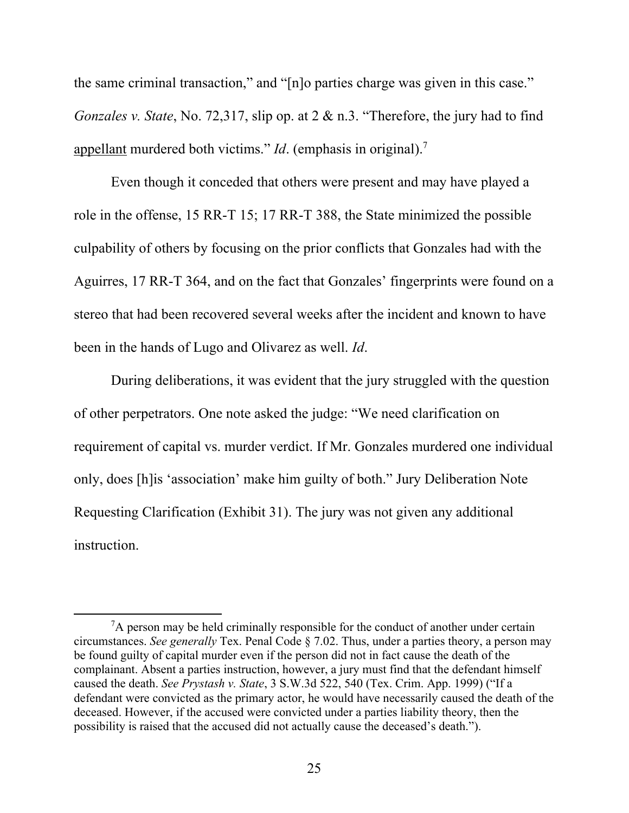the same criminal transaction," and "[n]o parties charge was given in this case." *Gonzales v. State*, No. 72,317, slip op. at 2 & n.3. "Therefore, the jury had to find appellant murdered both victims." *Id*. (emphasis in original).7

Even though it conceded that others were present and may have played a role in the offense, 15 RR-T 15; 17 RR-T 388, the State minimized the possible culpability of others by focusing on the prior conflicts that Gonzales had with the Aguirres, 17 RR-T 364, and on the fact that Gonzales' fingerprints were found on a stereo that had been recovered several weeks after the incident and known to have been in the hands of Lugo and Olivarez as well. *Id*.

During deliberations, it was evident that the jury struggled with the question of other perpetrators. One note asked the judge: "We need clarification on requirement of capital vs. murder verdict. If Mr. Gonzales murdered one individual only, does [h]is 'association' make him guilty of both." Jury Deliberation Note Requesting Clarification (Exhibit 31). The jury was not given any additional instruction.

 ${}^{7}$ A person may be held criminally responsible for the conduct of another under certain circumstances. *See generally* Tex. Penal Code § 7.02. Thus, under a parties theory, a person may be found guilty of capital murder even if the person did not in fact cause the death of the complainant. Absent a parties instruction, however, a jury must find that the defendant himself caused the death. *See Prystash v. State*, 3 S.W.3d 522, 540 (Tex. Crim. App. 1999) ("If a defendant were convicted as the primary actor, he would have necessarily caused the death of the deceased. However, if the accused were convicted under a parties liability theory, then the possibility is raised that the accused did not actually cause the deceased's death.").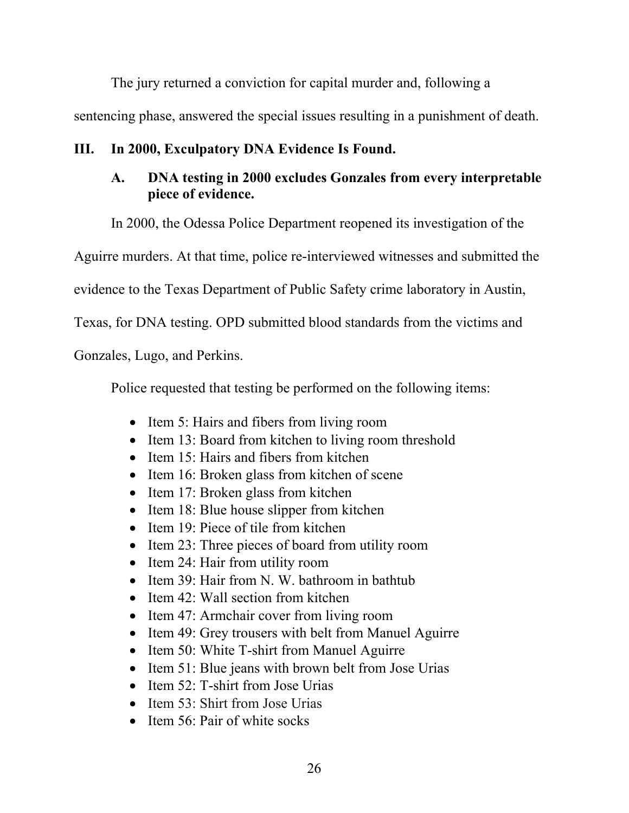The jury returned a conviction for capital murder and, following a sentencing phase, answered the special issues resulting in a punishment of death.

# **III. In 2000, Exculpatory DNA Evidence Is Found.**

# **A. DNA testing in 2000 excludes Gonzales from every interpretable piece of evidence.**

In 2000, the Odessa Police Department reopened its investigation of the

Aguirre murders. At that time, police re-interviewed witnesses and submitted the

evidence to the Texas Department of Public Safety crime laboratory in Austin,

Texas, for DNA testing. OPD submitted blood standards from the victims and

Gonzales, Lugo, and Perkins.

Police requested that testing be performed on the following items:

- Item 5: Hairs and fibers from living room
- Item 13: Board from kitchen to living room threshold
- Item 15: Hairs and fibers from kitchen
- Item 16: Broken glass from kitchen of scene
- $\bullet$  Item 17: Broken glass from kitchen
- $\bullet$  Item 18: Blue house slipper from kitchen
- Item 19: Piece of tile from kitchen
- Item 23: Three pieces of board from utility room
- Item 24: Hair from utility room
- Item 39: Hair from N. W. bathroom in bathtub
- Item 42: Wall section from kitchen
- Item 47: Armchair cover from living room
- Item 49: Grey trousers with belt from Manuel Aguirre
- Item 50: White T-shirt from Manuel Aguirre
- Item 51: Blue jeans with brown belt from Jose Urias
- Item 52: T-shirt from Jose Urias
- Item 53: Shirt from Jose Urias
- $\bullet$  Item 56: Pair of white socks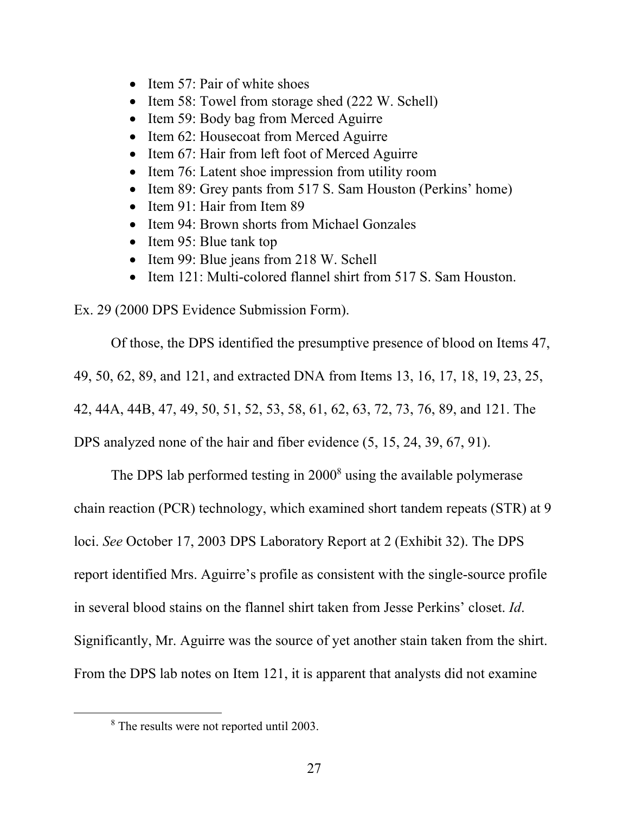- Item 57: Pair of white shoes
- Item 58: Towel from storage shed (222 W. Schell)
- Item 59: Body bag from Merced Aguirre
- Item 62: Housecoat from Merced Aguirre
- Item 67: Hair from left foot of Merced Aguirre
- Item 76: Latent shoe impression from utility room
- Item 89: Grey pants from 517 S. Sam Houston (Perkins' home)
- Item 91: Hair from Item 89
- Item 94: Brown shorts from Michael Gonzales
- Item 95: Blue tank top
- Item 99: Blue jeans from 218 W. Schell
- Item 121: Multi-colored flannel shirt from 517 S. Sam Houston.

Ex. 29 (2000 DPS Evidence Submission Form).

Of those, the DPS identified the presumptive presence of blood on Items 47, 49, 50, 62, 89, and 121, and extracted DNA from Items 13, 16, 17, 18, 19, 23, 25, 42, 44A, 44B, 47, 49, 50, 51, 52, 53, 58, 61, 62, 63, 72, 73, 76, 89, and 121. The DPS analyzed none of the hair and fiber evidence (5, 15, 24, 39, 67, 91).

The DPS lab performed testing in 2000<sup>8</sup> using the available polymerase chain reaction (PCR) technology, which examined short tandem repeats (STR) at 9 loci. *See* October 17, 2003 DPS Laboratory Report at 2 (Exhibit 32). The DPS report identified Mrs. Aguirre's profile as consistent with the single-source profile in several blood stains on the flannel shirt taken from Jesse Perkins' closet. *Id*. Significantly, Mr. Aguirre was the source of yet another stain taken from the shirt. From the DPS lab notes on Item 121, it is apparent that analysts did not examine

<sup>&</sup>lt;sup>8</sup> The results were not reported until 2003.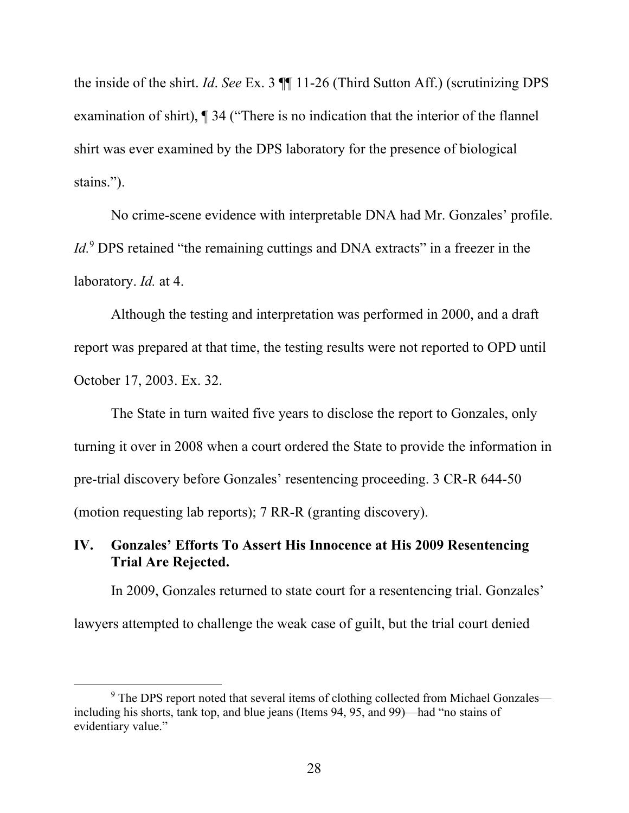the inside of the shirt. *Id*. *See* Ex. 3 ¶¶ 11-26 (Third Sutton Aff.) (scrutinizing DPS examination of shirt), ¶ 34 ("There is no indication that the interior of the flannel shirt was ever examined by the DPS laboratory for the presence of biological stains.").

No crime-scene evidence with interpretable DNA had Mr. Gonzales' profile. *Id.*<sup>9</sup> DPS retained "the remaining cuttings and DNA extracts" in a freezer in the laboratory. *Id.* at 4.

Although the testing and interpretation was performed in 2000, and a draft report was prepared at that time, the testing results were not reported to OPD until October 17, 2003. Ex. 32.

The State in turn waited five years to disclose the report to Gonzales, only turning it over in 2008 when a court ordered the State to provide the information in pre-trial discovery before Gonzales' resentencing proceeding. 3 CR-R 644-50 (motion requesting lab reports); 7 RR-R (granting discovery).

# **IV. Gonzales' Efforts To Assert His Innocence at His 2009 Resentencing Trial Are Rejected.**

In 2009, Gonzales returned to state court for a resentencing trial. Gonzales'

lawyers attempted to challenge the weak case of guilt, but the trial court denied

<sup>&</sup>lt;sup>9</sup> The DPS report noted that several items of clothing collected from Michael Gonzales including his shorts, tank top, and blue jeans (Items 94, 95, and 99)—had "no stains of evidentiary value."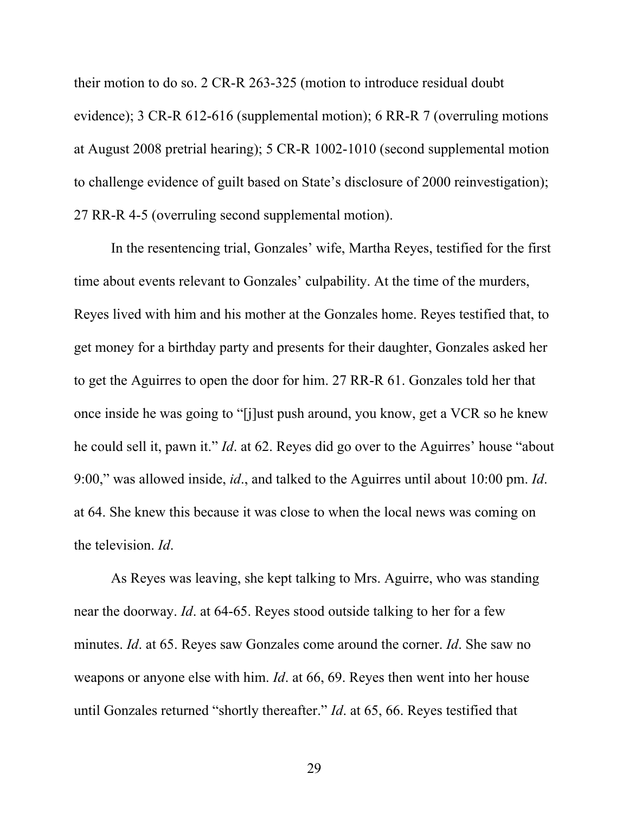their motion to do so. 2 CR-R 263-325 (motion to introduce residual doubt evidence); 3 CR-R 612-616 (supplemental motion); 6 RR-R 7 (overruling motions at August 2008 pretrial hearing); 5 CR-R 1002-1010 (second supplemental motion to challenge evidence of guilt based on State's disclosure of 2000 reinvestigation); 27 RR-R 4-5 (overruling second supplemental motion).

In the resentencing trial, Gonzales' wife, Martha Reyes, testified for the first time about events relevant to Gonzales' culpability. At the time of the murders, Reyes lived with him and his mother at the Gonzales home. Reyes testified that, to get money for a birthday party and presents for their daughter, Gonzales asked her to get the Aguirres to open the door for him. 27 RR-R 61. Gonzales told her that once inside he was going to "[j]ust push around, you know, get a VCR so he knew he could sell it, pawn it." *Id*. at 62. Reyes did go over to the Aguirres' house "about 9:00," was allowed inside, *id*., and talked to the Aguirres until about 10:00 pm. *Id*. at 64. She knew this because it was close to when the local news was coming on the television. *Id*.

As Reyes was leaving, she kept talking to Mrs. Aguirre, who was standing near the doorway. *Id*. at 64-65. Reyes stood outside talking to her for a few minutes. *Id*. at 65. Reyes saw Gonzales come around the corner. *Id*. She saw no weapons or anyone else with him. *Id*. at 66, 69. Reyes then went into her house until Gonzales returned "shortly thereafter." *Id*. at 65, 66. Reyes testified that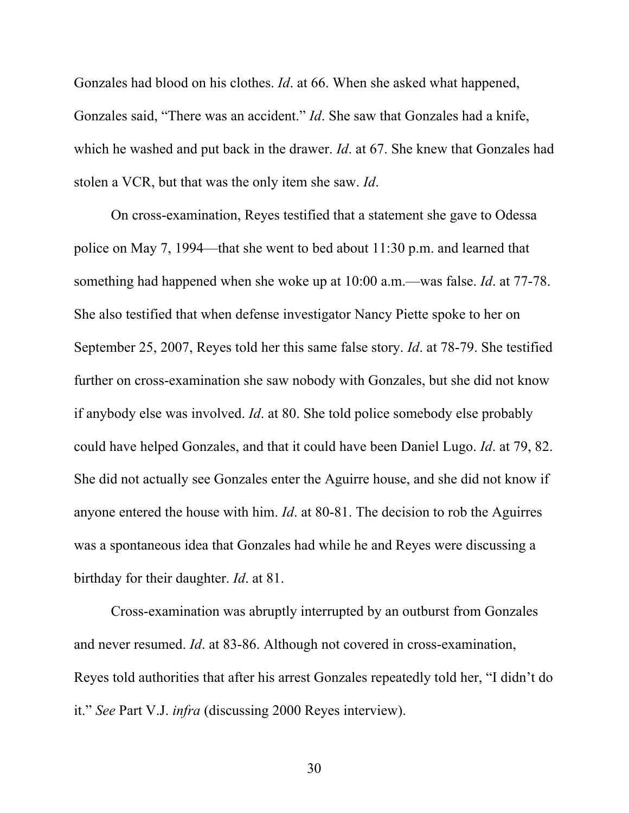Gonzales had blood on his clothes. *Id*. at 66. When she asked what happened, Gonzales said, "There was an accident." *Id*. She saw that Gonzales had a knife, which he washed and put back in the drawer. *Id*. at 67. She knew that Gonzales had stolen a VCR, but that was the only item she saw. *Id*.

On cross-examination, Reyes testified that a statement she gave to Odessa police on May 7, 1994—that she went to bed about 11:30 p.m. and learned that something had happened when she woke up at 10:00 a.m.—was false. *Id*. at 77-78. She also testified that when defense investigator Nancy Piette spoke to her on September 25, 2007, Reyes told her this same false story. *Id*. at 78-79. She testified further on cross-examination she saw nobody with Gonzales, but she did not know if anybody else was involved. *Id*. at 80. She told police somebody else probably could have helped Gonzales, and that it could have been Daniel Lugo. *Id*. at 79, 82. She did not actually see Gonzales enter the Aguirre house, and she did not know if anyone entered the house with him. *Id*. at 80-81. The decision to rob the Aguirres was a spontaneous idea that Gonzales had while he and Reyes were discussing a birthday for their daughter. *Id*. at 81.

Cross-examination was abruptly interrupted by an outburst from Gonzales and never resumed. *Id*. at 83-86. Although not covered in cross-examination, Reyes told authorities that after his arrest Gonzales repeatedly told her, "I didn't do it." *See* Part V.J. *infra* (discussing 2000 Reyes interview).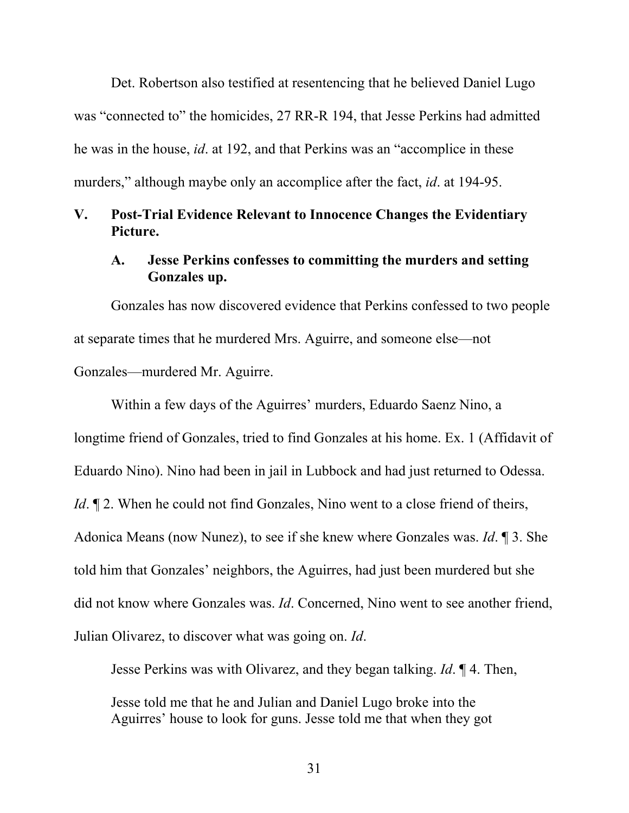Det. Robertson also testified at resentencing that he believed Daniel Lugo was "connected to" the homicides, 27 RR-R 194, that Jesse Perkins had admitted he was in the house, *id*. at 192, and that Perkins was an "accomplice in these murders," although maybe only an accomplice after the fact, *id*. at 194-95.

## **V. Post-Trial Evidence Relevant to Innocence Changes the Evidentiary Picture.**

## **A. Jesse Perkins confesses to committing the murders and setting Gonzales up.**

Gonzales has now discovered evidence that Perkins confessed to two people at separate times that he murdered Mrs. Aguirre, and someone else—not Gonzales—murdered Mr. Aguirre.

Within a few days of the Aguirres' murders, Eduardo Saenz Nino, a longtime friend of Gonzales, tried to find Gonzales at his home. Ex. 1 (Affidavit of Eduardo Nino). Nino had been in jail in Lubbock and had just returned to Odessa. *Id*.  $\mathbb{I}$  2. When he could not find Gonzales, Nino went to a close friend of theirs, Adonica Means (now Nunez), to see if she knew where Gonzales was. *Id*. ¶ 3. She told him that Gonzales' neighbors, the Aguirres, had just been murdered but she did not know where Gonzales was. *Id*. Concerned, Nino went to see another friend, Julian Olivarez, to discover what was going on. *Id*.

Jesse Perkins was with Olivarez, and they began talking. *Id*. ¶ 4. Then,

Jesse told me that he and Julian and Daniel Lugo broke into the Aguirres' house to look for guns. Jesse told me that when they got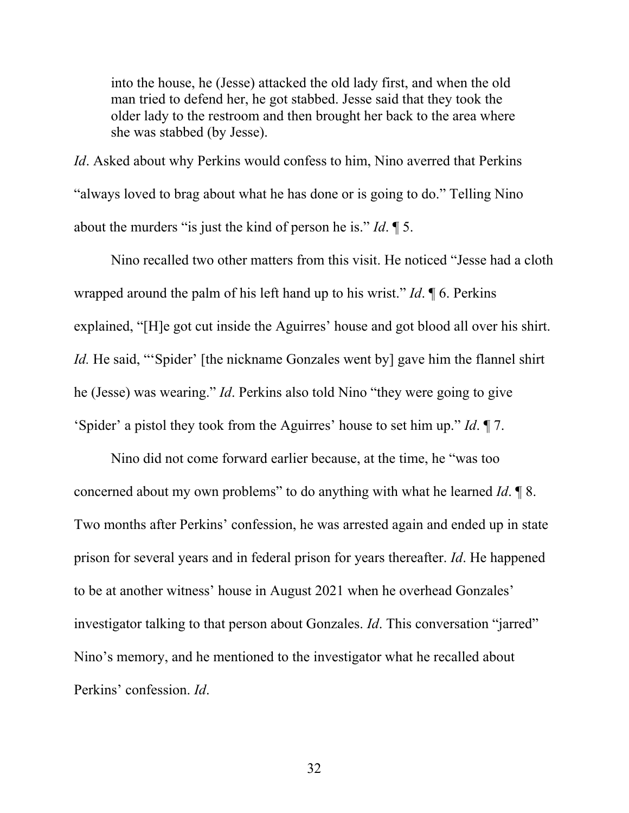into the house, he (Jesse) attacked the old lady first, and when the old man tried to defend her, he got stabbed. Jesse said that they took the older lady to the restroom and then brought her back to the area where she was stabbed (by Jesse).

*Id*. Asked about why Perkins would confess to him, Nino averred that Perkins "always loved to brag about what he has done or is going to do." Telling Nino about the murders "is just the kind of person he is." *Id*. ¶ 5.

Nino recalled two other matters from this visit. He noticed "Jesse had a cloth wrapped around the palm of his left hand up to his wrist." *Id*. ¶ 6. Perkins explained, "[H]e got cut inside the Aguirres' house and got blood all over his shirt. *Id.* He said, "Spider' [the nickname Gonzales went by] gave him the flannel shirt he (Jesse) was wearing." *Id*. Perkins also told Nino "they were going to give 'Spider' a pistol they took from the Aguirres' house to set him up." *Id*. ¶ 7.

Nino did not come forward earlier because, at the time, he "was too concerned about my own problems" to do anything with what he learned *Id*. ¶ 8. Two months after Perkins' confession, he was arrested again and ended up in state prison for several years and in federal prison for years thereafter. *Id*. He happened to be at another witness' house in August 2021 when he overhead Gonzales' investigator talking to that person about Gonzales. *Id*. This conversation "jarred" Nino's memory, and he mentioned to the investigator what he recalled about Perkins' confession. *Id*.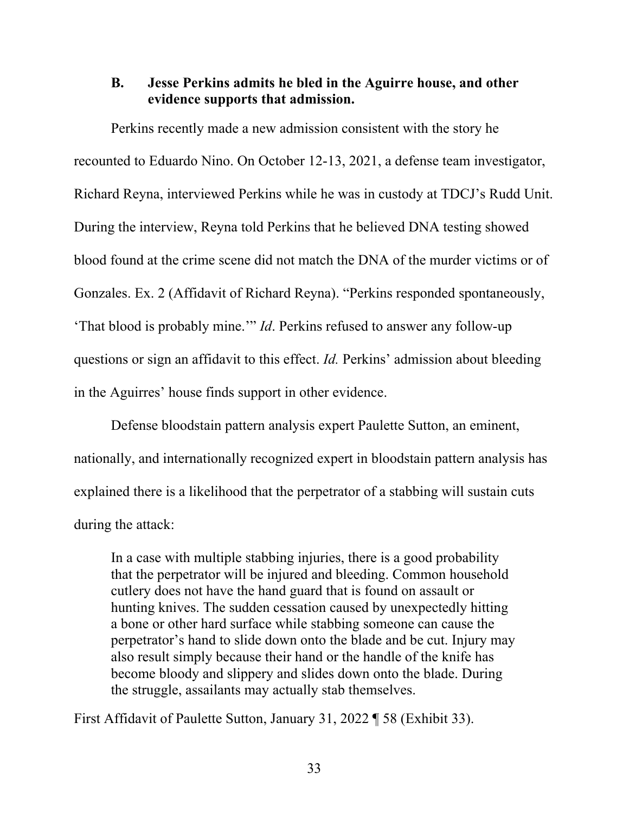## **B. Jesse Perkins admits he bled in the Aguirre house, and other evidence supports that admission.**

Perkins recently made a new admission consistent with the story he recounted to Eduardo Nino. On October 12-13, 2021, a defense team investigator, Richard Reyna, interviewed Perkins while he was in custody at TDCJ's Rudd Unit. During the interview, Reyna told Perkins that he believed DNA testing showed blood found at the crime scene did not match the DNA of the murder victims or of Gonzales. Ex. 2 (Affidavit of Richard Reyna). "Perkins responded spontaneously, 'That blood is probably mine.'" *Id*. Perkins refused to answer any follow-up questions or sign an affidavit to this effect. *Id.* Perkins' admission about bleeding in the Aguirres' house finds support in other evidence.

Defense bloodstain pattern analysis expert Paulette Sutton, an eminent, nationally, and internationally recognized expert in bloodstain pattern analysis has explained there is a likelihood that the perpetrator of a stabbing will sustain cuts during the attack:

In a case with multiple stabbing injuries, there is a good probability that the perpetrator will be injured and bleeding. Common household cutlery does not have the hand guard that is found on assault or hunting knives. The sudden cessation caused by unexpectedly hitting a bone or other hard surface while stabbing someone can cause the perpetrator's hand to slide down onto the blade and be cut. Injury may also result simply because their hand or the handle of the knife has become bloody and slippery and slides down onto the blade. During the struggle, assailants may actually stab themselves.

First Affidavit of Paulette Sutton, January 31, 2022 ¶ 58 (Exhibit 33).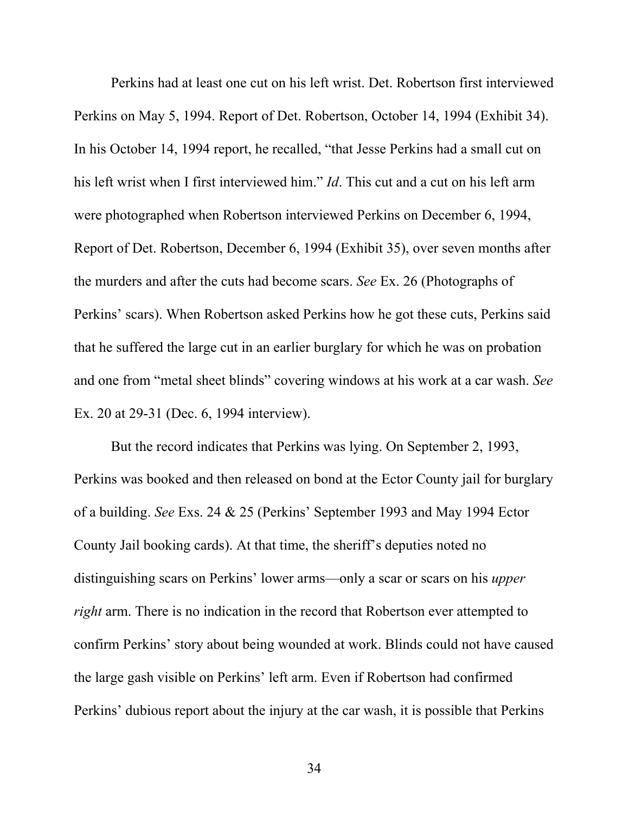Perkins had at least one cut on his left wrist. Det. Robertson first interviewed Perkins on May 5, 1994. Report of Det. Robertson, October 14, 1994 (Exhibit 34). In his October 14, 1994 report, he recalled, "that Jesse Perkins had a small cut on his left wrist when I first interviewed him." *Id*. This cut and a cut on his left arm were photographed when Robertson interviewed Perkins on December 6, 1994, Report of Det. Robertson, December 6, 1994 (Exhibit 35), over seven months after the murders and after the cuts had become scars. *See* Ex. 26 (Photographs of Perkins' scars). When Robertson asked Perkins how he got these cuts, Perkins said that he suffered the large cut in an earlier burglary for which he was on probation and one from "metal sheet blinds" covering windows at his work at a car wash. *See*  Ex. 20 at 29-31 (Dec. 6, 1994 interview).

But the record indicates that Perkins was lying. On September 2, 1993, Perkins was booked and then released on bond at the Ector County jail for burglary of a building. *See* Exs. 24 & 25 (Perkins' September 1993 and May 1994 Ector County Jail booking cards). At that time, the sheriff's deputies noted no distinguishing scars on Perkins' lower arms—only a scar or scars on his *upper right* arm. There is no indication in the record that Robertson ever attempted to confirm Perkins' story about being wounded at work. Blinds could not have caused the large gash visible on Perkins' left arm. Even if Robertson had confirmed Perkins' dubious report about the injury at the car wash, it is possible that Perkins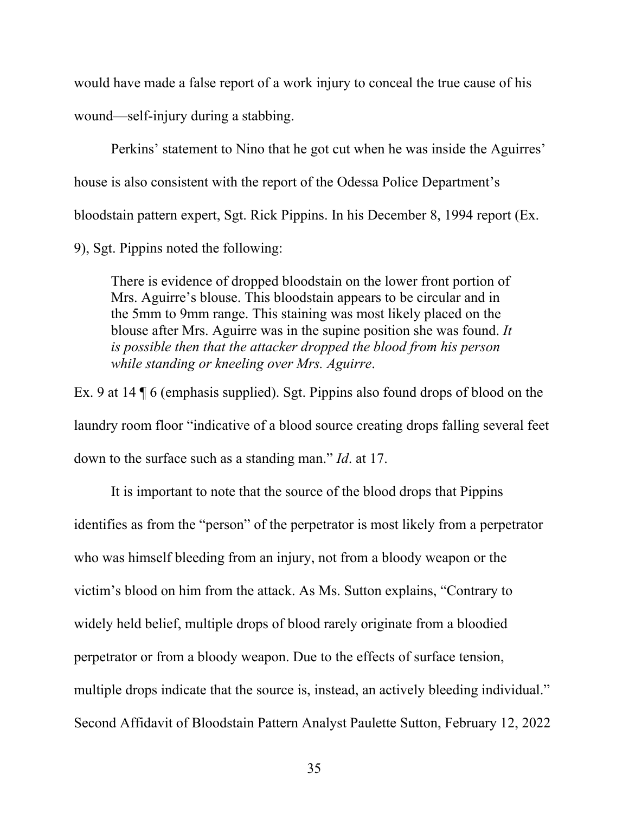would have made a false report of a work injury to conceal the true cause of his wound—self-injury during a stabbing.

Perkins' statement to Nino that he got cut when he was inside the Aguirres' house is also consistent with the report of the Odessa Police Department's bloodstain pattern expert, Sgt. Rick Pippins. In his December 8, 1994 report (Ex. 9), Sgt. Pippins noted the following:

There is evidence of dropped bloodstain on the lower front portion of Mrs. Aguirre's blouse. This bloodstain appears to be circular and in the 5mm to 9mm range. This staining was most likely placed on the blouse after Mrs. Aguirre was in the supine position she was found. *It is possible then that the attacker dropped the blood from his person while standing or kneeling over Mrs. Aguirre*.

Ex. 9 at 14 ¶ 6 (emphasis supplied). Sgt. Pippins also found drops of blood on the laundry room floor "indicative of a blood source creating drops falling several feet down to the surface such as a standing man." *Id*. at 17.

It is important to note that the source of the blood drops that Pippins identifies as from the "person" of the perpetrator is most likely from a perpetrator who was himself bleeding from an injury, not from a bloody weapon or the victim's blood on him from the attack. As Ms. Sutton explains, "Contrary to widely held belief, multiple drops of blood rarely originate from a bloodied perpetrator or from a bloody weapon. Due to the effects of surface tension, multiple drops indicate that the source is, instead, an actively bleeding individual." Second Affidavit of Bloodstain Pattern Analyst Paulette Sutton, February 12, 2022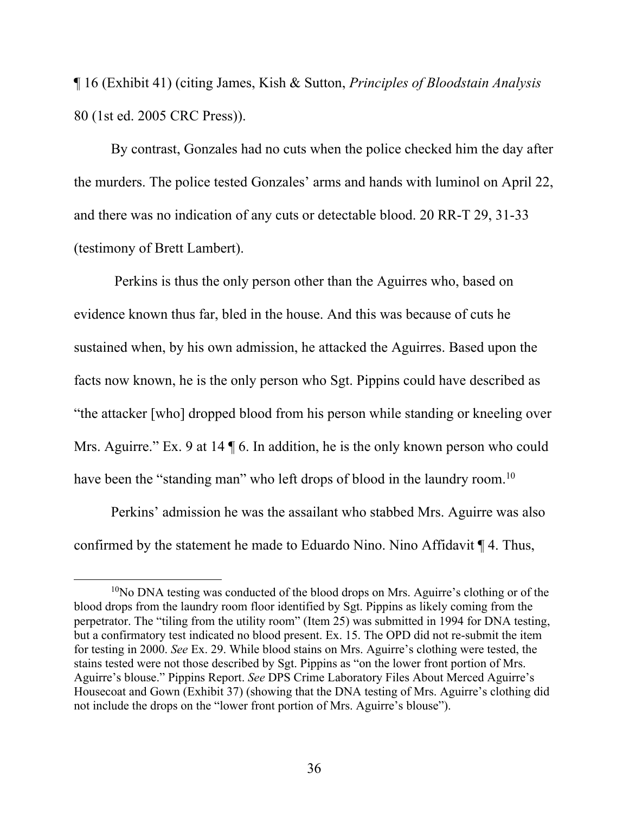¶ 16 (Exhibit 41) (citing James, Kish & Sutton, *Principles of Bloodstain Analysis*  80 (1st ed. 2005 CRC Press)).

By contrast, Gonzales had no cuts when the police checked him the day after the murders. The police tested Gonzales' arms and hands with luminol on April 22, and there was no indication of any cuts or detectable blood. 20 RR-T 29, 31-33 (testimony of Brett Lambert).

 Perkins is thus the only person other than the Aguirres who, based on evidence known thus far, bled in the house. And this was because of cuts he sustained when, by his own admission, he attacked the Aguirres. Based upon the facts now known, he is the only person who Sgt. Pippins could have described as "the attacker [who] dropped blood from his person while standing or kneeling over Mrs. Aguirre." Ex. 9 at 14  $\sqrt{6}$ . In addition, he is the only known person who could have been the "standing man" who left drops of blood in the laundry room.<sup>10</sup>

Perkins' admission he was the assailant who stabbed Mrs. Aguirre was also confirmed by the statement he made to Eduardo Nino. Nino Affidavit ¶ 4. Thus,

 $10$ No DNA testing was conducted of the blood drops on Mrs. Aguirre's clothing or of the blood drops from the laundry room floor identified by Sgt. Pippins as likely coming from the perpetrator. The "tiling from the utility room" (Item 25) was submitted in 1994 for DNA testing, but a confirmatory test indicated no blood present. Ex. 15. The OPD did not re-submit the item for testing in 2000. *See* Ex. 29. While blood stains on Mrs. Aguirre's clothing were tested, the stains tested were not those described by Sgt. Pippins as "on the lower front portion of Mrs. Aguirre's blouse." Pippins Report. *See* DPS Crime Laboratory Files About Merced Aguirre's Housecoat and Gown (Exhibit 37) (showing that the DNA testing of Mrs. Aguirre's clothing did not include the drops on the "lower front portion of Mrs. Aguirre's blouse").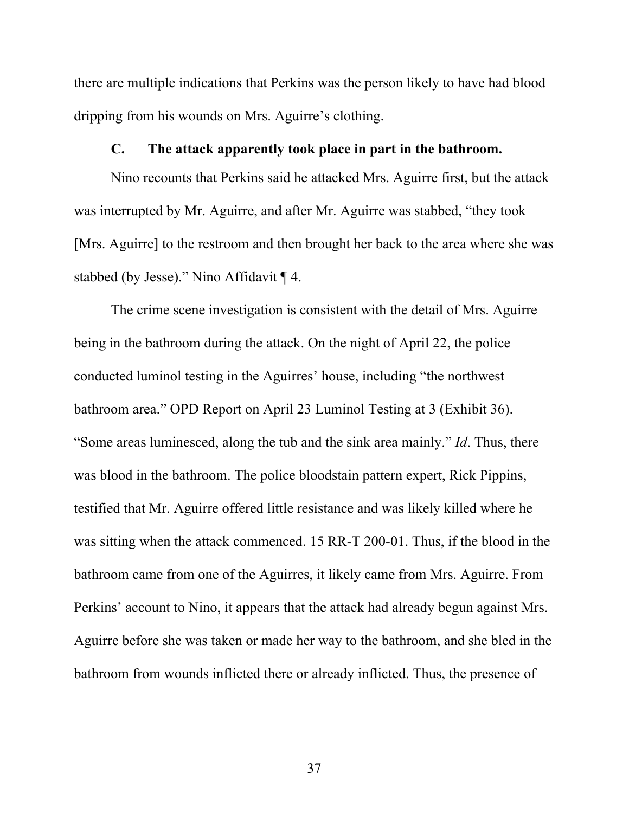there are multiple indications that Perkins was the person likely to have had blood dripping from his wounds on Mrs. Aguirre's clothing.

### **C. The attack apparently took place in part in the bathroom.**

Nino recounts that Perkins said he attacked Mrs. Aguirre first, but the attack was interrupted by Mr. Aguirre, and after Mr. Aguirre was stabbed, "they took [Mrs. Aguirre] to the restroom and then brought her back to the area where she was stabbed (by Jesse)." Nino Affidavit ¶ 4.

The crime scene investigation is consistent with the detail of Mrs. Aguirre being in the bathroom during the attack. On the night of April 22, the police conducted luminol testing in the Aguirres' house, including "the northwest bathroom area." OPD Report on April 23 Luminol Testing at 3 (Exhibit 36). "Some areas luminesced, along the tub and the sink area mainly." *Id*. Thus, there was blood in the bathroom. The police bloodstain pattern expert, Rick Pippins, testified that Mr. Aguirre offered little resistance and was likely killed where he was sitting when the attack commenced. 15 RR-T 200-01. Thus, if the blood in the bathroom came from one of the Aguirres, it likely came from Mrs. Aguirre. From Perkins' account to Nino, it appears that the attack had already begun against Mrs. Aguirre before she was taken or made her way to the bathroom, and she bled in the bathroom from wounds inflicted there or already inflicted. Thus, the presence of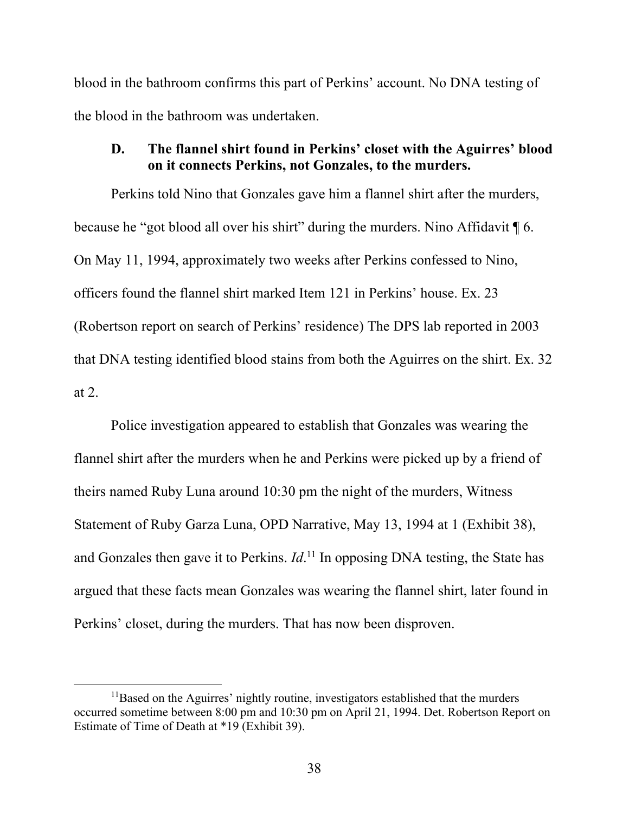blood in the bathroom confirms this part of Perkins' account. No DNA testing of the blood in the bathroom was undertaken.

# **D. The flannel shirt found in Perkins' closet with the Aguirres' blood on it connects Perkins, not Gonzales, to the murders.**

Perkins told Nino that Gonzales gave him a flannel shirt after the murders, because he "got blood all over his shirt" during the murders. Nino Affidavit ¶ 6. On May 11, 1994, approximately two weeks after Perkins confessed to Nino, officers found the flannel shirt marked Item 121 in Perkins' house. Ex. 23 (Robertson report on search of Perkins' residence) The DPS lab reported in 2003 that DNA testing identified blood stains from both the Aguirres on the shirt. Ex. 32 at 2.

Police investigation appeared to establish that Gonzales was wearing the flannel shirt after the murders when he and Perkins were picked up by a friend of theirs named Ruby Luna around 10:30 pm the night of the murders, Witness Statement of Ruby Garza Luna, OPD Narrative, May 13, 1994 at 1 (Exhibit 38), and Gonzales then gave it to Perkins. *Id*.<sup>11</sup> In opposing DNA testing, the State has argued that these facts mean Gonzales was wearing the flannel shirt, later found in Perkins' closet, during the murders. That has now been disproven.

<sup>&</sup>lt;sup>11</sup>Based on the Aguirres' nightly routine, investigators established that the murders occurred sometime between 8:00 pm and 10:30 pm on April 21, 1994. Det. Robertson Report on Estimate of Time of Death at \*19 (Exhibit 39).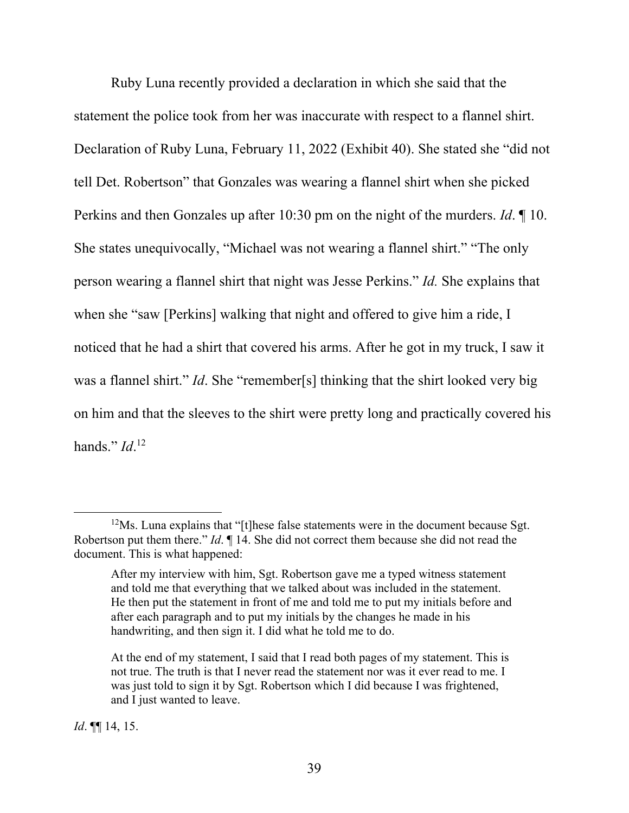Ruby Luna recently provided a declaration in which she said that the statement the police took from her was inaccurate with respect to a flannel shirt. Declaration of Ruby Luna, February 11, 2022 (Exhibit 40). She stated she "did not tell Det. Robertson" that Gonzales was wearing a flannel shirt when she picked Perkins and then Gonzales up after 10:30 pm on the night of the murders. *Id*. ¶ 10. She states unequivocally, "Michael was not wearing a flannel shirt." "The only person wearing a flannel shirt that night was Jesse Perkins." *Id.* She explains that when she "saw [Perkins] walking that night and offered to give him a ride, I noticed that he had a shirt that covered his arms. After he got in my truck, I saw it was a flannel shirt." *Id*. She "remember[s] thinking that the shirt looked very big on him and that the sleeves to the shirt were pretty long and practically covered his hands." *Id*. 12

*Id*. ¶¶ 14, 15.

 $12$ Ms. Luna explains that "[t]hese false statements were in the document because Sgt. Robertson put them there." *Id*. ¶ 14. She did not correct them because she did not read the document. This is what happened:

After my interview with him, Sgt. Robertson gave me a typed witness statement and told me that everything that we talked about was included in the statement. He then put the statement in front of me and told me to put my initials before and after each paragraph and to put my initials by the changes he made in his handwriting, and then sign it. I did what he told me to do.

At the end of my statement, I said that I read both pages of my statement. This is not true. The truth is that I never read the statement nor was it ever read to me. I was just told to sign it by Sgt. Robertson which I did because I was frightened, and I just wanted to leave.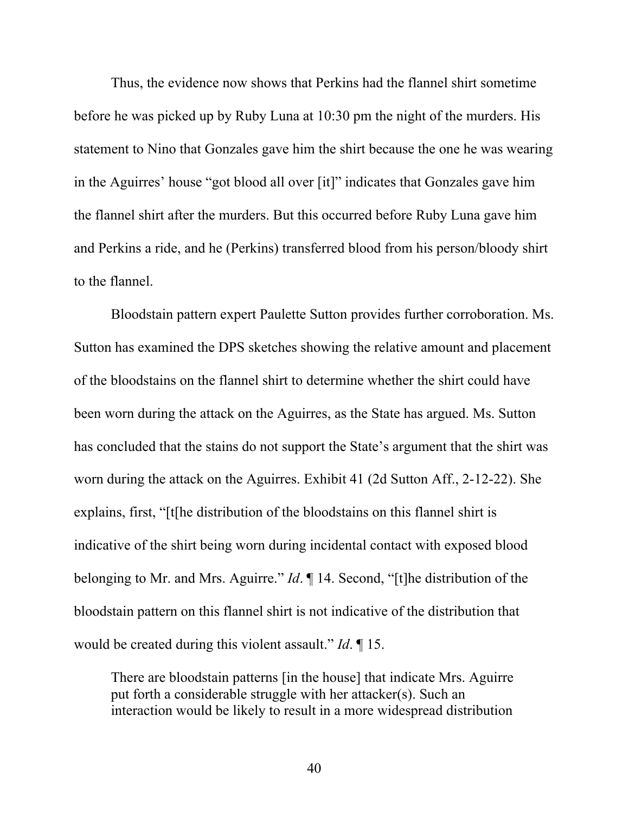Thus, the evidence now shows that Perkins had the flannel shirt sometime before he was picked up by Ruby Luna at 10:30 pm the night of the murders. His statement to Nino that Gonzales gave him the shirt because the one he was wearing in the Aguirres' house "got blood all over [it]" indicates that Gonzales gave him the flannel shirt after the murders. But this occurred before Ruby Luna gave him and Perkins a ride, and he (Perkins) transferred blood from his person/bloody shirt to the flannel.

Bloodstain pattern expert Paulette Sutton provides further corroboration. Ms. Sutton has examined the DPS sketches showing the relative amount and placement of the bloodstains on the flannel shirt to determine whether the shirt could have been worn during the attack on the Aguirres, as the State has argued. Ms. Sutton has concluded that the stains do not support the State's argument that the shirt was worn during the attack on the Aguirres. Exhibit 41 (2d Sutton Aff., 2-12-22). She explains, first, "[t[he distribution of the bloodstains on this flannel shirt is indicative of the shirt being worn during incidental contact with exposed blood belonging to Mr. and Mrs. Aguirre." *Id*. ¶ 14. Second, "[t]he distribution of the bloodstain pattern on this flannel shirt is not indicative of the distribution that would be created during this violent assault." *Id*. ¶ 15.

There are bloodstain patterns [in the house] that indicate Mrs. Aguirre put forth a considerable struggle with her attacker(s). Such an interaction would be likely to result in a more widespread distribution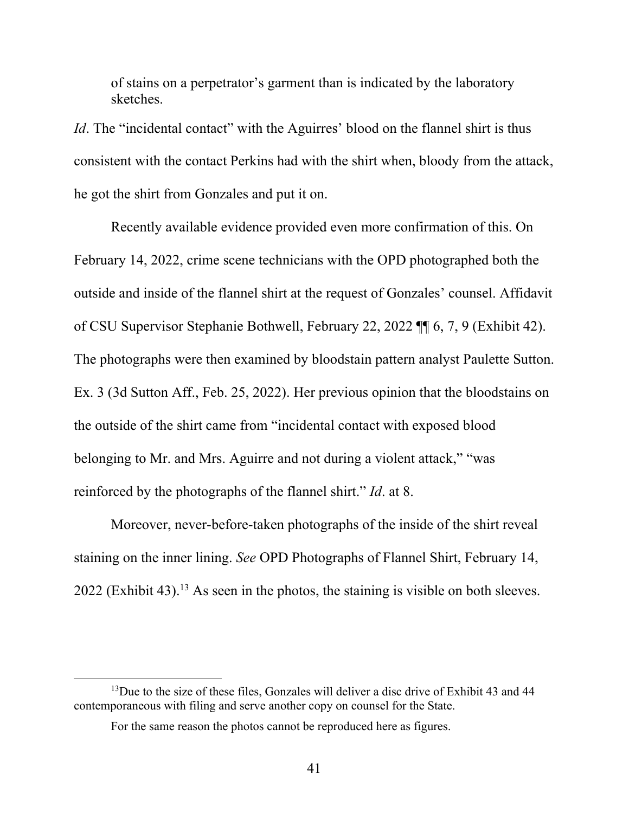of stains on a perpetrator's garment than is indicated by the laboratory sketches.

*Id*. The "incidental contact" with the Aguirres' blood on the flannel shirt is thus consistent with the contact Perkins had with the shirt when, bloody from the attack, he got the shirt from Gonzales and put it on.

Recently available evidence provided even more confirmation of this. On February 14, 2022, crime scene technicians with the OPD photographed both the outside and inside of the flannel shirt at the request of Gonzales' counsel. Affidavit of CSU Supervisor Stephanie Bothwell, February 22, 2022 ¶¶ 6, 7, 9 (Exhibit 42). The photographs were then examined by bloodstain pattern analyst Paulette Sutton. Ex. 3 (3d Sutton Aff., Feb. 25, 2022). Her previous opinion that the bloodstains on the outside of the shirt came from "incidental contact with exposed blood belonging to Mr. and Mrs. Aguirre and not during a violent attack," "was reinforced by the photographs of the flannel shirt." *Id*. at 8.

Moreover, never-before-taken photographs of the inside of the shirt reveal staining on the inner lining. *See* OPD Photographs of Flannel Shirt, February 14,  $2022$  (Exhibit 43).<sup>13</sup> As seen in the photos, the staining is visible on both sleeves.

 $13$ Due to the size of these files, Gonzales will deliver a disc drive of Exhibit 43 and 44 contemporaneous with filing and serve another copy on counsel for the State.

For the same reason the photos cannot be reproduced here as figures.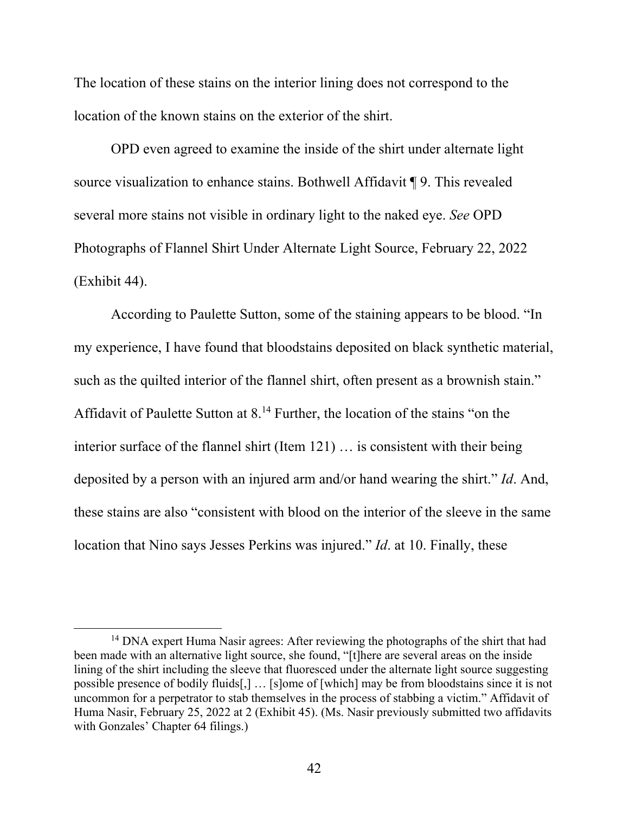The location of these stains on the interior lining does not correspond to the location of the known stains on the exterior of the shirt.

OPD even agreed to examine the inside of the shirt under alternate light source visualization to enhance stains. Bothwell Affidavit ¶ 9. This revealed several more stains not visible in ordinary light to the naked eye. *See* OPD Photographs of Flannel Shirt Under Alternate Light Source, February 22, 2022 (Exhibit 44).

According to Paulette Sutton, some of the staining appears to be blood. "In my experience, I have found that bloodstains deposited on black synthetic material, such as the quilted interior of the flannel shirt, often present as a brownish stain." Affidavit of Paulette Sutton at  $8^{14}$  Further, the location of the stains "on the interior surface of the flannel shirt (Item 121) … is consistent with their being deposited by a person with an injured arm and/or hand wearing the shirt." *Id*. And, these stains are also "consistent with blood on the interior of the sleeve in the same location that Nino says Jesses Perkins was injured." *Id*. at 10. Finally, these

<sup>&</sup>lt;sup>14</sup> DNA expert Huma Nasir agrees: After reviewing the photographs of the shirt that had been made with an alternative light source, she found, "[t]here are several areas on the inside lining of the shirt including the sleeve that fluoresced under the alternate light source suggesting possible presence of bodily fluids[,] … [s]ome of [which] may be from bloodstains since it is not uncommon for a perpetrator to stab themselves in the process of stabbing a victim." Affidavit of Huma Nasir, February 25, 2022 at 2 (Exhibit 45). (Ms. Nasir previously submitted two affidavits with Gonzales' Chapter 64 filings.)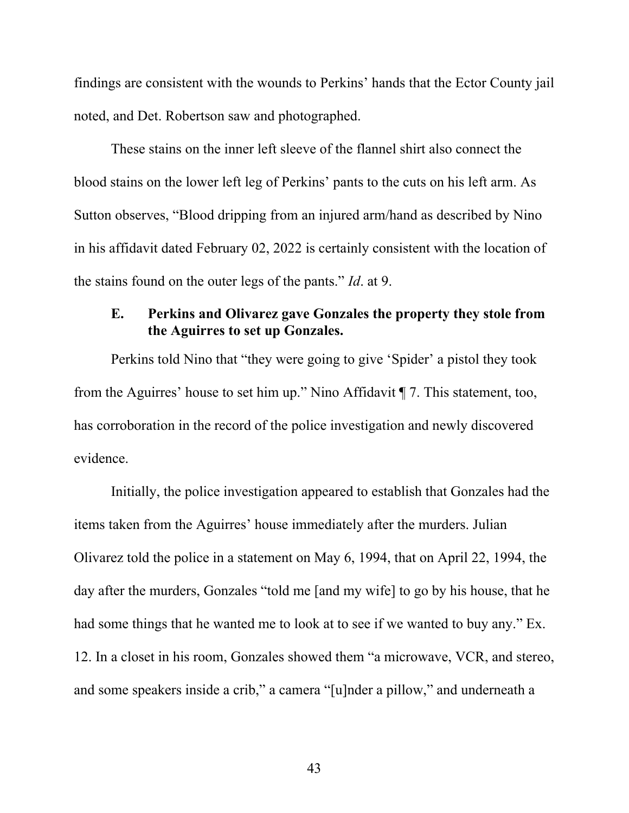findings are consistent with the wounds to Perkins' hands that the Ector County jail noted, and Det. Robertson saw and photographed.

These stains on the inner left sleeve of the flannel shirt also connect the blood stains on the lower left leg of Perkins' pants to the cuts on his left arm. As Sutton observes, "Blood dripping from an injured arm/hand as described by Nino in his affidavit dated February 02, 2022 is certainly consistent with the location of the stains found on the outer legs of the pants." *Id*. at 9.

# **E. Perkins and Olivarez gave Gonzales the property they stole from the Aguirres to set up Gonzales.**

Perkins told Nino that "they were going to give 'Spider' a pistol they took from the Aguirres' house to set him up." Nino Affidavit ¶ 7. This statement, too, has corroboration in the record of the police investigation and newly discovered evidence.

Initially, the police investigation appeared to establish that Gonzales had the items taken from the Aguirres' house immediately after the murders. Julian Olivarez told the police in a statement on May 6, 1994, that on April 22, 1994, the day after the murders, Gonzales "told me [and my wife] to go by his house, that he had some things that he wanted me to look at to see if we wanted to buy any." Ex. 12. In a closet in his room, Gonzales showed them "a microwave, VCR, and stereo, and some speakers inside a crib," a camera "[u]nder a pillow," and underneath a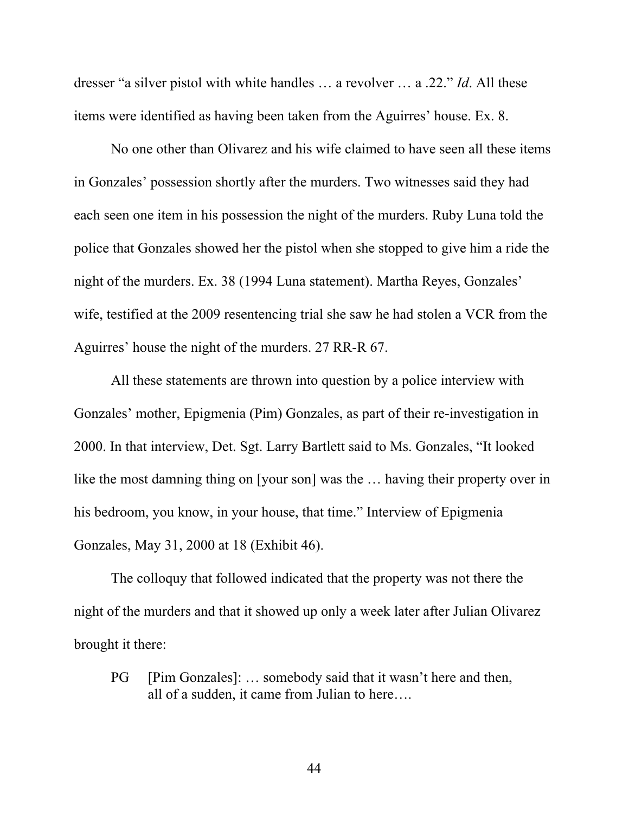dresser "a silver pistol with white handles … a revolver … a .22." *Id*. All these items were identified as having been taken from the Aguirres' house. Ex. 8.

No one other than Olivarez and his wife claimed to have seen all these items in Gonzales' possession shortly after the murders. Two witnesses said they had each seen one item in his possession the night of the murders. Ruby Luna told the police that Gonzales showed her the pistol when she stopped to give him a ride the night of the murders. Ex. 38 (1994 Luna statement). Martha Reyes, Gonzales' wife, testified at the 2009 resentencing trial she saw he had stolen a VCR from the Aguirres' house the night of the murders. 27 RR-R 67.

All these statements are thrown into question by a police interview with Gonzales' mother, Epigmenia (Pim) Gonzales, as part of their re-investigation in 2000. In that interview, Det. Sgt. Larry Bartlett said to Ms. Gonzales, "It looked like the most damning thing on [your son] was the … having their property over in his bedroom, you know, in your house, that time." Interview of Epigmenia Gonzales, May 31, 2000 at 18 (Exhibit 46).

The colloquy that followed indicated that the property was not there the night of the murders and that it showed up only a week later after Julian Olivarez brought it there:

PG [Pim Gonzales]: ... somebody said that it wasn't here and then, all of a sudden, it came from Julian to here….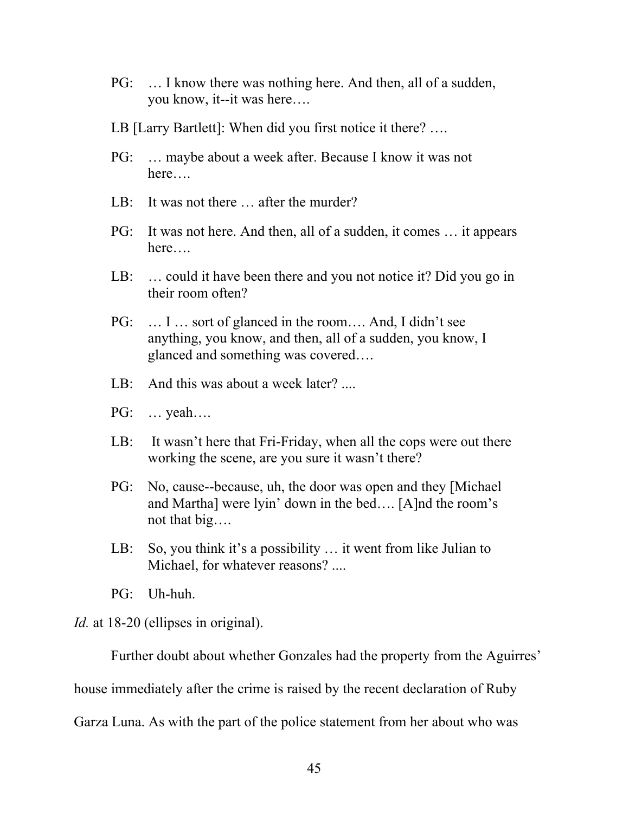- PG: … I know there was nothing here. And then, all of a sudden, you know, it--it was here….
- LB [Larry Bartlett]: When did you first notice it there? ….
- PG: … maybe about a week after. Because I know it was not here….
- LB: It was not there … after the murder?
- PG: It was not here. And then, all of a sudden, it comes … it appears here….
- LB: … could it have been there and you not notice it? Did you go in their room often?
- PG: … I … sort of glanced in the room…. And, I didn't see anything, you know, and then, all of a sudden, you know, I glanced and something was covered….
- LB: And this was about a week later? ....
- PG: … yeah….
- LB: It wasn't here that Fri-Friday, when all the cops were out there working the scene, are you sure it wasn't there?
- PG: No, cause--because, uh, the door was open and they [Michael and Martha] were lyin' down in the bed…. [A]nd the room's not that big….
- LB: So, you think it's a possibility … it went from like Julian to Michael, for whatever reasons? ....
- PG: Uh-huh.

*Id.* at 18-20 (ellipses in original).

Further doubt about whether Gonzales had the property from the Aguirres' house immediately after the crime is raised by the recent declaration of Ruby Garza Luna. As with the part of the police statement from her about who was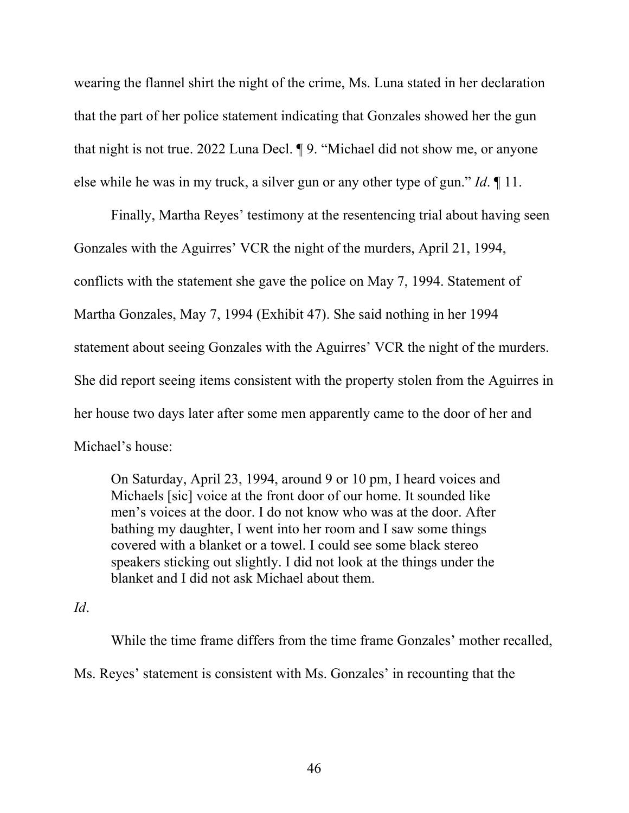wearing the flannel shirt the night of the crime, Ms. Luna stated in her declaration that the part of her police statement indicating that Gonzales showed her the gun that night is not true. 2022 Luna Decl. ¶ 9. "Michael did not show me, or anyone else while he was in my truck, a silver gun or any other type of gun." *Id*. ¶ 11.

Finally, Martha Reyes' testimony at the resentencing trial about having seen Gonzales with the Aguirres' VCR the night of the murders, April 21, 1994, conflicts with the statement she gave the police on May 7, 1994. Statement of Martha Gonzales, May 7, 1994 (Exhibit 47). She said nothing in her 1994 statement about seeing Gonzales with the Aguirres' VCR the night of the murders. She did report seeing items consistent with the property stolen from the Aguirres in her house two days later after some men apparently came to the door of her and Michael's house:

On Saturday, April 23, 1994, around 9 or 10 pm, I heard voices and Michaels [sic] voice at the front door of our home. It sounded like men's voices at the door. I do not know who was at the door. After bathing my daughter, I went into her room and I saw some things covered with a blanket or a towel. I could see some black stereo speakers sticking out slightly. I did not look at the things under the blanket and I did not ask Michael about them.

#### *Id*.

While the time frame differs from the time frame Gonzales' mother recalled, Ms. Reyes' statement is consistent with Ms. Gonzales' in recounting that the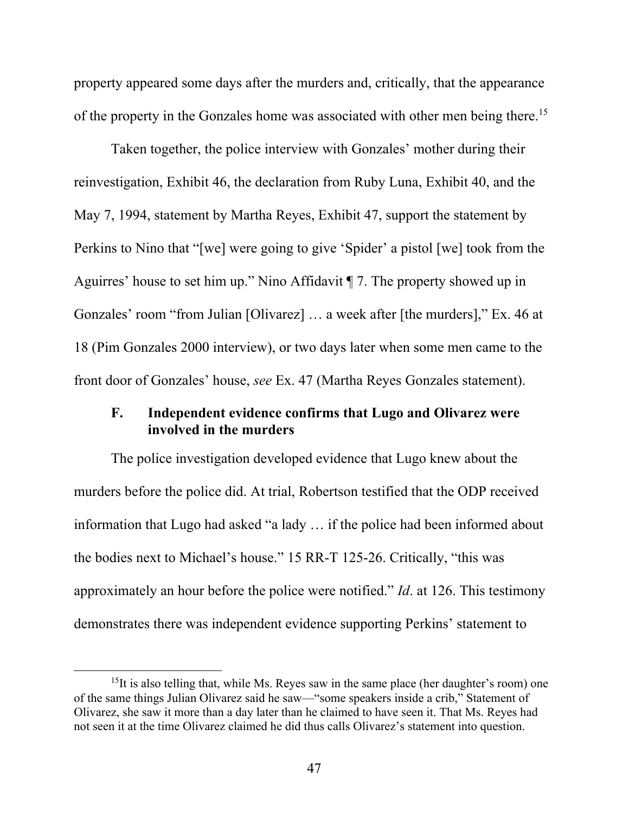property appeared some days after the murders and, critically, that the appearance of the property in the Gonzales home was associated with other men being there.<sup>15</sup>

Taken together, the police interview with Gonzales' mother during their reinvestigation, Exhibit 46, the declaration from Ruby Luna, Exhibit 40, and the May 7, 1994, statement by Martha Reyes, Exhibit 47, support the statement by Perkins to Nino that "[we] were going to give 'Spider' a pistol [we] took from the Aguirres' house to set him up." Nino Affidavit ¶ 7. The property showed up in Gonzales' room "from Julian [Olivarez] … a week after [the murders]," Ex. 46 at 18 (Pim Gonzales 2000 interview), or two days later when some men came to the front door of Gonzales' house, *see* Ex. 47 (Martha Reyes Gonzales statement).

### **F. Independent evidence confirms that Lugo and Olivarez were involved in the murders**

The police investigation developed evidence that Lugo knew about the murders before the police did. At trial, Robertson testified that the ODP received information that Lugo had asked "a lady … if the police had been informed about the bodies next to Michael's house." 15 RR-T 125-26. Critically, "this was approximately an hour before the police were notified." *Id*. at 126. This testimony demonstrates there was independent evidence supporting Perkins' statement to

 $15$ It is also telling that, while Ms. Reyes saw in the same place (her daughter's room) one of the same things Julian Olivarez said he saw—"some speakers inside a crib," Statement of Olivarez, she saw it more than a day later than he claimed to have seen it. That Ms. Reyes had not seen it at the time Olivarez claimed he did thus calls Olivarez's statement into question.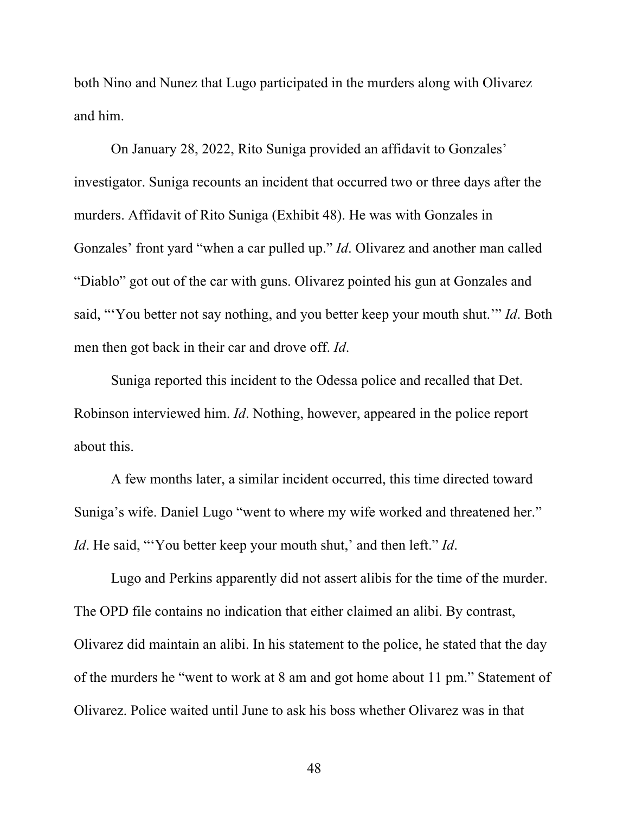both Nino and Nunez that Lugo participated in the murders along with Olivarez and him.

On January 28, 2022, Rito Suniga provided an affidavit to Gonzales' investigator. Suniga recounts an incident that occurred two or three days after the murders. Affidavit of Rito Suniga (Exhibit 48). He was with Gonzales in Gonzales' front yard "when a car pulled up." *Id*. Olivarez and another man called "Diablo" got out of the car with guns. Olivarez pointed his gun at Gonzales and said, "'You better not say nothing, and you better keep your mouth shut.'" *Id*. Both men then got back in their car and drove off. *Id*.

Suniga reported this incident to the Odessa police and recalled that Det. Robinson interviewed him. *Id*. Nothing, however, appeared in the police report about this.

A few months later, a similar incident occurred, this time directed toward Suniga's wife. Daniel Lugo "went to where my wife worked and threatened her." *Id*. He said, "You better keep your mouth shut,' and then left." *Id*.

Lugo and Perkins apparently did not assert alibis for the time of the murder. The OPD file contains no indication that either claimed an alibi. By contrast, Olivarez did maintain an alibi. In his statement to the police, he stated that the day of the murders he "went to work at 8 am and got home about 11 pm." Statement of Olivarez. Police waited until June to ask his boss whether Olivarez was in that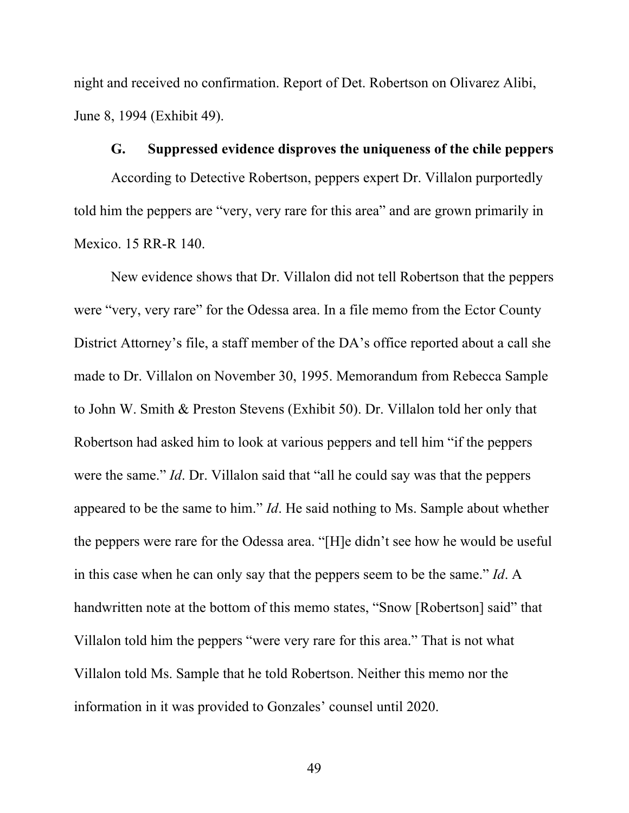night and received no confirmation. Report of Det. Robertson on Olivarez Alibi, June 8, 1994 (Exhibit 49).

#### **G. Suppressed evidence disproves the uniqueness of the chile peppers**

According to Detective Robertson, peppers expert Dr. Villalon purportedly told him the peppers are "very, very rare for this area" and are grown primarily in Mexico. 15 RR-R 140.

New evidence shows that Dr. Villalon did not tell Robertson that the peppers were "very, very rare" for the Odessa area. In a file memo from the Ector County District Attorney's file, a staff member of the DA's office reported about a call she made to Dr. Villalon on November 30, 1995. Memorandum from Rebecca Sample to John W. Smith & Preston Stevens (Exhibit 50). Dr. Villalon told her only that Robertson had asked him to look at various peppers and tell him "if the peppers were the same." *Id*. Dr. Villalon said that "all he could say was that the peppers appeared to be the same to him." *Id*. He said nothing to Ms. Sample about whether the peppers were rare for the Odessa area. "[H]e didn't see how he would be useful in this case when he can only say that the peppers seem to be the same." *Id*. A handwritten note at the bottom of this memo states, "Snow [Robertson] said" that Villalon told him the peppers "were very rare for this area." That is not what Villalon told Ms. Sample that he told Robertson. Neither this memo nor the information in it was provided to Gonzales' counsel until 2020.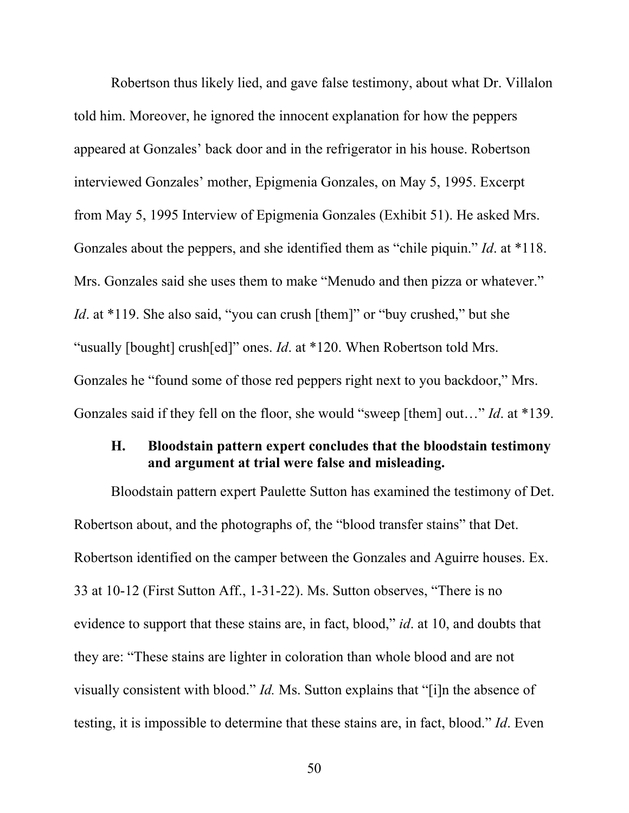Robertson thus likely lied, and gave false testimony, about what Dr. Villalon told him. Moreover, he ignored the innocent explanation for how the peppers appeared at Gonzales' back door and in the refrigerator in his house. Robertson interviewed Gonzales' mother, Epigmenia Gonzales, on May 5, 1995. Excerpt from May 5, 1995 Interview of Epigmenia Gonzales (Exhibit 51). He asked Mrs. Gonzales about the peppers, and she identified them as "chile piquin." *Id*. at \*118. Mrs. Gonzales said she uses them to make "Menudo and then pizza or whatever." *Id.* at \*119. She also said, "you can crush [them]" or "buy crushed," but she "usually [bought] crush[ed]" ones. *Id*. at \*120. When Robertson told Mrs. Gonzales he "found some of those red peppers right next to you backdoor," Mrs. Gonzales said if they fell on the floor, she would "sweep [them] out…" *Id*. at \*139.

### **H. Bloodstain pattern expert concludes that the bloodstain testimony and argument at trial were false and misleading.**

Bloodstain pattern expert Paulette Sutton has examined the testimony of Det. Robertson about, and the photographs of, the "blood transfer stains" that Det. Robertson identified on the camper between the Gonzales and Aguirre houses. Ex. 33 at 10-12 (First Sutton Aff., 1-31-22). Ms. Sutton observes, "There is no evidence to support that these stains are, in fact, blood," *id*. at 10, and doubts that they are: "These stains are lighter in coloration than whole blood and are not visually consistent with blood." *Id.* Ms. Sutton explains that "[i]n the absence of testing, it is impossible to determine that these stains are, in fact, blood." *Id*. Even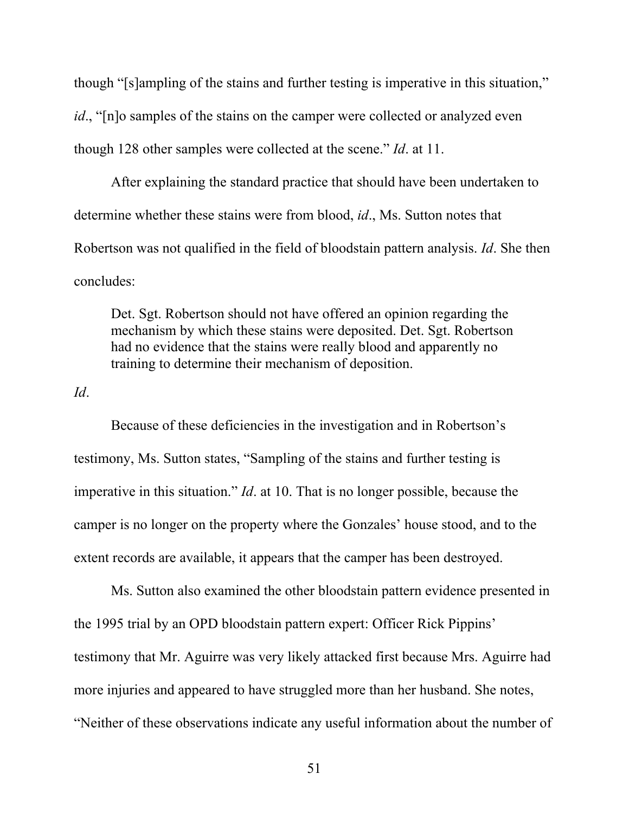though "[s]ampling of the stains and further testing is imperative in this situation," *id.*, "[n]o samples of the stains on the camper were collected or analyzed even though 128 other samples were collected at the scene." *Id*. at 11.

After explaining the standard practice that should have been undertaken to determine whether these stains were from blood, *id*., Ms. Sutton notes that Robertson was not qualified in the field of bloodstain pattern analysis. *Id*. She then concludes:

Det. Sgt. Robertson should not have offered an opinion regarding the mechanism by which these stains were deposited. Det. Sgt. Robertson had no evidence that the stains were really blood and apparently no training to determine their mechanism of deposition.

*Id*.

Because of these deficiencies in the investigation and in Robertson's testimony, Ms. Sutton states, "Sampling of the stains and further testing is imperative in this situation." *Id*. at 10. That is no longer possible, because the camper is no longer on the property where the Gonzales' house stood, and to the extent records are available, it appears that the camper has been destroyed.

Ms. Sutton also examined the other bloodstain pattern evidence presented in the 1995 trial by an OPD bloodstain pattern expert: Officer Rick Pippins' testimony that Mr. Aguirre was very likely attacked first because Mrs. Aguirre had more injuries and appeared to have struggled more than her husband. She notes, "Neither of these observations indicate any useful information about the number of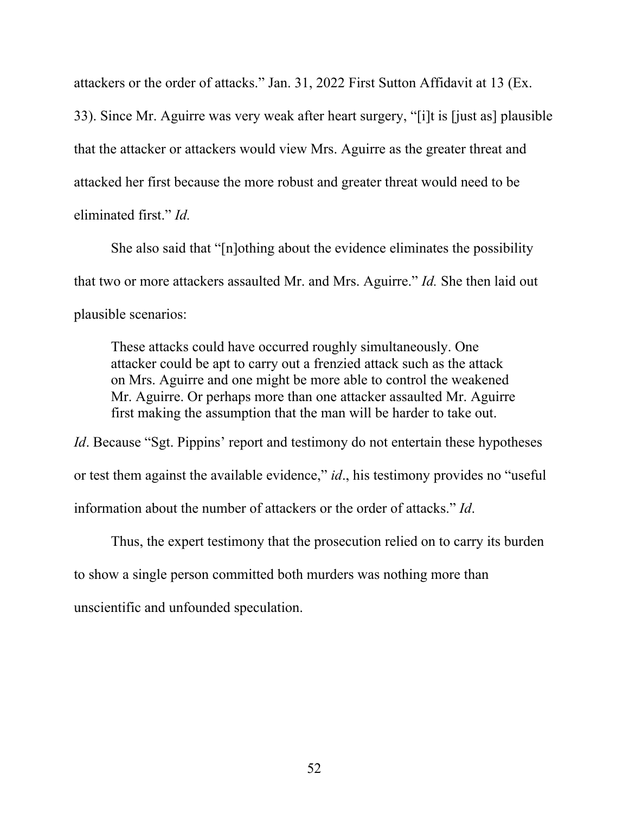attackers or the order of attacks." Jan. 31, 2022 First Sutton Affidavit at 13 (Ex. 33). Since Mr. Aguirre was very weak after heart surgery, "[i]t is [just as] plausible that the attacker or attackers would view Mrs. Aguirre as the greater threat and attacked her first because the more robust and greater threat would need to be eliminated first." *Id.*

She also said that "[n]othing about the evidence eliminates the possibility that two or more attackers assaulted Mr. and Mrs. Aguirre." *Id.* She then laid out plausible scenarios:

These attacks could have occurred roughly simultaneously. One attacker could be apt to carry out a frenzied attack such as the attack on Mrs. Aguirre and one might be more able to control the weakened Mr. Aguirre. Or perhaps more than one attacker assaulted Mr. Aguirre first making the assumption that the man will be harder to take out.

*Id*. Because "Sgt. Pippins' report and testimony do not entertain these hypotheses or test them against the available evidence," *id*., his testimony provides no "useful information about the number of attackers or the order of attacks." *Id*.

Thus, the expert testimony that the prosecution relied on to carry its burden to show a single person committed both murders was nothing more than unscientific and unfounded speculation.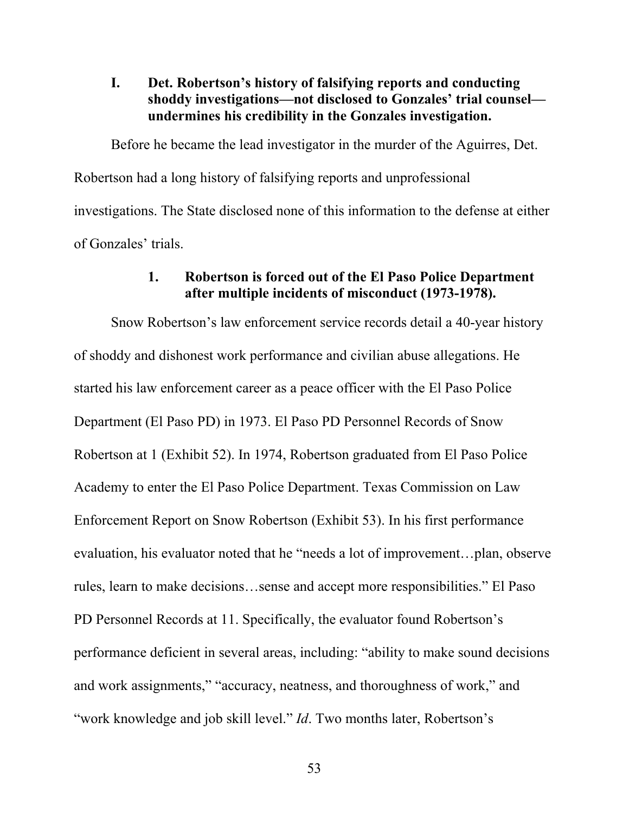**I. Det. Robertson's history of falsifying reports and conducting shoddy investigations—not disclosed to Gonzales' trial counsel undermines his credibility in the Gonzales investigation.** 

Before he became the lead investigator in the murder of the Aguirres, Det. Robertson had a long history of falsifying reports and unprofessional investigations. The State disclosed none of this information to the defense at either of Gonzales' trials.

### **1. Robertson is forced out of the El Paso Police Department after multiple incidents of misconduct (1973-1978).**

Snow Robertson's law enforcement service records detail a 40-year history of shoddy and dishonest work performance and civilian abuse allegations. He started his law enforcement career as a peace officer with the El Paso Police Department (El Paso PD) in 1973. El Paso PD Personnel Records of Snow Robertson at 1 (Exhibit 52). In 1974, Robertson graduated from El Paso Police Academy to enter the El Paso Police Department. Texas Commission on Law Enforcement Report on Snow Robertson (Exhibit 53). In his first performance evaluation, his evaluator noted that he "needs a lot of improvement…plan, observe rules, learn to make decisions…sense and accept more responsibilities." El Paso PD Personnel Records at 11. Specifically, the evaluator found Robertson's performance deficient in several areas, including: "ability to make sound decisions and work assignments," "accuracy, neatness, and thoroughness of work," and "work knowledge and job skill level." *Id*. Two months later, Robertson's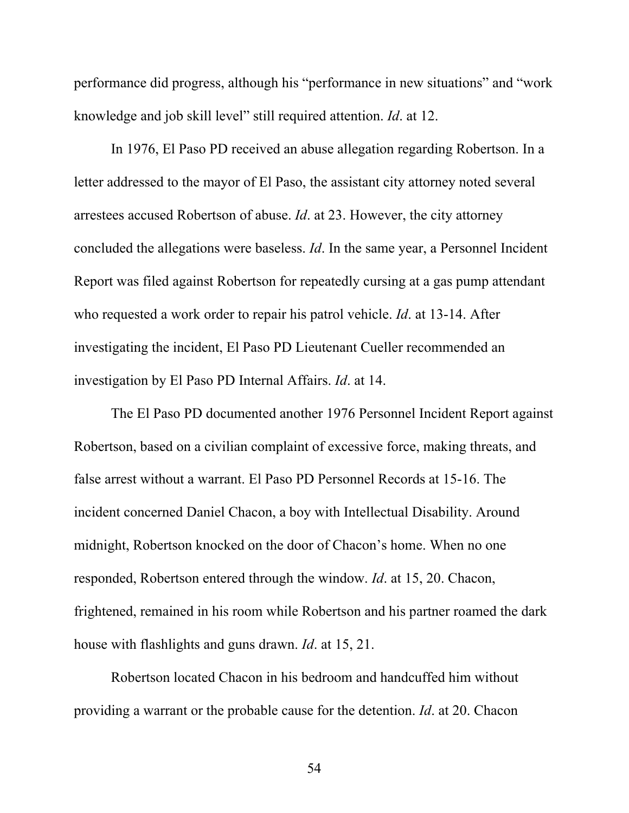performance did progress, although his "performance in new situations" and "work knowledge and job skill level" still required attention. *Id*. at 12.

In 1976, El Paso PD received an abuse allegation regarding Robertson. In a letter addressed to the mayor of El Paso, the assistant city attorney noted several arrestees accused Robertson of abuse. *Id*. at 23. However, the city attorney concluded the allegations were baseless. *Id*. In the same year, a Personnel Incident Report was filed against Robertson for repeatedly cursing at a gas pump attendant who requested a work order to repair his patrol vehicle. *Id*. at 13-14. After investigating the incident, El Paso PD Lieutenant Cueller recommended an investigation by El Paso PD Internal Affairs. *Id*. at 14.

The El Paso PD documented another 1976 Personnel Incident Report against Robertson, based on a civilian complaint of excessive force, making threats, and false arrest without a warrant. El Paso PD Personnel Records at 15-16. The incident concerned Daniel Chacon, a boy with Intellectual Disability. Around midnight, Robertson knocked on the door of Chacon's home. When no one responded, Robertson entered through the window. *Id*. at 15, 20. Chacon, frightened, remained in his room while Robertson and his partner roamed the dark house with flashlights and guns drawn. *Id*. at 15, 21.

Robertson located Chacon in his bedroom and handcuffed him without providing a warrant or the probable cause for the detention. *Id*. at 20. Chacon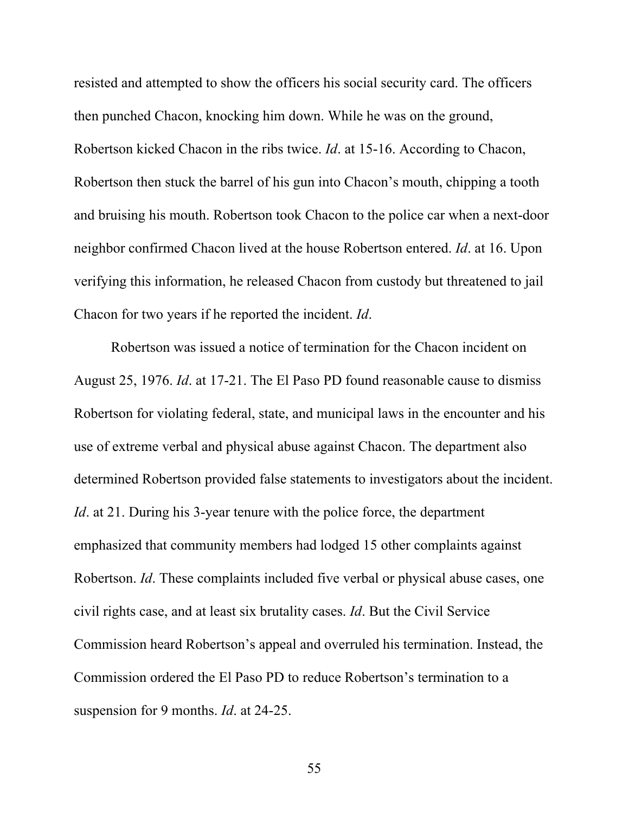resisted and attempted to show the officers his social security card. The officers then punched Chacon, knocking him down. While he was on the ground, Robertson kicked Chacon in the ribs twice. *Id*. at 15-16. According to Chacon, Robertson then stuck the barrel of his gun into Chacon's mouth, chipping a tooth and bruising his mouth. Robertson took Chacon to the police car when a next-door neighbor confirmed Chacon lived at the house Robertson entered. *Id*. at 16. Upon verifying this information, he released Chacon from custody but threatened to jail Chacon for two years if he reported the incident. *Id*.

Robertson was issued a notice of termination for the Chacon incident on August 25, 1976. *Id*. at 17-21. The El Paso PD found reasonable cause to dismiss Robertson for violating federal, state, and municipal laws in the encounter and his use of extreme verbal and physical abuse against Chacon. The department also determined Robertson provided false statements to investigators about the incident. *Id.* at 21. During his 3-year tenure with the police force, the department emphasized that community members had lodged 15 other complaints against Robertson. *Id*. These complaints included five verbal or physical abuse cases, one civil rights case, and at least six brutality cases. *Id*. But the Civil Service Commission heard Robertson's appeal and overruled his termination. Instead, the Commission ordered the El Paso PD to reduce Robertson's termination to a suspension for 9 months. *Id*. at 24-25.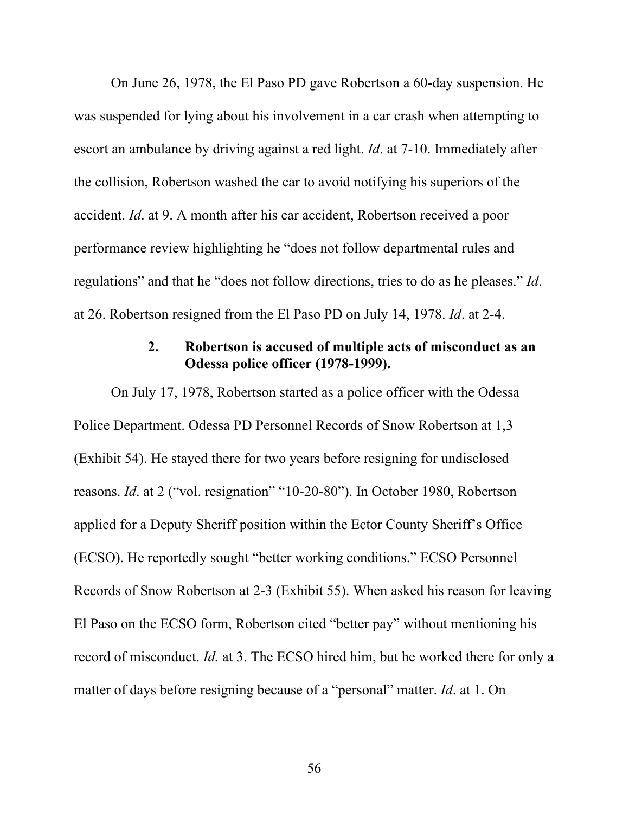On June 26, 1978, the El Paso PD gave Robertson a 60-day suspension. He was suspended for lying about his involvement in a car crash when attempting to escort an ambulance by driving against a red light. *Id*. at 7-10. Immediately after the collision, Robertson washed the car to avoid notifying his superiors of the accident. *Id*. at 9. A month after his car accident, Robertson received a poor performance review highlighting he "does not follow departmental rules and regulations" and that he "does not follow directions, tries to do as he pleases." *Id*. at 26. Robertson resigned from the El Paso PD on July 14, 1978. *Id*. at 2-4.

## **2. Robertson is accused of multiple acts of misconduct as an Odessa police officer (1978-1999).**

On July 17, 1978, Robertson started as a police officer with the Odessa Police Department. Odessa PD Personnel Records of Snow Robertson at 1,3 (Exhibit 54). He stayed there for two years before resigning for undisclosed reasons. *Id*. at 2 ("vol. resignation" "10-20-80"). In October 1980, Robertson applied for a Deputy Sheriff position within the Ector County Sheriff's Office (ECSO). He reportedly sought "better working conditions." ECSO Personnel Records of Snow Robertson at 2-3 (Exhibit 55). When asked his reason for leaving El Paso on the ECSO form, Robertson cited "better pay" without mentioning his record of misconduct. *Id.* at 3. The ECSO hired him, but he worked there for only a matter of days before resigning because of a "personal" matter. *Id*. at 1. On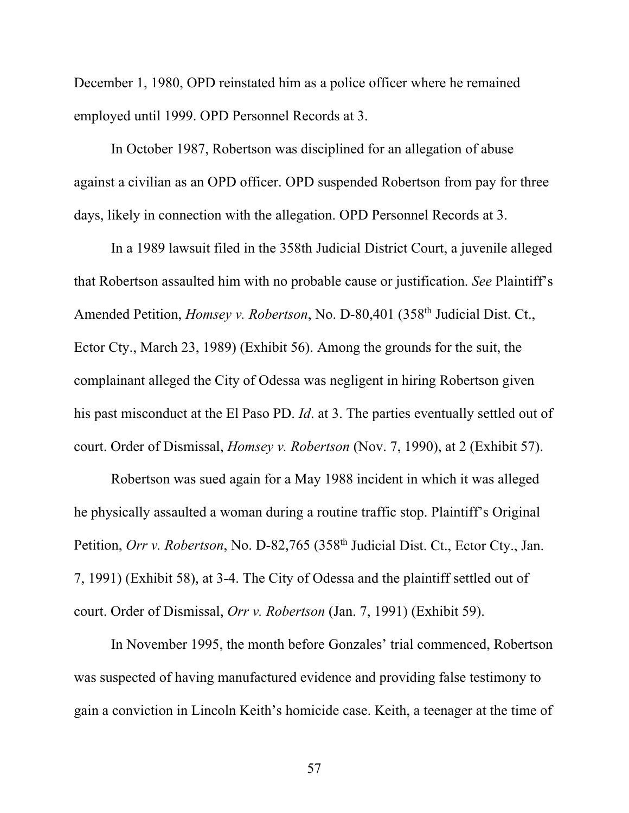December 1, 1980, OPD reinstated him as a police officer where he remained employed until 1999. OPD Personnel Records at 3.

In October 1987, Robertson was disciplined for an allegation of abuse against a civilian as an OPD officer. OPD suspended Robertson from pay for three days, likely in connection with the allegation. OPD Personnel Records at 3.

In a 1989 lawsuit filed in the 358th Judicial District Court, a juvenile alleged that Robertson assaulted him with no probable cause or justification. *See* Plaintiff's Amended Petition, *Homsey v. Robertson*, No. D-80,401 (358<sup>th</sup> Judicial Dist. Ct., Ector Cty., March 23, 1989) (Exhibit 56). Among the grounds for the suit, the complainant alleged the City of Odessa was negligent in hiring Robertson given his past misconduct at the El Paso PD. *Id*. at 3. The parties eventually settled out of court. Order of Dismissal, *Homsey v. Robertson* (Nov. 7, 1990), at 2 (Exhibit 57).

Robertson was sued again for a May 1988 incident in which it was alleged he physically assaulted a woman during a routine traffic stop. Plaintiff's Original Petition, *Orr v. Robertson*, No. D-82,765 (358<sup>th</sup> Judicial Dist. Ct., Ector Cty., Jan. 7, 1991) (Exhibit 58), at 3-4. The City of Odessa and the plaintiff settled out of court. Order of Dismissal, *Orr v. Robertson* (Jan. 7, 1991) (Exhibit 59).

In November 1995, the month before Gonzales' trial commenced, Robertson was suspected of having manufactured evidence and providing false testimony to gain a conviction in Lincoln Keith's homicide case. Keith, a teenager at the time of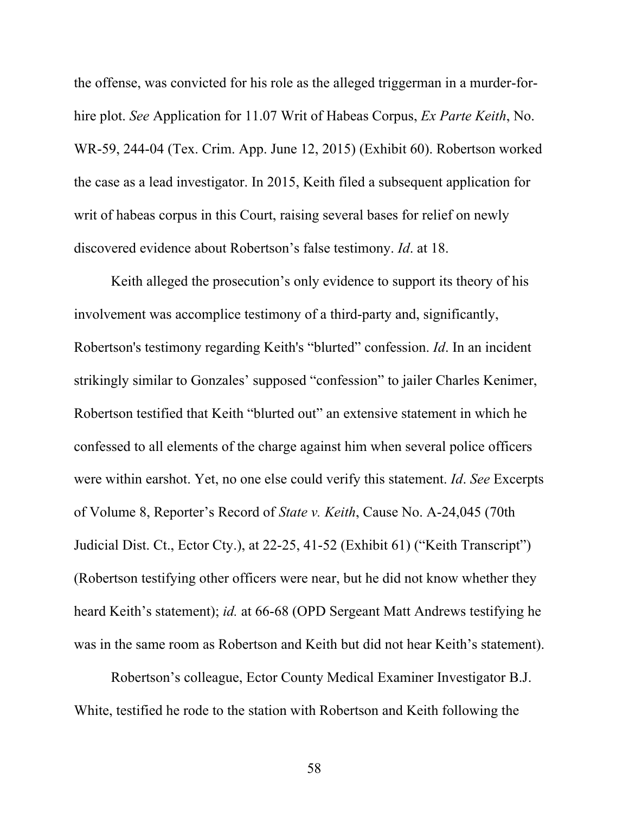the offense, was convicted for his role as the alleged triggerman in a murder-forhire plot. *See* Application for 11.07 Writ of Habeas Corpus, *Ex Parte Keith*, No. WR-59, 244-04 (Tex. Crim. App. June 12, 2015) (Exhibit 60). Robertson worked the case as a lead investigator. In 2015, Keith filed a subsequent application for writ of habeas corpus in this Court, raising several bases for relief on newly discovered evidence about Robertson's false testimony. *Id*. at 18.

Keith alleged the prosecution's only evidence to support its theory of his involvement was accomplice testimony of a third-party and, significantly, Robertson's testimony regarding Keith's "blurted" confession. *Id*. In an incident strikingly similar to Gonzales' supposed "confession" to jailer Charles Kenimer, Robertson testified that Keith "blurted out" an extensive statement in which he confessed to all elements of the charge against him when several police officers were within earshot. Yet, no one else could verify this statement. *Id*. *See* Excerpts of Volume 8, Reporter's Record of *State v. Keith*, Cause No. A-24,045 (70th Judicial Dist. Ct., Ector Cty.), at 22-25, 41-52 (Exhibit 61) ("Keith Transcript") (Robertson testifying other officers were near, but he did not know whether they heard Keith's statement); *id.* at 66-68 (OPD Sergeant Matt Andrews testifying he was in the same room as Robertson and Keith but did not hear Keith's statement).

Robertson's colleague, Ector County Medical Examiner Investigator B.J. White, testified he rode to the station with Robertson and Keith following the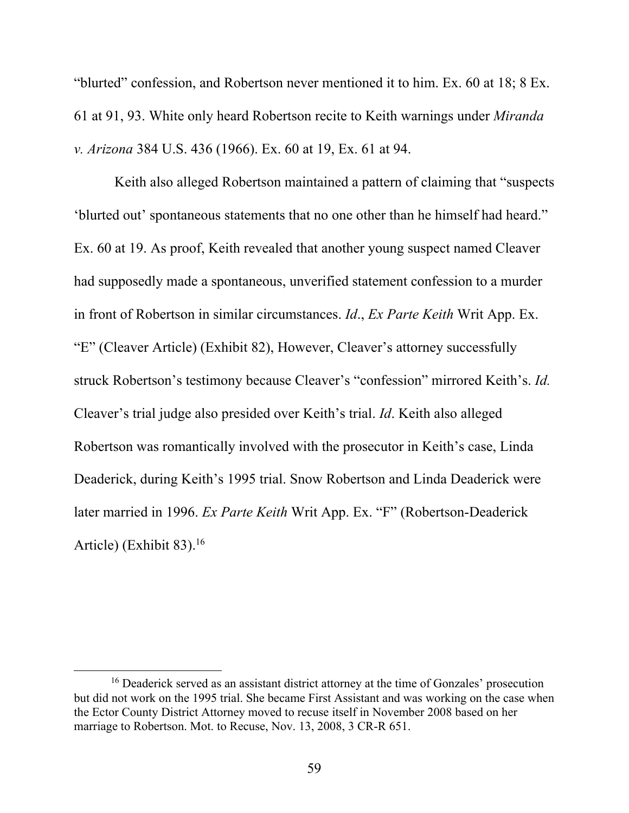"blurted" confession, and Robertson never mentioned it to him. Ex. 60 at 18; 8 Ex. 61 at 91, 93. White only heard Robertson recite to Keith warnings under *Miranda v. Arizona* 384 U.S. 436 (1966). Ex. 60 at 19, Ex. 61 at 94.

 Keith also alleged Robertson maintained a pattern of claiming that "suspects 'blurted out' spontaneous statements that no one other than he himself had heard." Ex. 60 at 19. As proof, Keith revealed that another young suspect named Cleaver had supposedly made a spontaneous, unverified statement confession to a murder in front of Robertson in similar circumstances. *Id*., *Ex Parte Keith* Writ App. Ex. "E" (Cleaver Article) (Exhibit 82), However, Cleaver's attorney successfully struck Robertson's testimony because Cleaver's "confession" mirrored Keith's. *Id.*  Cleaver's trial judge also presided over Keith's trial. *Id*. Keith also alleged Robertson was romantically involved with the prosecutor in Keith's case, Linda Deaderick, during Keith's 1995 trial. Snow Robertson and Linda Deaderick were later married in 1996. *Ex Parte Keith* Writ App. Ex. "F" (Robertson-Deaderick Article) (Exhibit  $83$ ).<sup>16</sup>

<sup>&</sup>lt;sup>16</sup> Deaderick served as an assistant district attorney at the time of Gonzales' prosecution but did not work on the 1995 trial. She became First Assistant and was working on the case when the Ector County District Attorney moved to recuse itself in November 2008 based on her marriage to Robertson. Mot. to Recuse, Nov. 13, 2008, 3 CR-R 651.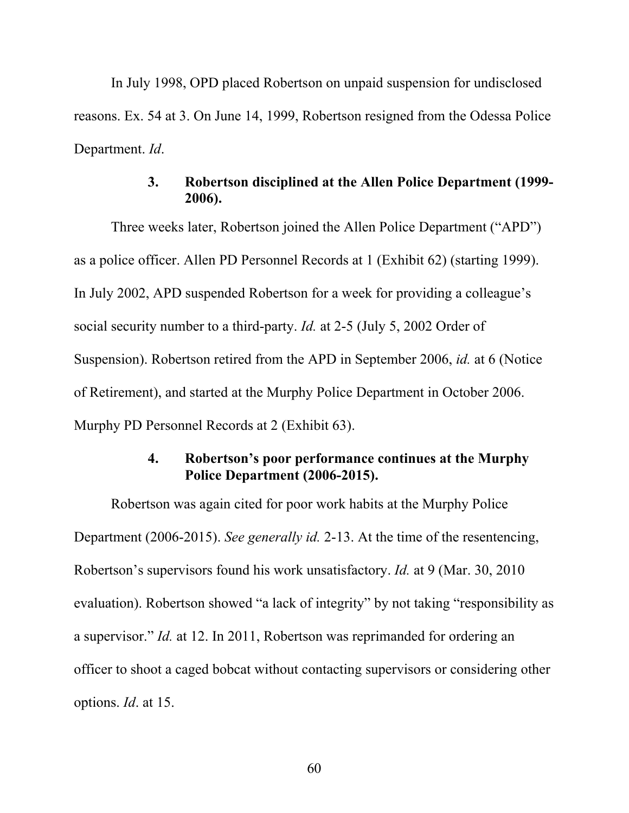In July 1998, OPD placed Robertson on unpaid suspension for undisclosed reasons. Ex. 54 at 3. On June 14, 1999, Robertson resigned from the Odessa Police Department. *Id*.

## **3. Robertson disciplined at the Allen Police Department (1999- 2006).**

Three weeks later, Robertson joined the Allen Police Department ("APD") as a police officer. Allen PD Personnel Records at 1 (Exhibit 62) (starting 1999). In July 2002, APD suspended Robertson for a week for providing a colleague's social security number to a third-party. *Id.* at 2-5 (July 5, 2002 Order of Suspension). Robertson retired from the APD in September 2006, *id.* at 6 (Notice of Retirement), and started at the Murphy Police Department in October 2006. Murphy PD Personnel Records at 2 (Exhibit 63).

## **4. Robertson's poor performance continues at the Murphy Police Department (2006-2015).**

Robertson was again cited for poor work habits at the Murphy Police Department (2006-2015). *See generally id.* 2-13. At the time of the resentencing, Robertson's supervisors found his work unsatisfactory. *Id.* at 9 (Mar. 30, 2010 evaluation). Robertson showed "a lack of integrity" by not taking "responsibility as a supervisor." *Id.* at 12. In 2011, Robertson was reprimanded for ordering an officer to shoot a caged bobcat without contacting supervisors or considering other options. *Id*. at 15.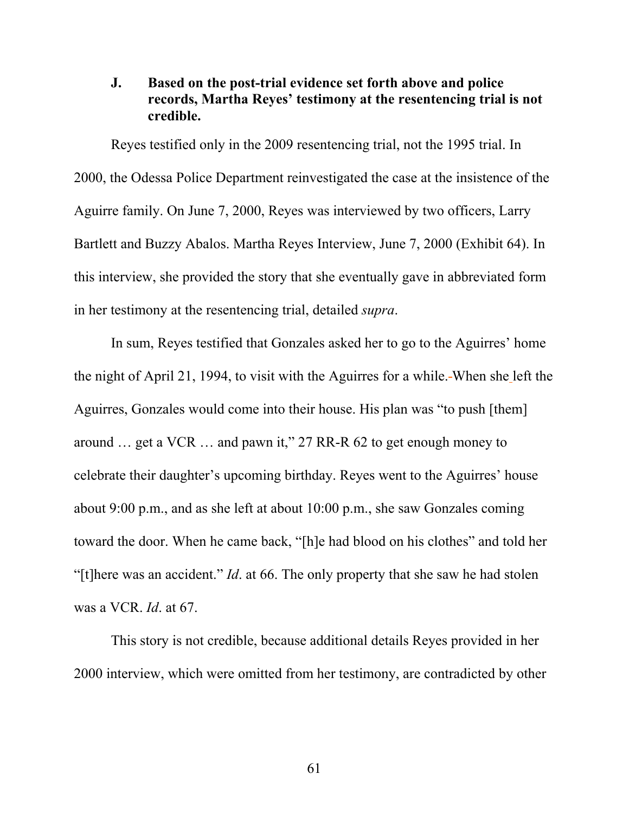## **J. Based on the post-trial evidence set forth above and police records, Martha Reyes' testimony at the resentencing trial is not credible.**

Reyes testified only in the 2009 resentencing trial, not the 1995 trial. In 2000, the Odessa Police Department reinvestigated the case at the insistence of the Aguirre family. On June 7, 2000, Reyes was interviewed by two officers, Larry Bartlett and Buzzy Abalos. Martha Reyes Interview, June 7, 2000 (Exhibit 64). In this interview, she provided the story that she eventually gave in abbreviated form in her testimony at the resentencing trial, detailed *supra*.

In sum, Reyes testified that Gonzales asked her to go to the Aguirres' home the night of April 21, 1994, to visit with the Aguirres for a while. When she left the Aguirres, Gonzales would come into their house. His plan was "to push [them] around … get a VCR … and pawn it," 27 RR-R 62 to get enough money to celebrate their daughter's upcoming birthday. Reyes went to the Aguirres' house about 9:00 p.m., and as she left at about 10:00 p.m., she saw Gonzales coming toward the door. When he came back, "[h]e had blood on his clothes" and told her "[t]here was an accident." *Id*. at 66. The only property that she saw he had stolen was a VCR. *Id*. at 67.

This story is not credible, because additional details Reyes provided in her 2000 interview, which were omitted from her testimony, are contradicted by other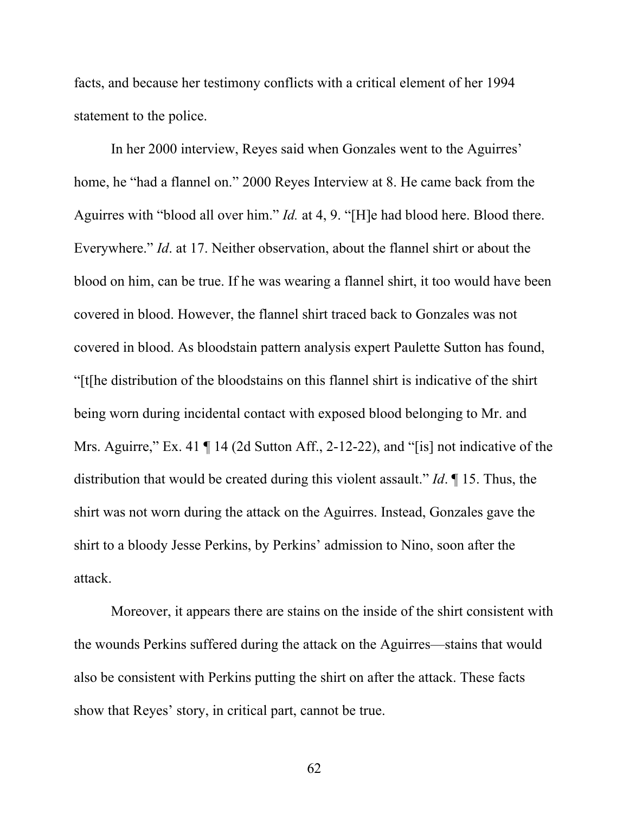facts, and because her testimony conflicts with a critical element of her 1994 statement to the police.

In her 2000 interview, Reyes said when Gonzales went to the Aguirres' home, he "had a flannel on." 2000 Reyes Interview at 8. He came back from the Aguirres with "blood all over him." *Id.* at 4, 9. "[H]e had blood here. Blood there. Everywhere." *Id*. at 17. Neither observation, about the flannel shirt or about the blood on him, can be true. If he was wearing a flannel shirt, it too would have been covered in blood. However, the flannel shirt traced back to Gonzales was not covered in blood. As bloodstain pattern analysis expert Paulette Sutton has found, "[t[he distribution of the bloodstains on this flannel shirt is indicative of the shirt being worn during incidental contact with exposed blood belonging to Mr. and Mrs. Aguirre," Ex. 41  $\P$  14 (2d Sutton Aff., 2-12-22), and "[is] not indicative of the distribution that would be created during this violent assault." *Id*. ¶ 15. Thus, the shirt was not worn during the attack on the Aguirres. Instead, Gonzales gave the shirt to a bloody Jesse Perkins, by Perkins' admission to Nino, soon after the attack.

Moreover, it appears there are stains on the inside of the shirt consistent with the wounds Perkins suffered during the attack on the Aguirres—stains that would also be consistent with Perkins putting the shirt on after the attack. These facts show that Reyes' story, in critical part, cannot be true.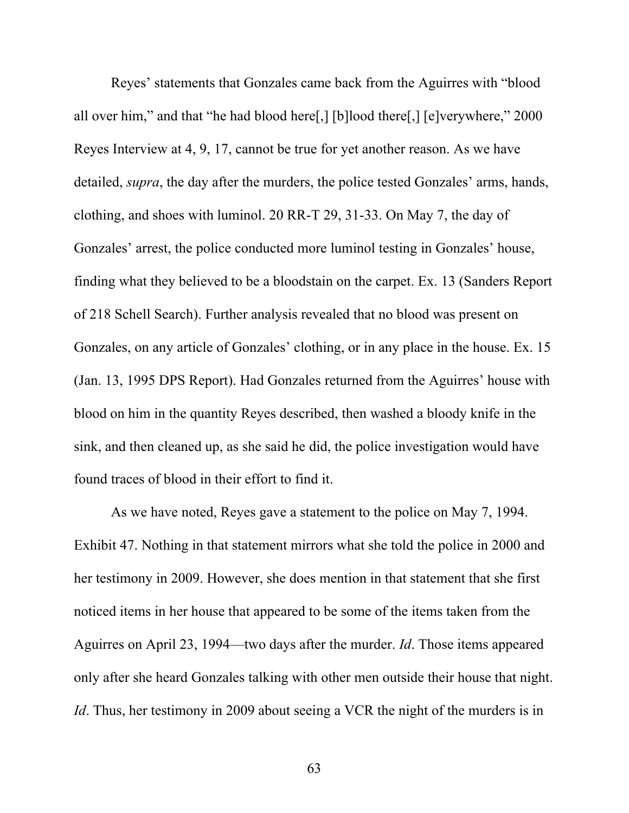Reyes' statements that Gonzales came back from the Aguirres with "blood all over him," and that "he had blood here[,] [b]lood there[,] [e]verywhere," 2000 Reyes Interview at 4, 9, 17, cannot be true for yet another reason. As we have detailed, *supra*, the day after the murders, the police tested Gonzales' arms, hands, clothing, and shoes with luminol. 20 RR-T 29, 31-33. On May 7, the day of Gonzales' arrest, the police conducted more luminol testing in Gonzales' house, finding what they believed to be a bloodstain on the carpet. Ex. 13 (Sanders Report of 218 Schell Search). Further analysis revealed that no blood was present on Gonzales, on any article of Gonzales' clothing, or in any place in the house. Ex. 15 (Jan. 13, 1995 DPS Report). Had Gonzales returned from the Aguirres' house with blood on him in the quantity Reyes described, then washed a bloody knife in the sink, and then cleaned up, as she said he did, the police investigation would have found traces of blood in their effort to find it.

As we have noted, Reyes gave a statement to the police on May 7, 1994. Exhibit 47. Nothing in that statement mirrors what she told the police in 2000 and her testimony in 2009. However, she does mention in that statement that she first noticed items in her house that appeared to be some of the items taken from the Aguirres on April 23, 1994—two days after the murder. *Id*. Those items appeared only after she heard Gonzales talking with other men outside their house that night. *Id*. Thus, her testimony in 2009 about seeing a VCR the night of the murders is in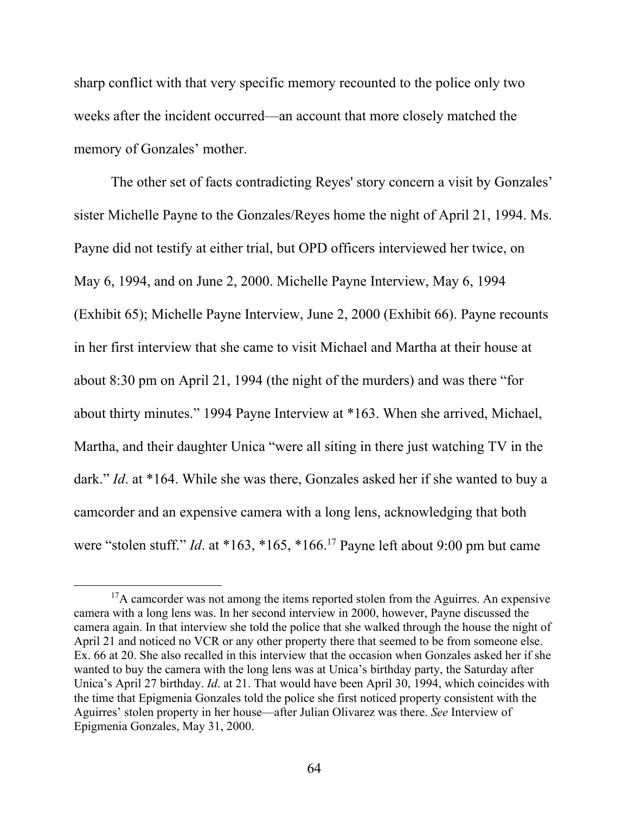sharp conflict with that very specific memory recounted to the police only two weeks after the incident occurred—an account that more closely matched the memory of Gonzales' mother.

The other set of facts contradicting Reyes' story concern a visit by Gonzales' sister Michelle Payne to the Gonzales/Reyes home the night of April 21, 1994. Ms. Payne did not testify at either trial, but OPD officers interviewed her twice, on May 6, 1994, and on June 2, 2000. Michelle Payne Interview, May 6, 1994 (Exhibit 65); Michelle Payne Interview, June 2, 2000 (Exhibit 66). Payne recounts in her first interview that she came to visit Michael and Martha at their house at about 8:30 pm on April 21, 1994 (the night of the murders) and was there "for about thirty minutes." 1994 Payne Interview at \*163. When she arrived, Michael, Martha, and their daughter Unica "were all siting in there just watching TV in the dark." *Id*. at \*164. While she was there, Gonzales asked her if she wanted to buy a camcorder and an expensive camera with a long lens, acknowledging that both were "stolen stuff." *Id*. at \*163, \*165, \*166.17 Payne left about 9:00 pm but came

 $17A$  camcorder was not among the items reported stolen from the Aguirres. An expensive camera with a long lens was. In her second interview in 2000, however, Payne discussed the camera again. In that interview she told the police that she walked through the house the night of April 21 and noticed no VCR or any other property there that seemed to be from someone else. Ex. 66 at 20. She also recalled in this interview that the occasion when Gonzales asked her if she wanted to buy the camera with the long lens was at Unica's birthday party, the Saturday after Unica's April 27 birthday. *Id*. at 21. That would have been April 30, 1994, which coincides with the time that Epigmenia Gonzales told the police she first noticed property consistent with the Aguirres' stolen property in her house—after Julian Olivarez was there. *See* Interview of Epigmenia Gonzales, May 31, 2000.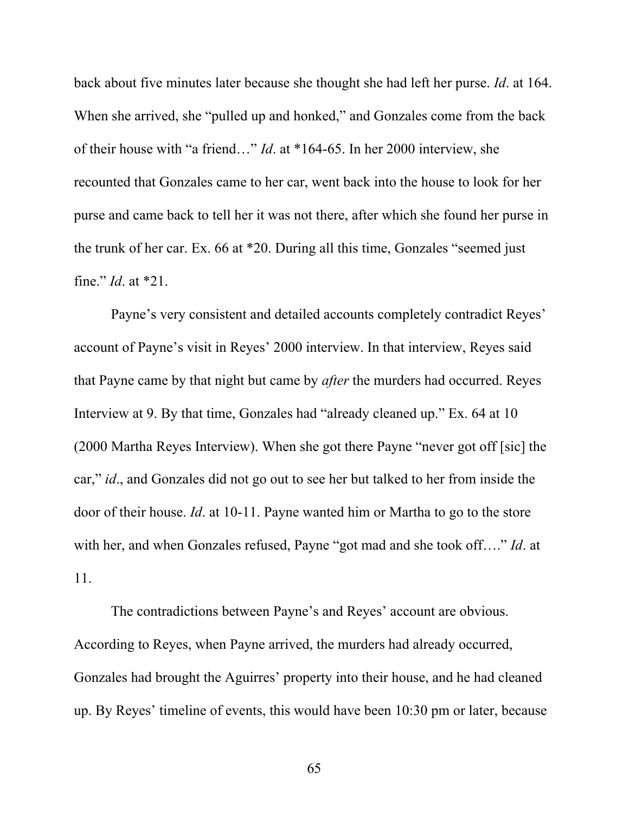back about five minutes later because she thought she had left her purse. *Id*. at 164. When she arrived, she "pulled up and honked," and Gonzales come from the back of their house with "a friend…" *Id*. at \*164-65. In her 2000 interview, she recounted that Gonzales came to her car, went back into the house to look for her purse and came back to tell her it was not there, after which she found her purse in the trunk of her car. Ex. 66 at \*20. During all this time, Gonzales "seemed just fine." *Id*. at \*21.

Payne's very consistent and detailed accounts completely contradict Reyes' account of Payne's visit in Reyes' 2000 interview. In that interview, Reyes said that Payne came by that night but came by *after* the murders had occurred. Reyes Interview at 9. By that time, Gonzales had "already cleaned up." Ex. 64 at 10 (2000 Martha Reyes Interview). When she got there Payne "never got off [sic] the car," *id*., and Gonzales did not go out to see her but talked to her from inside the door of their house. *Id*. at 10-11. Payne wanted him or Martha to go to the store with her, and when Gonzales refused, Payne "got mad and she took off…." *Id*. at 11.

The contradictions between Payne's and Reyes' account are obvious. According to Reyes, when Payne arrived, the murders had already occurred, Gonzales had brought the Aguirres' property into their house, and he had cleaned up. By Reyes' timeline of events, this would have been 10:30 pm or later, because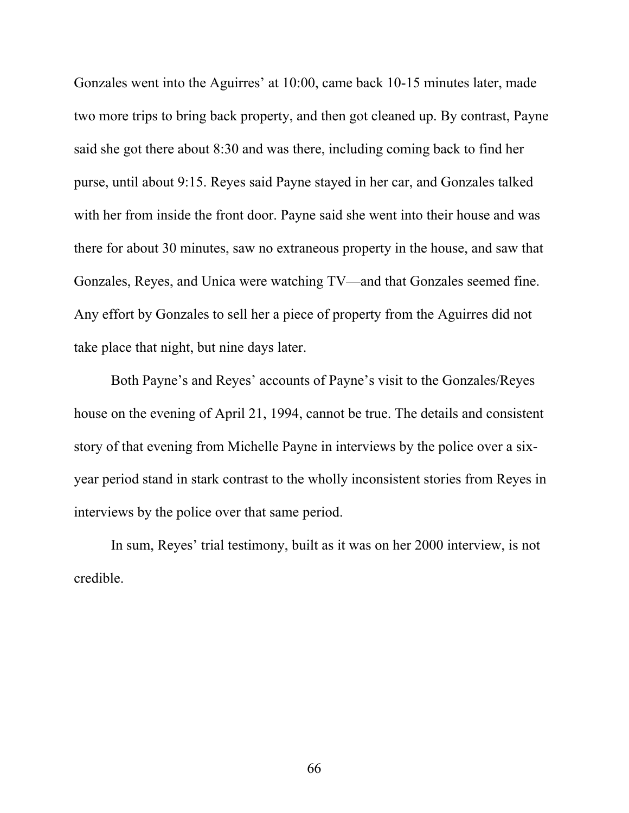Gonzales went into the Aguirres' at 10:00, came back 10-15 minutes later, made two more trips to bring back property, and then got cleaned up. By contrast, Payne said she got there about 8:30 and was there, including coming back to find her purse, until about 9:15. Reyes said Payne stayed in her car, and Gonzales talked with her from inside the front door. Payne said she went into their house and was there for about 30 minutes, saw no extraneous property in the house, and saw that Gonzales, Reyes, and Unica were watching TV—and that Gonzales seemed fine. Any effort by Gonzales to sell her a piece of property from the Aguirres did not take place that night, but nine days later.

Both Payne's and Reyes' accounts of Payne's visit to the Gonzales/Reyes house on the evening of April 21, 1994, cannot be true. The details and consistent story of that evening from Michelle Payne in interviews by the police over a sixyear period stand in stark contrast to the wholly inconsistent stories from Reyes in interviews by the police over that same period.

In sum, Reyes' trial testimony, built as it was on her 2000 interview, is not credible.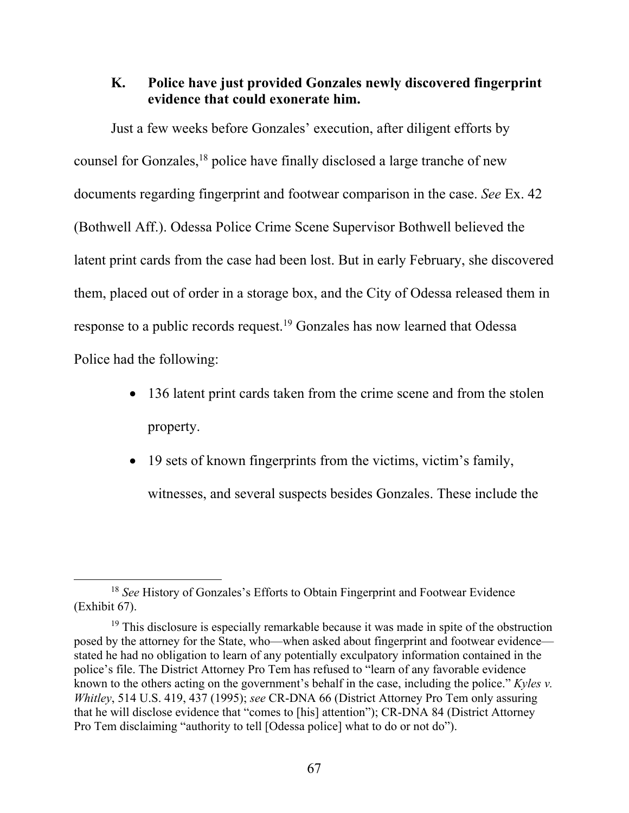## **K. Police have just provided Gonzales newly discovered fingerprint evidence that could exonerate him.**

Just a few weeks before Gonzales' execution, after diligent efforts by counsel for Gonzales,18 police have finally disclosed a large tranche of new documents regarding fingerprint and footwear comparison in the case. *See* Ex. 42 (Bothwell Aff.). Odessa Police Crime Scene Supervisor Bothwell believed the latent print cards from the case had been lost. But in early February, she discovered them, placed out of order in a storage box, and the City of Odessa released them in response to a public records request.19 Gonzales has now learned that Odessa Police had the following:

- 136 latent print cards taken from the crime scene and from the stolen property.
- 19 sets of known fingerprints from the victims, victim's family,

witnesses, and several suspects besides Gonzales. These include the

<sup>18</sup> *See* History of Gonzales's Efforts to Obtain Fingerprint and Footwear Evidence (Exhibit 67).

<sup>&</sup>lt;sup>19</sup> This disclosure is especially remarkable because it was made in spite of the obstruction posed by the attorney for the State, who—when asked about fingerprint and footwear evidence stated he had no obligation to learn of any potentially exculpatory information contained in the police's file. The District Attorney Pro Tem has refused to "learn of any favorable evidence known to the others acting on the government's behalf in the case, including the police." *Kyles v. Whitley*, 514 U.S. 419, 437 (1995); *see* CR-DNA 66 (District Attorney Pro Tem only assuring that he will disclose evidence that "comes to [his] attention"); CR-DNA 84 (District Attorney Pro Tem disclaiming "authority to tell [Odessa police] what to do or not do").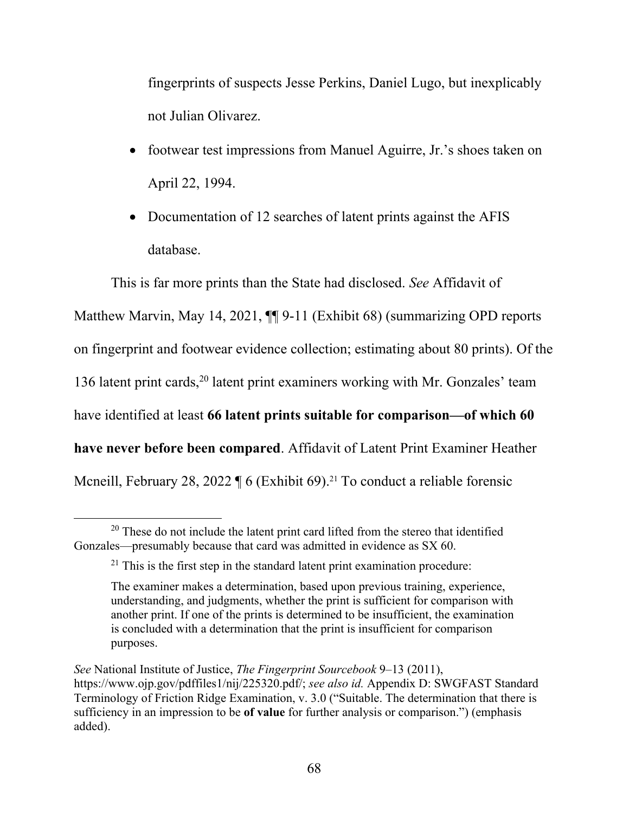fingerprints of suspects Jesse Perkins, Daniel Lugo, but inexplicably not Julian Olivarez.

- footwear test impressions from Manuel Aguirre, Jr.'s shoes taken on April 22, 1994.
- Documentation of 12 searches of latent prints against the AFIS database.

This is far more prints than the State had disclosed. *See* Affidavit of Matthew Marvin, May 14, 2021,  $\P\P$  9-11 (Exhibit 68) (summarizing OPD reports on fingerprint and footwear evidence collection; estimating about 80 prints). Of the 136 latent print cards,<sup>20</sup> latent print examiners working with Mr. Gonzales' team have identified at least **66 latent prints suitable for comparison—of which 60 have never before been compared**. Affidavit of Latent Print Examiner Heather Mcneill, February 28, 2022  $\P$  6 (Exhibit 69).<sup>21</sup> To conduct a reliable forensic

 $20$  These do not include the latent print card lifted from the stereo that identified Gonzales—presumably because that card was admitted in evidence as SX 60.

 $21$  This is the first step in the standard latent print examination procedure:

The examiner makes a determination, based upon previous training, experience, understanding, and judgments, whether the print is sufficient for comparison with another print. If one of the prints is determined to be insufficient, the examination is concluded with a determination that the print is insufficient for comparison purposes.

*See* National Institute of Justice, *The Fingerprint Sourcebook* 9–13 (2011), https://www.ojp.gov/pdffiles1/nij/225320.pdf/; *see also id.* Appendix D: SWGFAST Standard Terminology of Friction Ridge Examination, v. 3.0 ("Suitable. The determination that there is sufficiency in an impression to be **of value** for further analysis or comparison.") (emphasis added).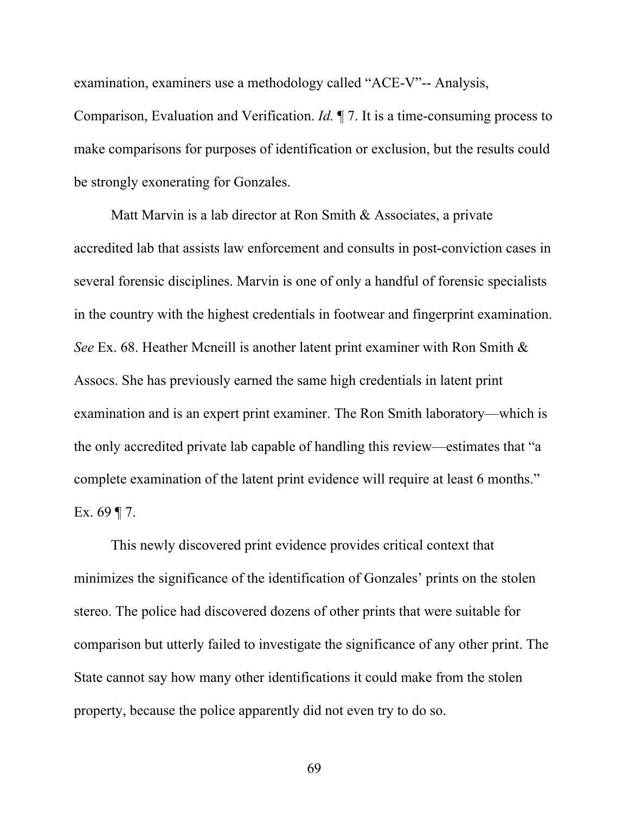examination, examiners use a methodology called "ACE-V"-- Analysis, Comparison, Evaluation and Verification. *Id.* ¶ 7. It is a time-consuming process to make comparisons for purposes of identification or exclusion, but the results could be strongly exonerating for Gonzales.

Matt Marvin is a lab director at Ron Smith & Associates, a private accredited lab that assists law enforcement and consults in post-conviction cases in several forensic disciplines. Marvin is one of only a handful of forensic specialists in the country with the highest credentials in footwear and fingerprint examination. *See* Ex. 68. Heather Mcneill is another latent print examiner with Ron Smith & Assocs. She has previously earned the same high credentials in latent print examination and is an expert print examiner. The Ron Smith laboratory—which is the only accredited private lab capable of handling this review—estimates that "a complete examination of the latent print evidence will require at least 6 months." Ex. 69  $\P$  7.

This newly discovered print evidence provides critical context that minimizes the significance of the identification of Gonzales' prints on the stolen stereo. The police had discovered dozens of other prints that were suitable for comparison but utterly failed to investigate the significance of any other print. The State cannot say how many other identifications it could make from the stolen property, because the police apparently did not even try to do so.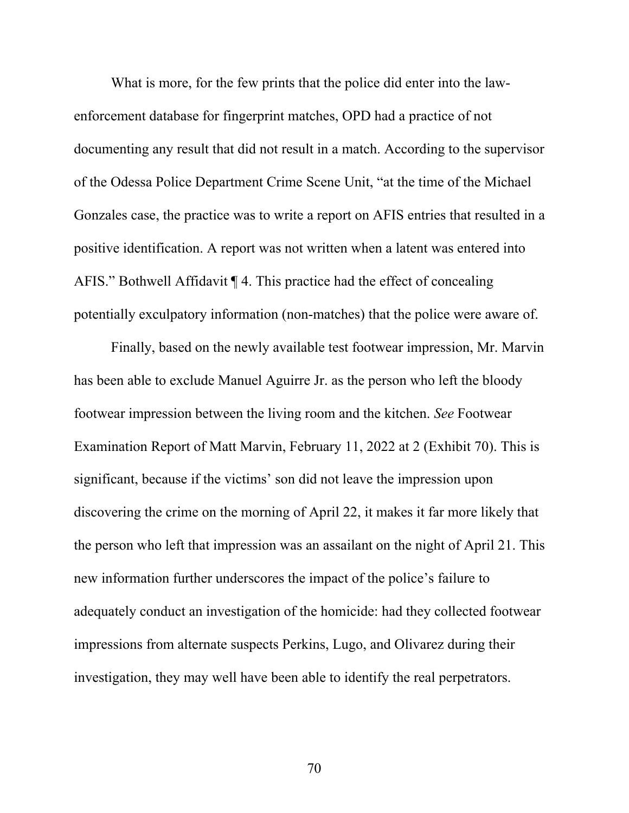What is more, for the few prints that the police did enter into the lawenforcement database for fingerprint matches, OPD had a practice of not documenting any result that did not result in a match. According to the supervisor of the Odessa Police Department Crime Scene Unit, "at the time of the Michael Gonzales case, the practice was to write a report on AFIS entries that resulted in a positive identification. A report was not written when a latent was entered into AFIS." Bothwell Affidavit ¶ 4. This practice had the effect of concealing potentially exculpatory information (non-matches) that the police were aware of.

Finally, based on the newly available test footwear impression, Mr. Marvin has been able to exclude Manuel Aguirre Jr. as the person who left the bloody footwear impression between the living room and the kitchen. *See* Footwear Examination Report of Matt Marvin, February 11, 2022 at 2 (Exhibit 70). This is significant, because if the victims' son did not leave the impression upon discovering the crime on the morning of April 22, it makes it far more likely that the person who left that impression was an assailant on the night of April 21. This new information further underscores the impact of the police's failure to adequately conduct an investigation of the homicide: had they collected footwear impressions from alternate suspects Perkins, Lugo, and Olivarez during their investigation, they may well have been able to identify the real perpetrators.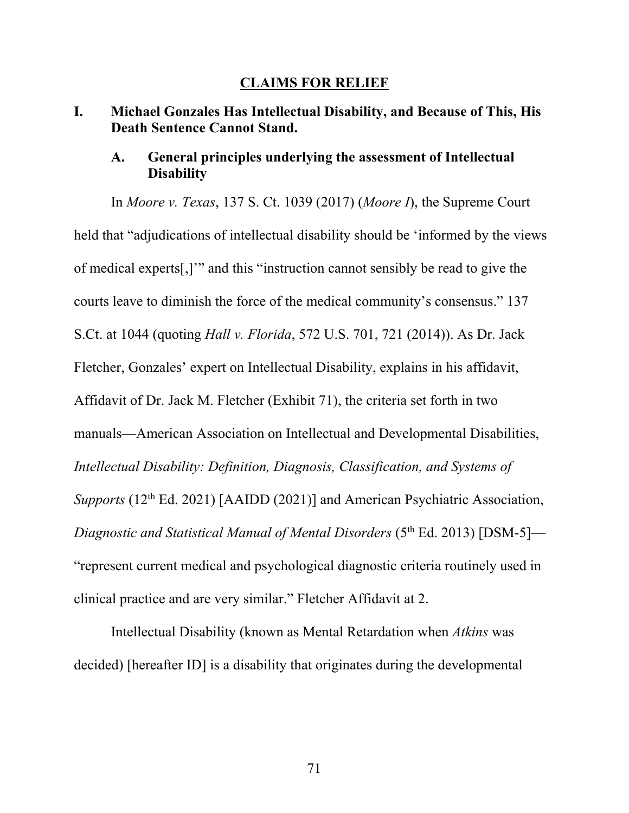#### **CLAIMS FOR RELIEF**

## **I. Michael Gonzales Has Intellectual Disability, and Because of This, His Death Sentence Cannot Stand.**

## **A. General principles underlying the assessment of Intellectual Disability**

In *Moore v. Texas*, 137 S. Ct. 1039 (2017) (*Moore I*), the Supreme Court held that "adjudications of intellectual disability should be 'informed by the views of medical experts[,]'" and this "instruction cannot sensibly be read to give the courts leave to diminish the force of the medical community's consensus." 137 S.Ct. at 1044 (quoting *Hall v. Florida*, 572 U.S. 701, 721 (2014)). As Dr. Jack Fletcher, Gonzales' expert on Intellectual Disability, explains in his affidavit, Affidavit of Dr. Jack M. Fletcher (Exhibit 71), the criteria set forth in two manuals—American Association on Intellectual and Developmental Disabilities, *Intellectual Disability: Definition, Diagnosis, Classification, and Systems of Supports* (12<sup>th</sup> Ed. 2021) [AAIDD (2021)] and American Psychiatric Association, *Diagnostic and Statistical Manual of Mental Disorders* (5<sup>th</sup> Ed. 2013) [DSM-5]— "represent current medical and psychological diagnostic criteria routinely used in clinical practice and are very similar." Fletcher Affidavit at 2.

Intellectual Disability (known as Mental Retardation when *Atkins* was decided) [hereafter ID] is a disability that originates during the developmental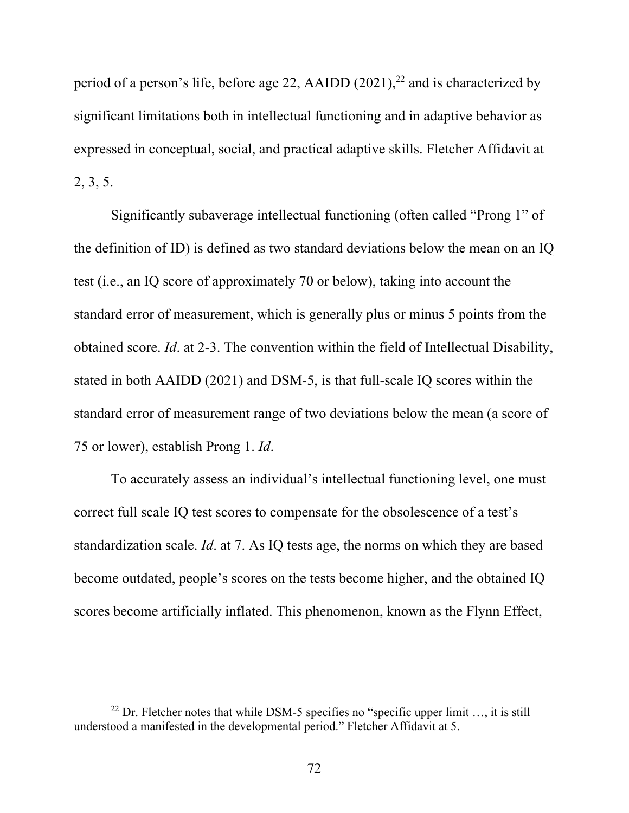period of a person's life, before age 22, AAIDD  $(2021)$ ,<sup>22</sup> and is characterized by significant limitations both in intellectual functioning and in adaptive behavior as expressed in conceptual, social, and practical adaptive skills. Fletcher Affidavit at 2, 3, 5.

Significantly subaverage intellectual functioning (often called "Prong 1" of the definition of ID) is defined as two standard deviations below the mean on an IQ test (i.e., an IQ score of approximately 70 or below), taking into account the standard error of measurement, which is generally plus or minus 5 points from the obtained score. *Id*. at 2-3. The convention within the field of Intellectual Disability, stated in both AAIDD (2021) and DSM-5, is that full-scale IQ scores within the standard error of measurement range of two deviations below the mean (a score of 75 or lower), establish Prong 1. *Id*.

To accurately assess an individual's intellectual functioning level, one must correct full scale IQ test scores to compensate for the obsolescence of a test's standardization scale. *Id*. at 7. As IQ tests age, the norms on which they are based become outdated, people's scores on the tests become higher, and the obtained IQ scores become artificially inflated. This phenomenon, known as the Flynn Effect,

<sup>&</sup>lt;sup>22</sup> Dr. Fletcher notes that while DSM-5 specifies no "specific upper limit  $\ldots$ , it is still understood a manifested in the developmental period." Fletcher Affidavit at 5.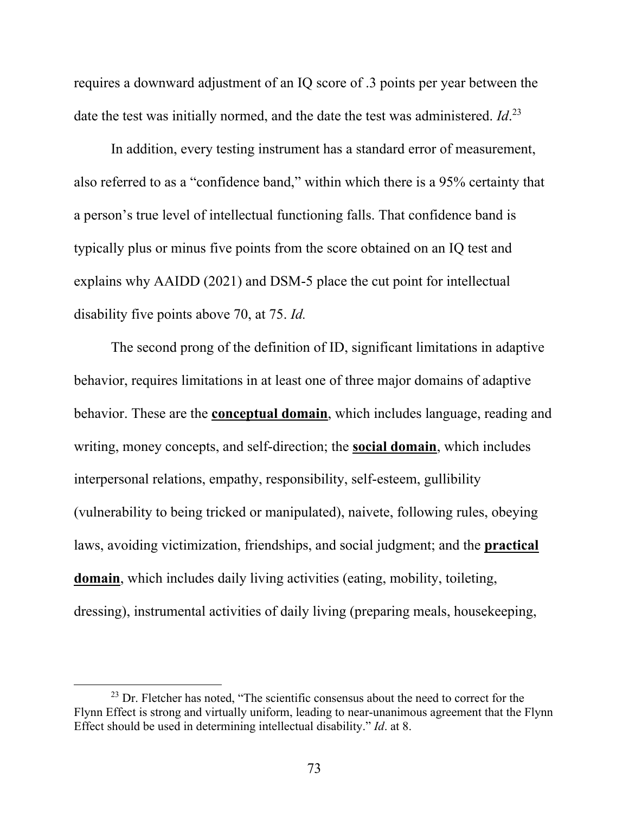requires a downward adjustment of an IQ score of .3 points per year between the date the test was initially normed, and the date the test was administered. *Id*. 23

In addition, every testing instrument has a standard error of measurement, also referred to as a "confidence band," within which there is a 95% certainty that a person's true level of intellectual functioning falls. That confidence band is typically plus or minus five points from the score obtained on an IQ test and explains why AAIDD (2021) and DSM-5 place the cut point for intellectual disability five points above 70, at 75. *Id.* 

The second prong of the definition of ID, significant limitations in adaptive behavior, requires limitations in at least one of three major domains of adaptive behavior. These are the **conceptual domain**, which includes language, reading and writing, money concepts, and self-direction; the **social domain**, which includes interpersonal relations, empathy, responsibility, self-esteem, gullibility (vulnerability to being tricked or manipulated), naivete, following rules, obeying laws, avoiding victimization, friendships, and social judgment; and the **practical domain**, which includes daily living activities (eating, mobility, toileting, dressing), instrumental activities of daily living (preparing meals, housekeeping,

 $23$  Dr. Fletcher has noted, "The scientific consensus about the need to correct for the Flynn Effect is strong and virtually uniform, leading to near-unanimous agreement that the Flynn Effect should be used in determining intellectual disability." *Id*. at 8.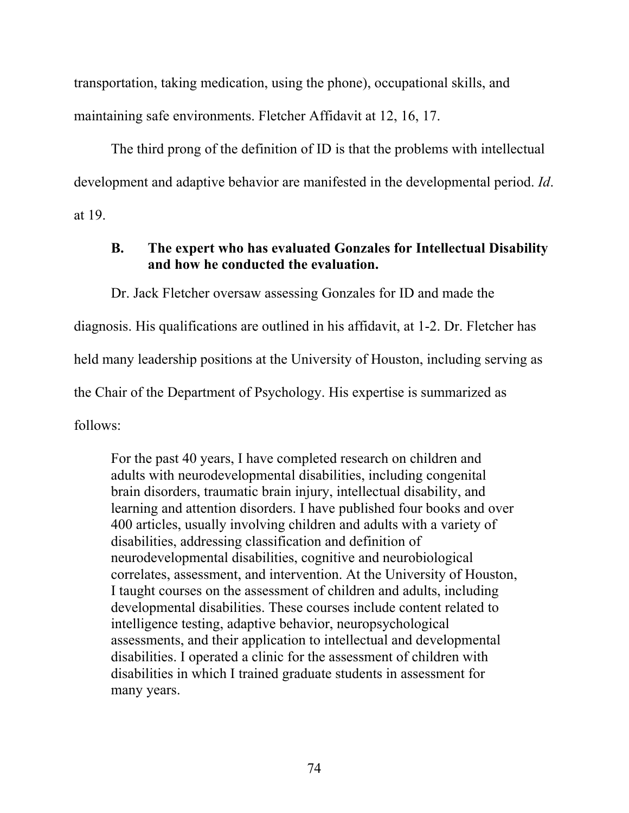transportation, taking medication, using the phone), occupational skills, and maintaining safe environments. Fletcher Affidavit at 12, 16, 17.

The third prong of the definition of ID is that the problems with intellectual development and adaptive behavior are manifested in the developmental period. *Id*. at 19.

## **B. The expert who has evaluated Gonzales for Intellectual Disability and how he conducted the evaluation.**

Dr. Jack Fletcher oversaw assessing Gonzales for ID and made the

diagnosis. His qualifications are outlined in his affidavit, at 1-2. Dr. Fletcher has

held many leadership positions at the University of Houston, including serving as

the Chair of the Department of Psychology. His expertise is summarized as

follows:

For the past 40 years, I have completed research on children and adults with neurodevelopmental disabilities, including congenital brain disorders, traumatic brain injury, intellectual disability, and learning and attention disorders. I have published four books and over 400 articles, usually involving children and adults with a variety of disabilities, addressing classification and definition of neurodevelopmental disabilities, cognitive and neurobiological correlates, assessment, and intervention. At the University of Houston, I taught courses on the assessment of children and adults, including developmental disabilities. These courses include content related to intelligence testing, adaptive behavior, neuropsychological assessments, and their application to intellectual and developmental disabilities. I operated a clinic for the assessment of children with disabilities in which I trained graduate students in assessment for many years.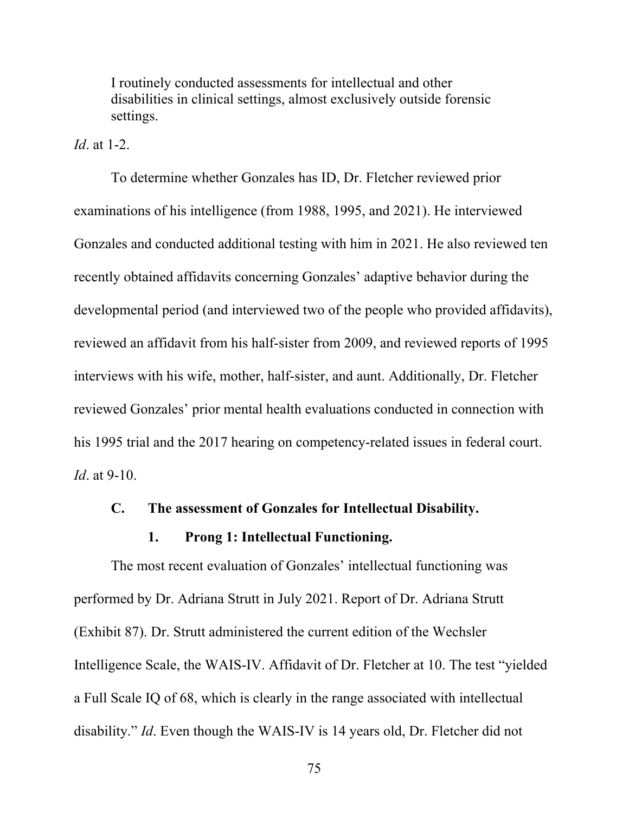I routinely conducted assessments for intellectual and other disabilities in clinical settings, almost exclusively outside forensic settings.

*Id*. at 1-2.

To determine whether Gonzales has ID, Dr. Fletcher reviewed prior examinations of his intelligence (from 1988, 1995, and 2021). He interviewed Gonzales and conducted additional testing with him in 2021. He also reviewed ten recently obtained affidavits concerning Gonzales' adaptive behavior during the developmental period (and interviewed two of the people who provided affidavits), reviewed an affidavit from his half-sister from 2009, and reviewed reports of 1995 interviews with his wife, mother, half-sister, and aunt. Additionally, Dr. Fletcher reviewed Gonzales' prior mental health evaluations conducted in connection with his 1995 trial and the 2017 hearing on competency-related issues in federal court. *Id*. at 9-10.

#### **C. The assessment of Gonzales for Intellectual Disability.**

## **1. Prong 1: Intellectual Functioning.**

The most recent evaluation of Gonzales' intellectual functioning was performed by Dr. Adriana Strutt in July 2021. Report of Dr. Adriana Strutt (Exhibit 87). Dr. Strutt administered the current edition of the Wechsler Intelligence Scale, the WAIS-IV. Affidavit of Dr. Fletcher at 10. The test "yielded a Full Scale IQ of 68, which is clearly in the range associated with intellectual disability." *Id*. Even though the WAIS-IV is 14 years old, Dr. Fletcher did not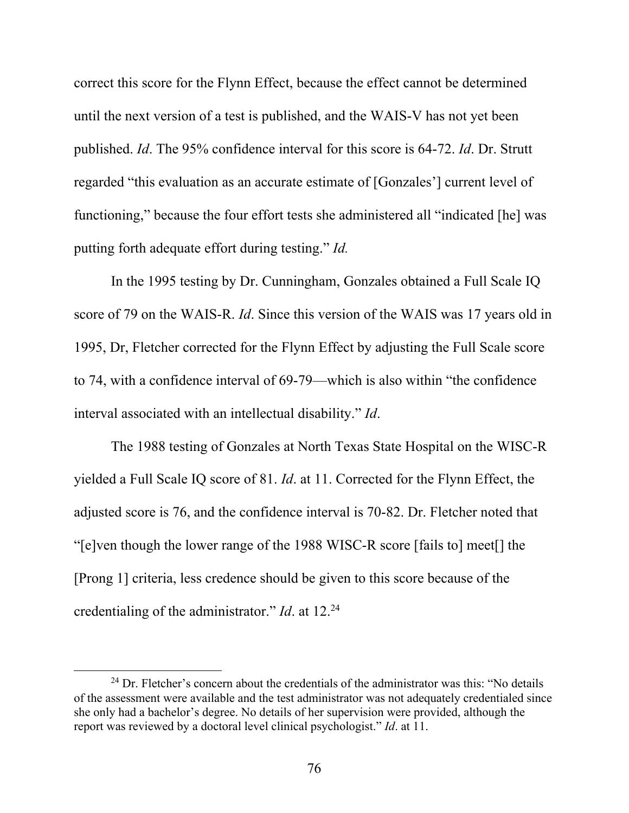correct this score for the Flynn Effect, because the effect cannot be determined until the next version of a test is published, and the WAIS-V has not yet been published. *Id*. The 95% confidence interval for this score is 64-72. *Id*. Dr. Strutt regarded "this evaluation as an accurate estimate of [Gonzales'] current level of functioning," because the four effort tests she administered all "indicated [he] was putting forth adequate effort during testing." *Id.*

In the 1995 testing by Dr. Cunningham, Gonzales obtained a Full Scale IQ score of 79 on the WAIS-R. *Id*. Since this version of the WAIS was 17 years old in 1995, Dr, Fletcher corrected for the Flynn Effect by adjusting the Full Scale score to 74, with a confidence interval of 69-79—which is also within "the confidence interval associated with an intellectual disability." *Id*.

The 1988 testing of Gonzales at North Texas State Hospital on the WISC-R yielded a Full Scale IQ score of 81. *Id*. at 11. Corrected for the Flynn Effect, the adjusted score is 76, and the confidence interval is 70-82. Dr. Fletcher noted that "[e]ven though the lower range of the 1988 WISC-R score [fails to] meet[] the [Prong 1] criteria, less credence should be given to this score because of the credentialing of the administrator." *Id*. at 12.24

 $24$  Dr. Fletcher's concern about the credentials of the administrator was this: "No details of the assessment were available and the test administrator was not adequately credentialed since she only had a bachelor's degree. No details of her supervision were provided, although the report was reviewed by a doctoral level clinical psychologist." *Id*. at 11.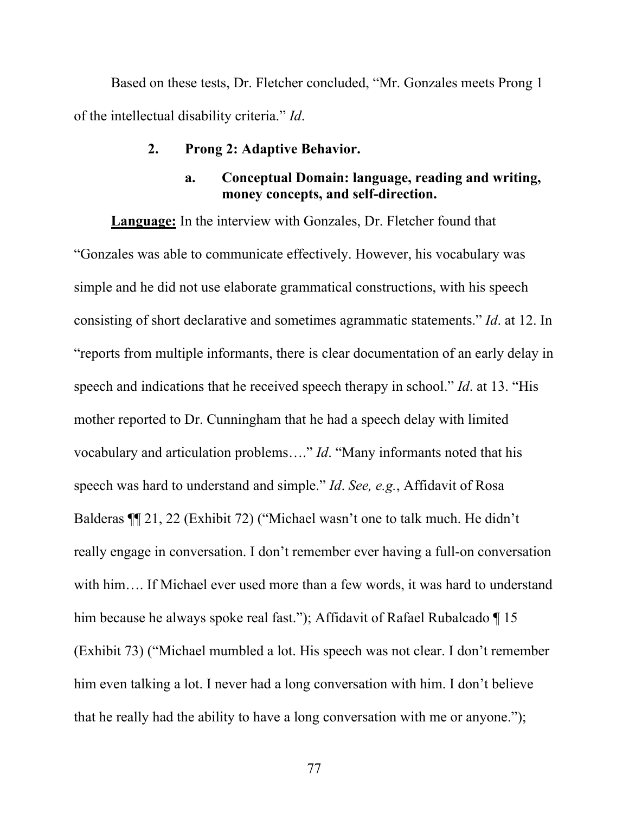Based on these tests, Dr. Fletcher concluded, "Mr. Gonzales meets Prong 1 of the intellectual disability criteria." *Id*.

#### **2. Prong 2: Adaptive Behavior.**

## **a. Conceptual Domain: language, reading and writing, money concepts, and self-direction.**

**Language:** In the interview with Gonzales, Dr. Fletcher found that "Gonzales was able to communicate effectively. However, his vocabulary was simple and he did not use elaborate grammatical constructions, with his speech consisting of short declarative and sometimes agrammatic statements." *Id*. at 12. In "reports from multiple informants, there is clear documentation of an early delay in speech and indications that he received speech therapy in school." *Id*. at 13. "His mother reported to Dr. Cunningham that he had a speech delay with limited vocabulary and articulation problems…." *Id*. "Many informants noted that his speech was hard to understand and simple." *Id*. *See, e.g.*, Affidavit of Rosa Balderas ¶¶ 21, 22 (Exhibit 72) ("Michael wasn't one to talk much. He didn't really engage in conversation. I don't remember ever having a full-on conversation with him…. If Michael ever used more than a few words, it was hard to understand him because he always spoke real fast."); Affidavit of Rafael Rubalcado ¶ 15 (Exhibit 73) ("Michael mumbled a lot. His speech was not clear. I don't remember him even talking a lot. I never had a long conversation with him. I don't believe that he really had the ability to have a long conversation with me or anyone.");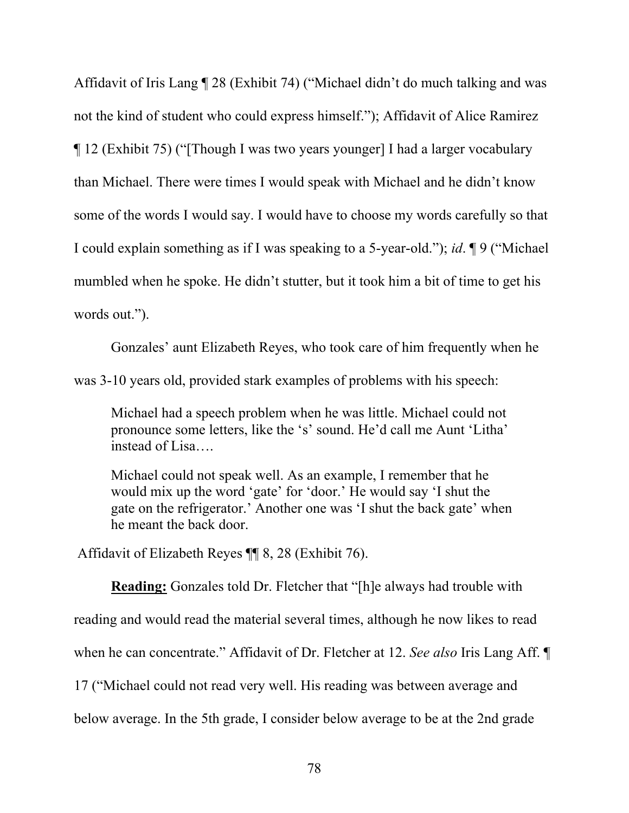Affidavit of Iris Lang ¶ 28 (Exhibit 74) ("Michael didn't do much talking and was not the kind of student who could express himself."); Affidavit of Alice Ramirez ¶ 12 (Exhibit 75) ("[Though I was two years younger] I had a larger vocabulary than Michael. There were times I would speak with Michael and he didn't know some of the words I would say. I would have to choose my words carefully so that I could explain something as if I was speaking to a 5-year-old."); *id*. ¶ 9 ("Michael mumbled when he spoke. He didn't stutter, but it took him a bit of time to get his words out.").

Gonzales' aunt Elizabeth Reyes, who took care of him frequently when he was 3-10 years old, provided stark examples of problems with his speech:

Michael had a speech problem when he was little. Michael could not pronounce some letters, like the 's' sound. He'd call me Aunt 'Litha' instead of Lisa….

Michael could not speak well. As an example, I remember that he would mix up the word 'gate' for 'door.' He would say 'I shut the gate on the refrigerator.' Another one was 'I shut the back gate' when he meant the back door.

Affidavit of Elizabeth Reyes ¶¶ 8, 28 (Exhibit 76).

**Reading:** Gonzales told Dr. Fletcher that "[h]e always had trouble with reading and would read the material several times, although he now likes to read when he can concentrate." Affidavit of Dr. Fletcher at 12. *See also* Iris Lang Aff. ¶ 17 ("Michael could not read very well. His reading was between average and below average. In the 5th grade, I consider below average to be at the 2nd grade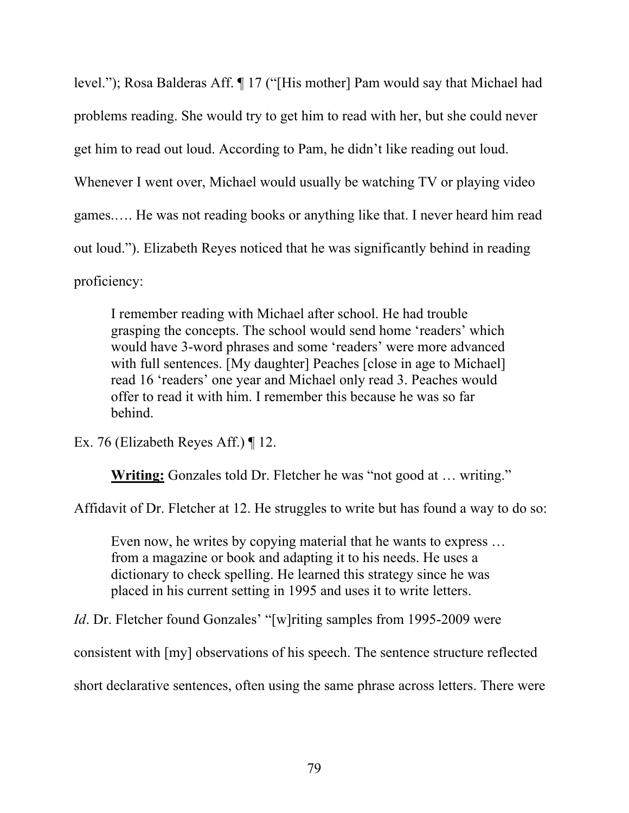level."); Rosa Balderas Aff. ¶ 17 ("[His mother] Pam would say that Michael had problems reading. She would try to get him to read with her, but she could never get him to read out loud. According to Pam, he didn't like reading out loud. Whenever I went over, Michael would usually be watching TV or playing video games.…. He was not reading books or anything like that. I never heard him read out loud."). Elizabeth Reyes noticed that he was significantly behind in reading proficiency:

I remember reading with Michael after school. He had trouble grasping the concepts. The school would send home 'readers' which would have 3-word phrases and some 'readers' were more advanced with full sentences. [My daughter] Peaches [close in age to Michael] read 16 'readers' one year and Michael only read 3. Peaches would offer to read it with him. I remember this because he was so far behind.

Ex. 76 (Elizabeth Reyes Aff.) ¶ 12.

**Writing:** Gonzales told Dr. Fletcher he was "not good at … writing."

Affidavit of Dr. Fletcher at 12. He struggles to write but has found a way to do so:

Even now, he writes by copying material that he wants to express … from a magazine or book and adapting it to his needs. He uses a dictionary to check spelling. He learned this strategy since he was placed in his current setting in 1995 and uses it to write letters.

*Id*. Dr. Fletcher found Gonzales' "[w]riting samples from 1995-2009 were

consistent with [my] observations of his speech. The sentence structure reflected

short declarative sentences, often using the same phrase across letters. There were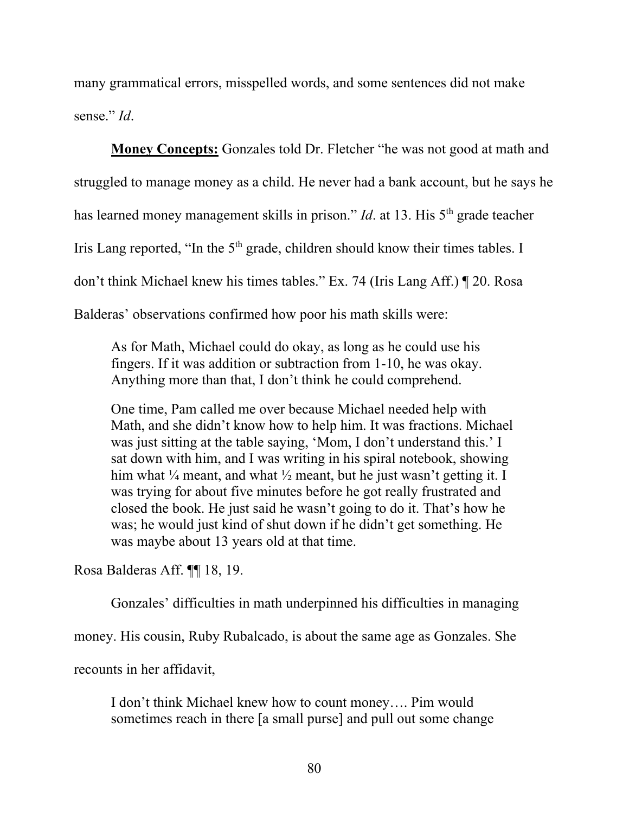many grammatical errors, misspelled words, and some sentences did not make sense." *Id*.

**Money Concepts:** Gonzales told Dr. Fletcher "he was not good at math and struggled to manage money as a child. He never had a bank account, but he says he has learned money management skills in prison." *Id*. at 13. His 5<sup>th</sup> grade teacher Iris Lang reported, "In the  $5<sup>th</sup>$  grade, children should know their times tables. I don't think Michael knew his times tables." Ex. 74 (Iris Lang Aff.) ¶ 20. Rosa Balderas' observations confirmed how poor his math skills were:

As for Math, Michael could do okay, as long as he could use his fingers. If it was addition or subtraction from 1-10, he was okay. Anything more than that, I don't think he could comprehend.

One time, Pam called me over because Michael needed help with Math, and she didn't know how to help him. It was fractions. Michael was just sitting at the table saying, 'Mom, I don't understand this.' I sat down with him, and I was writing in his spiral notebook, showing him what  $\frac{1}{4}$  meant, and what  $\frac{1}{2}$  meant, but he just wasn't getting it. I was trying for about five minutes before he got really frustrated and closed the book. He just said he wasn't going to do it. That's how he was; he would just kind of shut down if he didn't get something. He was maybe about 13 years old at that time.

Rosa Balderas Aff. ¶¶ 18, 19.

Gonzales' difficulties in math underpinned his difficulties in managing

money. His cousin, Ruby Rubalcado, is about the same age as Gonzales. She

recounts in her affidavit,

I don't think Michael knew how to count money…. Pim would sometimes reach in there [a small purse] and pull out some change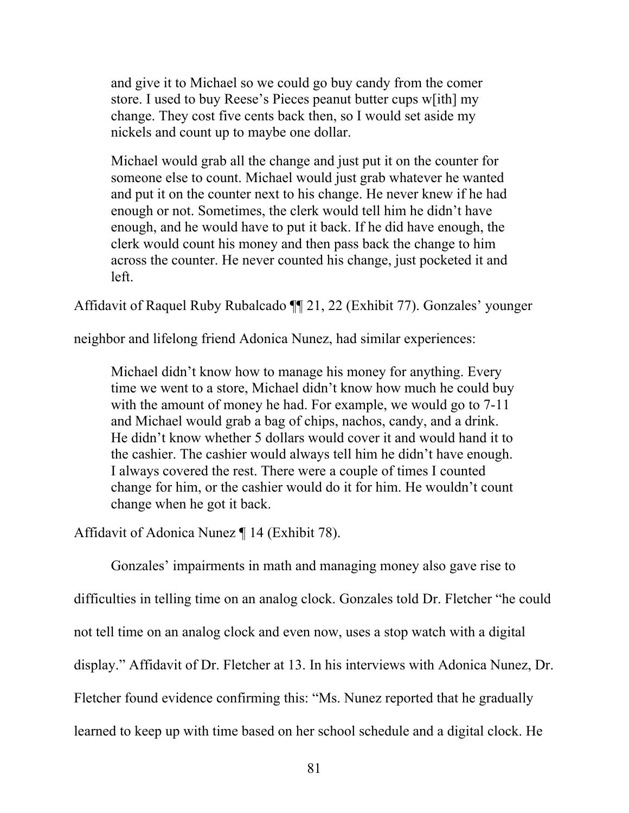and give it to Michael so we could go buy candy from the comer store. I used to buy Reese's Pieces peanut butter cups w[ith] my change. They cost five cents back then, so I would set aside my nickels and count up to maybe one dollar.

Michael would grab all the change and just put it on the counter for someone else to count. Michael would just grab whatever he wanted and put it on the counter next to his change. He never knew if he had enough or not. Sometimes, the clerk would tell him he didn't have enough, and he would have to put it back. If he did have enough, the clerk would count his money and then pass back the change to him across the counter. He never counted his change, just pocketed it and left.

Affidavit of Raquel Ruby Rubalcado ¶¶ 21, 22 (Exhibit 77). Gonzales' younger

neighbor and lifelong friend Adonica Nunez, had similar experiences:

Michael didn't know how to manage his money for anything. Every time we went to a store, Michael didn't know how much he could buy with the amount of money he had. For example, we would go to 7-11 and Michael would grab a bag of chips, nachos, candy, and a drink. He didn't know whether 5 dollars would cover it and would hand it to the cashier. The cashier would always tell him he didn't have enough. I always covered the rest. There were a couple of times I counted change for him, or the cashier would do it for him. He wouldn't count change when he got it back.

Affidavit of Adonica Nunez ¶ 14 (Exhibit 78).

Gonzales' impairments in math and managing money also gave rise to difficulties in telling time on an analog clock. Gonzales told Dr. Fletcher "he could not tell time on an analog clock and even now, uses a stop watch with a digital display." Affidavit of Dr. Fletcher at 13. In his interviews with Adonica Nunez, Dr. Fletcher found evidence confirming this: "Ms. Nunez reported that he gradually learned to keep up with time based on her school schedule and a digital clock. He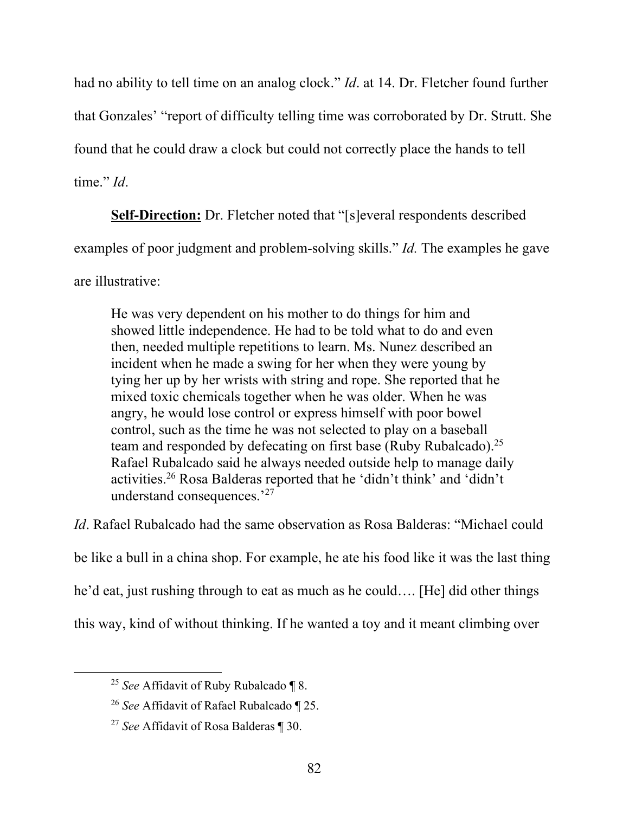had no ability to tell time on an analog clock." *Id*. at 14. Dr. Fletcher found further that Gonzales' "report of difficulty telling time was corroborated by Dr. Strutt. She found that he could draw a clock but could not correctly place the hands to tell time." *Id*.

**Self-Direction:** Dr. Fletcher noted that "[s]everal respondents described examples of poor judgment and problem-solving skills." *Id.* The examples he gave are illustrative:

He was very dependent on his mother to do things for him and showed little independence. He had to be told what to do and even then, needed multiple repetitions to learn. Ms. Nunez described an incident when he made a swing for her when they were young by tying her up by her wrists with string and rope. She reported that he mixed toxic chemicals together when he was older. When he was angry, he would lose control or express himself with poor bowel control, such as the time he was not selected to play on a baseball team and responded by defecating on first base (Ruby Rubalcado).<sup>25</sup> Rafael Rubalcado said he always needed outside help to manage daily activities.26 Rosa Balderas reported that he 'didn't think' and 'didn't understand consequences.'27

*Id*. Rafael Rubalcado had the same observation as Rosa Balderas: "Michael could be like a bull in a china shop. For example, he ate his food like it was the last thing he'd eat, just rushing through to eat as much as he could…. [He] did other things this way, kind of without thinking. If he wanted a toy and it meant climbing over

<sup>25</sup> *See* Affidavit of Ruby Rubalcado ¶ 8.

<sup>26</sup> *See* Affidavit of Rafael Rubalcado ¶ 25.

<sup>27</sup> *See* Affidavit of Rosa Balderas ¶ 30.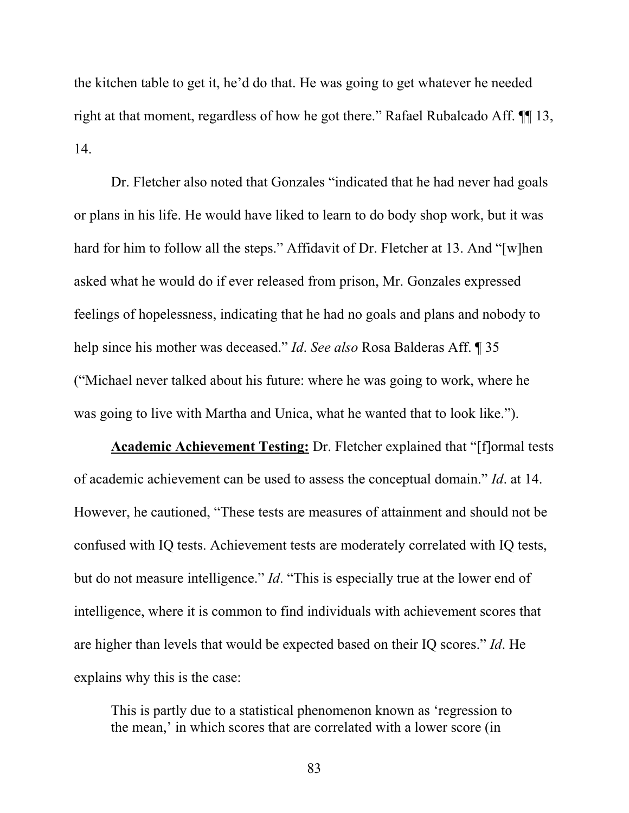the kitchen table to get it, he'd do that. He was going to get whatever he needed right at that moment, regardless of how he got there." Rafael Rubalcado Aff. ¶¶ 13, 14.

Dr. Fletcher also noted that Gonzales "indicated that he had never had goals or plans in his life. He would have liked to learn to do body shop work, but it was hard for him to follow all the steps." Affidavit of Dr. Fletcher at 13. And "[w]hen asked what he would do if ever released from prison, Mr. Gonzales expressed feelings of hopelessness, indicating that he had no goals and plans and nobody to help since his mother was deceased." *Id*. *See also* Rosa Balderas Aff. ¶ 35 ("Michael never talked about his future: where he was going to work, where he was going to live with Martha and Unica, what he wanted that to look like.").

**Academic Achievement Testing:** Dr. Fletcher explained that "[f]ormal tests of academic achievement can be used to assess the conceptual domain." *Id*. at 14. However, he cautioned, "These tests are measures of attainment and should not be confused with IQ tests. Achievement tests are moderately correlated with IQ tests, but do not measure intelligence." *Id*. "This is especially true at the lower end of intelligence, where it is common to find individuals with achievement scores that are higher than levels that would be expected based on their IQ scores." *Id*. He explains why this is the case:

This is partly due to a statistical phenomenon known as 'regression to the mean,' in which scores that are correlated with a lower score (in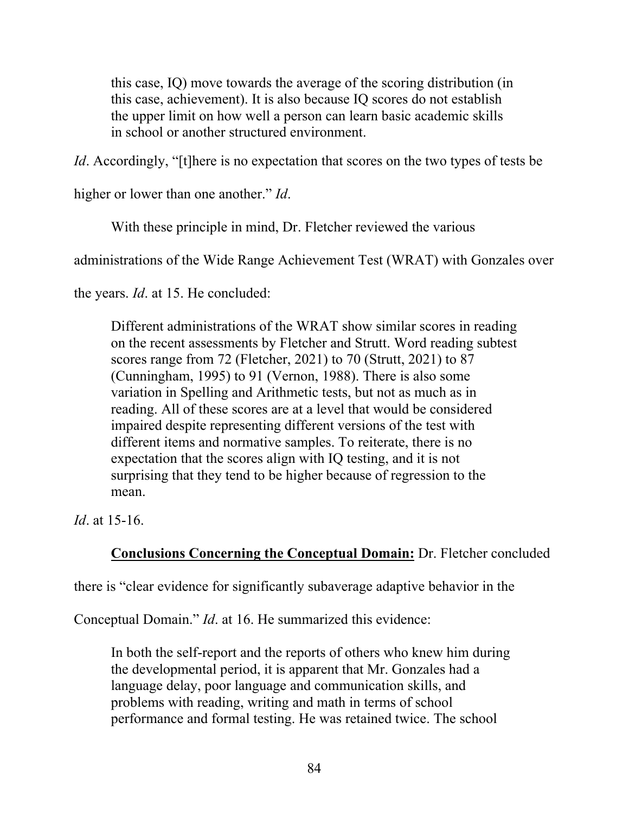this case, IQ) move towards the average of the scoring distribution (in this case, achievement). It is also because IQ scores do not establish the upper limit on how well a person can learn basic academic skills in school or another structured environment.

*Id*. Accordingly, "[t]here is no expectation that scores on the two types of tests be

higher or lower than one another." *Id*.

With these principle in mind, Dr. Fletcher reviewed the various

administrations of the Wide Range Achievement Test (WRAT) with Gonzales over

the years. *Id*. at 15. He concluded:

Different administrations of the WRAT show similar scores in reading on the recent assessments by Fletcher and Strutt. Word reading subtest scores range from 72 (Fletcher, 2021) to 70 (Strutt, 2021) to 87 (Cunningham, 1995) to 91 (Vernon, 1988). There is also some variation in Spelling and Arithmetic tests, but not as much as in reading. All of these scores are at a level that would be considered impaired despite representing different versions of the test with different items and normative samples. To reiterate, there is no expectation that the scores align with IQ testing, and it is not surprising that they tend to be higher because of regression to the mean.

*Id*. at 15-16.

# **Conclusions Concerning the Conceptual Domain:** Dr. Fletcher concluded

there is "clear evidence for significantly subaverage adaptive behavior in the

Conceptual Domain." *Id*. at 16. He summarized this evidence:

In both the self-report and the reports of others who knew him during the developmental period, it is apparent that Mr. Gonzales had a language delay, poor language and communication skills, and problems with reading, writing and math in terms of school performance and formal testing. He was retained twice. The school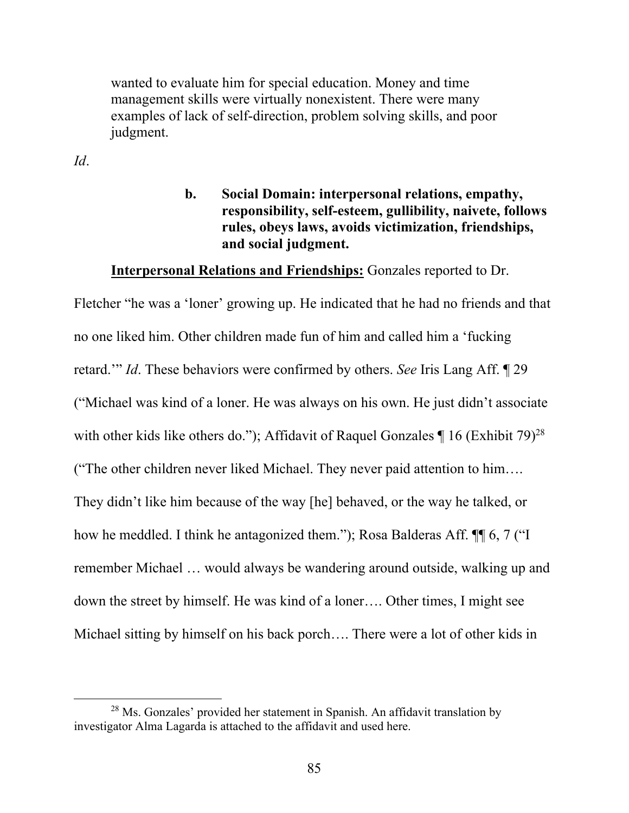wanted to evaluate him for special education. Money and time management skills were virtually nonexistent. There were many examples of lack of self-direction, problem solving skills, and poor judgment.

*Id*.

**b. Social Domain: interpersonal relations, empathy, responsibility, self-esteem, gullibility, naivete, follows rules, obeys laws, avoids victimization, friendships, and social judgment.** 

#### **Interpersonal Relations and Friendships:** Gonzales reported to Dr.

Fletcher "he was a 'loner' growing up. He indicated that he had no friends and that no one liked him. Other children made fun of him and called him a 'fucking retard.'" *Id*. These behaviors were confirmed by others. *See* Iris Lang Aff. ¶ 29 ("Michael was kind of a loner. He was always on his own. He just didn't associate with other kids like others do."); Affidavit of Raquel Gonzales  $\P$  16 (Exhibit 79)<sup>28</sup> ("The other children never liked Michael. They never paid attention to him…. They didn't like him because of the way [he] behaved, or the way he talked, or how he meddled. I think he antagonized them."); Rosa Balderas Aff. ¶¶ 6, 7 ("I remember Michael … would always be wandering around outside, walking up and down the street by himself. He was kind of a loner…. Other times, I might see Michael sitting by himself on his back porch…. There were a lot of other kids in

 $28$  Ms. Gonzales' provided her statement in Spanish. An affidavit translation by investigator Alma Lagarda is attached to the affidavit and used here.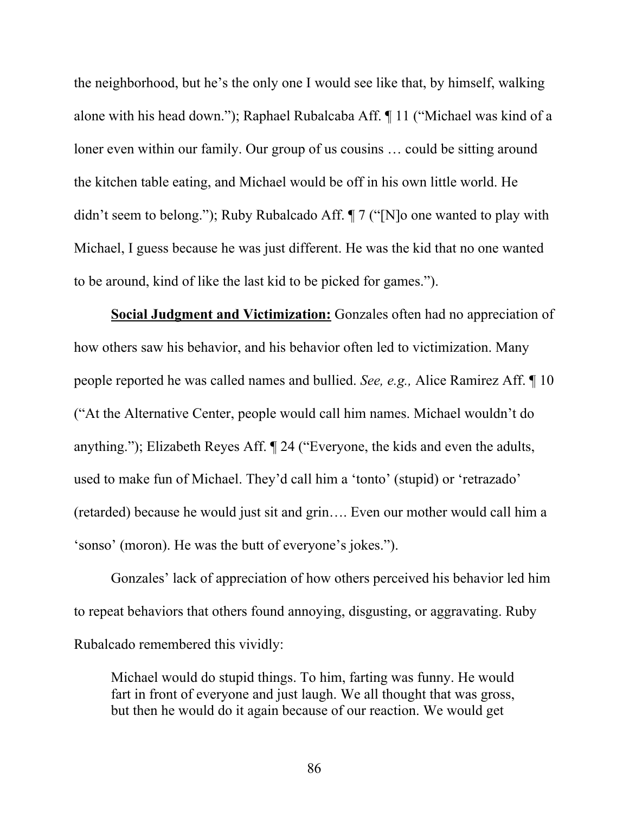the neighborhood, but he's the only one I would see like that, by himself, walking alone with his head down."); Raphael Rubalcaba Aff. ¶ 11 ("Michael was kind of a loner even within our family. Our group of us cousins … could be sitting around the kitchen table eating, and Michael would be off in his own little world. He didn't seem to belong."); Ruby Rubalcado Aff. ¶ 7 ("[N]o one wanted to play with Michael, I guess because he was just different. He was the kid that no one wanted to be around, kind of like the last kid to be picked for games.").

**Social Judgment and Victimization:** Gonzales often had no appreciation of how others saw his behavior, and his behavior often led to victimization. Many people reported he was called names and bullied. *See, e.g.,* Alice Ramirez Aff. ¶ 10 ("At the Alternative Center, people would call him names. Michael wouldn't do anything."); Elizabeth Reyes Aff. ¶ 24 ("Everyone, the kids and even the adults, used to make fun of Michael. They'd call him a 'tonto' (stupid) or 'retrazado' (retarded) because he would just sit and grin…. Even our mother would call him a 'sonso' (moron). He was the butt of everyone's jokes.").

Gonzales' lack of appreciation of how others perceived his behavior led him to repeat behaviors that others found annoying, disgusting, or aggravating. Ruby Rubalcado remembered this vividly:

Michael would do stupid things. To him, farting was funny. He would fart in front of everyone and just laugh. We all thought that was gross, but then he would do it again because of our reaction. We would get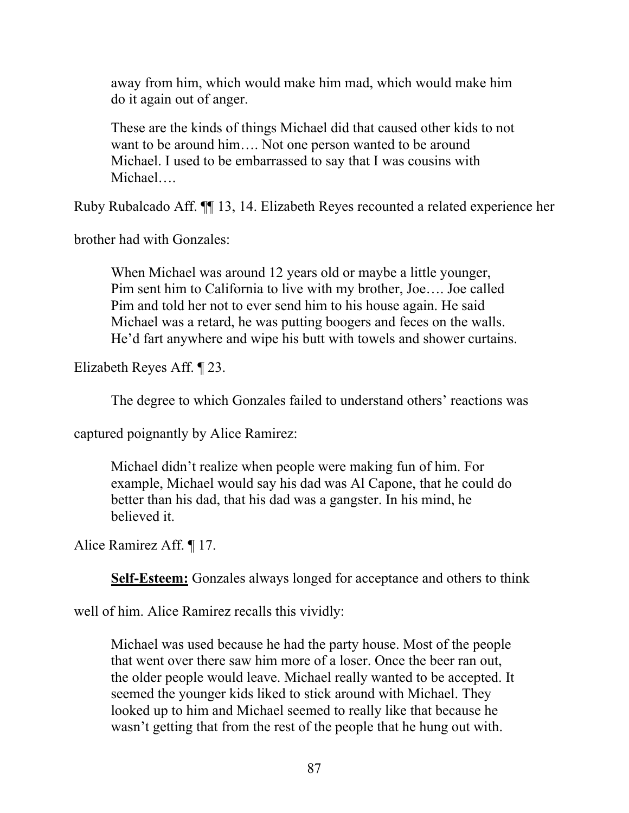away from him, which would make him mad, which would make him do it again out of anger.

These are the kinds of things Michael did that caused other kids to not want to be around him…. Not one person wanted to be around Michael. I used to be embarrassed to say that I was cousins with Michael….

Ruby Rubalcado Aff. ¶¶ 13, 14. Elizabeth Reyes recounted a related experience her

brother had with Gonzales:

When Michael was around 12 years old or maybe a little younger, Pim sent him to California to live with my brother, Joe…. Joe called Pim and told her not to ever send him to his house again. He said Michael was a retard, he was putting boogers and feces on the walls. He'd fart anywhere and wipe his butt with towels and shower curtains.

Elizabeth Reyes Aff. ¶ 23.

The degree to which Gonzales failed to understand others' reactions was

captured poignantly by Alice Ramirez:

Michael didn't realize when people were making fun of him. For example, Michael would say his dad was Al Capone, that he could do better than his dad, that his dad was a gangster. In his mind, he believed it.

Alice Ramirez Aff. ¶ 17.

**Self-Esteem:** Gonzales always longed for acceptance and others to think

well of him. Alice Ramirez recalls this vividly:

Michael was used because he had the party house. Most of the people that went over there saw him more of a loser. Once the beer ran out, the older people would leave. Michael really wanted to be accepted. It seemed the younger kids liked to stick around with Michael. They looked up to him and Michael seemed to really like that because he wasn't getting that from the rest of the people that he hung out with.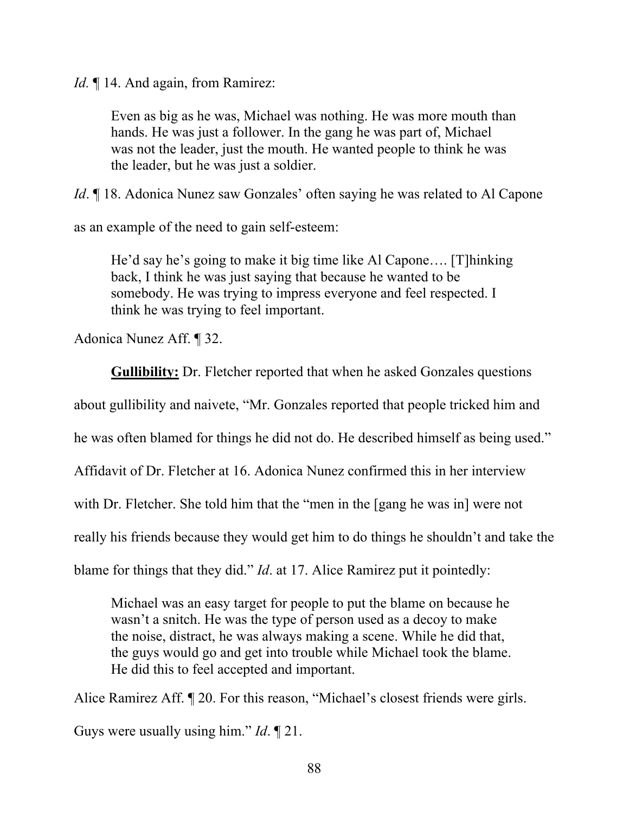*Id.* 14. And again, from Ramirez:

Even as big as he was, Michael was nothing. He was more mouth than hands. He was just a follower. In the gang he was part of, Michael was not the leader, just the mouth. He wanted people to think he was the leader, but he was just a soldier.

*Id*. ¶ 18. Adonica Nunez saw Gonzales' often saying he was related to Al Capone

as an example of the need to gain self-esteem:

He'd say he's going to make it big time like Al Capone…. [T]hinking back, I think he was just saying that because he wanted to be somebody. He was trying to impress everyone and feel respected. I think he was trying to feel important.

Adonica Nunez Aff. ¶ 32.

**Gullibility:** Dr. Fletcher reported that when he asked Gonzales questions

about gullibility and naivete, "Mr. Gonzales reported that people tricked him and

he was often blamed for things he did not do. He described himself as being used."

Affidavit of Dr. Fletcher at 16. Adonica Nunez confirmed this in her interview

with Dr. Fletcher. She told him that the "men in the [gang he was in] were not

really his friends because they would get him to do things he shouldn't and take the

blame for things that they did." *Id*. at 17. Alice Ramirez put it pointedly:

Michael was an easy target for people to put the blame on because he wasn't a snitch. He was the type of person used as a decoy to make the noise, distract, he was always making a scene. While he did that, the guys would go and get into trouble while Michael took the blame. He did this to feel accepted and important.

Alice Ramirez Aff. ¶ 20. For this reason, "Michael's closest friends were girls. Guys were usually using him." *Id*. ¶ 21.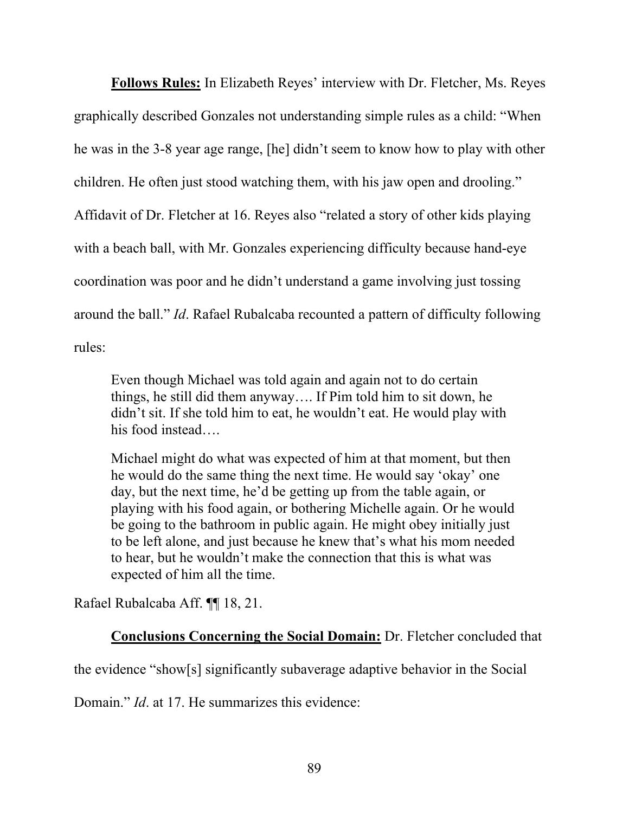**Follows Rules:** In Elizabeth Reyes' interview with Dr. Fletcher, Ms. Reyes graphically described Gonzales not understanding simple rules as a child: "When he was in the 3-8 year age range, [he] didn't seem to know how to play with other children. He often just stood watching them, with his jaw open and drooling." Affidavit of Dr. Fletcher at 16. Reyes also "related a story of other kids playing with a beach ball, with Mr. Gonzales experiencing difficulty because hand-eye coordination was poor and he didn't understand a game involving just tossing around the ball." *Id*. Rafael Rubalcaba recounted a pattern of difficulty following rules:

Even though Michael was told again and again not to do certain things, he still did them anyway…. If Pim told him to sit down, he didn't sit. If she told him to eat, he wouldn't eat. He would play with his food instead...

Michael might do what was expected of him at that moment, but then he would do the same thing the next time. He would say 'okay' one day, but the next time, he'd be getting up from the table again, or playing with his food again, or bothering Michelle again. Or he would be going to the bathroom in public again. He might obey initially just to be left alone, and just because he knew that's what his mom needed to hear, but he wouldn't make the connection that this is what was expected of him all the time.

Rafael Rubalcaba Aff. ¶¶ 18, 21.

### **Conclusions Concerning the Social Domain:** Dr. Fletcher concluded that

the evidence "show[s] significantly subaverage adaptive behavior in the Social

Domain." *Id*. at 17. He summarizes this evidence: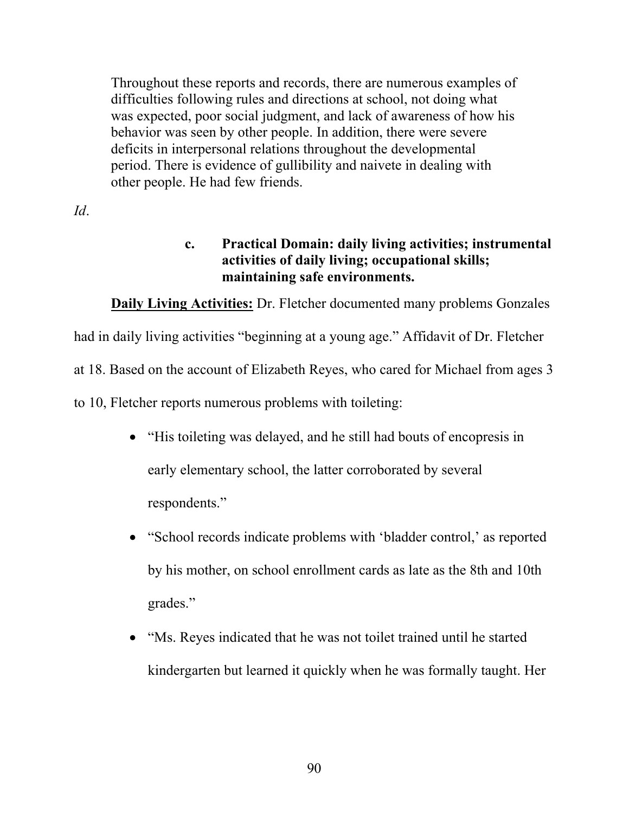Throughout these reports and records, there are numerous examples of difficulties following rules and directions at school, not doing what was expected, poor social judgment, and lack of awareness of how his behavior was seen by other people. In addition, there were severe deficits in interpersonal relations throughout the developmental period. There is evidence of gullibility and naivete in dealing with other people. He had few friends.

*Id*.

# **c. Practical Domain: daily living activities; instrumental activities of daily living; occupational skills; maintaining safe environments.**

**Daily Living Activities:** Dr. Fletcher documented many problems Gonzales

had in daily living activities "beginning at a young age." Affidavit of Dr. Fletcher

at 18. Based on the account of Elizabeth Reyes, who cared for Michael from ages 3

to 10, Fletcher reports numerous problems with toileting:

- "His toileting was delayed, and he still had bouts of encopresis in early elementary school, the latter corroborated by several respondents."
- "School records indicate problems with 'bladder control,' as reported by his mother, on school enrollment cards as late as the 8th and 10th grades."
- "Ms. Reyes indicated that he was not toilet trained until he started kindergarten but learned it quickly when he was formally taught. Her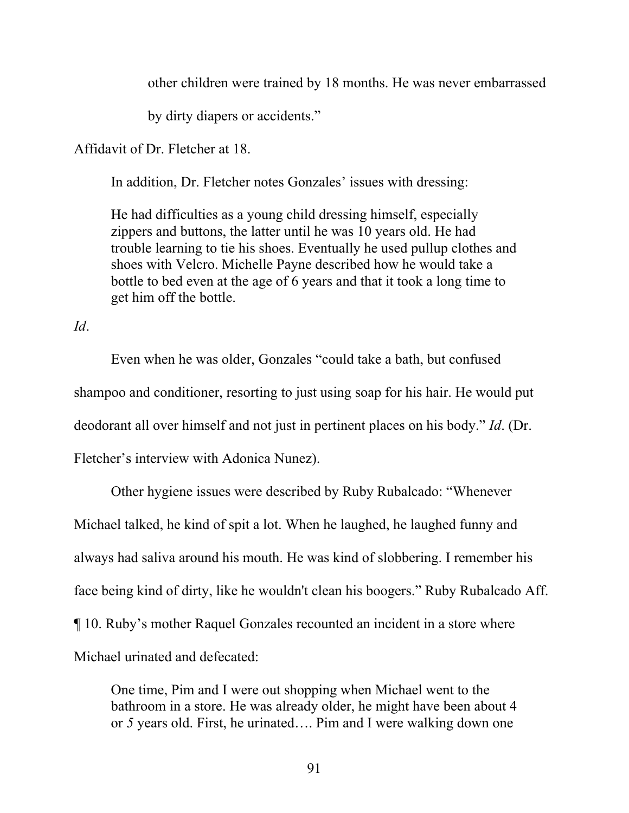other children were trained by 18 months. He was never embarrassed

by dirty diapers or accidents."

Affidavit of Dr. Fletcher at 18.

In addition, Dr. Fletcher notes Gonzales' issues with dressing:

He had difficulties as a young child dressing himself, especially zippers and buttons, the latter until he was 10 years old. He had trouble learning to tie his shoes. Eventually he used pullup clothes and shoes with Velcro. Michelle Payne described how he would take a bottle to bed even at the age of 6 years and that it took a long time to get him off the bottle.

*Id*.

Even when he was older, Gonzales "could take a bath, but confused shampoo and conditioner, resorting to just using soap for his hair. He would put deodorant all over himself and not just in pertinent places on his body." *Id*. (Dr. Fletcher's interview with Adonica Nunez).

Other hygiene issues were described by Ruby Rubalcado: "Whenever Michael talked, he kind of spit a lot. When he laughed, he laughed funny and always had saliva around his mouth. He was kind of slobbering. I remember his face being kind of dirty, like he wouldn't clean his boogers." Ruby Rubalcado Aff. ¶ 10. Ruby's mother Raquel Gonzales recounted an incident in a store where Michael urinated and defecated:

One time, Pim and I were out shopping when Michael went to the bathroom in a store. He was already older, he might have been about 4 or *5* years old. First, he urinated…. Pim and I were walking down one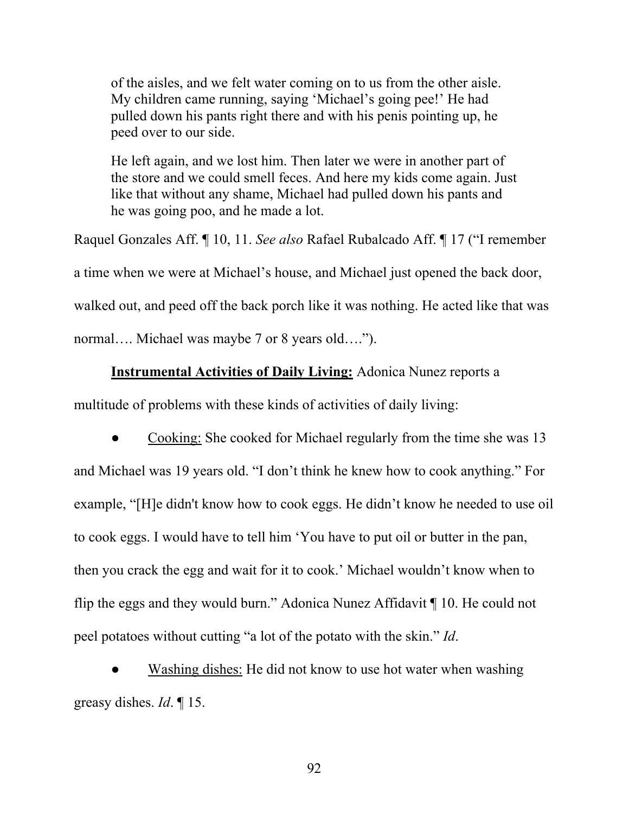of the aisles, and we felt water coming on to us from the other aisle. My children came running, saying 'Michael's going pee!' He had pulled down his pants right there and with his penis pointing up, he peed over to our side.

He left again, and we lost him. Then later we were in another part of the store and we could smell feces. And here my kids come again. Just like that without any shame, Michael had pulled down his pants and he was going poo, and he made a lot.

Raquel Gonzales Aff. ¶ 10, 11. *See also* Rafael Rubalcado Aff. ¶ 17 ("I remember a time when we were at Michael's house, and Michael just opened the back door, walked out, and peed off the back porch like it was nothing. He acted like that was normal…. Michael was maybe 7 or 8 years old….").

#### **Instrumental Activities of Daily Living:** Adonica Nunez reports a

multitude of problems with these kinds of activities of daily living:

Cooking: She cooked for Michael regularly from the time she was 13 and Michael was 19 years old. "I don't think he knew how to cook anything." For example, "[H]e didn't know how to cook eggs. He didn't know he needed to use oil to cook eggs. I would have to tell him 'You have to put oil or butter in the pan, then you crack the egg and wait for it to cook.' Michael wouldn't know when to flip the eggs and they would burn." Adonica Nunez Affidavit ¶ 10. He could not peel potatoes without cutting "a lot of the potato with the skin." *Id*.

Washing dishes: He did not know to use hot water when washing greasy dishes. *Id*. ¶ 15.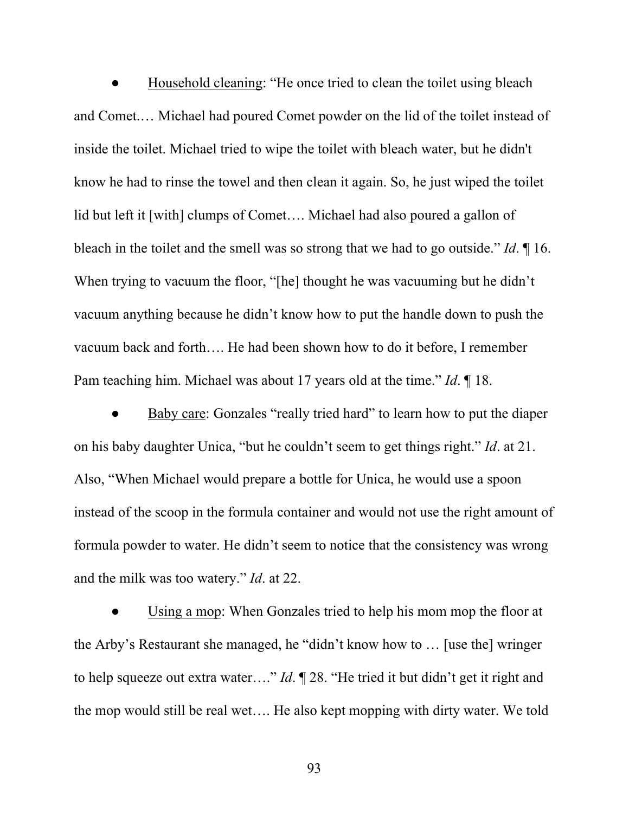Household cleaning: "He once tried to clean the toilet using bleach and Comet.… Michael had poured Comet powder on the lid of the toilet instead of inside the toilet. Michael tried to wipe the toilet with bleach water, but he didn't know he had to rinse the towel and then clean it again. So, he just wiped the toilet lid but left it [with] clumps of Comet.... Michael had also poured a gallon of bleach in the toilet and the smell was so strong that we had to go outside." *Id*. ¶ 16. When trying to vacuum the floor, "[he] thought he was vacuuming but he didn't vacuum anything because he didn't know how to put the handle down to push the vacuum back and forth…. He had been shown how to do it before, I remember Pam teaching him. Michael was about 17 years old at the time." *Id*. ¶ 18.

Baby care: Gonzales "really tried hard" to learn how to put the diaper on his baby daughter Unica, "but he couldn't seem to get things right." *Id*. at 21. Also, "When Michael would prepare a bottle for Unica, he would use a spoon instead of the scoop in the formula container and would not use the right amount of formula powder to water. He didn't seem to notice that the consistency was wrong and the milk was too watery." *Id*. at 22.

Using a mop: When Gonzales tried to help his mom mop the floor at the Arby's Restaurant she managed, he "didn't know how to … [use the] wringer to help squeeze out extra water…." *Id*. ¶ 28. "He tried it but didn't get it right and the mop would still be real wet…. He also kept mopping with dirty water. We told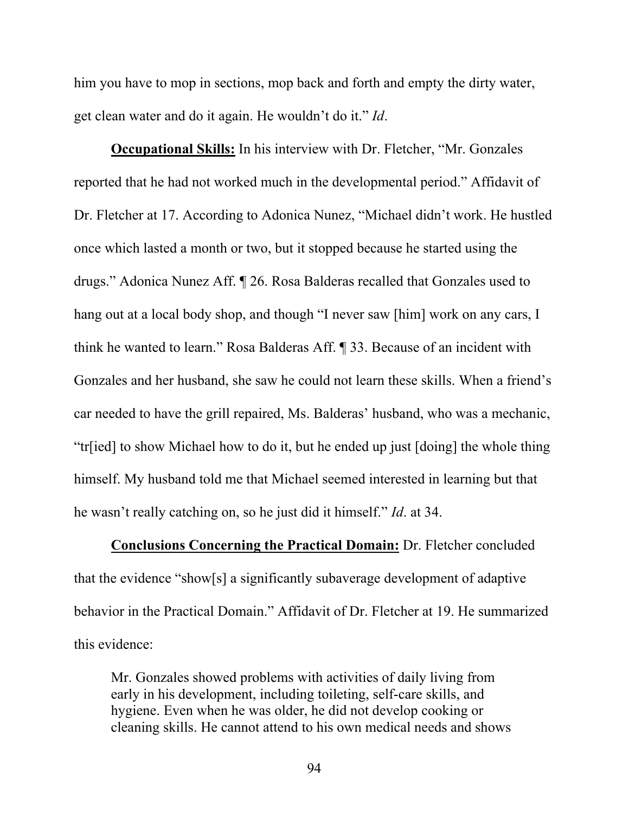him you have to mop in sections, mop back and forth and empty the dirty water, get clean water and do it again. He wouldn't do it." *Id*.

**Occupational Skills:** In his interview with Dr. Fletcher, "Mr. Gonzales reported that he had not worked much in the developmental period." Affidavit of Dr. Fletcher at 17. According to Adonica Nunez, "Michael didn't work. He hustled once which lasted a month or two, but it stopped because he started using the drugs." Adonica Nunez Aff. ¶ 26. Rosa Balderas recalled that Gonzales used to hang out at a local body shop, and though "I never saw [him] work on any cars, I think he wanted to learn." Rosa Balderas Aff. ¶ 33. Because of an incident with Gonzales and her husband, she saw he could not learn these skills. When a friend's car needed to have the grill repaired, Ms. Balderas' husband, who was a mechanic, "tr[ied] to show Michael how to do it, but he ended up just [doing] the whole thing himself. My husband told me that Michael seemed interested in learning but that he wasn't really catching on, so he just did it himself." *Id*. at 34.

**Conclusions Concerning the Practical Domain:** Dr. Fletcher concluded that the evidence "show[s] a significantly subaverage development of adaptive behavior in the Practical Domain." Affidavit of Dr. Fletcher at 19. He summarized this evidence:

Mr. Gonzales showed problems with activities of daily living from early in his development, including toileting, self-care skills, and hygiene. Even when he was older, he did not develop cooking or cleaning skills. He cannot attend to his own medical needs and shows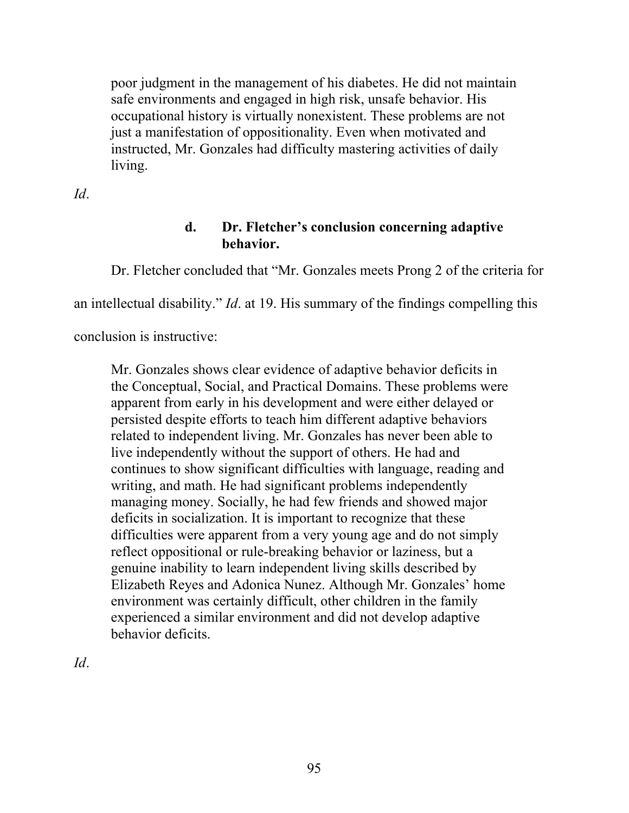poor judgment in the management of his diabetes. He did not maintain safe environments and engaged in high risk, unsafe behavior. His occupational history is virtually nonexistent. These problems are not just a manifestation of oppositionality. Even when motivated and instructed, Mr. Gonzales had difficulty mastering activities of daily living.

*Id*.

# **d. Dr. Fletcher's conclusion concerning adaptive behavior.**

Dr. Fletcher concluded that "Mr. Gonzales meets Prong 2 of the criteria for

an intellectual disability." *Id*. at 19. His summary of the findings compelling this

conclusion is instructive:

Mr. Gonzales shows clear evidence of adaptive behavior deficits in the Conceptual, Social, and Practical Domains. These problems were apparent from early in his development and were either delayed or persisted despite efforts to teach him different adaptive behaviors related to independent living. Mr. Gonzales has never been able to live independently without the support of others. He had and continues to show significant difficulties with language, reading and writing, and math. He had significant problems independently managing money. Socially, he had few friends and showed major deficits in socialization. It is important to recognize that these difficulties were apparent from a very young age and do not simply reflect oppositional or rule-breaking behavior or laziness, but a genuine inability to learn independent living skills described by Elizabeth Reyes and Adonica Nunez. Although Mr. Gonzales' home environment was certainly difficult, other children in the family experienced a similar environment and did not develop adaptive behavior deficits.

*Id*.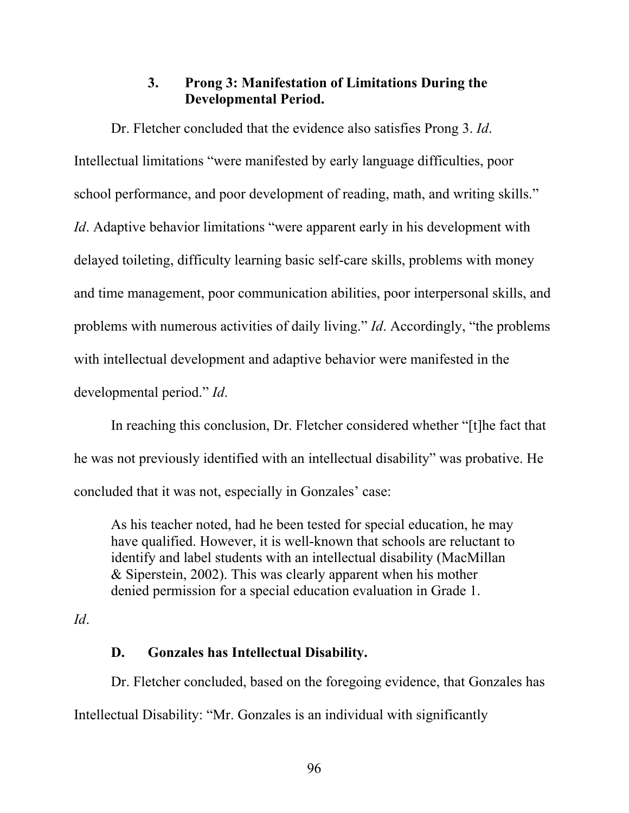## **3. Prong 3: Manifestation of Limitations During the Developmental Period.**

Dr. Fletcher concluded that the evidence also satisfies Prong 3. *Id*. Intellectual limitations "were manifested by early language difficulties, poor school performance, and poor development of reading, math, and writing skills." *Id*. Adaptive behavior limitations "were apparent early in his development with delayed toileting, difficulty learning basic self-care skills, problems with money and time management, poor communication abilities, poor interpersonal skills, and problems with numerous activities of daily living." *Id*. Accordingly, "the problems with intellectual development and adaptive behavior were manifested in the developmental period." *Id*.

In reaching this conclusion, Dr. Fletcher considered whether "[t]he fact that he was not previously identified with an intellectual disability" was probative. He concluded that it was not, especially in Gonzales' case:

As his teacher noted, had he been tested for special education, he may have qualified. However, it is well-known that schools are reluctant to identify and label students with an intellectual disability (MacMillan & Siperstein, 2002). This was clearly apparent when his mother denied permission for a special education evaluation in Grade 1.

#### *Id*.

## **D. Gonzales has Intellectual Disability.**

Dr. Fletcher concluded, based on the foregoing evidence, that Gonzales has Intellectual Disability: "Mr. Gonzales is an individual with significantly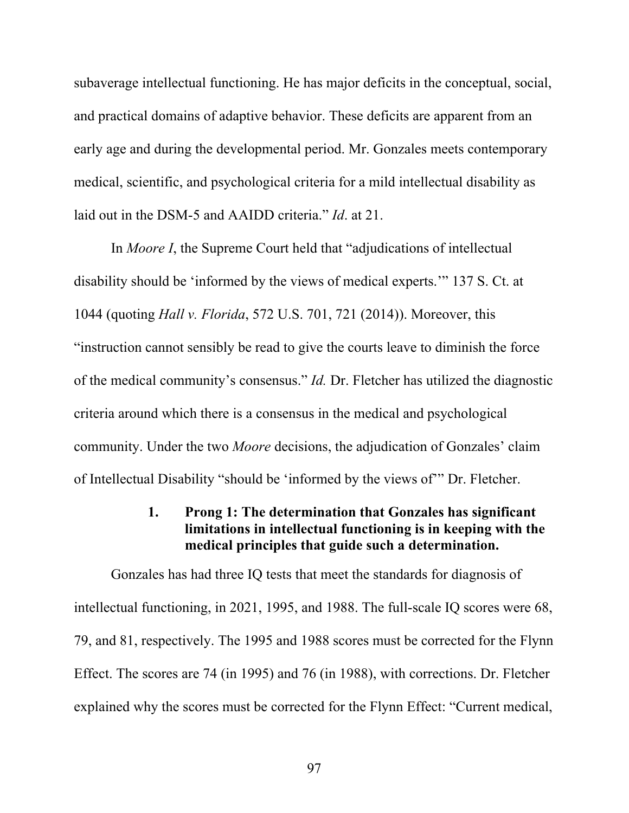subaverage intellectual functioning. He has major deficits in the conceptual, social, and practical domains of adaptive behavior. These deficits are apparent from an early age and during the developmental period. Mr. Gonzales meets contemporary medical, scientific, and psychological criteria for a mild intellectual disability as laid out in the DSM-5 and AAIDD criteria." *Id*. at 21.

In *Moore I*, the Supreme Court held that "adjudications of intellectual disability should be 'informed by the views of medical experts.'" 137 S. Ct. at 1044 (quoting *Hall v. Florida*, 572 U.S. 701, 721 (2014)). Moreover, this "instruction cannot sensibly be read to give the courts leave to diminish the force of the medical community's consensus." *Id.* Dr. Fletcher has utilized the diagnostic criteria around which there is a consensus in the medical and psychological community. Under the two *Moore* decisions, the adjudication of Gonzales' claim of Intellectual Disability "should be 'informed by the views of'" Dr. Fletcher.

#### **1. Prong 1: The determination that Gonzales has significant limitations in intellectual functioning is in keeping with the medical principles that guide such a determination.**

Gonzales has had three IQ tests that meet the standards for diagnosis of intellectual functioning, in 2021, 1995, and 1988. The full-scale IQ scores were 68, 79, and 81, respectively. The 1995 and 1988 scores must be corrected for the Flynn Effect. The scores are 74 (in 1995) and 76 (in 1988), with corrections. Dr. Fletcher explained why the scores must be corrected for the Flynn Effect: "Current medical,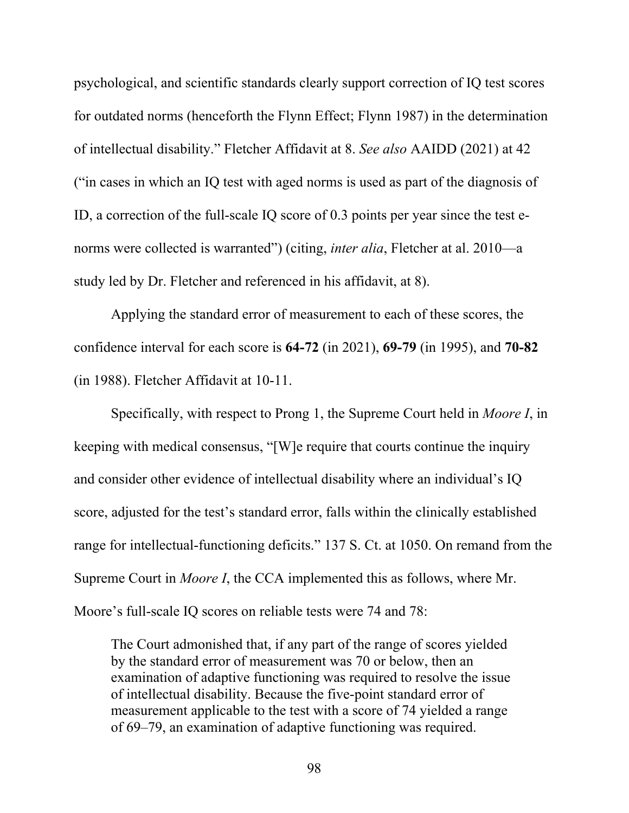psychological, and scientific standards clearly support correction of IQ test scores for outdated norms (henceforth the Flynn Effect; Flynn 1987) in the determination of intellectual disability." Fletcher Affidavit at 8. *See also* AAIDD (2021) at 42 ("in cases in which an IQ test with aged norms is used as part of the diagnosis of ID, a correction of the full-scale IQ score of 0.3 points per year since the test enorms were collected is warranted") (citing, *inter alia*, Fletcher at al. 2010—a study led by Dr. Fletcher and referenced in his affidavit, at 8).

Applying the standard error of measurement to each of these scores, the confidence interval for each score is **64-72** (in 2021), **69-79** (in 1995), and **70-82** (in 1988). Fletcher Affidavit at 10-11.

Specifically, with respect to Prong 1, the Supreme Court held in *Moore I*, in keeping with medical consensus, "[W]e require that courts continue the inquiry and consider other evidence of intellectual disability where an individual's IQ score, adjusted for the test's standard error, falls within the clinically established range for intellectual-functioning deficits." 137 S. Ct. at 1050. On remand from the Supreme Court in *Moore I*, the CCA implemented this as follows, where Mr. Moore's full-scale IQ scores on reliable tests were 74 and 78:

The Court admonished that, if any part of the range of scores yielded by the standard error of measurement was 70 or below, then an examination of adaptive functioning was required to resolve the issue of intellectual disability. Because the five-point standard error of measurement applicable to the test with a score of 74 yielded a range of 69–79, an examination of adaptive functioning was required.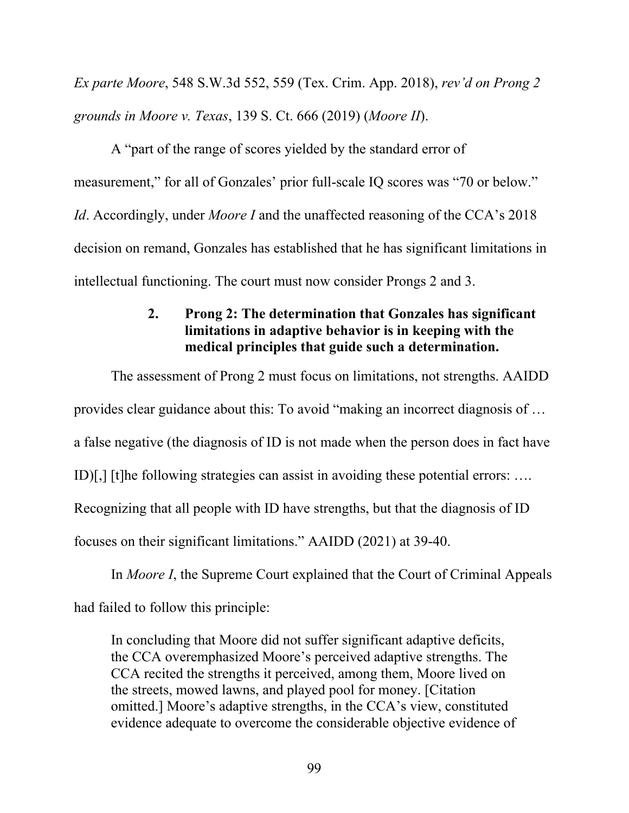*Ex parte Moore*, 548 S.W.3d 552, 559 (Tex. Crim. App. 2018), *rev'd on Prong 2 grounds in Moore v. Texas*, 139 S. Ct. 666 (2019) (*Moore II*).

A "part of the range of scores yielded by the standard error of measurement," for all of Gonzales' prior full-scale IQ scores was "70 or below." *Id.* Accordingly, under *Moore I* and the unaffected reasoning of the CCA's 2018 decision on remand, Gonzales has established that he has significant limitations in intellectual functioning. The court must now consider Prongs 2 and 3.

#### **2. Prong 2: The determination that Gonzales has significant limitations in adaptive behavior is in keeping with the medical principles that guide such a determination.**

The assessment of Prong 2 must focus on limitations, not strengths. AAIDD provides clear guidance about this: To avoid "making an incorrect diagnosis of … a false negative (the diagnosis of ID is not made when the person does in fact have ID)[,] [t]he following strategies can assist in avoiding these potential errors: …. Recognizing that all people with ID have strengths, but that the diagnosis of ID focuses on their significant limitations." AAIDD (2021) at 39-40.

In *Moore I*, the Supreme Court explained that the Court of Criminal Appeals

had failed to follow this principle:

In concluding that Moore did not suffer significant adaptive deficits, the CCA overemphasized Moore's perceived adaptive strengths. The CCA recited the strengths it perceived, among them, Moore lived on the streets, mowed lawns, and played pool for money. [Citation omitted.] Moore's adaptive strengths, in the CCA's view, constituted evidence adequate to overcome the considerable objective evidence of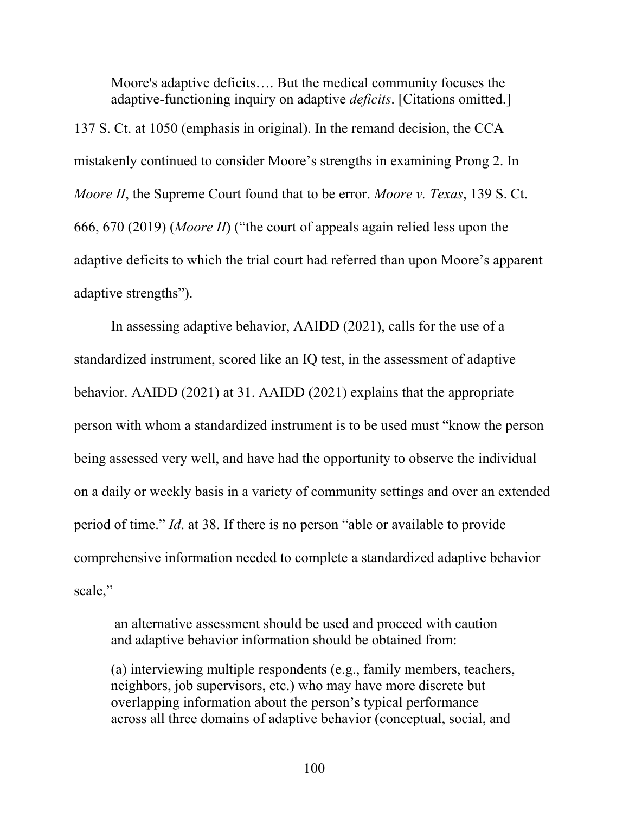Moore's adaptive deficits…. But the medical community focuses the adaptive-functioning inquiry on adaptive *deficits*. [Citations omitted.]

137 S. Ct. at 1050 (emphasis in original). In the remand decision, the CCA mistakenly continued to consider Moore's strengths in examining Prong 2. In *Moore II*, the Supreme Court found that to be error. *Moore v. Texas*, 139 S. Ct. 666, 670 (2019) (*Moore II*) ("the court of appeals again relied less upon the adaptive deficits to which the trial court had referred than upon Moore's apparent adaptive strengths").

In assessing adaptive behavior, AAIDD (2021), calls for the use of a standardized instrument, scored like an IQ test, in the assessment of adaptive behavior. AAIDD (2021) at 31. AAIDD (2021) explains that the appropriate person with whom a standardized instrument is to be used must "know the person being assessed very well, and have had the opportunity to observe the individual on a daily or weekly basis in a variety of community settings and over an extended period of time." *Id*. at 38. If there is no person "able or available to provide comprehensive information needed to complete a standardized adaptive behavior scale,"

 an alternative assessment should be used and proceed with caution and adaptive behavior information should be obtained from:

(a) interviewing multiple respondents (e.g., family members, teachers, neighbors, job supervisors, etc.) who may have more discrete but overlapping information about the person's typical performance across all three domains of adaptive behavior (conceptual, social, and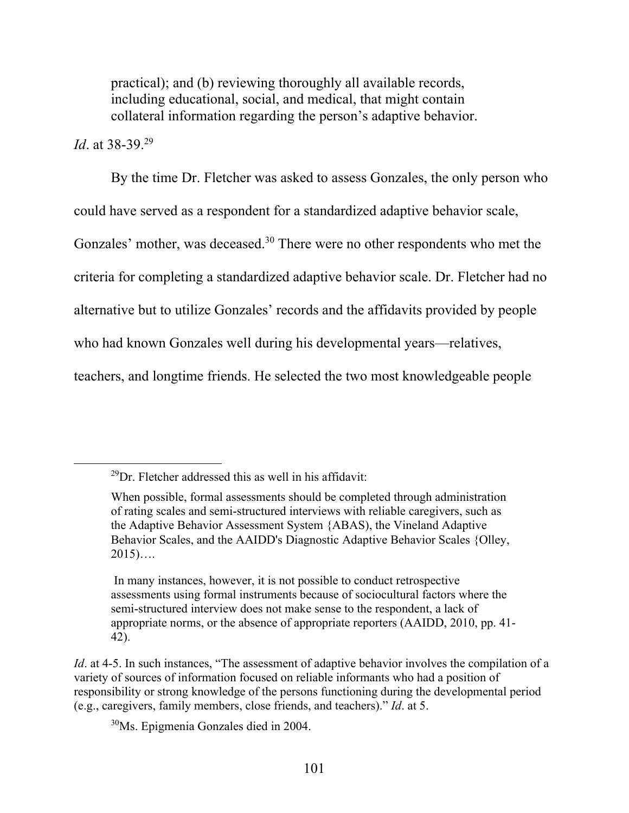practical); and (b) reviewing thoroughly all available records, including educational, social, and medical, that might contain collateral information regarding the person's adaptive behavior.

## *Id*. at 38-39.29

By the time Dr. Fletcher was asked to assess Gonzales, the only person who could have served as a respondent for a standardized adaptive behavior scale, Gonzales' mother, was deceased.<sup>30</sup> There were no other respondents who met the criteria for completing a standardized adaptive behavior scale. Dr. Fletcher had no alternative but to utilize Gonzales' records and the affidavits provided by people who had known Gonzales well during his developmental years—relatives,

teachers, and longtime friends. He selected the two most knowledgeable people

30Ms. Epigmenia Gonzales died in 2004.

 $^{29}$ Dr. Fletcher addressed this as well in his affidavit:

When possible, formal assessments should be completed through administration of rating scales and semi-structured interviews with reliable caregivers, such as the Adaptive Behavior Assessment System {ABAS), the Vineland Adaptive Behavior Scales, and the AAIDD's Diagnostic Adaptive Behavior Scales {Olley,  $2015)$ ….

In many instances, however, it is not possible to conduct retrospective assessments using formal instruments because of sociocultural factors where the semi-structured interview does not make sense to the respondent, a lack of appropriate norms, or the absence of appropriate reporters (AAIDD, 2010, pp. 41- 42).

*Id.* at 4-5. In such instances, "The assessment of adaptive behavior involves the compilation of a variety of sources of information focused on reliable informants who had a position of responsibility or strong knowledge of the persons functioning during the developmental period (e.g., caregivers, family members, close friends, and teachers)." *Id*. at 5.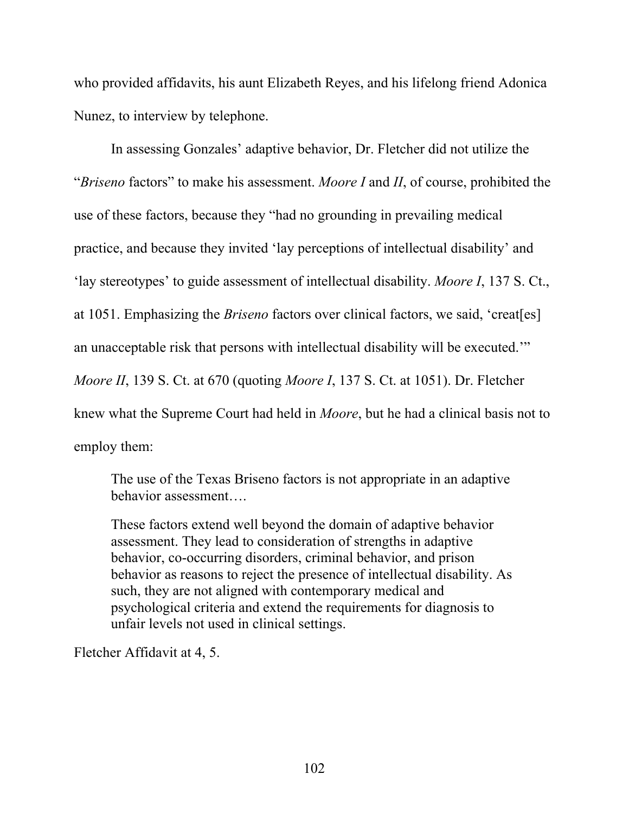who provided affidavits, his aunt Elizabeth Reyes, and his lifelong friend Adonica Nunez, to interview by telephone.

In assessing Gonzales' adaptive behavior, Dr. Fletcher did not utilize the "*Briseno* factors" to make his assessment. *Moore I* and *II*, of course, prohibited the use of these factors, because they "had no grounding in prevailing medical practice, and because they invited 'lay perceptions of intellectual disability' and 'lay stereotypes' to guide assessment of intellectual disability. *Moore I*, 137 S. Ct., at 1051. Emphasizing the *Briseno* factors over clinical factors, we said, 'creat[es] an unacceptable risk that persons with intellectual disability will be executed.'" *Moore II*, 139 S. Ct. at 670 (quoting *Moore I*, 137 S. Ct. at 1051). Dr. Fletcher knew what the Supreme Court had held in *Moore*, but he had a clinical basis not to employ them:

The use of the Texas Briseno factors is not appropriate in an adaptive behavior assessment….

These factors extend well beyond the domain of adaptive behavior assessment. They lead to consideration of strengths in adaptive behavior, co-occurring disorders, criminal behavior, and prison behavior as reasons to reject the presence of intellectual disability. As such, they are not aligned with contemporary medical and psychological criteria and extend the requirements for diagnosis to unfair levels not used in clinical settings.

Fletcher Affidavit at 4, 5.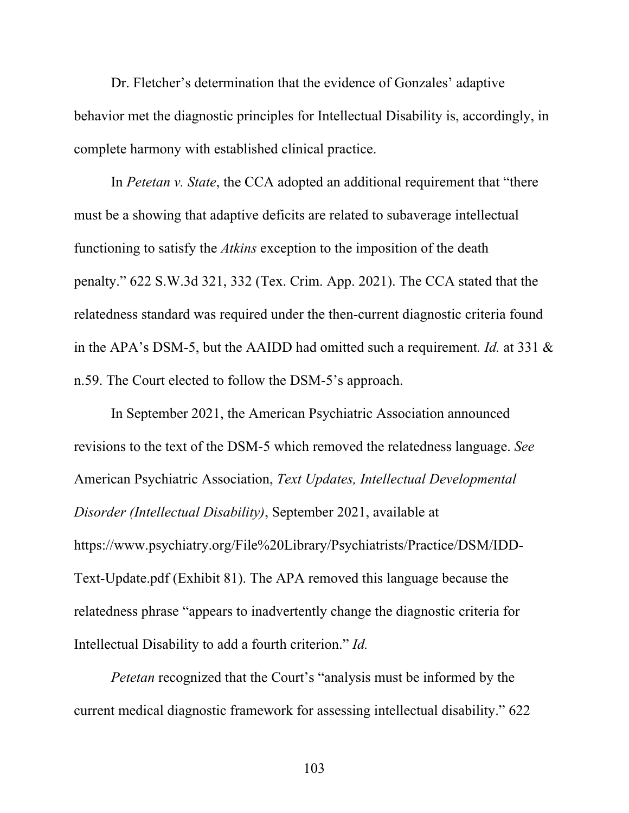Dr. Fletcher's determination that the evidence of Gonzales' adaptive behavior met the diagnostic principles for Intellectual Disability is, accordingly, in complete harmony with established clinical practice.

In *Petetan v. State*, the CCA adopted an additional requirement that "there must be a showing that adaptive deficits are related to subaverage intellectual functioning to satisfy the *Atkins* exception to the imposition of the death penalty." 622 S.W.3d 321, 332 (Tex. Crim. App. 2021). The CCA stated that the relatedness standard was required under the then-current diagnostic criteria found in the APA's DSM-5, but the AAIDD had omitted such a requirement*. Id.* at 331 & n.59. The Court elected to follow the DSM-5's approach.

In September 2021, the American Psychiatric Association announced revisions to the text of the DSM-5 which removed the relatedness language. *See*  American Psychiatric Association, *Text Updates, Intellectual Developmental Disorder (Intellectual Disability)*, September 2021, available at https://www.psychiatry.org/File%20Library/Psychiatrists/Practice/DSM/IDD-Text-Update.pdf (Exhibit 81). The APA removed this language because the relatedness phrase "appears to inadvertently change the diagnostic criteria for Intellectual Disability to add a fourth criterion." *Id.* 

*Petetan* recognized that the Court's "analysis must be informed by the current medical diagnostic framework for assessing intellectual disability." 622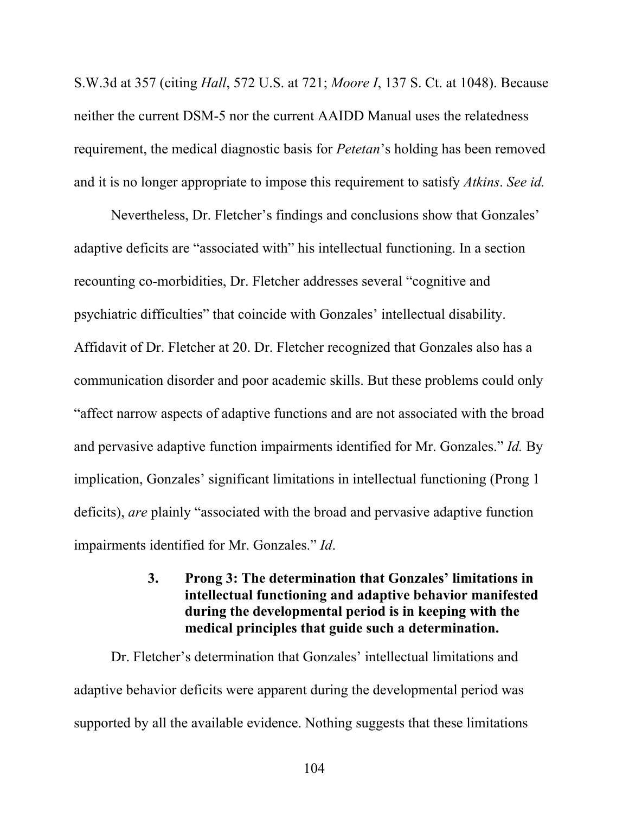S.W.3d at 357 (citing *Hall*, 572 U.S. at 721; *Moore I*, 137 S. Ct. at 1048). Because neither the current DSM-5 nor the current AAIDD Manual uses the relatedness requirement, the medical diagnostic basis for *Petetan*'s holding has been removed and it is no longer appropriate to impose this requirement to satisfy *Atkins*. *See id.*

Nevertheless, Dr. Fletcher's findings and conclusions show that Gonzales' adaptive deficits are "associated with" his intellectual functioning. In a section recounting co-morbidities, Dr. Fletcher addresses several "cognitive and psychiatric difficulties" that coincide with Gonzales' intellectual disability. Affidavit of Dr. Fletcher at 20. Dr. Fletcher recognized that Gonzales also has a communication disorder and poor academic skills. But these problems could only "affect narrow aspects of adaptive functions and are not associated with the broad and pervasive adaptive function impairments identified for Mr. Gonzales." *Id.* By implication, Gonzales' significant limitations in intellectual functioning (Prong 1 deficits), *are* plainly "associated with the broad and pervasive adaptive function impairments identified for Mr. Gonzales." *Id*.

# **3. Prong 3: The determination that Gonzales' limitations in intellectual functioning and adaptive behavior manifested during the developmental period is in keeping with the medical principles that guide such a determination.**

Dr. Fletcher's determination that Gonzales' intellectual limitations and adaptive behavior deficits were apparent during the developmental period was supported by all the available evidence. Nothing suggests that these limitations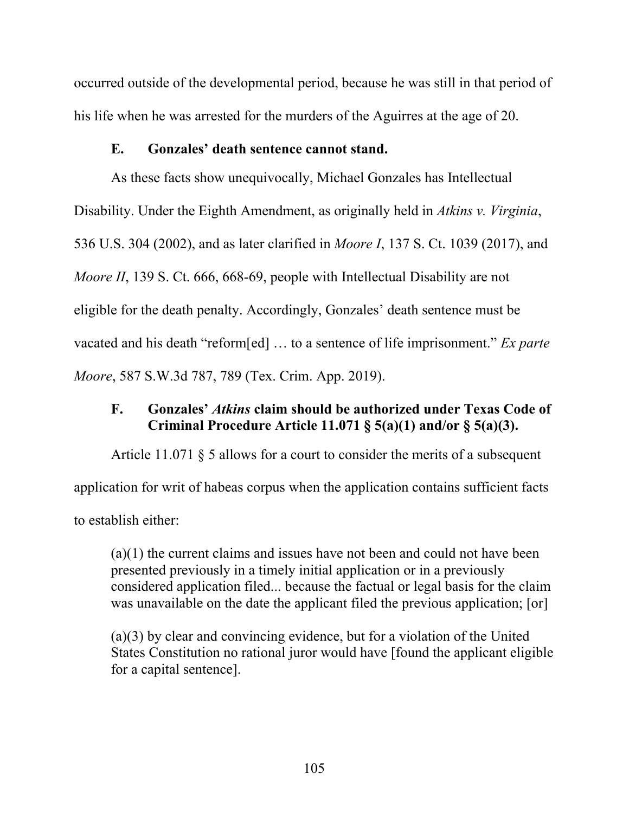occurred outside of the developmental period, because he was still in that period of his life when he was arrested for the murders of the Aguirres at the age of 20.

#### **E. Gonzales' death sentence cannot stand.**

As these facts show unequivocally, Michael Gonzales has Intellectual Disability. Under the Eighth Amendment, as originally held in *Atkins v. Virginia*, 536 U.S. 304 (2002), and as later clarified in *Moore I*, 137 S. Ct. 1039 (2017), and *Moore II*, 139 S. Ct. 666, 668-69, people with Intellectual Disability are not eligible for the death penalty. Accordingly, Gonzales' death sentence must be vacated and his death "reform[ed] … to a sentence of life imprisonment." *Ex parte Moore*, 587 S.W.3d 787, 789 (Tex. Crim. App. 2019).

# **F. Gonzales'** *Atkins* **claim should be authorized under Texas Code of Criminal Procedure Article 11.071 § 5(a)(1) and/or § 5(a)(3).**

Article 11.071 § 5 allows for a court to consider the merits of a subsequent application for writ of habeas corpus when the application contains sufficient facts to establish either:

(a)(1) the current claims and issues have not been and could not have been presented previously in a timely initial application or in a previously considered application filed... because the factual or legal basis for the claim was unavailable on the date the applicant filed the previous application; [or]

(a)(3) by clear and convincing evidence, but for a violation of the United States Constitution no rational juror would have [found the applicant eligible for a capital sentence].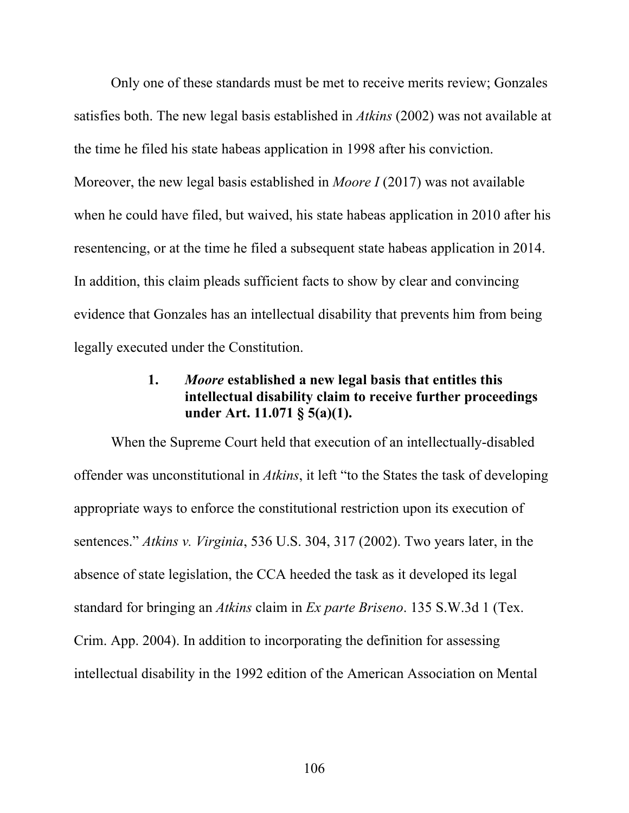Only one of these standards must be met to receive merits review; Gonzales satisfies both. The new legal basis established in *Atkins* (2002) was not available at the time he filed his state habeas application in 1998 after his conviction. Moreover, the new legal basis established in *Moore I* (2017) was not available when he could have filed, but waived, his state habeas application in 2010 after his resentencing, or at the time he filed a subsequent state habeas application in 2014. In addition, this claim pleads sufficient facts to show by clear and convincing evidence that Gonzales has an intellectual disability that prevents him from being legally executed under the Constitution.

# **1.** *Moore* **established a new legal basis that entitles this intellectual disability claim to receive further proceedings under Art. 11.071 § 5(a)(1).**

When the Supreme Court held that execution of an intellectually-disabled offender was unconstitutional in *Atkins*, it left "to the States the task of developing appropriate ways to enforce the constitutional restriction upon its execution of sentences." *Atkins v. Virginia*, 536 U.S. 304, 317 (2002). Two years later, in the absence of state legislation, the CCA heeded the task as it developed its legal standard for bringing an *Atkins* claim in *Ex parte Briseno*. 135 S.W.3d 1 (Tex. Crim. App. 2004). In addition to incorporating the definition for assessing intellectual disability in the 1992 edition of the American Association on Mental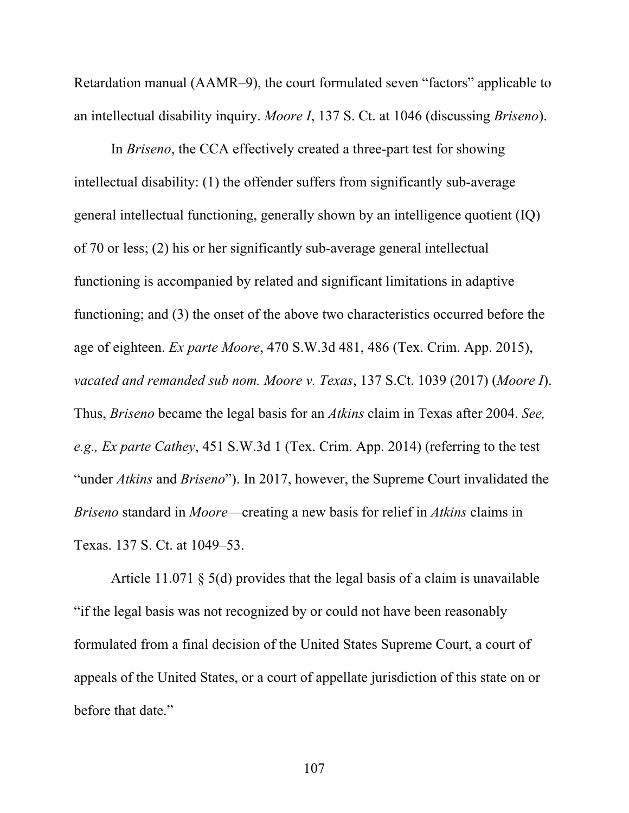Retardation manual (AAMR–9), the court formulated seven "factors" applicable to an intellectual disability inquiry. *Moore I*, 137 S. Ct. at 1046 (discussing *Briseno*).

In *Briseno*, the CCA effectively created a three-part test for showing intellectual disability: (1) the offender suffers from significantly sub-average general intellectual functioning, generally shown by an intelligence quotient (IQ) of 70 or less; (2) his or her significantly sub-average general intellectual functioning is accompanied by related and significant limitations in adaptive functioning; and (3) the onset of the above two characteristics occurred before the age of eighteen. *Ex parte Moore*, 470 S.W.3d 481, 486 (Tex. Crim. App. 2015), *vacated and remanded sub nom. Moore v. Texas*, 137 S.Ct. 1039 (2017) (*Moore I*). Thus, *Briseno* became the legal basis for an *Atkins* claim in Texas after 2004. *See, e.g., Ex parte Cathey*, 451 S.W.3d 1 (Tex. Crim. App. 2014) (referring to the test "under *Atkins* and *Briseno*"). In 2017, however, the Supreme Court invalidated the *Briseno* standard in *Moore*—creating a new basis for relief in *Atkins* claims in Texas. 137 S. Ct. at 1049–53.

Article 11.071 § 5(d) provides that the legal basis of a claim is unavailable "if the legal basis was not recognized by or could not have been reasonably formulated from a final decision of the United States Supreme Court, a court of appeals of the United States, or a court of appellate jurisdiction of this state on or before that date."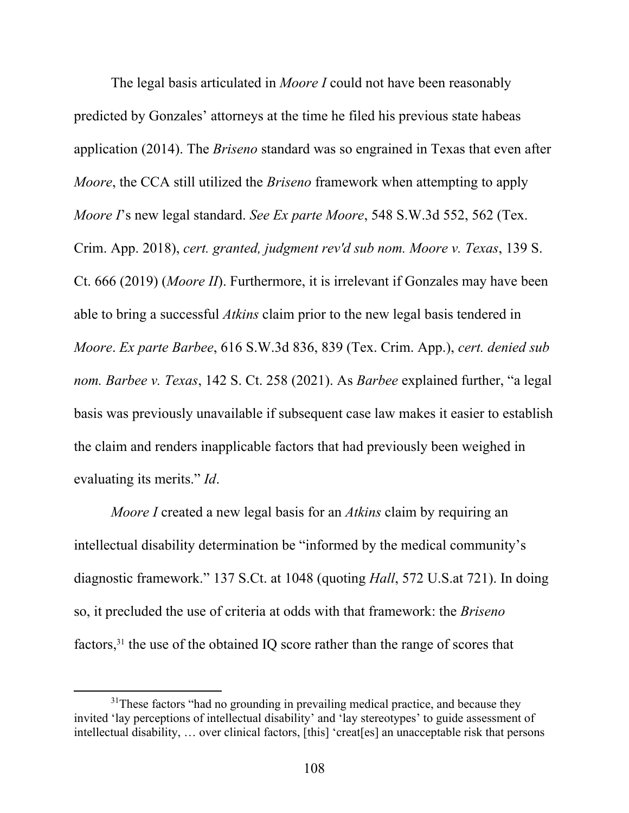The legal basis articulated in *Moore I* could not have been reasonably predicted by Gonzales' attorneys at the time he filed his previous state habeas application (2014). The *Briseno* standard was so engrained in Texas that even after *Moore*, the CCA still utilized the *Briseno* framework when attempting to apply *Moore I*'s new legal standard. *See Ex parte Moore*, 548 S.W.3d 552, 562 (Tex. Crim. App. 2018), *cert. granted, judgment rev'd sub nom. Moore v. Texas*, 139 S. Ct. 666 (2019) (*Moore II*). Furthermore, it is irrelevant if Gonzales may have been able to bring a successful *Atkins* claim prior to the new legal basis tendered in *Moore*. *Ex parte Barbee*, 616 S.W.3d 836, 839 (Tex. Crim. App.), *cert. denied sub nom. Barbee v. Texas*, 142 S. Ct. 258 (2021). As *Barbee* explained further, "a legal basis was previously unavailable if subsequent case law makes it easier to establish the claim and renders inapplicable factors that had previously been weighed in evaluating its merits." *Id*.

*Moore I* created a new legal basis for an *Atkins* claim by requiring an intellectual disability determination be "informed by the medical community's diagnostic framework." 137 S.Ct. at 1048 (quoting *Hall*, 572 U.S.at 721). In doing so, it precluded the use of criteria at odds with that framework: the *Briseno*  factors,31 the use of the obtained IQ score rather than the range of scores that

 $31$ These factors "had no grounding in prevailing medical practice, and because they invited 'lay perceptions of intellectual disability' and 'lay stereotypes' to guide assessment of intellectual disability, … over clinical factors, [this] 'creat[es] an unacceptable risk that persons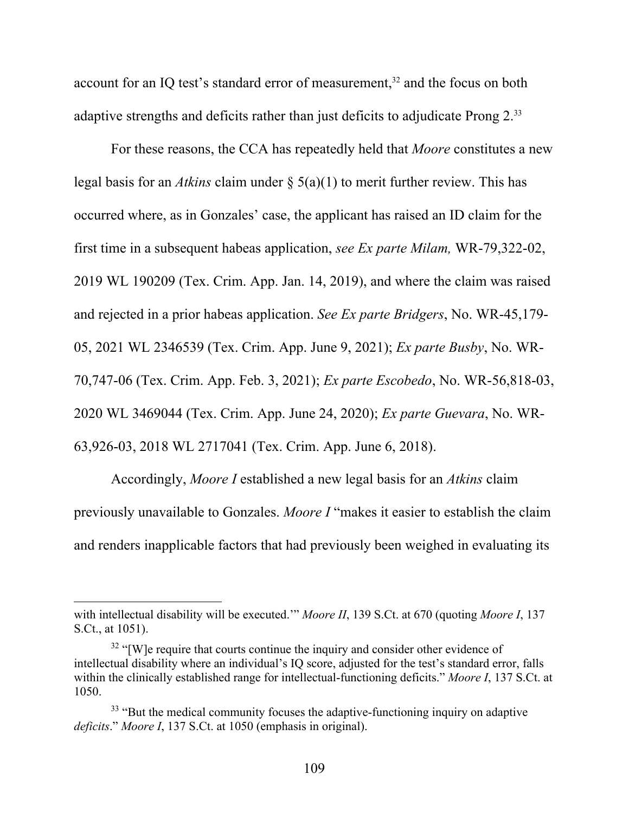account for an IQ test's standard error of measurement,<sup>32</sup> and the focus on both adaptive strengths and deficits rather than just deficits to adjudicate Prong 2.<sup>33</sup>

For these reasons, the CCA has repeatedly held that *Moore* constitutes a new legal basis for an *Atkins* claim under § 5(a)(1) to merit further review. This has occurred where, as in Gonzales' case, the applicant has raised an ID claim for the first time in a subsequent habeas application, *see Ex parte Milam,* WR-79,322-02, 2019 WL 190209 (Tex. Crim. App. Jan. 14, 2019), and where the claim was raised and rejected in a prior habeas application. *See Ex parte Bridgers*, No. WR-45,179- 05, 2021 WL 2346539 (Tex. Crim. App. June 9, 2021); *Ex parte Busby*, No. WR-70,747-06 (Tex. Crim. App. Feb. 3, 2021); *Ex parte Escobedo*, No. WR-56,818-03, 2020 WL 3469044 (Tex. Crim. App. June 24, 2020); *Ex parte Guevara*, No. WR-63,926-03, 2018 WL 2717041 (Tex. Crim. App. June 6, 2018).

Accordingly, *Moore I* established a new legal basis for an *Atkins* claim previously unavailable to Gonzales. *Moore I* "makes it easier to establish the claim and renders inapplicable factors that had previously been weighed in evaluating its

with intellectual disability will be executed.'" *Moore II*, 139 S.Ct. at 670 (quoting *Moore I*, 137 S.Ct., at 1051).

 $32$  "[W]e require that courts continue the inquiry and consider other evidence of intellectual disability where an individual's IQ score, adjusted for the test's standard error, falls within the clinically established range for intellectual-functioning deficits." *Moore I*, 137 S.Ct. at 1050.

<sup>&</sup>lt;sup>33</sup> "But the medical community focuses the adaptive-functioning inquiry on adaptive *deficits*." *Moore I*, 137 S.Ct. at 1050 (emphasis in original).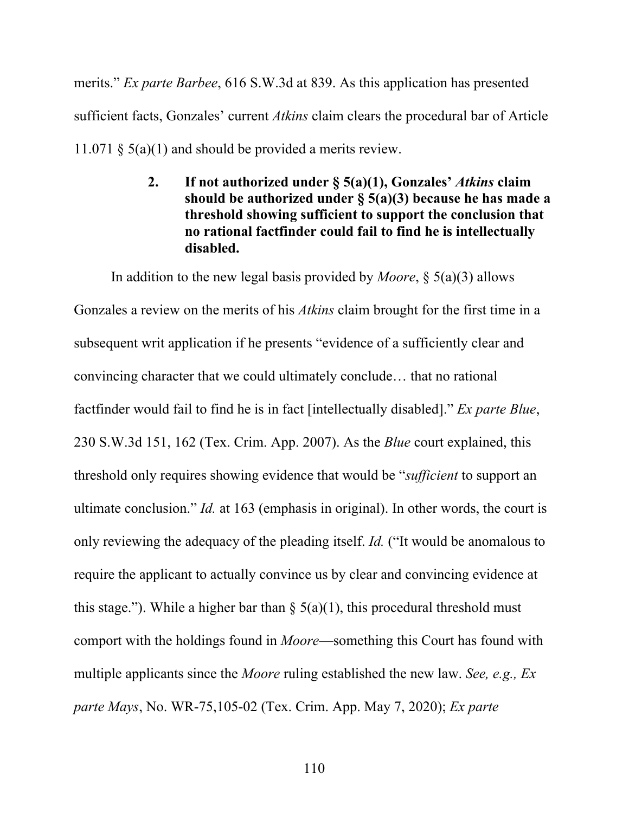merits." *Ex parte Barbee*, 616 S.W.3d at 839. As this application has presented sufficient facts, Gonzales' current *Atkins* claim clears the procedural bar of Article 11.071 § 5(a)(1) and should be provided a merits review.

> **2. If not authorized under § 5(a)(1), Gonzales'** *Atkins* **claim should be authorized under § 5(a)(3) because he has made a threshold showing sufficient to support the conclusion that no rational factfinder could fail to find he is intellectually disabled.**

In addition to the new legal basis provided by *Moore*, § 5(a)(3) allows Gonzales a review on the merits of his *Atkins* claim brought for the first time in a subsequent writ application if he presents "evidence of a sufficiently clear and convincing character that we could ultimately conclude… that no rational factfinder would fail to find he is in fact [intellectually disabled]." *Ex parte Blue*, 230 S.W.3d 151, 162 (Tex. Crim. App. 2007). As the *Blue* court explained, this threshold only requires showing evidence that would be "*sufficient* to support an ultimate conclusion." *Id.* at 163 (emphasis in original). In other words, the court is only reviewing the adequacy of the pleading itself. *Id.* ("It would be anomalous to require the applicant to actually convince us by clear and convincing evidence at this stage."). While a higher bar than  $\S$  5(a)(1), this procedural threshold must comport with the holdings found in *Moore*—something this Court has found with multiple applicants since the *Moore* ruling established the new law. *See, e.g., Ex parte Mays*, No. WR-75,105-02 (Tex. Crim. App. May 7, 2020); *Ex parte*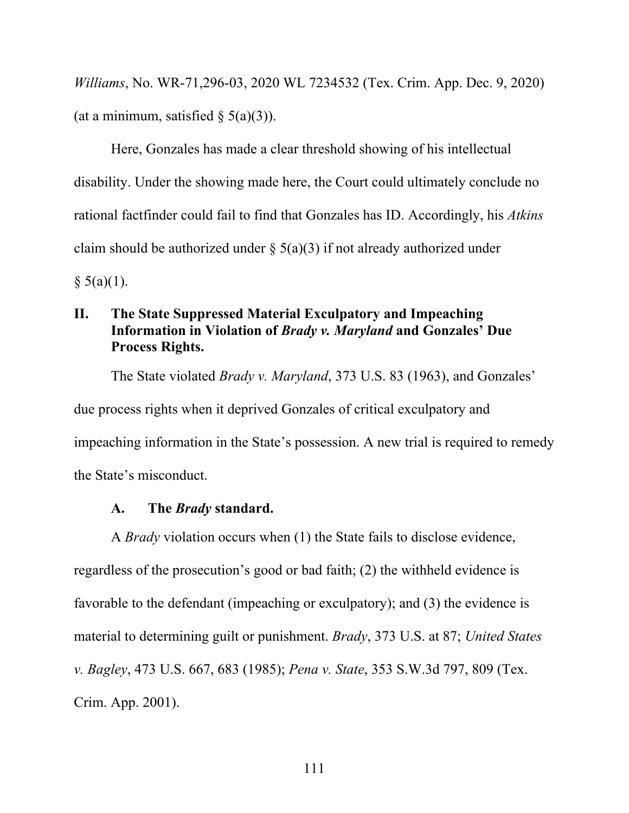*Williams*, No. WR-71,296-03, 2020 WL 7234532 (Tex. Crim. App. Dec. 9, 2020) (at a minimum, satisfied  $\S$  5(a)(3)).

Here, Gonzales has made a clear threshold showing of his intellectual disability. Under the showing made here, the Court could ultimately conclude no rational factfinder could fail to find that Gonzales has ID. Accordingly, his *Atkins*  claim should be authorized under  $\S(5(a)(3))$  if not already authorized under  $§ 5(a)(1).$ 

## **II. The State Suppressed Material Exculpatory and Impeaching Information in Violation of** *Brady v. Maryland* **and Gonzales' Due Process Rights.**

The State violated *Brady v. Maryland*, 373 U.S. 83 (1963), and Gonzales' due process rights when it deprived Gonzales of critical exculpatory and impeaching information in the State's possession. A new trial is required to remedy the State's misconduct.

#### **A. The** *Brady* **standard.**

A *Brady* violation occurs when (1) the State fails to disclose evidence, regardless of the prosecution's good or bad faith; (2) the withheld evidence is favorable to the defendant (impeaching or exculpatory); and (3) the evidence is material to determining guilt or punishment. *Brady*, 373 U.S. at 87; *United States v. Bagley*, 473 U.S. 667, 683 (1985); *Pena v. State*, 353 S.W.3d 797, 809 (Tex. Crim. App. 2001).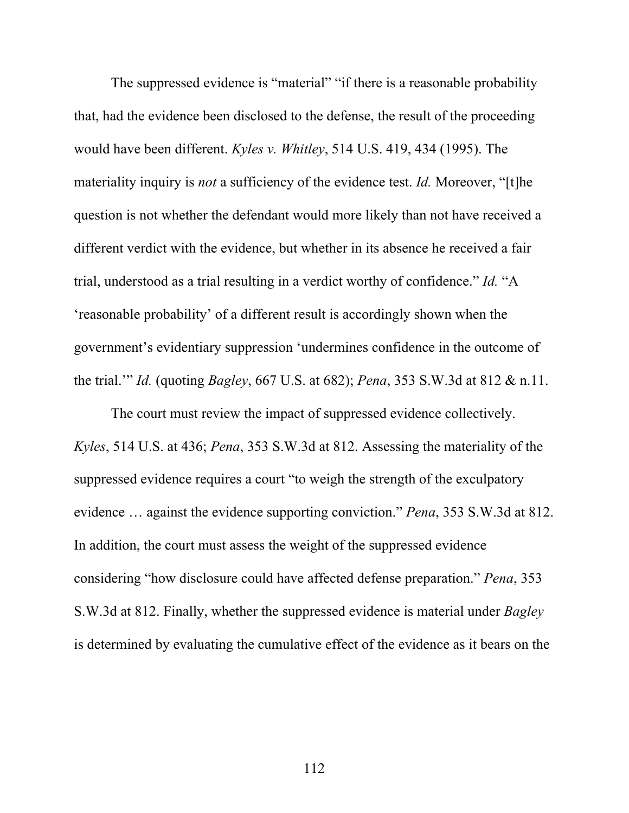The suppressed evidence is "material" "if there is a reasonable probability that, had the evidence been disclosed to the defense, the result of the proceeding would have been different. *Kyles v. Whitley*, 514 U.S. 419, 434 (1995). The materiality inquiry is *not* a sufficiency of the evidence test. *Id.* Moreover, "[t]he question is not whether the defendant would more likely than not have received a different verdict with the evidence, but whether in its absence he received a fair trial, understood as a trial resulting in a verdict worthy of confidence." *Id.* "A 'reasonable probability' of a different result is accordingly shown when the government's evidentiary suppression 'undermines confidence in the outcome of the trial.'" *Id.* (quoting *Bagley*, 667 U.S. at 682); *Pena*, 353 S.W.3d at 812 & n.11.

The court must review the impact of suppressed evidence collectively. *Kyles*, 514 U.S. at 436; *Pena*, 353 S.W.3d at 812. Assessing the materiality of the suppressed evidence requires a court "to weigh the strength of the exculpatory evidence … against the evidence supporting conviction." *Pena*, 353 S.W.3d at 812. In addition, the court must assess the weight of the suppressed evidence considering "how disclosure could have affected defense preparation." *Pena*, 353 S.W.3d at 812. Finally, whether the suppressed evidence is material under *Bagley* is determined by evaluating the cumulative effect of the evidence as it bears on the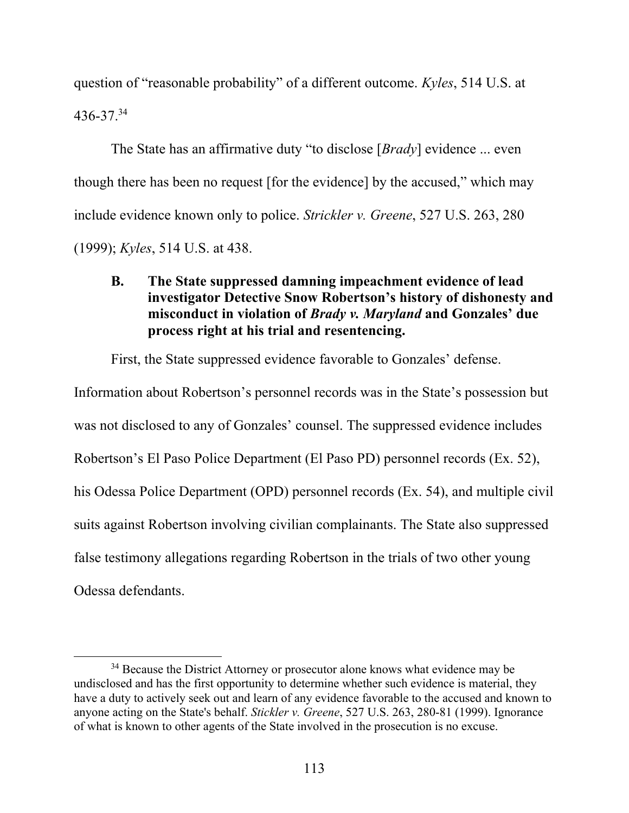question of "reasonable probability" of a different outcome. *Kyles*, 514 U.S. at 436-37.34

The State has an affirmative duty "to disclose [*Brady*] evidence ... even though there has been no request [for the evidence] by the accused," which may include evidence known only to police. *Strickler v. Greene*, 527 U.S. 263, 280 (1999); *Kyles*, 514 U.S. at 438.

# **B. The State suppressed damning impeachment evidence of lead investigator Detective Snow Robertson's history of dishonesty and misconduct in violation of** *Brady v. Maryland* **and Gonzales' due process right at his trial and resentencing.**

First, the State suppressed evidence favorable to Gonzales' defense.

Information about Robertson's personnel records was in the State's possession but was not disclosed to any of Gonzales' counsel. The suppressed evidence includes Robertson's El Paso Police Department (El Paso PD) personnel records (Ex. 52), his Odessa Police Department (OPD) personnel records (Ex. 54), and multiple civil suits against Robertson involving civilian complainants. The State also suppressed false testimony allegations regarding Robertson in the trials of two other young Odessa defendants.

<sup>&</sup>lt;sup>34</sup> Because the District Attorney or prosecutor alone knows what evidence may be undisclosed and has the first opportunity to determine whether such evidence is material, they have a duty to actively seek out and learn of any evidence favorable to the accused and known to anyone acting on the State's behalf. *Stickler v. Greene*, 527 U.S. 263, 280-81 (1999). Ignorance of what is known to other agents of the State involved in the prosecution is no excuse.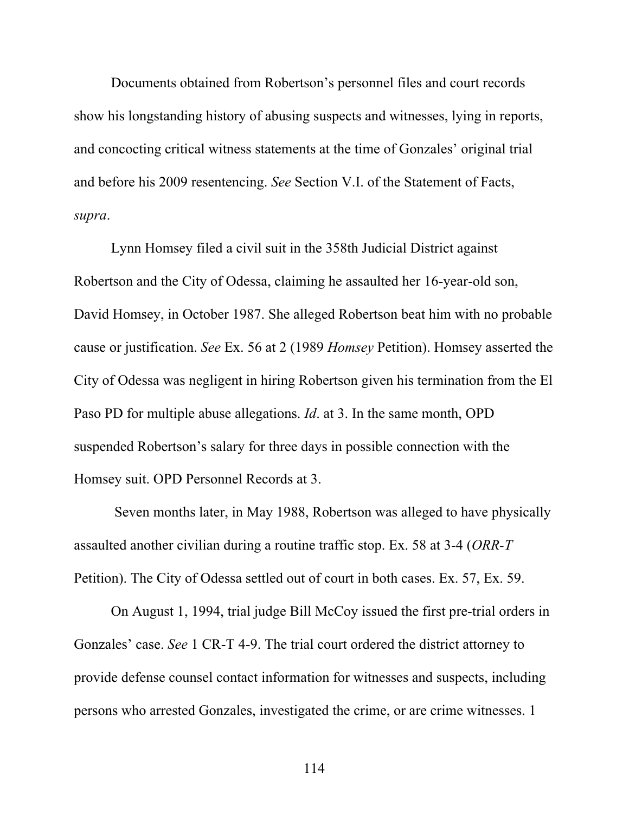Documents obtained from Robertson's personnel files and court records show his longstanding history of abusing suspects and witnesses, lying in reports, and concocting critical witness statements at the time of Gonzales' original trial and before his 2009 resentencing. *See* Section V.I. of the Statement of Facts, *supra*.

Lynn Homsey filed a civil suit in the 358th Judicial District against Robertson and the City of Odessa, claiming he assaulted her 16-year-old son, David Homsey, in October 1987. She alleged Robertson beat him with no probable cause or justification. *See* Ex. 56 at 2 (1989 *Homsey* Petition). Homsey asserted the City of Odessa was negligent in hiring Robertson given his termination from the El Paso PD for multiple abuse allegations. *Id*. at 3. In the same month, OPD suspended Robertson's salary for three days in possible connection with the Homsey suit. OPD Personnel Records at 3.

 Seven months later, in May 1988, Robertson was alleged to have physically assaulted another civilian during a routine traffic stop. Ex. 58 at 3-4 (*ORR-T* Petition). The City of Odessa settled out of court in both cases. Ex. 57, Ex. 59.

On August 1, 1994, trial judge Bill McCoy issued the first pre-trial orders in Gonzales' case. *See* 1 CR-T 4-9. The trial court ordered the district attorney to provide defense counsel contact information for witnesses and suspects, including persons who arrested Gonzales, investigated the crime, or are crime witnesses. 1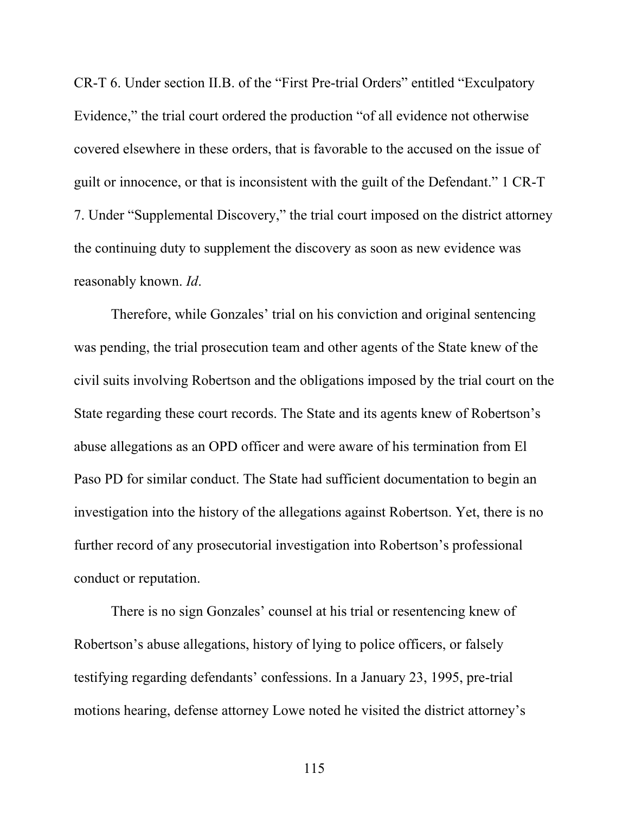CR-T 6. Under section II.B. of the "First Pre-trial Orders" entitled "Exculpatory Evidence," the trial court ordered the production "of all evidence not otherwise covered elsewhere in these orders, that is favorable to the accused on the issue of guilt or innocence, or that is inconsistent with the guilt of the Defendant." 1 CR-T 7. Under "Supplemental Discovery," the trial court imposed on the district attorney the continuing duty to supplement the discovery as soon as new evidence was reasonably known. *Id*.

Therefore, while Gonzales' trial on his conviction and original sentencing was pending, the trial prosecution team and other agents of the State knew of the civil suits involving Robertson and the obligations imposed by the trial court on the State regarding these court records. The State and its agents knew of Robertson's abuse allegations as an OPD officer and were aware of his termination from El Paso PD for similar conduct. The State had sufficient documentation to begin an investigation into the history of the allegations against Robertson. Yet, there is no further record of any prosecutorial investigation into Robertson's professional conduct or reputation.

There is no sign Gonzales' counsel at his trial or resentencing knew of Robertson's abuse allegations, history of lying to police officers, or falsely testifying regarding defendants' confessions. In a January 23, 1995, pre-trial motions hearing, defense attorney Lowe noted he visited the district attorney's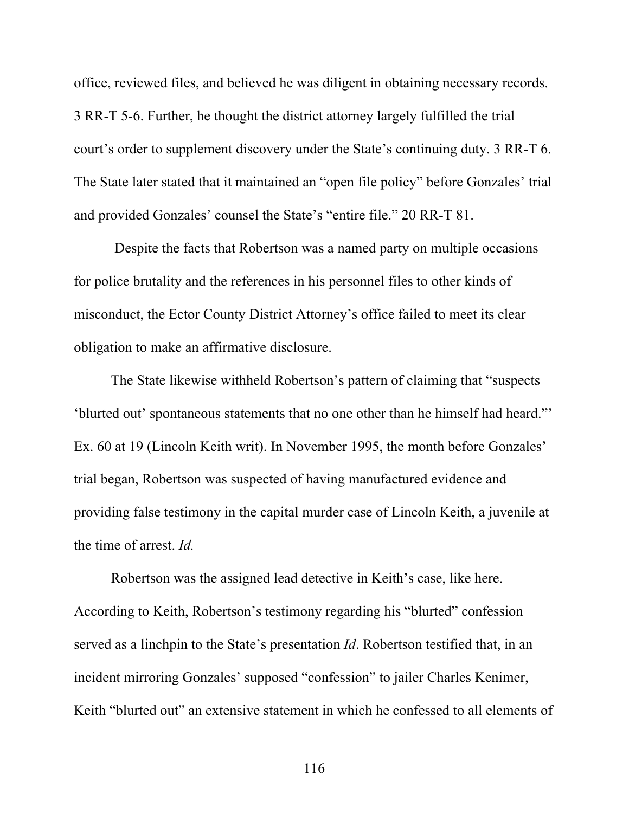office, reviewed files, and believed he was diligent in obtaining necessary records. 3 RR-T 5-6. Further, he thought the district attorney largely fulfilled the trial court's order to supplement discovery under the State's continuing duty. 3 RR-T 6. The State later stated that it maintained an "open file policy" before Gonzales' trial and provided Gonzales' counsel the State's "entire file." 20 RR-T 81.

 Despite the facts that Robertson was a named party on multiple occasions for police brutality and the references in his personnel files to other kinds of misconduct, the Ector County District Attorney's office failed to meet its clear obligation to make an affirmative disclosure.

The State likewise withheld Robertson's pattern of claiming that "suspects 'blurted out' spontaneous statements that no one other than he himself had heard."' Ex. 60 at 19 (Lincoln Keith writ). In November 1995, the month before Gonzales' trial began, Robertson was suspected of having manufactured evidence and providing false testimony in the capital murder case of Lincoln Keith, a juvenile at the time of arrest. *Id.* 

Robertson was the assigned lead detective in Keith's case, like here. According to Keith, Robertson's testimony regarding his "blurted" confession served as a linchpin to the State's presentation *Id*. Robertson testified that, in an incident mirroring Gonzales' supposed "confession" to jailer Charles Kenimer, Keith "blurted out" an extensive statement in which he confessed to all elements of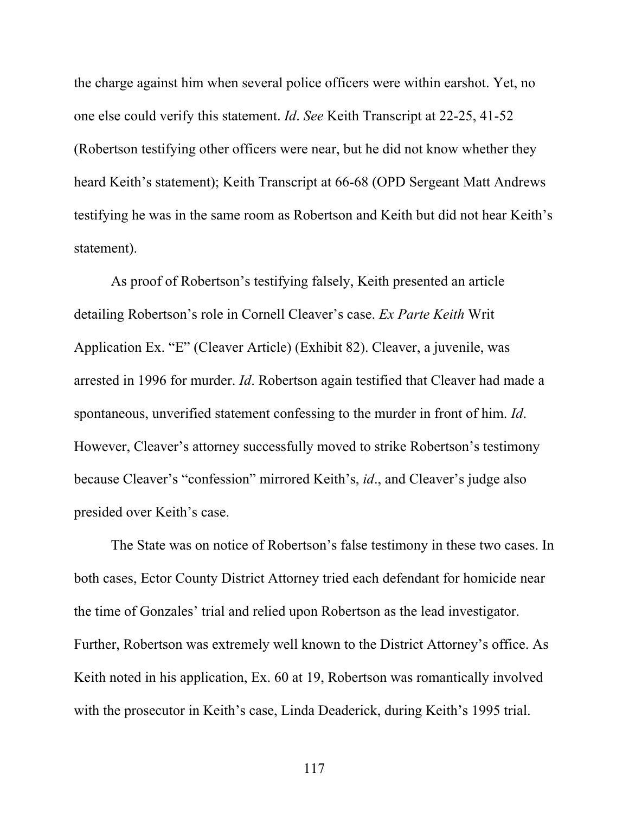the charge against him when several police officers were within earshot. Yet, no one else could verify this statement. *Id*. *See* Keith Transcript at 22-25, 41-52 (Robertson testifying other officers were near, but he did not know whether they heard Keith's statement); Keith Transcript at 66-68 (OPD Sergeant Matt Andrews testifying he was in the same room as Robertson and Keith but did not hear Keith's statement).

As proof of Robertson's testifying falsely, Keith presented an article detailing Robertson's role in Cornell Cleaver's case. *Ex Parte Keith* Writ Application Ex. "E" (Cleaver Article) (Exhibit 82). Cleaver, a juvenile, was arrested in 1996 for murder. *Id*. Robertson again testified that Cleaver had made a spontaneous, unverified statement confessing to the murder in front of him. *Id*. However, Cleaver's attorney successfully moved to strike Robertson's testimony because Cleaver's "confession" mirrored Keith's, *id*., and Cleaver's judge also presided over Keith's case.

The State was on notice of Robertson's false testimony in these two cases. In both cases, Ector County District Attorney tried each defendant for homicide near the time of Gonzales' trial and relied upon Robertson as the lead investigator. Further, Robertson was extremely well known to the District Attorney's office. As Keith noted in his application, Ex. 60 at 19, Robertson was romantically involved with the prosecutor in Keith's case, Linda Deaderick, during Keith's 1995 trial.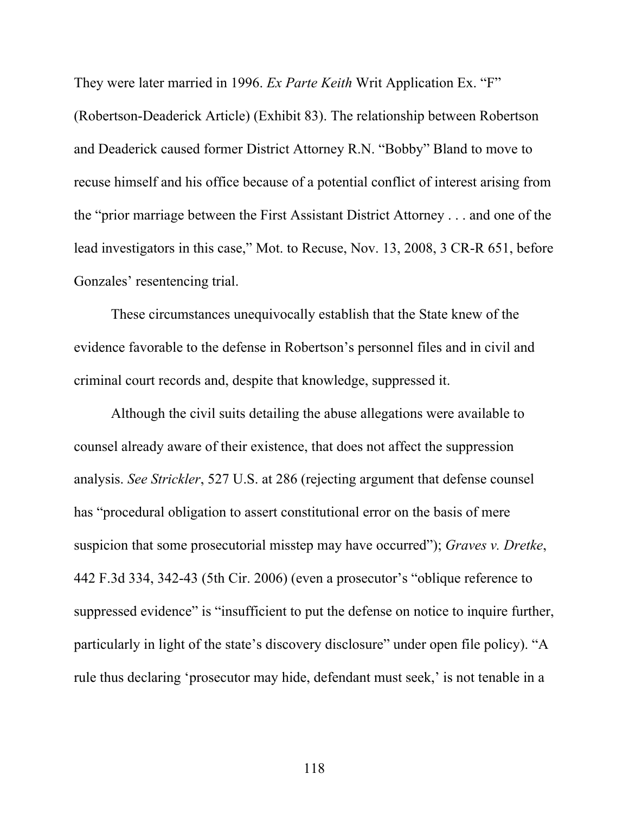They were later married in 1996. *Ex Parte Keith* Writ Application Ex. "F" (Robertson-Deaderick Article) (Exhibit 83). The relationship between Robertson and Deaderick caused former District Attorney R.N. "Bobby" Bland to move to recuse himself and his office because of a potential conflict of interest arising from the "prior marriage between the First Assistant District Attorney . . . and one of the lead investigators in this case," Mot. to Recuse, Nov. 13, 2008, 3 CR-R 651, before Gonzales' resentencing trial.

These circumstances unequivocally establish that the State knew of the evidence favorable to the defense in Robertson's personnel files and in civil and criminal court records and, despite that knowledge, suppressed it.

Although the civil suits detailing the abuse allegations were available to counsel already aware of their existence, that does not affect the suppression analysis. *See Strickler*, 527 U.S. at 286 (rejecting argument that defense counsel has "procedural obligation to assert constitutional error on the basis of mere suspicion that some prosecutorial misstep may have occurred"); *Graves v. Dretke*, 442 F.3d 334, 342-43 (5th Cir. 2006) (even a prosecutor's "oblique reference to suppressed evidence" is "insufficient to put the defense on notice to inquire further, particularly in light of the state's discovery disclosure" under open file policy). "A rule thus declaring 'prosecutor may hide, defendant must seek,' is not tenable in a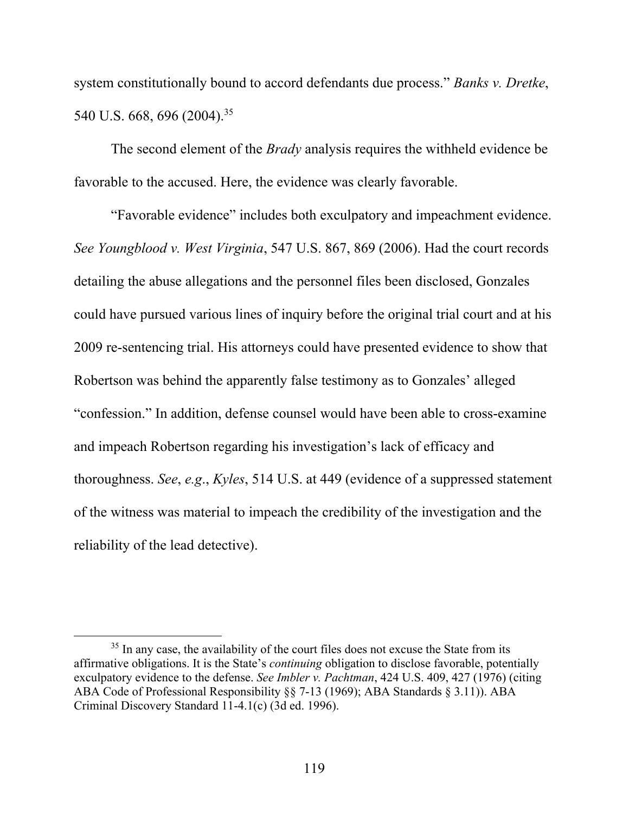system constitutionally bound to accord defendants due process." *Banks v. Dretke*, 540 U.S. 668, 696 (2004).<sup>35</sup>

The second element of the *Brady* analysis requires the withheld evidence be favorable to the accused. Here, the evidence was clearly favorable.

"Favorable evidence" includes both exculpatory and impeachment evidence. *See Youngblood v. West Virginia*, 547 U.S. 867, 869 (2006). Had the court records detailing the abuse allegations and the personnel files been disclosed, Gonzales could have pursued various lines of inquiry before the original trial court and at his 2009 re-sentencing trial. His attorneys could have presented evidence to show that Robertson was behind the apparently false testimony as to Gonzales' alleged "confession." In addition, defense counsel would have been able to cross-examine and impeach Robertson regarding his investigation's lack of efficacy and thoroughness. *See*, *e.g*., *Kyles*, 514 U.S. at 449 (evidence of a suppressed statement of the witness was material to impeach the credibility of the investigation and the reliability of the lead detective).

<sup>&</sup>lt;sup>35</sup> In any case, the availability of the court files does not excuse the State from its affirmative obligations. It is the State's *continuing* obligation to disclose favorable, potentially exculpatory evidence to the defense. *See Imbler v. Pachtman*, 424 U.S. 409, 427 (1976) (citing ABA Code of Professional Responsibility §§ 7-13 (1969); ABA Standards § 3.11)). ABA Criminal Discovery Standard 11-4.1(c) (3d ed. 1996).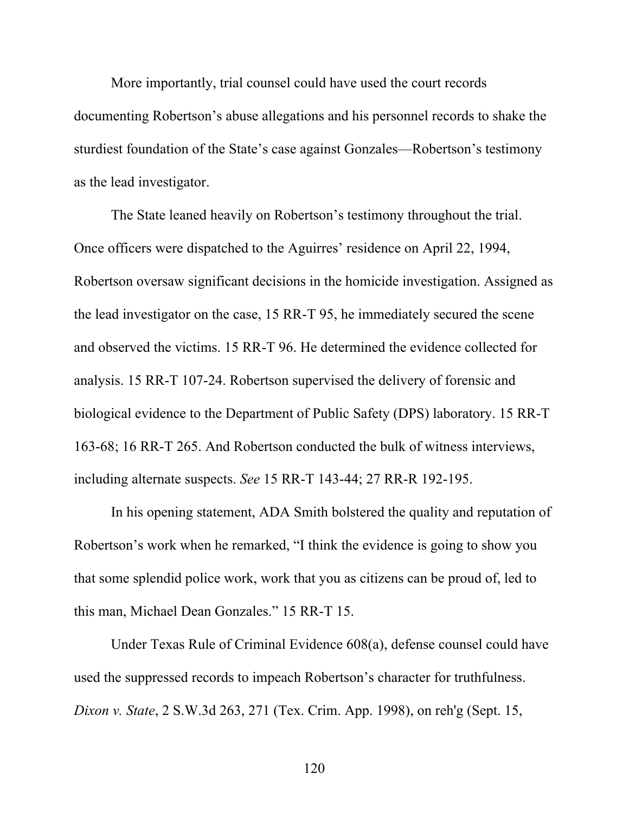More importantly, trial counsel could have used the court records documenting Robertson's abuse allegations and his personnel records to shake the sturdiest foundation of the State's case against Gonzales—Robertson's testimony as the lead investigator.

The State leaned heavily on Robertson's testimony throughout the trial. Once officers were dispatched to the Aguirres' residence on April 22, 1994, Robertson oversaw significant decisions in the homicide investigation. Assigned as the lead investigator on the case, 15 RR-T 95, he immediately secured the scene and observed the victims. 15 RR-T 96. He determined the evidence collected for analysis. 15 RR-T 107-24. Robertson supervised the delivery of forensic and biological evidence to the Department of Public Safety (DPS) laboratory. 15 RR-T 163-68; 16 RR-T 265. And Robertson conducted the bulk of witness interviews, including alternate suspects. *See* 15 RR-T 143-44; 27 RR-R 192-195.

In his opening statement, ADA Smith bolstered the quality and reputation of Robertson's work when he remarked, "I think the evidence is going to show you that some splendid police work, work that you as citizens can be proud of, led to this man, Michael Dean Gonzales." 15 RR-T 15.

Under Texas Rule of Criminal Evidence 608(a), defense counsel could have used the suppressed records to impeach Robertson's character for truthfulness. *Dixon v. State*, 2 S.W.3d 263, 271 (Tex. Crim. App. 1998), on reh'g (Sept. 15,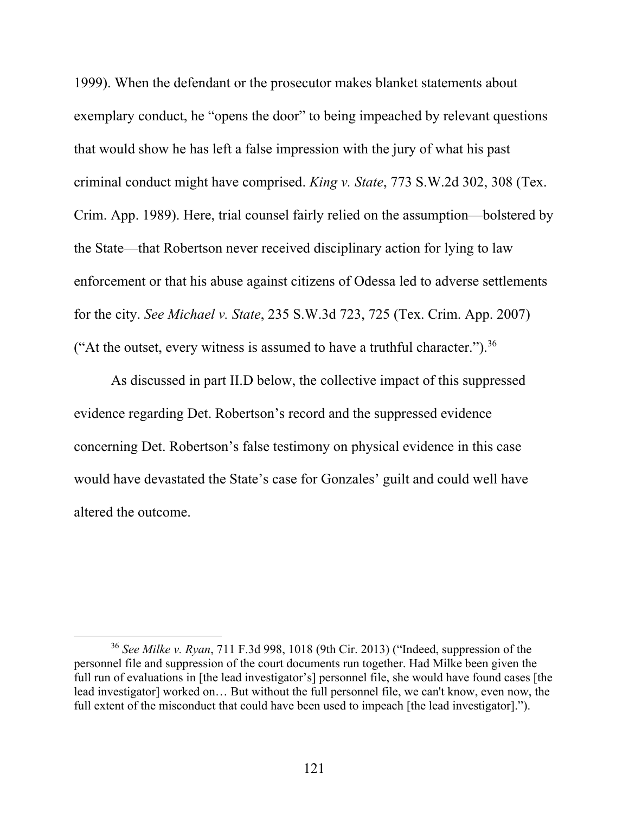1999). When the defendant or the prosecutor makes blanket statements about exemplary conduct, he "opens the door" to being impeached by relevant questions that would show he has left a false impression with the jury of what his past criminal conduct might have comprised. *King v. State*, 773 S.W.2d 302, 308 (Tex. Crim. App. 1989). Here, trial counsel fairly relied on the assumption—bolstered by the State—that Robertson never received disciplinary action for lying to law enforcement or that his abuse against citizens of Odessa led to adverse settlements for the city. *See Michael v. State*, 235 S.W.3d 723, 725 (Tex. Crim. App. 2007) ("At the outset, every witness is assumed to have a truthful character.").<sup>36</sup>

As discussed in part II.D below, the collective impact of this suppressed evidence regarding Det. Robertson's record and the suppressed evidence concerning Det. Robertson's false testimony on physical evidence in this case would have devastated the State's case for Gonzales' guilt and could well have altered the outcome.

<sup>36</sup> *See Milke v. Ryan*, 711 F.3d 998, 1018 (9th Cir. 2013) ("Indeed, suppression of the personnel file and suppression of the court documents run together. Had Milke been given the full run of evaluations in [the lead investigator's] personnel file, she would have found cases [the lead investigator] worked on… But without the full personnel file, we can't know, even now, the full extent of the misconduct that could have been used to impeach [the lead investigator].").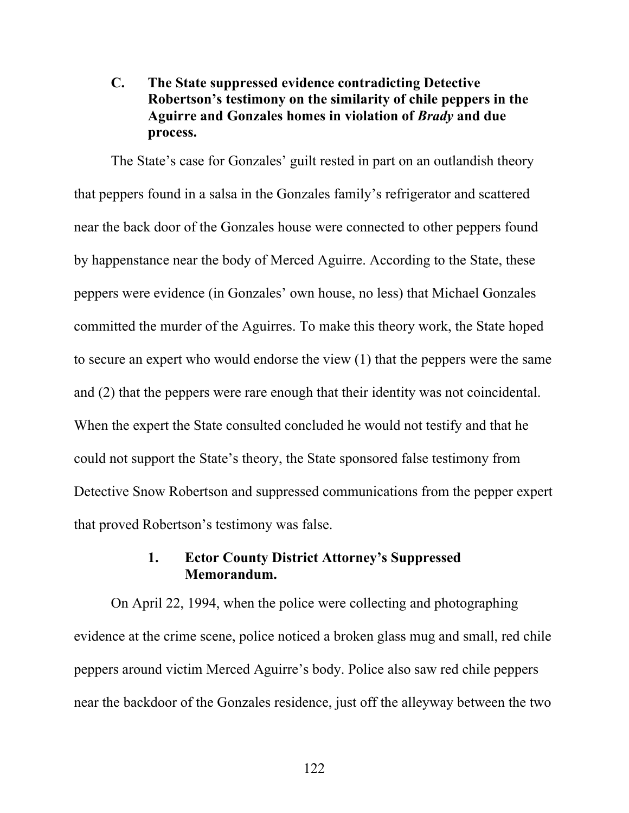# **C. The State suppressed evidence contradicting Detective Robertson's testimony on the similarity of chile peppers in the Aguirre and Gonzales homes in violation of** *Brady* **and due process.**

The State's case for Gonzales' guilt rested in part on an outlandish theory that peppers found in a salsa in the Gonzales family's refrigerator and scattered near the back door of the Gonzales house were connected to other peppers found by happenstance near the body of Merced Aguirre. According to the State, these peppers were evidence (in Gonzales' own house, no less) that Michael Gonzales committed the murder of the Aguirres. To make this theory work, the State hoped to secure an expert who would endorse the view (1) that the peppers were the same and (2) that the peppers were rare enough that their identity was not coincidental. When the expert the State consulted concluded he would not testify and that he could not support the State's theory, the State sponsored false testimony from Detective Snow Robertson and suppressed communications from the pepper expert that proved Robertson's testimony was false.

#### **1. Ector County District Attorney's Suppressed Memorandum.**

On April 22, 1994, when the police were collecting and photographing evidence at the crime scene, police noticed a broken glass mug and small, red chile peppers around victim Merced Aguirre's body. Police also saw red chile peppers near the backdoor of the Gonzales residence, just off the alleyway between the two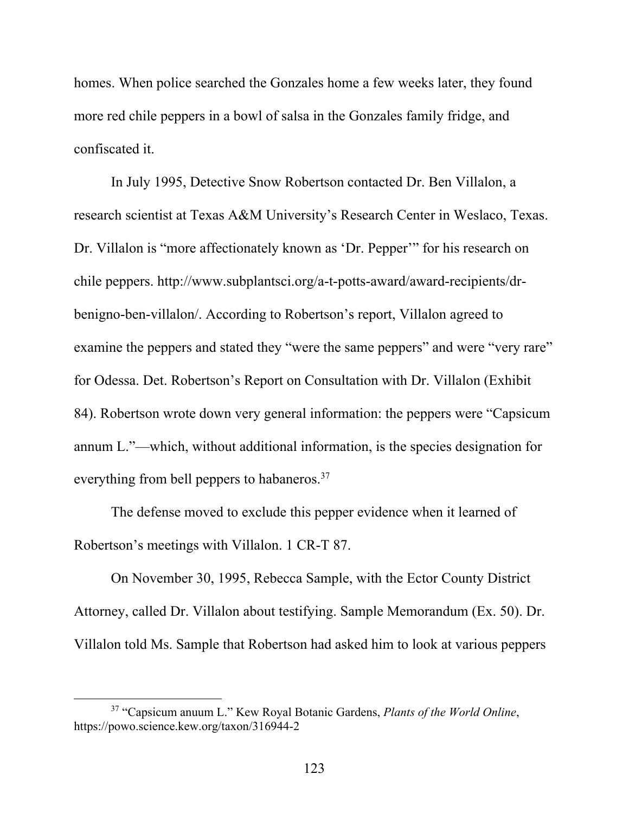homes. When police searched the Gonzales home a few weeks later, they found more red chile peppers in a bowl of salsa in the Gonzales family fridge, and confiscated it.

In July 1995, Detective Snow Robertson contacted Dr. Ben Villalon, a research scientist at Texas A&M University's Research Center in Weslaco, Texas. Dr. Villalon is "more affectionately known as 'Dr. Pepper'" for his research on chile peppers. http://www.subplantsci.org/a-t-potts-award/award-recipients/drbenigno-ben-villalon/. According to Robertson's report, Villalon agreed to examine the peppers and stated they "were the same peppers" and were "very rare" for Odessa. Det. Robertson's Report on Consultation with Dr. Villalon (Exhibit 84). Robertson wrote down very general information: the peppers were "Capsicum annum L."—which, without additional information, is the species designation for everything from bell peppers to habaneros.37

The defense moved to exclude this pepper evidence when it learned of Robertson's meetings with Villalon. 1 CR-T 87.

On November 30, 1995, Rebecca Sample, with the Ector County District Attorney, called Dr. Villalon about testifying. Sample Memorandum (Ex. 50). Dr. Villalon told Ms. Sample that Robertson had asked him to look at various peppers

<sup>37 &</sup>quot;Capsicum anuum L." Kew Royal Botanic Gardens, *Plants of the World Online*, https://powo.science.kew.org/taxon/316944-2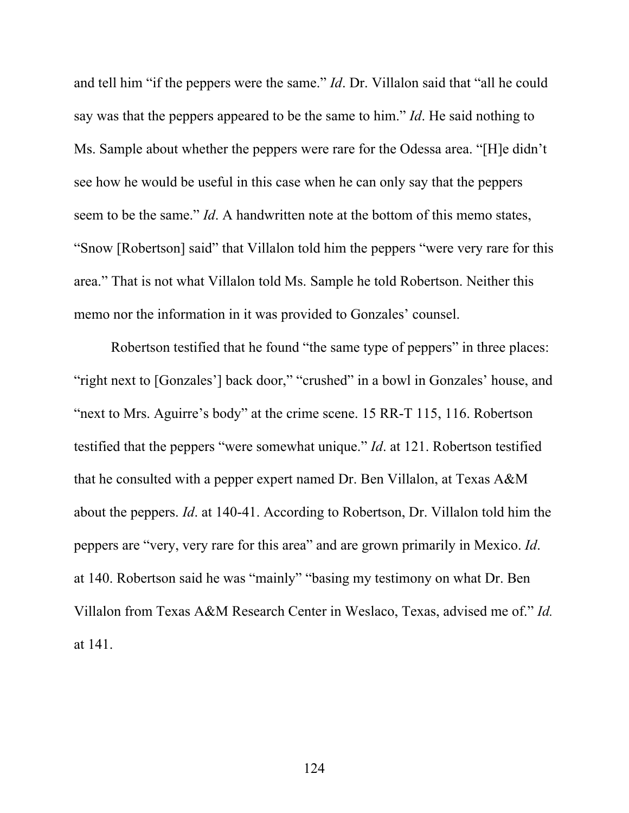and tell him "if the peppers were the same." *Id*. Dr. Villalon said that "all he could say was that the peppers appeared to be the same to him." *Id*. He said nothing to Ms. Sample about whether the peppers were rare for the Odessa area. "[H]e didn't see how he would be useful in this case when he can only say that the peppers seem to be the same." *Id*. A handwritten note at the bottom of this memo states, "Snow [Robertson] said" that Villalon told him the peppers "were very rare for this area." That is not what Villalon told Ms. Sample he told Robertson. Neither this memo nor the information in it was provided to Gonzales' counsel.

Robertson testified that he found "the same type of peppers" in three places: "right next to [Gonzales'] back door," "crushed" in a bowl in Gonzales' house, and "next to Mrs. Aguirre's body" at the crime scene. 15 RR-T 115, 116. Robertson testified that the peppers "were somewhat unique." *Id*. at 121. Robertson testified that he consulted with a pepper expert named Dr. Ben Villalon, at Texas A&M about the peppers. *Id*. at 140-41. According to Robertson, Dr. Villalon told him the peppers are "very, very rare for this area" and are grown primarily in Mexico. *Id*. at 140. Robertson said he was "mainly" "basing my testimony on what Dr. Ben Villalon from Texas A&M Research Center in Weslaco, Texas, advised me of." *Id.*  at 141.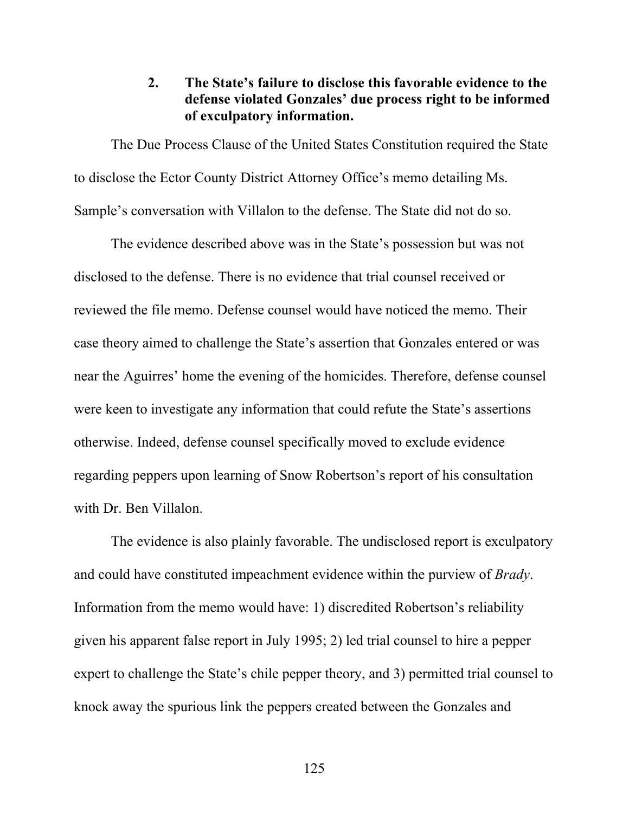## **2. The State's failure to disclose this favorable evidence to the defense violated Gonzales' due process right to be informed of exculpatory information.**

The Due Process Clause of the United States Constitution required the State to disclose the Ector County District Attorney Office's memo detailing Ms. Sample's conversation with Villalon to the defense. The State did not do so.

The evidence described above was in the State's possession but was not disclosed to the defense. There is no evidence that trial counsel received or reviewed the file memo. Defense counsel would have noticed the memo. Their case theory aimed to challenge the State's assertion that Gonzales entered or was near the Aguirres' home the evening of the homicides. Therefore, defense counsel were keen to investigate any information that could refute the State's assertions otherwise. Indeed, defense counsel specifically moved to exclude evidence regarding peppers upon learning of Snow Robertson's report of his consultation with Dr. Ben Villalon.

The evidence is also plainly favorable. The undisclosed report is exculpatory and could have constituted impeachment evidence within the purview of *Brady*. Information from the memo would have: 1) discredited Robertson's reliability given his apparent false report in July 1995; 2) led trial counsel to hire a pepper expert to challenge the State's chile pepper theory, and 3) permitted trial counsel to knock away the spurious link the peppers created between the Gonzales and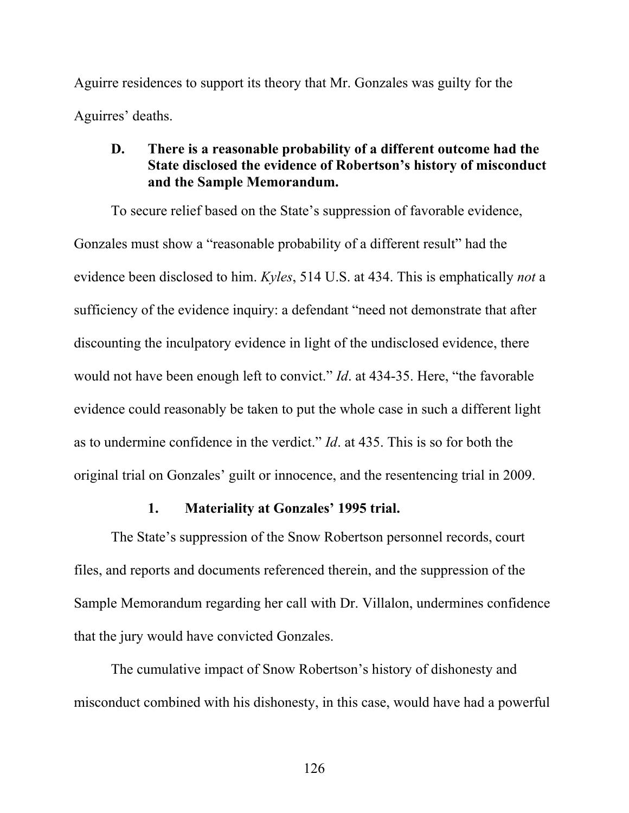Aguirre residences to support its theory that Mr. Gonzales was guilty for the Aguirres' deaths.

### **D. There is a reasonable probability of a different outcome had the State disclosed the evidence of Robertson's history of misconduct and the Sample Memorandum.**

To secure relief based on the State's suppression of favorable evidence, Gonzales must show a "reasonable probability of a different result" had the evidence been disclosed to him. *Kyles*, 514 U.S. at 434. This is emphatically *not* a sufficiency of the evidence inquiry: a defendant "need not demonstrate that after discounting the inculpatory evidence in light of the undisclosed evidence, there would not have been enough left to convict." *Id*. at 434-35. Here, "the favorable evidence could reasonably be taken to put the whole case in such a different light as to undermine confidence in the verdict." *Id*. at 435. This is so for both the original trial on Gonzales' guilt or innocence, and the resentencing trial in 2009.

#### **1. Materiality at Gonzales' 1995 trial.**

The State's suppression of the Snow Robertson personnel records, court files, and reports and documents referenced therein, and the suppression of the Sample Memorandum regarding her call with Dr. Villalon, undermines confidence that the jury would have convicted Gonzales.

The cumulative impact of Snow Robertson's history of dishonesty and misconduct combined with his dishonesty, in this case, would have had a powerful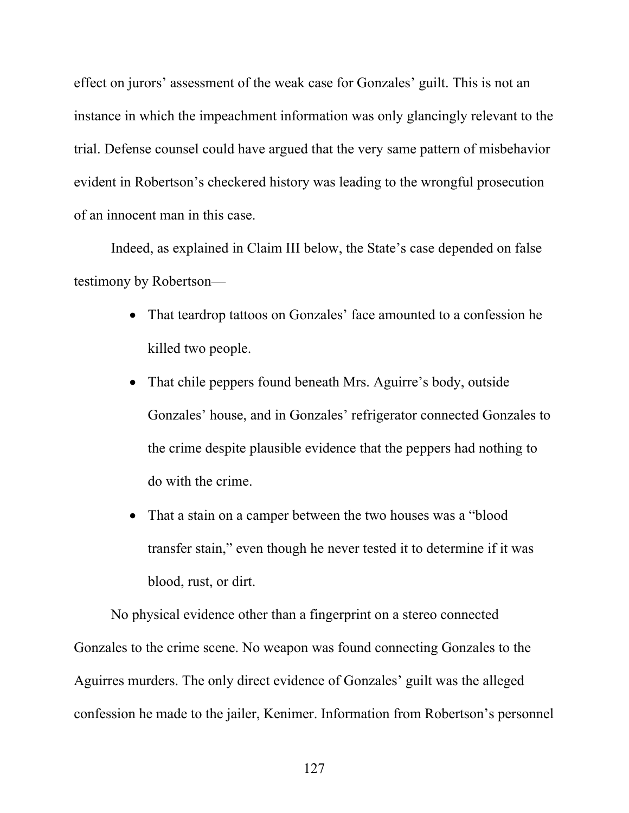effect on jurors' assessment of the weak case for Gonzales' guilt. This is not an instance in which the impeachment information was only glancingly relevant to the trial. Defense counsel could have argued that the very same pattern of misbehavior evident in Robertson's checkered history was leading to the wrongful prosecution of an innocent man in this case.

Indeed, as explained in Claim III below, the State's case depended on false testimony by Robertson—

- That teardrop tattoos on Gonzales' face amounted to a confession he killed two people.
- That chile peppers found beneath Mrs. Aguirre's body, outside Gonzales' house, and in Gonzales' refrigerator connected Gonzales to the crime despite plausible evidence that the peppers had nothing to do with the crime.
- That a stain on a camper between the two houses was a "blood" transfer stain," even though he never tested it to determine if it was blood, rust, or dirt.

No physical evidence other than a fingerprint on a stereo connected Gonzales to the crime scene. No weapon was found connecting Gonzales to the Aguirres murders. The only direct evidence of Gonzales' guilt was the alleged confession he made to the jailer, Kenimer. Information from Robertson's personnel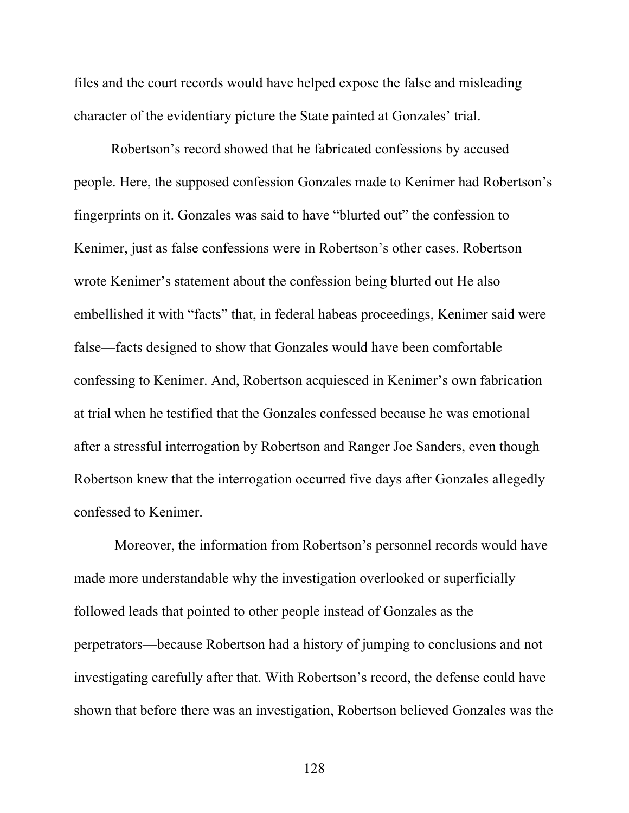files and the court records would have helped expose the false and misleading character of the evidentiary picture the State painted at Gonzales' trial.

Robertson's record showed that he fabricated confessions by accused people. Here, the supposed confession Gonzales made to Kenimer had Robertson's fingerprints on it. Gonzales was said to have "blurted out" the confession to Kenimer, just as false confessions were in Robertson's other cases. Robertson wrote Kenimer's statement about the confession being blurted out He also embellished it with "facts" that, in federal habeas proceedings, Kenimer said were false—facts designed to show that Gonzales would have been comfortable confessing to Kenimer. And, Robertson acquiesced in Kenimer's own fabrication at trial when he testified that the Gonzales confessed because he was emotional after a stressful interrogation by Robertson and Ranger Joe Sanders, even though Robertson knew that the interrogation occurred five days after Gonzales allegedly confessed to Kenimer.

 Moreover, the information from Robertson's personnel records would have made more understandable why the investigation overlooked or superficially followed leads that pointed to other people instead of Gonzales as the perpetrators—because Robertson had a history of jumping to conclusions and not investigating carefully after that. With Robertson's record, the defense could have shown that before there was an investigation, Robertson believed Gonzales was the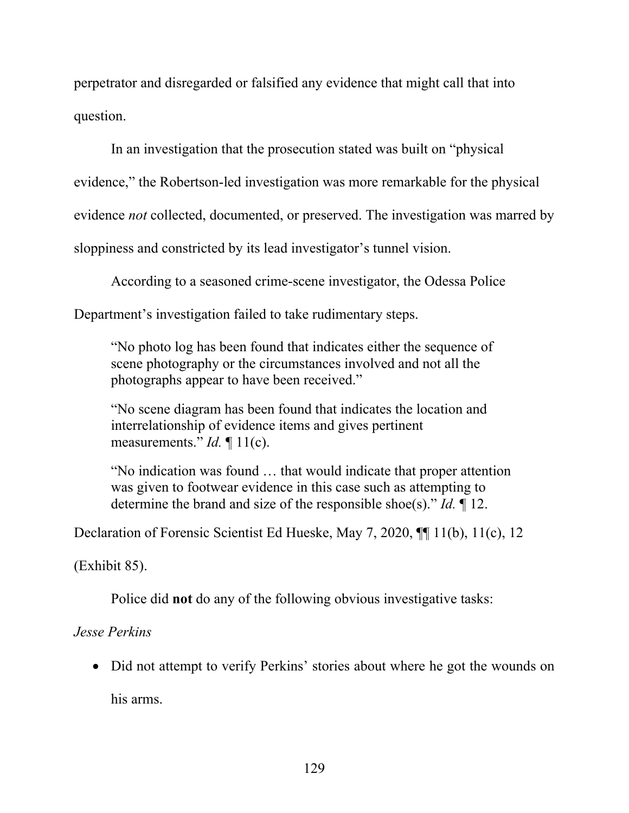perpetrator and disregarded or falsified any evidence that might call that into question.

In an investigation that the prosecution stated was built on "physical evidence," the Robertson-led investigation was more remarkable for the physical evidence *not* collected, documented, or preserved. The investigation was marred by sloppiness and constricted by its lead investigator's tunnel vision.

According to a seasoned crime-scene investigator, the Odessa Police

Department's investigation failed to take rudimentary steps.

"No photo log has been found that indicates either the sequence of scene photography or the circumstances involved and not all the photographs appear to have been received."

"No scene diagram has been found that indicates the location and interrelationship of evidence items and gives pertinent measurements." *Id.* ¶ 11(c).

"No indication was found … that would indicate that proper attention was given to footwear evidence in this case such as attempting to determine the brand and size of the responsible shoe(s)." *Id.* ¶ 12.

Declaration of Forensic Scientist Ed Hueske, May 7, 2020, ¶¶ 11(b), 11(c), 12

(Exhibit 85).

Police did **not** do any of the following obvious investigative tasks:

# *Jesse Perkins*

• Did not attempt to verify Perkins' stories about where he got the wounds on

his arms.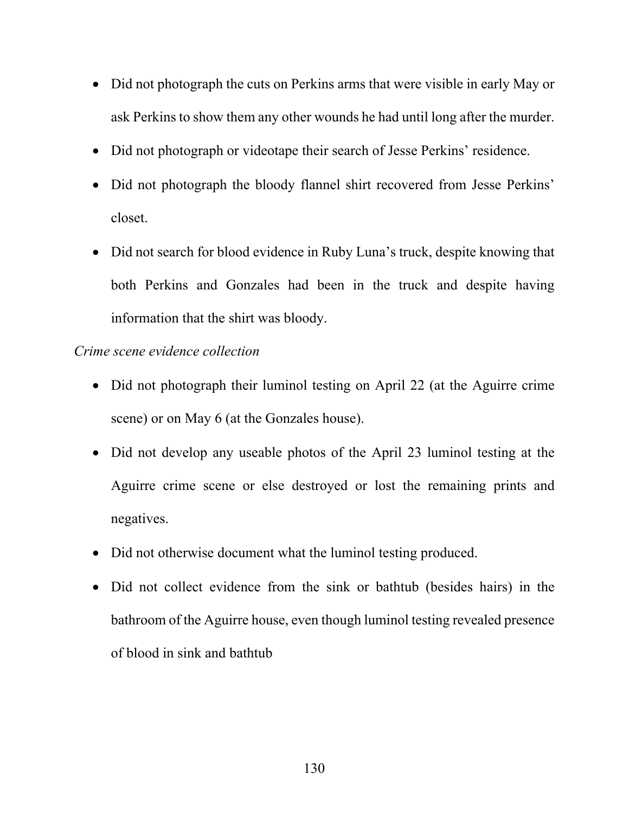- Did not photograph the cuts on Perkins arms that were visible in early May or ask Perkins to show them any other wounds he had until long after the murder.
- Did not photograph or videotape their search of Jesse Perkins' residence.
- Did not photograph the bloody flannel shirt recovered from Jesse Perkins' closet.
- Did not search for blood evidence in Ruby Luna's truck, despite knowing that both Perkins and Gonzales had been in the truck and despite having information that the shirt was bloody.

### *Crime scene evidence collection*

- Did not photograph their luminol testing on April 22 (at the Aguirre crime scene) or on May 6 (at the Gonzales house).
- Did not develop any useable photos of the April 23 luminol testing at the Aguirre crime scene or else destroyed or lost the remaining prints and negatives.
- Did not otherwise document what the luminol testing produced.
- Did not collect evidence from the sink or bathtub (besides hairs) in the bathroom of the Aguirre house, even though luminol testing revealed presence of blood in sink and bathtub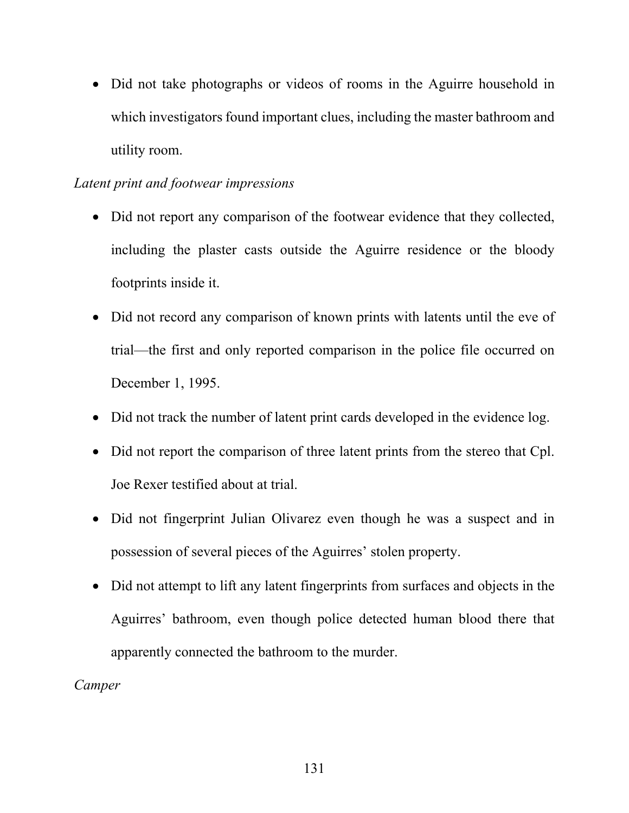• Did not take photographs or videos of rooms in the Aguirre household in which investigators found important clues, including the master bathroom and utility room.

# *Latent print and footwear impressions*

- Did not report any comparison of the footwear evidence that they collected, including the plaster casts outside the Aguirre residence or the bloody footprints inside it.
- Did not record any comparison of known prints with latents until the eve of trial—the first and only reported comparison in the police file occurred on December 1, 1995.
- Did not track the number of latent print cards developed in the evidence log.
- Did not report the comparison of three latent prints from the stereo that Cpl. Joe Rexer testified about at trial.
- Did not fingerprint Julian Olivarez even though he was a suspect and in possession of several pieces of the Aguirres' stolen property.
- Did not attempt to lift any latent fingerprints from surfaces and objects in the Aguirres' bathroom, even though police detected human blood there that apparently connected the bathroom to the murder.

# *Camper*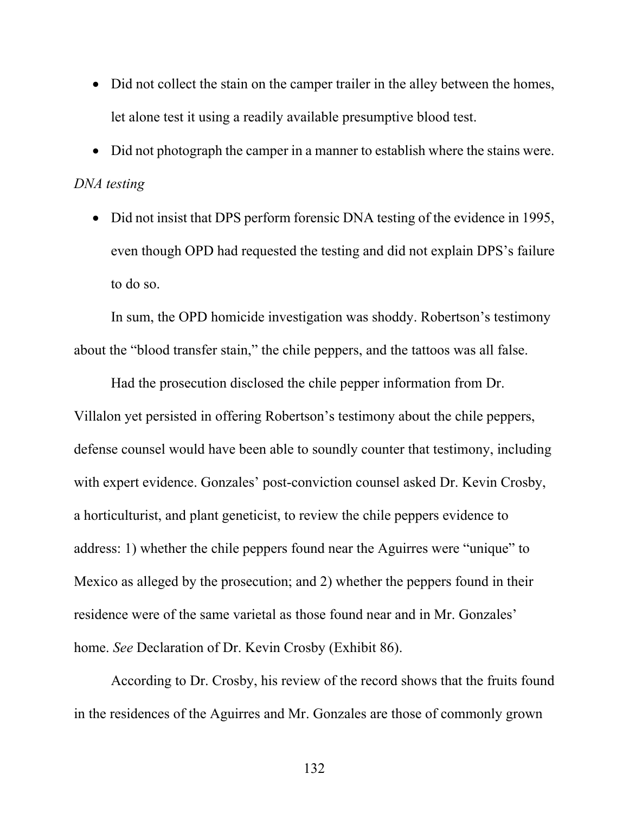- Did not collect the stain on the camper trailer in the alley between the homes, let alone test it using a readily available presumptive blood test.
- Did not photograph the camper in a manner to establish where the stains were. *DNA testing* 
	- Did not insist that DPS perform forensic DNA testing of the evidence in 1995, even though OPD had requested the testing and did not explain DPS's failure to do so.

In sum, the OPD homicide investigation was shoddy. Robertson's testimony about the "blood transfer stain," the chile peppers, and the tattoos was all false.

Had the prosecution disclosed the chile pepper information from Dr. Villalon yet persisted in offering Robertson's testimony about the chile peppers, defense counsel would have been able to soundly counter that testimony, including with expert evidence. Gonzales' post-conviction counsel asked Dr. Kevin Crosby, a horticulturist, and plant geneticist, to review the chile peppers evidence to address: 1) whether the chile peppers found near the Aguirres were "unique" to Mexico as alleged by the prosecution; and 2) whether the peppers found in their residence were of the same varietal as those found near and in Mr. Gonzales' home. *See* Declaration of Dr. Kevin Crosby (Exhibit 86).

According to Dr. Crosby, his review of the record shows that the fruits found in the residences of the Aguirres and Mr. Gonzales are those of commonly grown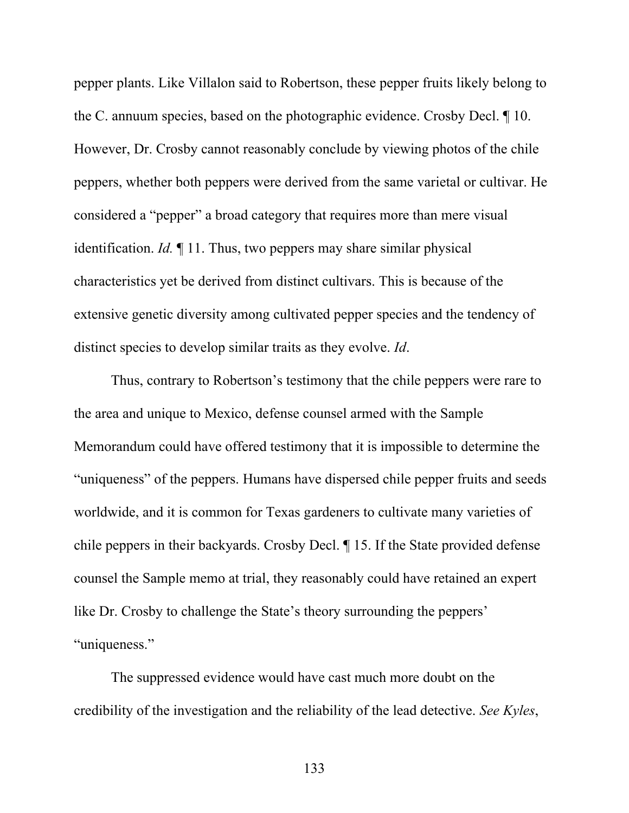pepper plants. Like Villalon said to Robertson, these pepper fruits likely belong to the C. annuum species, based on the photographic evidence. Crosby Decl. ¶ 10. However, Dr. Crosby cannot reasonably conclude by viewing photos of the chile peppers, whether both peppers were derived from the same varietal or cultivar. He considered a "pepper" a broad category that requires more than mere visual identification. *Id.* ¶ 11. Thus, two peppers may share similar physical characteristics yet be derived from distinct cultivars. This is because of the extensive genetic diversity among cultivated pepper species and the tendency of distinct species to develop similar traits as they evolve. *Id*.

Thus, contrary to Robertson's testimony that the chile peppers were rare to the area and unique to Mexico, defense counsel armed with the Sample Memorandum could have offered testimony that it is impossible to determine the "uniqueness" of the peppers. Humans have dispersed chile pepper fruits and seeds worldwide, and it is common for Texas gardeners to cultivate many varieties of chile peppers in their backyards. Crosby Decl. ¶ 15. If the State provided defense counsel the Sample memo at trial, they reasonably could have retained an expert like Dr. Crosby to challenge the State's theory surrounding the peppers' "uniqueness."

The suppressed evidence would have cast much more doubt on the credibility of the investigation and the reliability of the lead detective. *See Kyles*,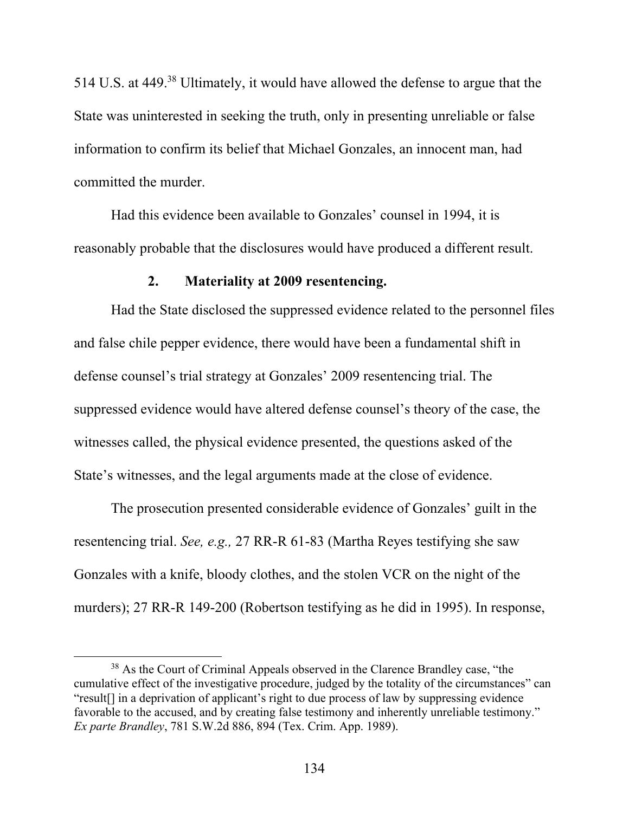514 U.S. at 449.38 Ultimately, it would have allowed the defense to argue that the State was uninterested in seeking the truth, only in presenting unreliable or false information to confirm its belief that Michael Gonzales, an innocent man, had committed the murder.

Had this evidence been available to Gonzales' counsel in 1994, it is reasonably probable that the disclosures would have produced a different result.

### **2. Materiality at 2009 resentencing.**

Had the State disclosed the suppressed evidence related to the personnel files and false chile pepper evidence, there would have been a fundamental shift in defense counsel's trial strategy at Gonzales' 2009 resentencing trial. The suppressed evidence would have altered defense counsel's theory of the case, the witnesses called, the physical evidence presented, the questions asked of the State's witnesses, and the legal arguments made at the close of evidence.

The prosecution presented considerable evidence of Gonzales' guilt in the resentencing trial. *See, e.g.,* 27 RR-R 61-83 (Martha Reyes testifying she saw Gonzales with a knife, bloody clothes, and the stolen VCR on the night of the murders); 27 RR-R 149-200 (Robertson testifying as he did in 1995). In response,

<sup>&</sup>lt;sup>38</sup> As the Court of Criminal Appeals observed in the Clarence Brandley case, "the cumulative effect of the investigative procedure, judged by the totality of the circumstances" can "result[] in a deprivation of applicant's right to due process of law by suppressing evidence favorable to the accused, and by creating false testimony and inherently unreliable testimony." *Ex parte Brandley*, 781 S.W.2d 886, 894 (Tex. Crim. App. 1989).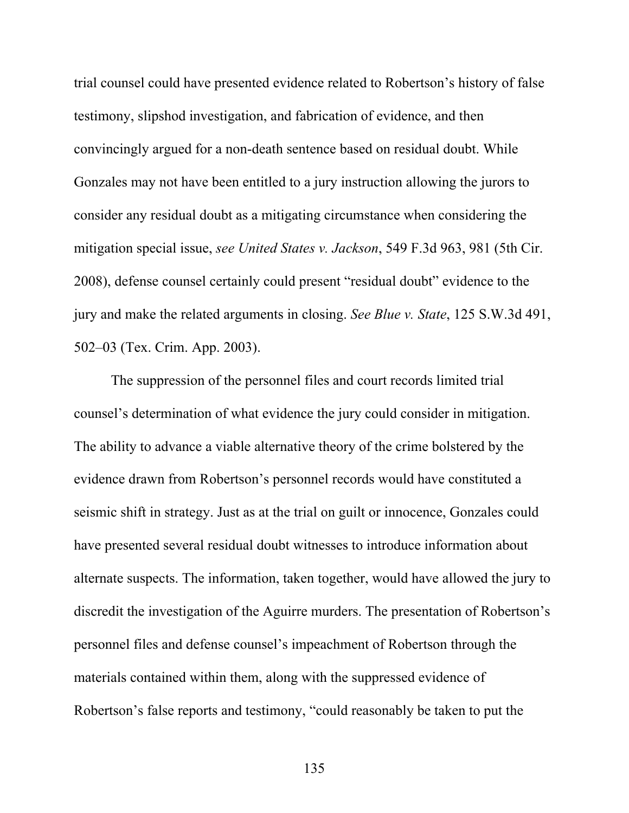trial counsel could have presented evidence related to Robertson's history of false testimony, slipshod investigation, and fabrication of evidence, and then convincingly argued for a non-death sentence based on residual doubt. While Gonzales may not have been entitled to a jury instruction allowing the jurors to consider any residual doubt as a mitigating circumstance when considering the mitigation special issue, *see United States v. Jackson*, 549 F.3d 963, 981 (5th Cir. 2008), defense counsel certainly could present "residual doubt" evidence to the jury and make the related arguments in closing. *See Blue v. State*, 125 S.W.3d 491, 502–03 (Tex. Crim. App. 2003).

The suppression of the personnel files and court records limited trial counsel's determination of what evidence the jury could consider in mitigation. The ability to advance a viable alternative theory of the crime bolstered by the evidence drawn from Robertson's personnel records would have constituted a seismic shift in strategy. Just as at the trial on guilt or innocence, Gonzales could have presented several residual doubt witnesses to introduce information about alternate suspects. The information, taken together, would have allowed the jury to discredit the investigation of the Aguirre murders. The presentation of Robertson's personnel files and defense counsel's impeachment of Robertson through the materials contained within them, along with the suppressed evidence of Robertson's false reports and testimony, "could reasonably be taken to put the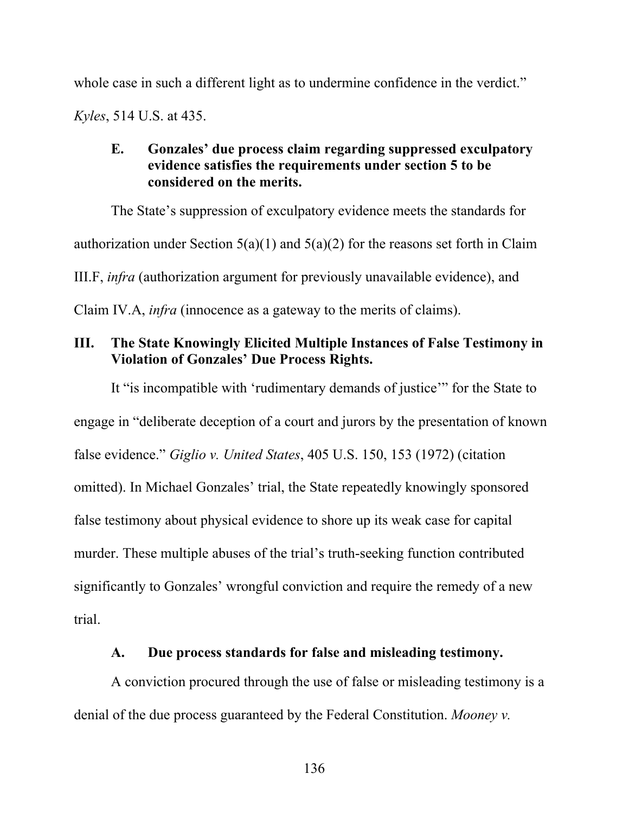whole case in such a different light as to undermine confidence in the verdict."

*Kyles*, 514 U.S. at 435.

# **E. Gonzales' due process claim regarding suppressed exculpatory evidence satisfies the requirements under section 5 to be considered on the merits.**

The State's suppression of exculpatory evidence meets the standards for authorization under Section  $5(a)(1)$  and  $5(a)(2)$  for the reasons set forth in Claim III.F, *infra* (authorization argument for previously unavailable evidence), and Claim IV.A, *infra* (innocence as a gateway to the merits of claims).

# **III. The State Knowingly Elicited Multiple Instances of False Testimony in Violation of Gonzales' Due Process Rights.**

It "is incompatible with 'rudimentary demands of justice'" for the State to engage in "deliberate deception of a court and jurors by the presentation of known false evidence." *Giglio v. United States*, 405 U.S. 150, 153 (1972) (citation omitted). In Michael Gonzales' trial, the State repeatedly knowingly sponsored false testimony about physical evidence to shore up its weak case for capital murder. These multiple abuses of the trial's truth-seeking function contributed significantly to Gonzales' wrongful conviction and require the remedy of a new trial.

# **A. Due process standards for false and misleading testimony.**

A conviction procured through the use of false or misleading testimony is a denial of the due process guaranteed by the Federal Constitution. *Mooney v.*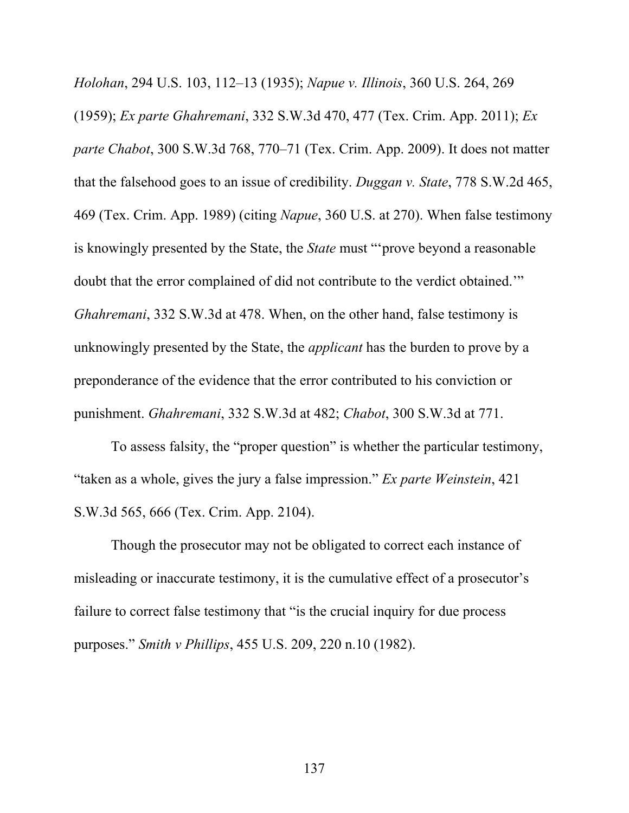*Holohan*, 294 U.S. 103, 112–13 (1935); *Napue v. Illinois*, 360 U.S. 264, 269 (1959); *Ex parte Ghahremani*, 332 S.W.3d 470, 477 (Tex. Crim. App. 2011); *Ex parte Chabot*, 300 S.W.3d 768, 770–71 (Tex. Crim. App. 2009). It does not matter that the falsehood goes to an issue of credibility. *Duggan v. State*, 778 S.W.2d 465, 469 (Tex. Crim. App. 1989) (citing *Napue*, 360 U.S. at 270). When false testimony is knowingly presented by the State, the *State* must "'prove beyond a reasonable doubt that the error complained of did not contribute to the verdict obtained.'" *Ghahremani*, 332 S.W.3d at 478. When, on the other hand, false testimony is unknowingly presented by the State, the *applicant* has the burden to prove by a preponderance of the evidence that the error contributed to his conviction or punishment. *Ghahremani*, 332 S.W.3d at 482; *Chabot*, 300 S.W.3d at 771.

To assess falsity, the "proper question" is whether the particular testimony, "taken as a whole, gives the jury a false impression." *Ex parte Weinstein*, 421 S.W.3d 565, 666 (Tex. Crim. App. 2104).

Though the prosecutor may not be obligated to correct each instance of misleading or inaccurate testimony, it is the cumulative effect of a prosecutor's failure to correct false testimony that "is the crucial inquiry for due process purposes." *Smith v Phillips*, 455 U.S. 209, 220 n.10 (1982).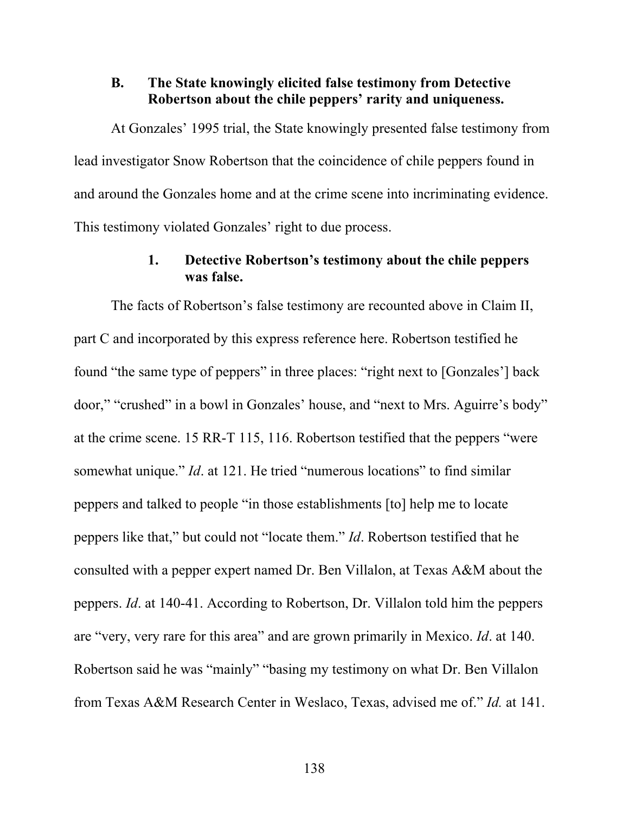### **B. The State knowingly elicited false testimony from Detective Robertson about the chile peppers' rarity and uniqueness.**

At Gonzales' 1995 trial, the State knowingly presented false testimony from lead investigator Snow Robertson that the coincidence of chile peppers found in and around the Gonzales home and at the crime scene into incriminating evidence. This testimony violated Gonzales' right to due process.

# **1. Detective Robertson's testimony about the chile peppers was false.**

The facts of Robertson's false testimony are recounted above in Claim II, part C and incorporated by this express reference here. Robertson testified he found "the same type of peppers" in three places: "right next to [Gonzales'] back door," "crushed" in a bowl in Gonzales' house, and "next to Mrs. Aguirre's body" at the crime scene. 15 RR-T 115, 116. Robertson testified that the peppers "were somewhat unique." *Id*. at 121. He tried "numerous locations" to find similar peppers and talked to people "in those establishments [to] help me to locate peppers like that," but could not "locate them." *Id*. Robertson testified that he consulted with a pepper expert named Dr. Ben Villalon, at Texas A&M about the peppers. *Id*. at 140-41. According to Robertson, Dr. Villalon told him the peppers are "very, very rare for this area" and are grown primarily in Mexico. *Id*. at 140. Robertson said he was "mainly" "basing my testimony on what Dr. Ben Villalon from Texas A&M Research Center in Weslaco, Texas, advised me of." *Id.* at 141.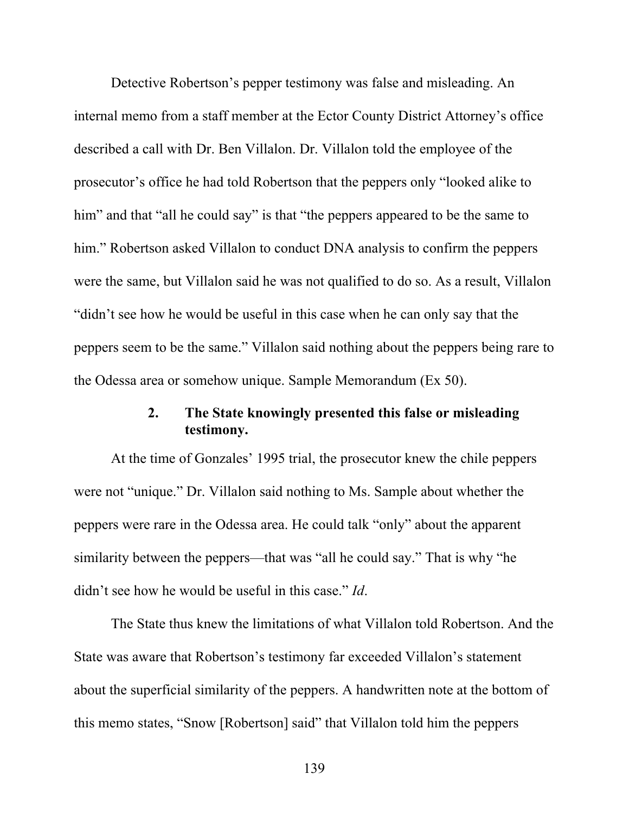Detective Robertson's pepper testimony was false and misleading. An internal memo from a staff member at the Ector County District Attorney's office described a call with Dr. Ben Villalon. Dr. Villalon told the employee of the prosecutor's office he had told Robertson that the peppers only "looked alike to him" and that "all he could say" is that "the peppers appeared to be the same to him." Robertson asked Villalon to conduct DNA analysis to confirm the peppers were the same, but Villalon said he was not qualified to do so. As a result, Villalon "didn't see how he would be useful in this case when he can only say that the peppers seem to be the same." Villalon said nothing about the peppers being rare to the Odessa area or somehow unique. Sample Memorandum (Ex 50).

# **2. The State knowingly presented this false or misleading testimony.**

At the time of Gonzales' 1995 trial, the prosecutor knew the chile peppers were not "unique." Dr. Villalon said nothing to Ms. Sample about whether the peppers were rare in the Odessa area. He could talk "only" about the apparent similarity between the peppers—that was "all he could say." That is why "he didn't see how he would be useful in this case." *Id*.

The State thus knew the limitations of what Villalon told Robertson. And the State was aware that Robertson's testimony far exceeded Villalon's statement about the superficial similarity of the peppers. A handwritten note at the bottom of this memo states, "Snow [Robertson] said" that Villalon told him the peppers

139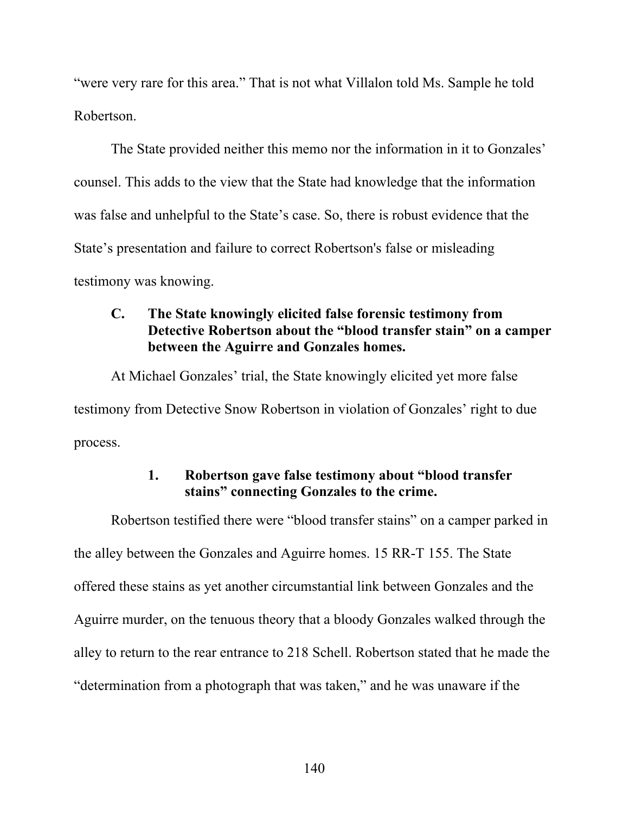"were very rare for this area." That is not what Villalon told Ms. Sample he told Robertson.

The State provided neither this memo nor the information in it to Gonzales' counsel. This adds to the view that the State had knowledge that the information was false and unhelpful to the State's case. So, there is robust evidence that the State's presentation and failure to correct Robertson's false or misleading testimony was knowing.

# **C. The State knowingly elicited false forensic testimony from Detective Robertson about the "blood transfer stain" on a camper between the Aguirre and Gonzales homes.**

At Michael Gonzales' trial, the State knowingly elicited yet more false testimony from Detective Snow Robertson in violation of Gonzales' right to due process.

### **1. Robertson gave false testimony about "blood transfer stains" connecting Gonzales to the crime.**

Robertson testified there were "blood transfer stains" on a camper parked in the alley between the Gonzales and Aguirre homes. 15 RR-T 155. The State offered these stains as yet another circumstantial link between Gonzales and the Aguirre murder, on the tenuous theory that a bloody Gonzales walked through the alley to return to the rear entrance to 218 Schell. Robertson stated that he made the "determination from a photograph that was taken," and he was unaware if the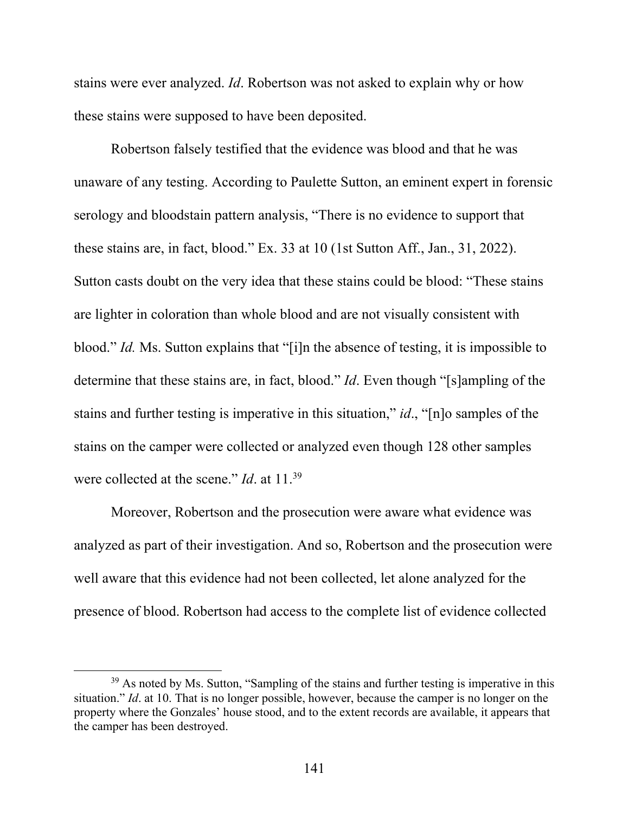stains were ever analyzed. *Id*. Robertson was not asked to explain why or how these stains were supposed to have been deposited.

Robertson falsely testified that the evidence was blood and that he was unaware of any testing. According to Paulette Sutton, an eminent expert in forensic serology and bloodstain pattern analysis, "There is no evidence to support that these stains are, in fact, blood." Ex. 33 at 10 (1st Sutton Aff., Jan., 31, 2022). Sutton casts doubt on the very idea that these stains could be blood: "These stains are lighter in coloration than whole blood and are not visually consistent with blood." *Id.* Ms. Sutton explains that "[i]n the absence of testing, it is impossible to determine that these stains are, in fact, blood." *Id*. Even though "[s]ampling of the stains and further testing is imperative in this situation," *id*., "[n]o samples of the stains on the camper were collected or analyzed even though 128 other samples were collected at the scene." *Id*. at 11.39

Moreover, Robertson and the prosecution were aware what evidence was analyzed as part of their investigation. And so, Robertson and the prosecution were well aware that this evidence had not been collected, let alone analyzed for the presence of blood. Robertson had access to the complete list of evidence collected

 $39$  As noted by Ms. Sutton, "Sampling of the stains and further testing is imperative in this situation." *Id*. at 10. That is no longer possible, however, because the camper is no longer on the property where the Gonzales' house stood, and to the extent records are available, it appears that the camper has been destroyed.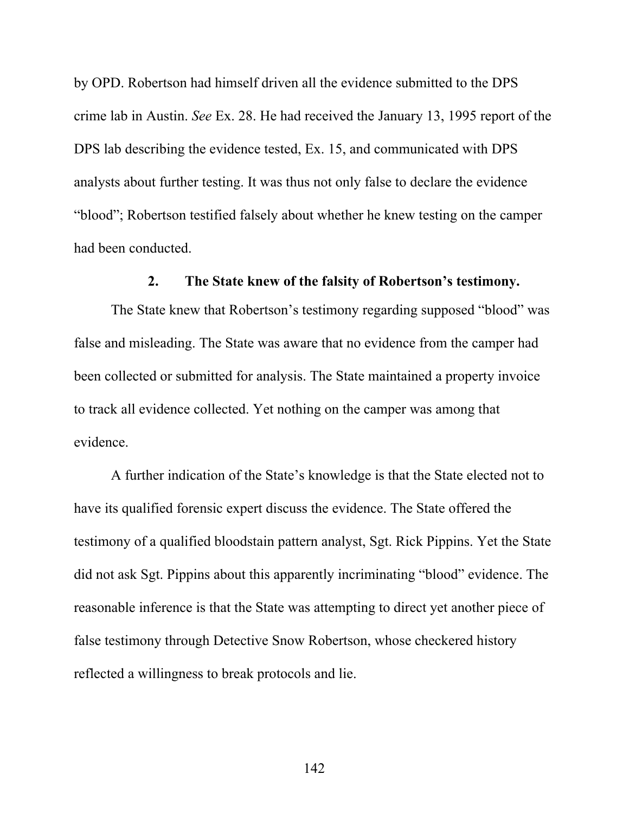by OPD. Robertson had himself driven all the evidence submitted to the DPS crime lab in Austin. *See* Ex. 28. He had received the January 13, 1995 report of the DPS lab describing the evidence tested, Ex. 15, and communicated with DPS analysts about further testing. It was thus not only false to declare the evidence "blood"; Robertson testified falsely about whether he knew testing on the camper had been conducted.

### **2. The State knew of the falsity of Robertson's testimony.**

The State knew that Robertson's testimony regarding supposed "blood" was false and misleading. The State was aware that no evidence from the camper had been collected or submitted for analysis. The State maintained a property invoice to track all evidence collected. Yet nothing on the camper was among that evidence.

A further indication of the State's knowledge is that the State elected not to have its qualified forensic expert discuss the evidence. The State offered the testimony of a qualified bloodstain pattern analyst, Sgt. Rick Pippins. Yet the State did not ask Sgt. Pippins about this apparently incriminating "blood" evidence. The reasonable inference is that the State was attempting to direct yet another piece of false testimony through Detective Snow Robertson, whose checkered history reflected a willingness to break protocols and lie.

142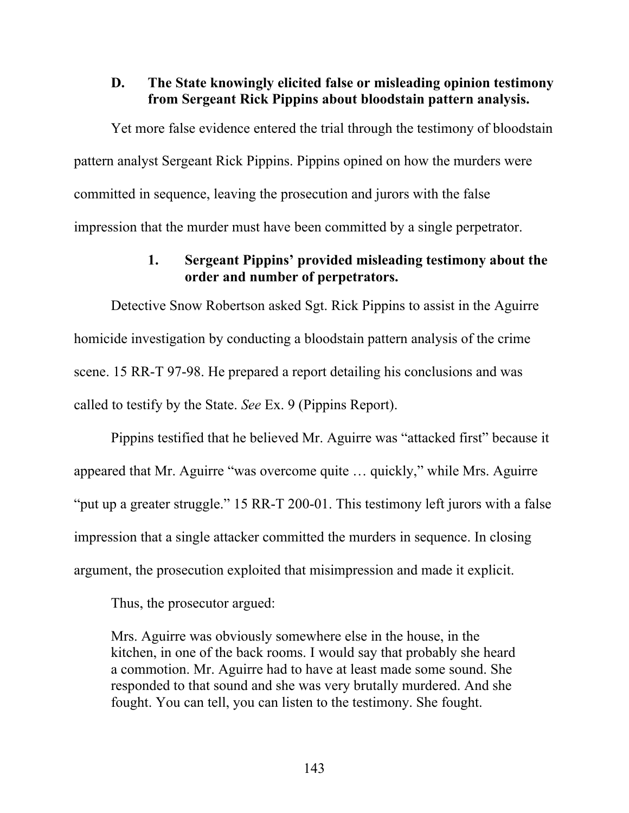### **D. The State knowingly elicited false or misleading opinion testimony from Sergeant Rick Pippins about bloodstain pattern analysis.**

Yet more false evidence entered the trial through the testimony of bloodstain pattern analyst Sergeant Rick Pippins. Pippins opined on how the murders were committed in sequence, leaving the prosecution and jurors with the false impression that the murder must have been committed by a single perpetrator.

### **1. Sergeant Pippins' provided misleading testimony about the order and number of perpetrators.**

Detective Snow Robertson asked Sgt. Rick Pippins to assist in the Aguirre homicide investigation by conducting a bloodstain pattern analysis of the crime scene. 15 RR-T 97-98. He prepared a report detailing his conclusions and was called to testify by the State. *See* Ex. 9 (Pippins Report).

Pippins testified that he believed Mr. Aguirre was "attacked first" because it appeared that Mr. Aguirre "was overcome quite … quickly," while Mrs. Aguirre "put up a greater struggle." 15 RR-T 200-01. This testimony left jurors with a false impression that a single attacker committed the murders in sequence. In closing argument, the prosecution exploited that misimpression and made it explicit.

Thus, the prosecutor argued:

Mrs. Aguirre was obviously somewhere else in the house, in the kitchen, in one of the back rooms. I would say that probably she heard a commotion. Mr. Aguirre had to have at least made some sound. She responded to that sound and she was very brutally murdered. And she fought. You can tell, you can listen to the testimony. She fought.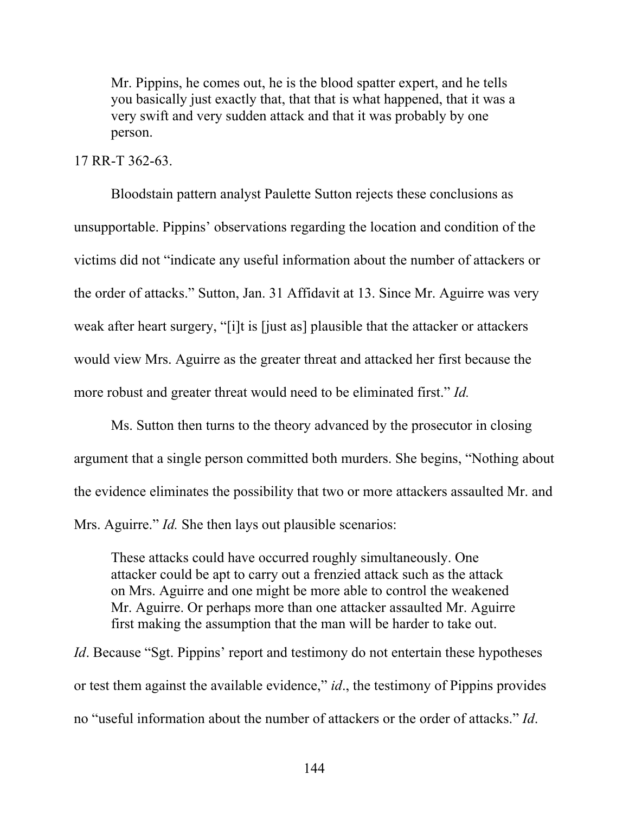Mr. Pippins, he comes out, he is the blood spatter expert, and he tells you basically just exactly that, that that is what happened, that it was a very swift and very sudden attack and that it was probably by one person.

#### 17 RR-T 362-63.

Bloodstain pattern analyst Paulette Sutton rejects these conclusions as unsupportable. Pippins' observations regarding the location and condition of the victims did not "indicate any useful information about the number of attackers or the order of attacks." Sutton, Jan. 31 Affidavit at 13. Since Mr. Aguirre was very weak after heart surgery, "[i]t is [just as] plausible that the attacker or attackers would view Mrs. Aguirre as the greater threat and attacked her first because the more robust and greater threat would need to be eliminated first." *Id.*

Ms. Sutton then turns to the theory advanced by the prosecutor in closing argument that a single person committed both murders. She begins, "Nothing about the evidence eliminates the possibility that two or more attackers assaulted Mr. and Mrs. Aguirre." *Id.* She then lays out plausible scenarios:

These attacks could have occurred roughly simultaneously. One attacker could be apt to carry out a frenzied attack such as the attack on Mrs. Aguirre and one might be more able to control the weakened Mr. Aguirre. Or perhaps more than one attacker assaulted Mr. Aguirre first making the assumption that the man will be harder to take out.

*Id*. Because "Sgt. Pippins' report and testimony do not entertain these hypotheses or test them against the available evidence," *id*., the testimony of Pippins provides no "useful information about the number of attackers or the order of attacks." *Id*.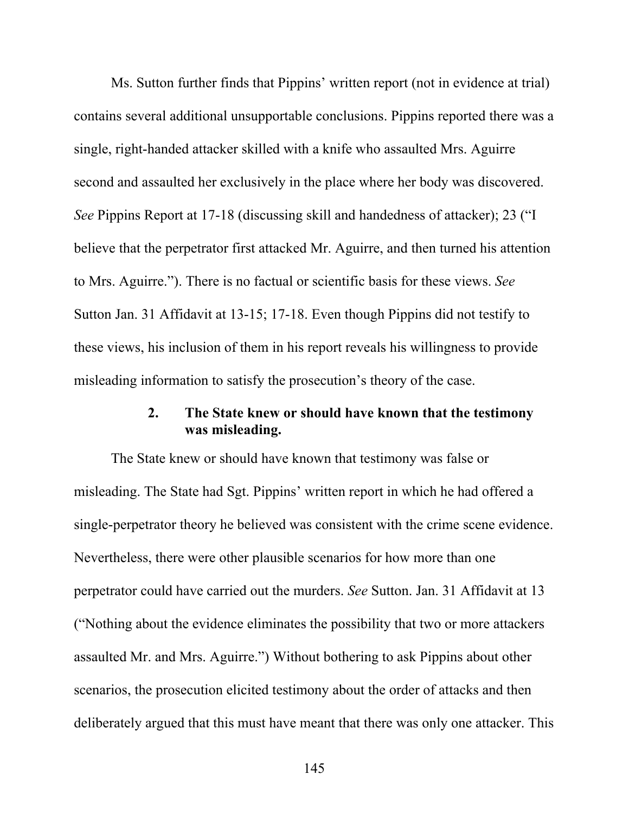Ms. Sutton further finds that Pippins' written report (not in evidence at trial) contains several additional unsupportable conclusions. Pippins reported there was a single, right-handed attacker skilled with a knife who assaulted Mrs. Aguirre second and assaulted her exclusively in the place where her body was discovered. *See* Pippins Report at 17-18 (discussing skill and handedness of attacker); 23 ("I believe that the perpetrator first attacked Mr. Aguirre, and then turned his attention to Mrs. Aguirre."). There is no factual or scientific basis for these views. *See*  Sutton Jan. 31 Affidavit at 13-15; 17-18. Even though Pippins did not testify to these views, his inclusion of them in his report reveals his willingness to provide misleading information to satisfy the prosecution's theory of the case.

### **2. The State knew or should have known that the testimony was misleading.**

The State knew or should have known that testimony was false or misleading. The State had Sgt. Pippins' written report in which he had offered a single-perpetrator theory he believed was consistent with the crime scene evidence. Nevertheless, there were other plausible scenarios for how more than one perpetrator could have carried out the murders. *See* Sutton. Jan. 31 Affidavit at 13 ("Nothing about the evidence eliminates the possibility that two or more attackers assaulted Mr. and Mrs. Aguirre.") Without bothering to ask Pippins about other scenarios, the prosecution elicited testimony about the order of attacks and then deliberately argued that this must have meant that there was only one attacker. This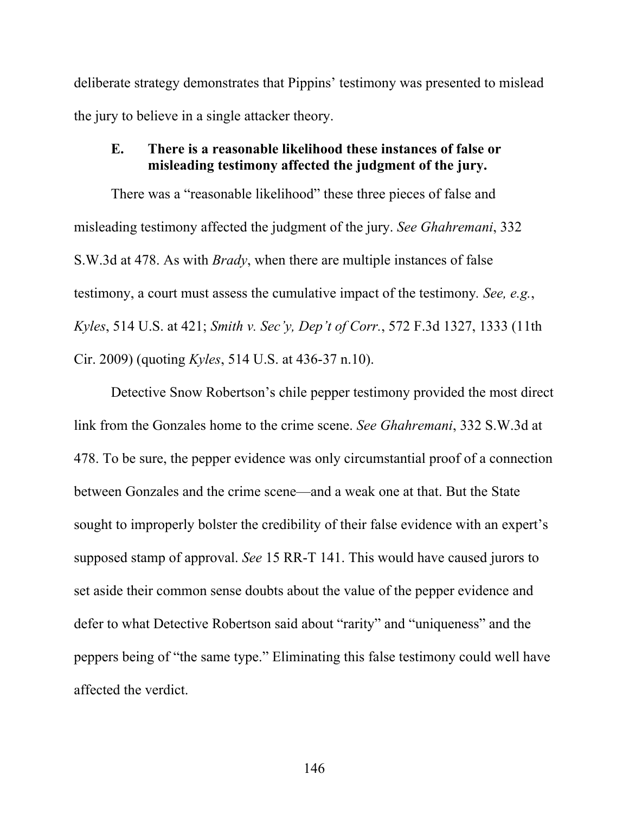deliberate strategy demonstrates that Pippins' testimony was presented to mislead the jury to believe in a single attacker theory.

### **E. There is a reasonable likelihood these instances of false or misleading testimony affected the judgment of the jury.**

There was a "reasonable likelihood" these three pieces of false and misleading testimony affected the judgment of the jury. *See Ghahremani*, 332 S.W.3d at 478. As with *Brady*, when there are multiple instances of false testimony, a court must assess the cumulative impact of the testimony*. See, e.g.*, *Kyles*, 514 U.S. at 421; *Smith v. Sec'y, Dep't of Corr.*, 572 F.3d 1327, 1333 (11th Cir. 2009) (quoting *Kyles*, 514 U.S. at 436-37 n.10).

Detective Snow Robertson's chile pepper testimony provided the most direct link from the Gonzales home to the crime scene. *See Ghahremani*, 332 S.W.3d at 478. To be sure, the pepper evidence was only circumstantial proof of a connection between Gonzales and the crime scene—and a weak one at that. But the State sought to improperly bolster the credibility of their false evidence with an expert's supposed stamp of approval. *See* 15 RR-T 141. This would have caused jurors to set aside their common sense doubts about the value of the pepper evidence and defer to what Detective Robertson said about "rarity" and "uniqueness" and the peppers being of "the same type." Eliminating this false testimony could well have affected the verdict.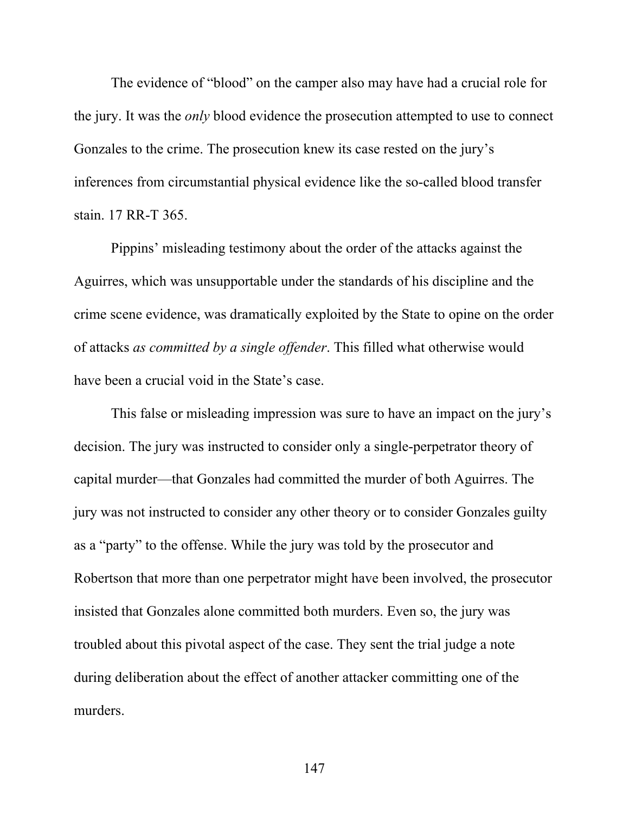The evidence of "blood" on the camper also may have had a crucial role for the jury. It was the *only* blood evidence the prosecution attempted to use to connect Gonzales to the crime. The prosecution knew its case rested on the jury's inferences from circumstantial physical evidence like the so-called blood transfer stain. 17 RR-T 365.

Pippins' misleading testimony about the order of the attacks against the Aguirres, which was unsupportable under the standards of his discipline and the crime scene evidence, was dramatically exploited by the State to opine on the order of attacks *as committed by a single offender*. This filled what otherwise would have been a crucial void in the State's case.

This false or misleading impression was sure to have an impact on the jury's decision. The jury was instructed to consider only a single-perpetrator theory of capital murder—that Gonzales had committed the murder of both Aguirres. The jury was not instructed to consider any other theory or to consider Gonzales guilty as a "party" to the offense. While the jury was told by the prosecutor and Robertson that more than one perpetrator might have been involved, the prosecutor insisted that Gonzales alone committed both murders. Even so, the jury was troubled about this pivotal aspect of the case. They sent the trial judge a note during deliberation about the effect of another attacker committing one of the murders.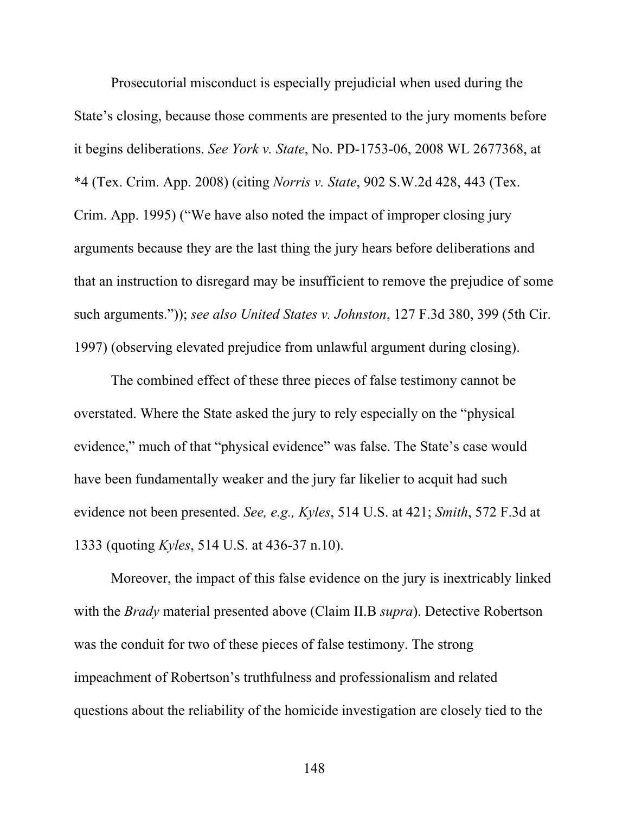Prosecutorial misconduct is especially prejudicial when used during the State's closing, because those comments are presented to the jury moments before it begins deliberations. *See York v. State*, No. PD-1753-06, 2008 WL 2677368, at \*4 (Tex. Crim. App. 2008) (citing *Norris v. State*, 902 S.W.2d 428, 443 (Tex. Crim. App. 1995) ("We have also noted the impact of improper closing jury arguments because they are the last thing the jury hears before deliberations and that an instruction to disregard may be insufficient to remove the prejudice of some such arguments.")); *see also United States v. Johnston*, 127 F.3d 380, 399 (5th Cir. 1997) (observing elevated prejudice from unlawful argument during closing).

The combined effect of these three pieces of false testimony cannot be overstated. Where the State asked the jury to rely especially on the "physical evidence," much of that "physical evidence" was false. The State's case would have been fundamentally weaker and the jury far likelier to acquit had such evidence not been presented. *See, e.g., Kyles*, 514 U.S. at 421; *Smith*, 572 F.3d at 1333 (quoting *Kyles*, 514 U.S. at 436-37 n.10).

Moreover, the impact of this false evidence on the jury is inextricably linked with the *Brady* material presented above (Claim II.B *supra*). Detective Robertson was the conduit for two of these pieces of false testimony. The strong impeachment of Robertson's truthfulness and professionalism and related questions about the reliability of the homicide investigation are closely tied to the

148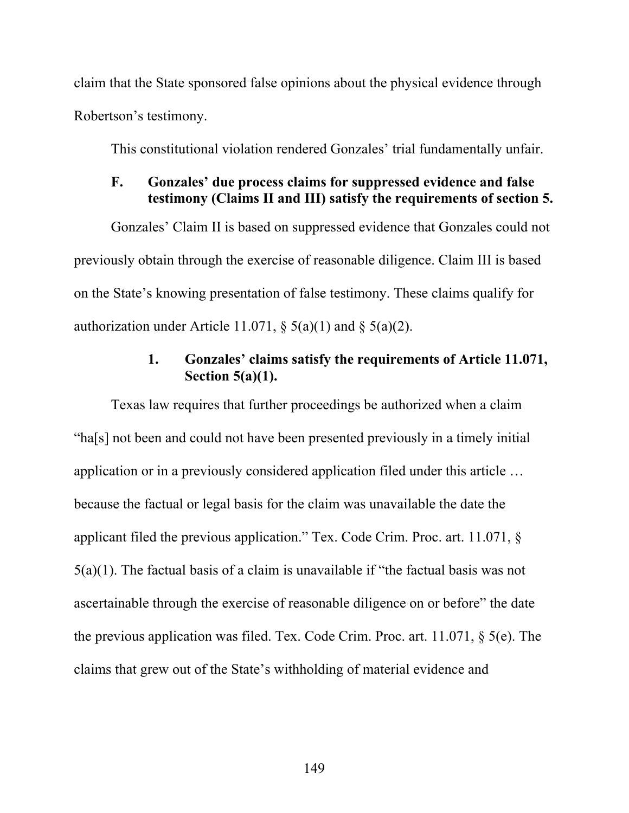claim that the State sponsored false opinions about the physical evidence through Robertson's testimony.

This constitutional violation rendered Gonzales' trial fundamentally unfair.

### **F. Gonzales' due process claims for suppressed evidence and false testimony (Claims II and III) satisfy the requirements of section 5.**

Gonzales' Claim II is based on suppressed evidence that Gonzales could not previously obtain through the exercise of reasonable diligence. Claim III is based on the State's knowing presentation of false testimony. These claims qualify for authorization under Article 11.071,  $\S$  5(a)(1) and  $\S$  5(a)(2).

# **1. Gonzales' claims satisfy the requirements of Article 11.071, Section 5(a)(1).**

Texas law requires that further proceedings be authorized when a claim "ha[s] not been and could not have been presented previously in a timely initial application or in a previously considered application filed under this article … because the factual or legal basis for the claim was unavailable the date the applicant filed the previous application." Tex. Code Crim. Proc. art. 11.071, § 5(a)(1). The factual basis of a claim is unavailable if "the factual basis was not ascertainable through the exercise of reasonable diligence on or before" the date the previous application was filed. Tex. Code Crim. Proc. art. 11.071, § 5(e). The claims that grew out of the State's withholding of material evidence and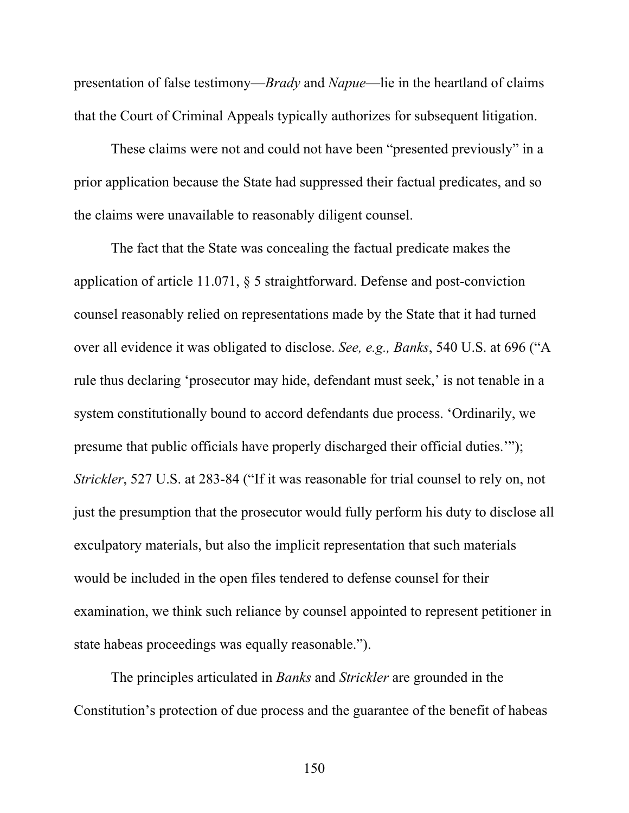presentation of false testimony—*Brady* and *Napue*—lie in the heartland of claims that the Court of Criminal Appeals typically authorizes for subsequent litigation.

These claims were not and could not have been "presented previously" in a prior application because the State had suppressed their factual predicates, and so the claims were unavailable to reasonably diligent counsel.

The fact that the State was concealing the factual predicate makes the application of article 11.071, § 5 straightforward. Defense and post-conviction counsel reasonably relied on representations made by the State that it had turned over all evidence it was obligated to disclose. *See, e.g., Banks*, 540 U.S. at 696 ("A rule thus declaring 'prosecutor may hide, defendant must seek,' is not tenable in a system constitutionally bound to accord defendants due process. 'Ordinarily, we presume that public officials have properly discharged their official duties.'"); *Strickler*, 527 U.S. at 283-84 ("If it was reasonable for trial counsel to rely on, not just the presumption that the prosecutor would fully perform his duty to disclose all exculpatory materials, but also the implicit representation that such materials would be included in the open files tendered to defense counsel for their examination, we think such reliance by counsel appointed to represent petitioner in state habeas proceedings was equally reasonable.").

The principles articulated in *Banks* and *Strickler* are grounded in the Constitution's protection of due process and the guarantee of the benefit of habeas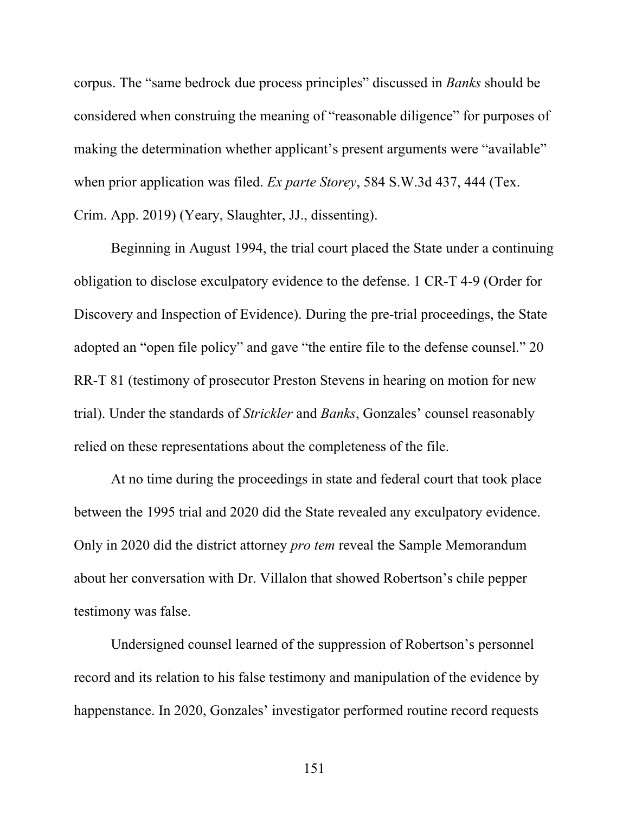corpus. The "same bedrock due process principles" discussed in *Banks* should be considered when construing the meaning of "reasonable diligence" for purposes of making the determination whether applicant's present arguments were "available" when prior application was filed. *Ex parte Storey*, 584 S.W.3d 437, 444 (Tex. Crim. App. 2019) (Yeary, Slaughter, JJ., dissenting).

Beginning in August 1994, the trial court placed the State under a continuing obligation to disclose exculpatory evidence to the defense. 1 CR-T 4-9 (Order for Discovery and Inspection of Evidence). During the pre-trial proceedings, the State adopted an "open file policy" and gave "the entire file to the defense counsel." 20 RR-T 81 (testimony of prosecutor Preston Stevens in hearing on motion for new trial). Under the standards of *Strickler* and *Banks*, Gonzales' counsel reasonably relied on these representations about the completeness of the file.

At no time during the proceedings in state and federal court that took place between the 1995 trial and 2020 did the State revealed any exculpatory evidence. Only in 2020 did the district attorney *pro tem* reveal the Sample Memorandum about her conversation with Dr. Villalon that showed Robertson's chile pepper testimony was false.

Undersigned counsel learned of the suppression of Robertson's personnel record and its relation to his false testimony and manipulation of the evidence by happenstance. In 2020, Gonzales' investigator performed routine record requests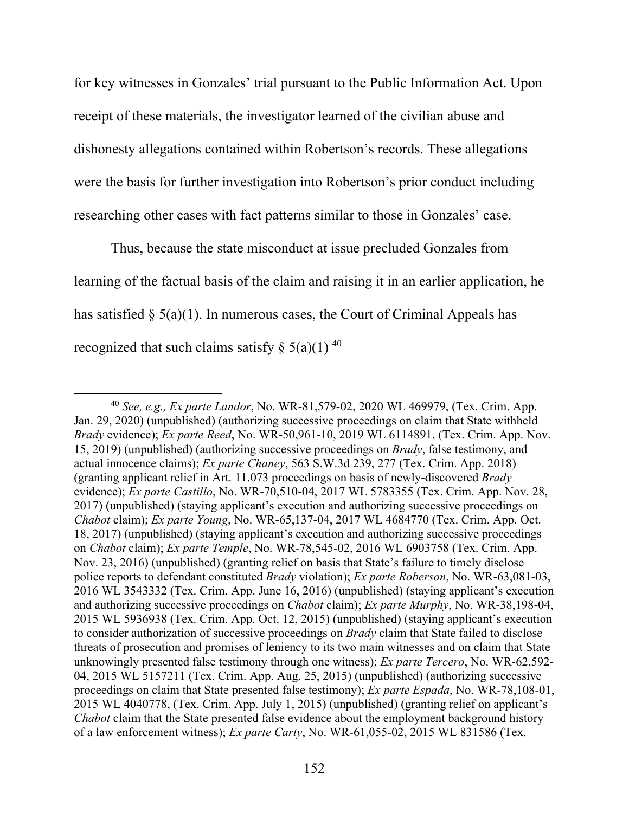for key witnesses in Gonzales' trial pursuant to the Public Information Act. Upon receipt of these materials, the investigator learned of the civilian abuse and dishonesty allegations contained within Robertson's records. These allegations were the basis for further investigation into Robertson's prior conduct including researching other cases with fact patterns similar to those in Gonzales' case.

Thus, because the state misconduct at issue precluded Gonzales from learning of the factual basis of the claim and raising it in an earlier application, he has satisfied  $\S$  5(a)(1). In numerous cases, the Court of Criminal Appeals has recognized that such claims satisfy  $\S(3a)(1)^{40}$ 

<sup>40</sup> *See, e.g., Ex parte Landor*, No. WR-81,579-02, 2020 WL 469979, (Tex. Crim. App. Jan. 29, 2020) (unpublished) (authorizing successive proceedings on claim that State withheld *Brady* evidence); *Ex parte Reed*, No. WR-50,961-10, 2019 WL 6114891, (Tex. Crim. App. Nov. 15, 2019) (unpublished) (authorizing successive proceedings on *Brady*, false testimony, and actual innocence claims); *Ex parte Chaney*, 563 S.W.3d 239, 277 (Tex. Crim. App. 2018) (granting applicant relief in Art. 11.073 proceedings on basis of newly-discovered *Brady* evidence); *Ex parte Castillo*, No. WR-70,510-04, 2017 WL 5783355 (Tex. Crim. App. Nov. 28, 2017) (unpublished) (staying applicant's execution and authorizing successive proceedings on *Chabot* claim); *Ex parte Young*, No. WR-65,137-04, 2017 WL 4684770 (Tex. Crim. App. Oct. 18, 2017) (unpublished) (staying applicant's execution and authorizing successive proceedings on *Chabot* claim); *Ex parte Temple*, No. WR-78,545-02, 2016 WL 6903758 (Tex. Crim. App. Nov. 23, 2016) (unpublished) (granting relief on basis that State's failure to timely disclose police reports to defendant constituted *Brady* violation); *Ex parte Roberson*, No. WR-63,081-03, 2016 WL 3543332 (Tex. Crim. App. June 16, 2016) (unpublished) (staying applicant's execution and authorizing successive proceedings on *Chabot* claim); *Ex parte Murphy*, No. WR-38,198-04, 2015 WL 5936938 (Tex. Crim. App. Oct. 12, 2015) (unpublished) (staying applicant's execution to consider authorization of successive proceedings on *Brady* claim that State failed to disclose threats of prosecution and promises of leniency to its two main witnesses and on claim that State unknowingly presented false testimony through one witness); *Ex parte Tercero*, No. WR-62,592- 04, 2015 WL 5157211 (Tex. Crim. App. Aug. 25, 2015) (unpublished) (authorizing successive proceedings on claim that State presented false testimony); *Ex parte Espada*, No. WR-78,108-01, 2015 WL 4040778, (Tex. Crim. App. July 1, 2015) (unpublished) (granting relief on applicant's *Chabot* claim that the State presented false evidence about the employment background history of a law enforcement witness); *Ex parte Carty*, No. WR-61,055-02, 2015 WL 831586 (Tex.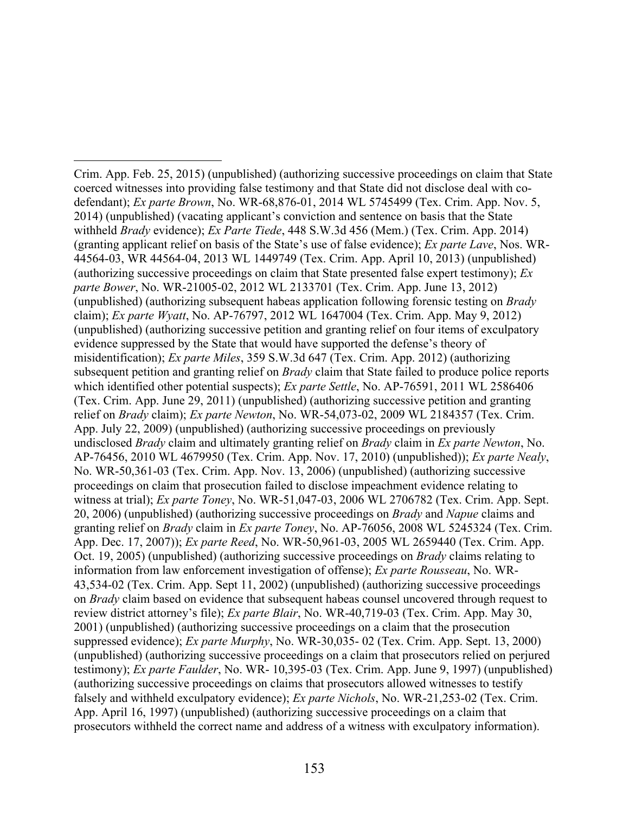Crim. App. Feb. 25, 2015) (unpublished) (authorizing successive proceedings on claim that State coerced witnesses into providing false testimony and that State did not disclose deal with codefendant); *Ex parte Brown*, No. WR-68,876-01, 2014 WL 5745499 (Tex. Crim. App. Nov. 5, 2014) (unpublished) (vacating applicant's conviction and sentence on basis that the State withheld *Brady* evidence); *Ex Parte Tiede*, 448 S.W.3d 456 (Mem.) (Tex. Crim. App. 2014) (granting applicant relief on basis of the State's use of false evidence); *Ex parte Lave*, Nos. WR-44564-03, WR 44564-04, 2013 WL 1449749 (Tex. Crim. App. April 10, 2013) (unpublished) (authorizing successive proceedings on claim that State presented false expert testimony); *Ex parte Bower*, No. WR-21005-02, 2012 WL 2133701 (Tex. Crim. App. June 13, 2012) (unpublished) (authorizing subsequent habeas application following forensic testing on *Brady* claim); *Ex parte Wyatt*, No. AP-76797, 2012 WL 1647004 (Tex. Crim. App. May 9, 2012) (unpublished) (authorizing successive petition and granting relief on four items of exculpatory evidence suppressed by the State that would have supported the defense's theory of misidentification); *Ex parte Miles*, 359 S.W.3d 647 (Tex. Crim. App. 2012) (authorizing subsequent petition and granting relief on *Brady* claim that State failed to produce police reports which identified other potential suspects); *Ex parte Settle*, No. AP-76591, 2011 WL 2586406 (Tex. Crim. App. June 29, 2011) (unpublished) (authorizing successive petition and granting relief on *Brady* claim); *Ex parte Newton*, No. WR-54,073-02, 2009 WL 2184357 (Tex. Crim. App. July 22, 2009) (unpublished) (authorizing successive proceedings on previously undisclosed *Brady* claim and ultimately granting relief on *Brady* claim in *Ex parte Newton*, No. AP-76456, 2010 WL 4679950 (Tex. Crim. App. Nov. 17, 2010) (unpublished)); *Ex parte Nealy*, No. WR-50,361-03 (Tex. Crim. App. Nov. 13, 2006) (unpublished) (authorizing successive proceedings on claim that prosecution failed to disclose impeachment evidence relating to witness at trial); *Ex parte Toney*, No. WR-51,047-03, 2006 WL 2706782 (Tex. Crim. App. Sept. 20, 2006) (unpublished) (authorizing successive proceedings on *Brady* and *Napue* claims and granting relief on *Brady* claim in *Ex parte Toney*, No. AP-76056, 2008 WL 5245324 (Tex. Crim. App. Dec. 17, 2007)); *Ex parte Reed*, No. WR-50,961-03, 2005 WL 2659440 (Tex. Crim. App. Oct. 19, 2005) (unpublished) (authorizing successive proceedings on *Brady* claims relating to information from law enforcement investigation of offense); *Ex parte Rousseau*, No. WR-43,534-02 (Tex. Crim. App. Sept 11, 2002) (unpublished) (authorizing successive proceedings on *Brady* claim based on evidence that subsequent habeas counsel uncovered through request to review district attorney's file); *Ex parte Blair*, No. WR-40,719-03 (Tex. Crim. App. May 30, 2001) (unpublished) (authorizing successive proceedings on a claim that the prosecution suppressed evidence); *Ex parte Murphy*, No. WR-30,035- 02 (Tex. Crim. App. Sept. 13, 2000) (unpublished) (authorizing successive proceedings on a claim that prosecutors relied on perjured testimony); *Ex parte Faulder*, No. WR- 10,395-03 (Tex. Crim. App. June 9, 1997) (unpublished) (authorizing successive proceedings on claims that prosecutors allowed witnesses to testify falsely and withheld exculpatory evidence); *Ex parte Nichols*, No. WR-21,253-02 (Tex. Crim. App. April 16, 1997) (unpublished) (authorizing successive proceedings on a claim that prosecutors withheld the correct name and address of a witness with exculpatory information).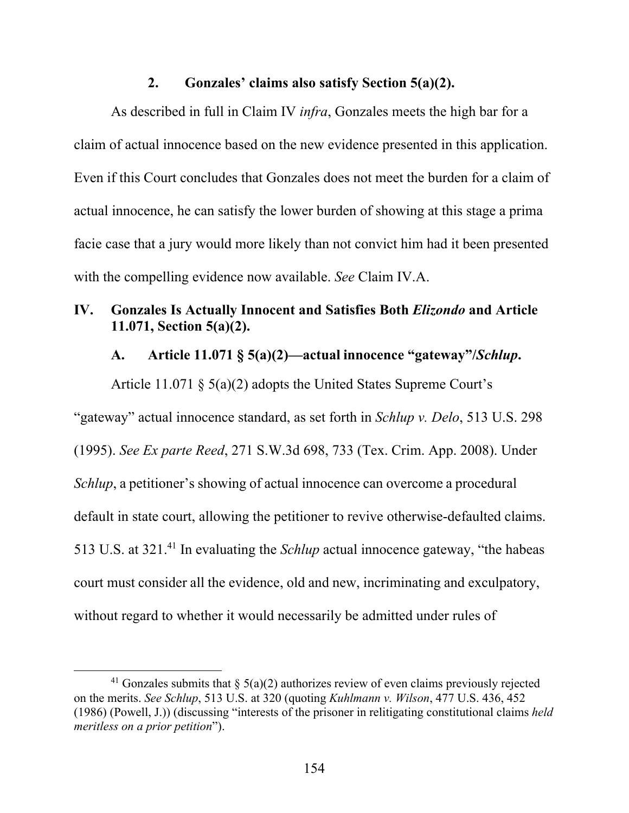#### **2. Gonzales' claims also satisfy Section 5(a)(2).**

As described in full in Claim IV *infra*, Gonzales meets the high bar for a claim of actual innocence based on the new evidence presented in this application. Even if this Court concludes that Gonzales does not meet the burden for a claim of actual innocence, he can satisfy the lower burden of showing at this stage a prima facie case that a jury would more likely than not convict him had it been presented with the compelling evidence now available. *See* Claim IV.A.

# **IV. Gonzales Is Actually Innocent and Satisfies Both** *Elizondo* **and Article 11.071, Section 5(a)(2).**

# **A. Article 11.071 § 5(a)(2)—actual innocence "gateway"/***Schlup***.**

Article 11.071 § 5(a)(2) adopts the United States Supreme Court's "gateway" actual innocence standard, as set forth in *Schlup v. Delo*, 513 U.S. 298 (1995). *See Ex parte Reed*, 271 S.W.3d 698, 733 (Tex. Crim. App. 2008). Under *Schlup*, a petitioner's showing of actual innocence can overcome a procedural default in state court, allowing the petitioner to revive otherwise-defaulted claims. 513 U.S. at 321.41 In evaluating the *Schlup* actual innocence gateway, "the habeas court must consider all the evidence, old and new, incriminating and exculpatory, without regard to whether it would necessarily be admitted under rules of

<sup>&</sup>lt;sup>41</sup> Gonzales submits that  $\delta$  5(a)(2) authorizes review of even claims previously rejected on the merits. *See Schlup*, 513 U.S. at 320 (quoting *Kuhlmann v. Wilson*, 477 U.S. 436, 452 (1986) (Powell, J.)) (discussing "interests of the prisoner in relitigating constitutional claims *held meritless on a prior petition*").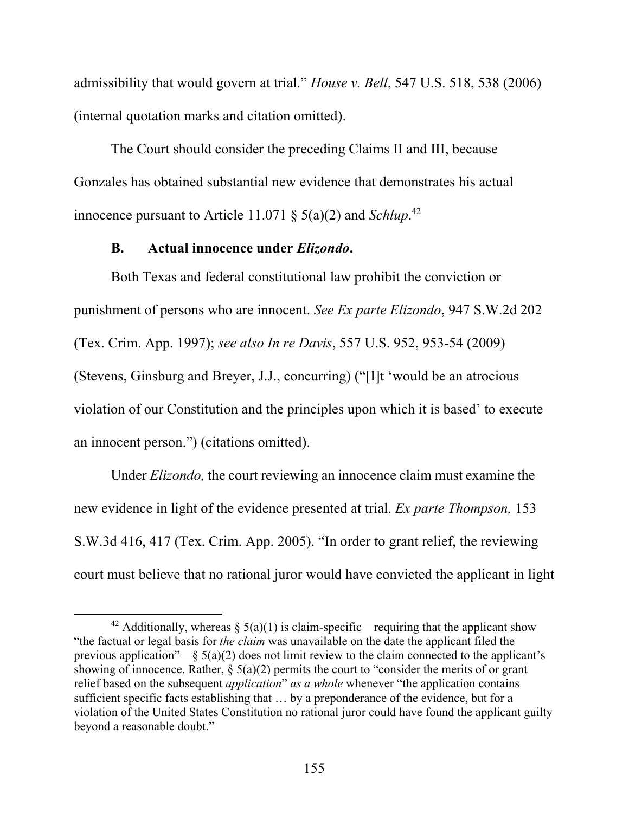admissibility that would govern at trial." *House v. Bell*, 547 U.S. 518, 538 (2006) (internal quotation marks and citation omitted).

The Court should consider the preceding Claims II and III, because Gonzales has obtained substantial new evidence that demonstrates his actual innocence pursuant to Article 11.071 § 5(a)(2) and *Schlup*. 42

### **B. Actual innocence under** *Elizondo***.**

Both Texas and federal constitutional law prohibit the conviction or punishment of persons who are innocent. *See Ex parte Elizondo*, 947 S.W.2d 202 (Tex. Crim. App. 1997); *see also In re Davis*, 557 U.S. 952, 953-54 (2009) (Stevens, Ginsburg and Breyer, J.J., concurring) ("[I]t 'would be an atrocious violation of our Constitution and the principles upon which it is based' to execute an innocent person.") (citations omitted).

Under *Elizondo,* the court reviewing an innocence claim must examine the new evidence in light of the evidence presented at trial. *Ex parte Thompson,* 153 S.W.3d 416, 417 (Tex. Crim. App. 2005). "In order to grant relief, the reviewing court must believe that no rational juror would have convicted the applicant in light

<sup>&</sup>lt;sup>42</sup> Additionally, whereas  $\S(6a)(1)$  is claim-specific—requiring that the applicant show "the factual or legal basis for *the claim* was unavailable on the date the applicant filed the previous application"—§  $5(a)(2)$  does not limit review to the claim connected to the applicant's showing of innocence. Rather,  $\S(3a)(2)$  permits the court to "consider the merits of or grant relief based on the subsequent *application*" *as a whole* whenever "the application contains sufficient specific facts establishing that … by a preponderance of the evidence, but for a violation of the United States Constitution no rational juror could have found the applicant guilty beyond a reasonable doubt."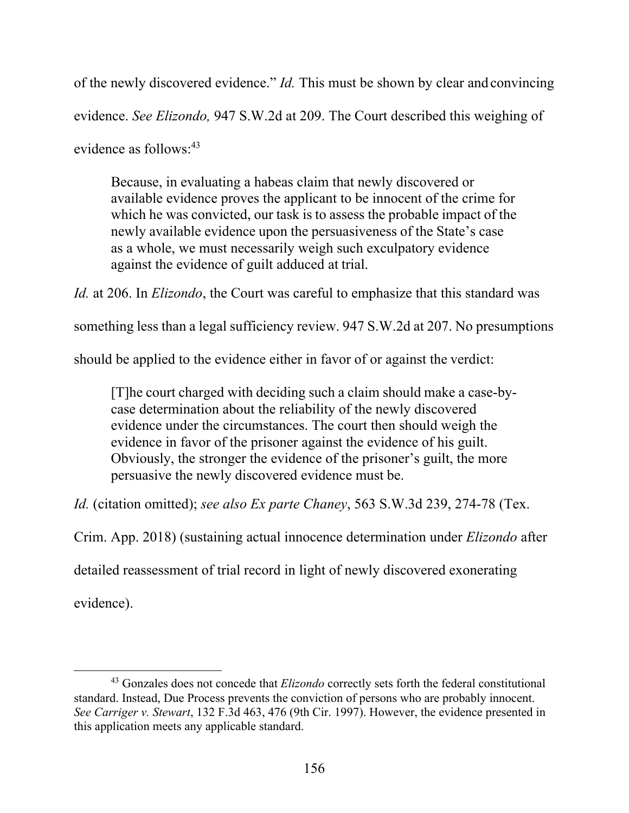of the newly discovered evidence." *Id.* This must be shown by clear and convincing evidence. *See Elizondo,* 947 S.W.2d at 209. The Court described this weighing of evidence as follows:43

Because, in evaluating a habeas claim that newly discovered or available evidence proves the applicant to be innocent of the crime for which he was convicted, our task is to assess the probable impact of the newly available evidence upon the persuasiveness of the State's case as a whole, we must necessarily weigh such exculpatory evidence against the evidence of guilt adduced at trial.

*Id.* at 206. In *Elizondo*, the Court was careful to emphasize that this standard was

something less than a legal sufficiency review. 947 S.W.2d at 207. No presumptions

should be applied to the evidence either in favor of or against the verdict:

[T]he court charged with deciding such a claim should make a case-bycase determination about the reliability of the newly discovered evidence under the circumstances. The court then should weigh the evidence in favor of the prisoner against the evidence of his guilt. Obviously, the stronger the evidence of the prisoner's guilt, the more persuasive the newly discovered evidence must be.

*Id.* (citation omitted); *see also Ex parte Chaney*, 563 S.W.3d 239, 274-78 (Tex.

Crim. App. 2018) (sustaining actual innocence determination under *Elizondo* after

detailed reassessment of trial record in light of newly discovered exonerating

evidence).

<sup>43</sup> Gonzales does not concede that *Elizondo* correctly sets forth the federal constitutional standard. Instead, Due Process prevents the conviction of persons who are probably innocent. *See Carriger v. Stewart*, 132 F.3d 463, 476 (9th Cir. 1997). However, the evidence presented in this application meets any applicable standard.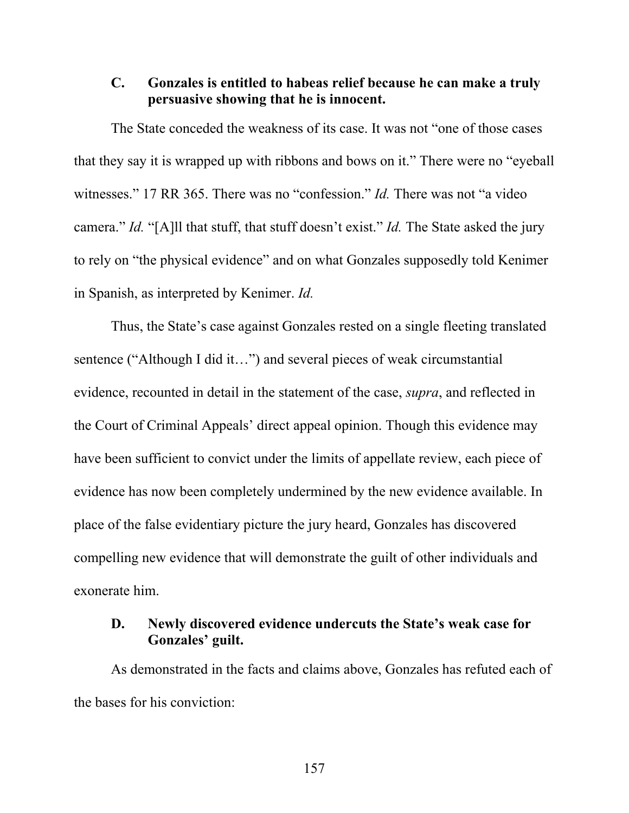### **C. Gonzales is entitled to habeas relief because he can make a truly persuasive showing that he is innocent.**

The State conceded the weakness of its case. It was not "one of those cases that they say it is wrapped up with ribbons and bows on it." There were no "eyeball witnesses." 17 RR 365. There was no "confession." *Id.* There was not "a video camera." *Id.* "[A]ll that stuff, that stuff doesn't exist." *Id.* The State asked the jury to rely on "the physical evidence" and on what Gonzales supposedly told Kenimer in Spanish, as interpreted by Kenimer. *Id.*

Thus, the State's case against Gonzales rested on a single fleeting translated sentence ("Although I did it...") and several pieces of weak circumstantial evidence, recounted in detail in the statement of the case, *supra*, and reflected in the Court of Criminal Appeals' direct appeal opinion. Though this evidence may have been sufficient to convict under the limits of appellate review, each piece of evidence has now been completely undermined by the new evidence available. In place of the false evidentiary picture the jury heard, Gonzales has discovered compelling new evidence that will demonstrate the guilt of other individuals and exonerate him.

# **D. Newly discovered evidence undercuts the State's weak case for Gonzales' guilt.**

As demonstrated in the facts and claims above, Gonzales has refuted each of the bases for his conviction: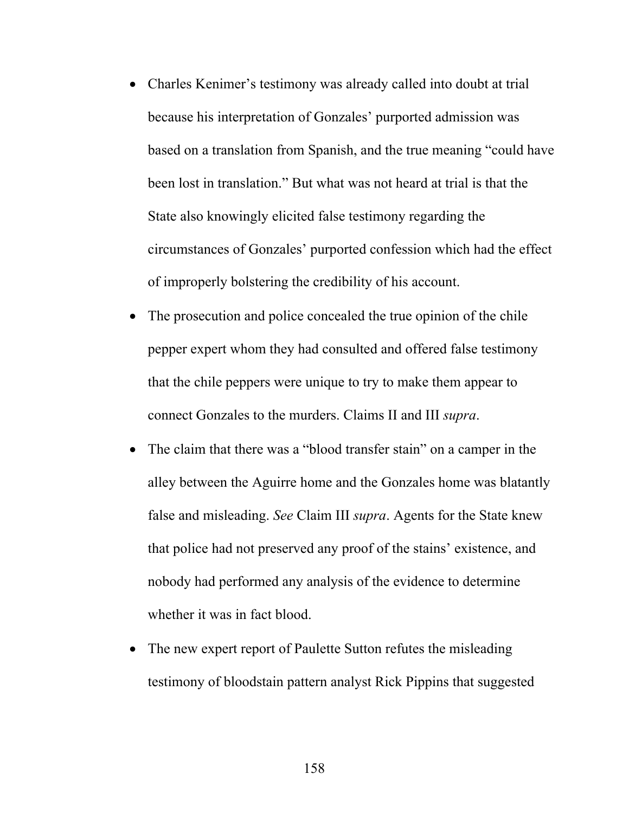- Charles Kenimer's testimony was already called into doubt at trial because his interpretation of Gonzales' purported admission was based on a translation from Spanish, and the true meaning "could have been lost in translation." But what was not heard at trial is that the State also knowingly elicited false testimony regarding the circumstances of Gonzales' purported confession which had the effect of improperly bolstering the credibility of his account.
- The prosecution and police concealed the true opinion of the chile pepper expert whom they had consulted and offered false testimony that the chile peppers were unique to try to make them appear to connect Gonzales to the murders. Claims II and III *supra*.
- The claim that there was a "blood transfer stain" on a camper in the alley between the Aguirre home and the Gonzales home was blatantly false and misleading. *See* Claim III *supra*. Agents for the State knew that police had not preserved any proof of the stains' existence, and nobody had performed any analysis of the evidence to determine whether it was in fact blood.
- The new expert report of Paulette Sutton refutes the misleading testimony of bloodstain pattern analyst Rick Pippins that suggested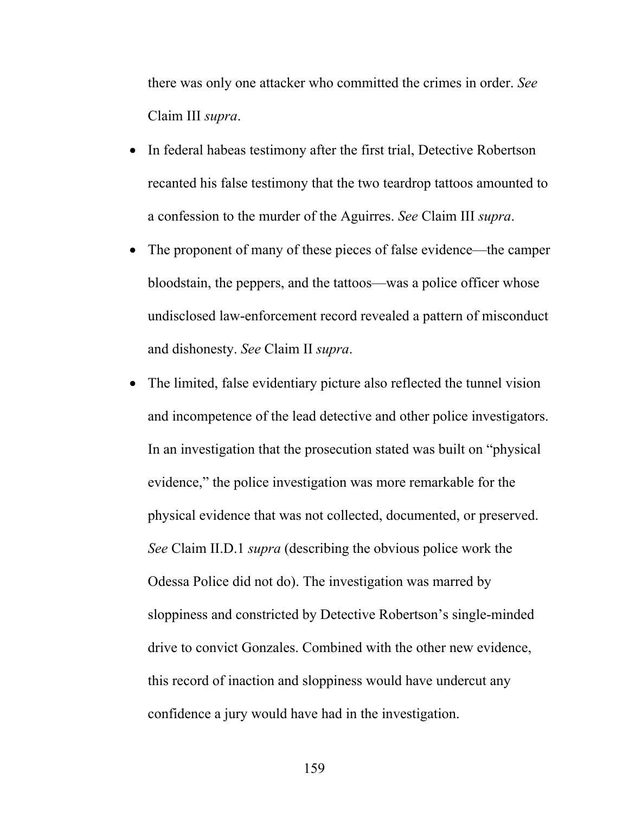there was only one attacker who committed the crimes in order. *See*  Claim III *supra*.

- In federal habeas testimony after the first trial, Detective Robertson recanted his false testimony that the two teardrop tattoos amounted to a confession to the murder of the Aguirres. *See* Claim III *supra*.
- The proponent of many of these pieces of false evidence—the camper bloodstain, the peppers, and the tattoos—was a police officer whose undisclosed law-enforcement record revealed a pattern of misconduct and dishonesty. *See* Claim II *supra*.
- The limited, false evidentiary picture also reflected the tunnel vision and incompetence of the lead detective and other police investigators. In an investigation that the prosecution stated was built on "physical evidence," the police investigation was more remarkable for the physical evidence that was not collected, documented, or preserved. *See* Claim II.D.1 *supra* (describing the obvious police work the Odessa Police did not do). The investigation was marred by sloppiness and constricted by Detective Robertson's single-minded drive to convict Gonzales. Combined with the other new evidence, this record of inaction and sloppiness would have undercut any confidence a jury would have had in the investigation.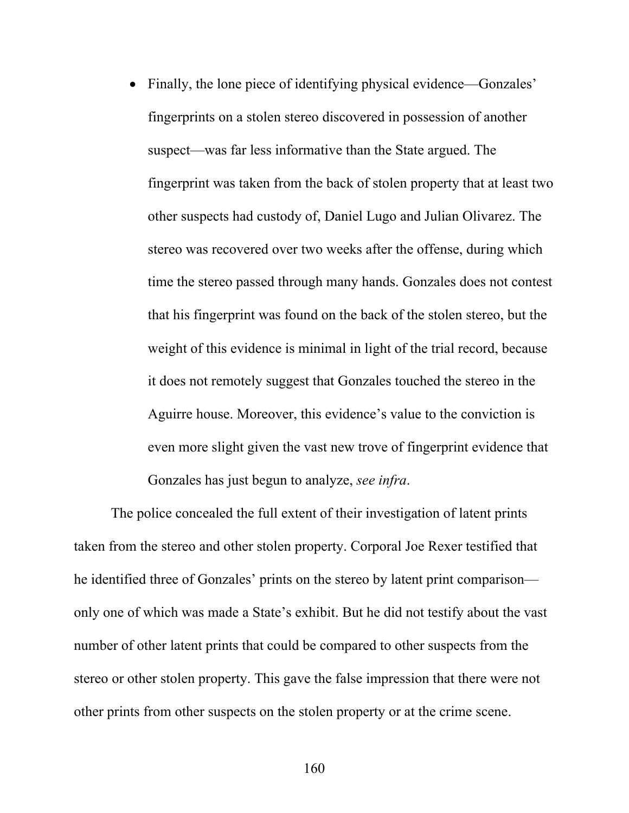• Finally, the lone piece of identifying physical evidence—Gonzales' fingerprints on a stolen stereo discovered in possession of another suspect—was far less informative than the State argued. The fingerprint was taken from the back of stolen property that at least two other suspects had custody of, Daniel Lugo and Julian Olivarez. The stereo was recovered over two weeks after the offense, during which time the stereo passed through many hands. Gonzales does not contest that his fingerprint was found on the back of the stolen stereo, but the weight of this evidence is minimal in light of the trial record, because it does not remotely suggest that Gonzales touched the stereo in the Aguirre house. Moreover, this evidence's value to the conviction is even more slight given the vast new trove of fingerprint evidence that Gonzales has just begun to analyze, *see infra*.

The police concealed the full extent of their investigation of latent prints taken from the stereo and other stolen property. Corporal Joe Rexer testified that he identified three of Gonzales' prints on the stereo by latent print comparison only one of which was made a State's exhibit. But he did not testify about the vast number of other latent prints that could be compared to other suspects from the stereo or other stolen property. This gave the false impression that there were not other prints from other suspects on the stolen property or at the crime scene.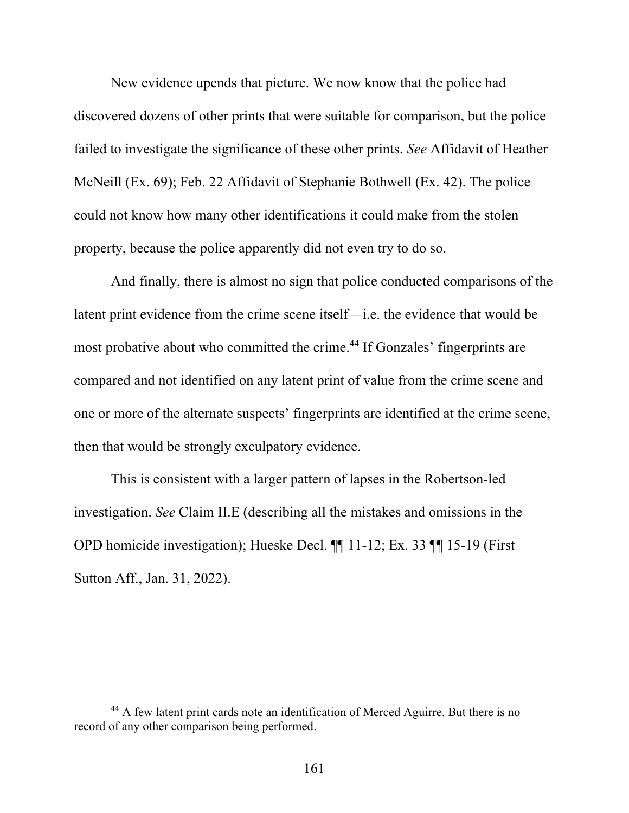New evidence upends that picture. We now know that the police had discovered dozens of other prints that were suitable for comparison, but the police failed to investigate the significance of these other prints. *See* Affidavit of Heather McNeill (Ex. 69); Feb. 22 Affidavit of Stephanie Bothwell (Ex. 42). The police could not know how many other identifications it could make from the stolen property, because the police apparently did not even try to do so.

And finally, there is almost no sign that police conducted comparisons of the latent print evidence from the crime scene itself—i.e. the evidence that would be most probative about who committed the crime.<sup>44</sup> If Gonzales' fingerprints are compared and not identified on any latent print of value from the crime scene and one or more of the alternate suspects' fingerprints are identified at the crime scene, then that would be strongly exculpatory evidence.

This is consistent with a larger pattern of lapses in the Robertson-led investigation. *See* Claim II.E (describing all the mistakes and omissions in the OPD homicide investigation); Hueske Decl. ¶¶ 11-12; Ex. 33 ¶¶ 15-19 (First Sutton Aff., Jan. 31, 2022).

<sup>44</sup> A few latent print cards note an identification of Merced Aguirre. But there is no record of any other comparison being performed.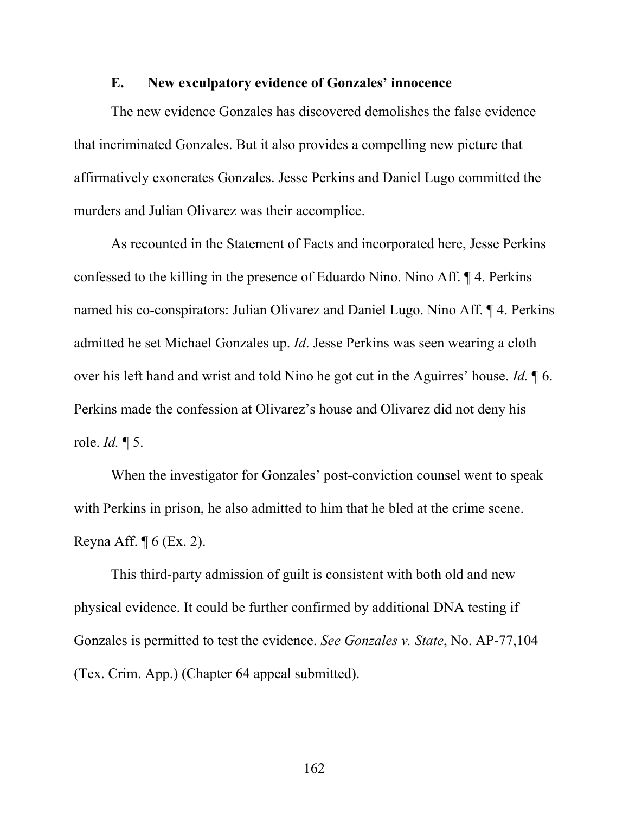## **E. New exculpatory evidence of Gonzales' innocence**

The new evidence Gonzales has discovered demolishes the false evidence that incriminated Gonzales. But it also provides a compelling new picture that affirmatively exonerates Gonzales. Jesse Perkins and Daniel Lugo committed the murders and Julian Olivarez was their accomplice.

As recounted in the Statement of Facts and incorporated here, Jesse Perkins confessed to the killing in the presence of Eduardo Nino. Nino Aff. ¶ 4. Perkins named his co-conspirators: Julian Olivarez and Daniel Lugo. Nino Aff. ¶ 4. Perkins admitted he set Michael Gonzales up. *Id*. Jesse Perkins was seen wearing a cloth over his left hand and wrist and told Nino he got cut in the Aguirres' house. *Id.* ¶ 6. Perkins made the confession at Olivarez's house and Olivarez did not deny his role. *Id.* ¶ 5.

When the investigator for Gonzales' post-conviction counsel went to speak with Perkins in prison, he also admitted to him that he bled at the crime scene. Reyna Aff.  $\P$  6 (Ex. 2).

This third-party admission of guilt is consistent with both old and new physical evidence. It could be further confirmed by additional DNA testing if Gonzales is permitted to test the evidence. *See Gonzales v. State*, No. AP-77,104 (Tex. Crim. App.) (Chapter 64 appeal submitted).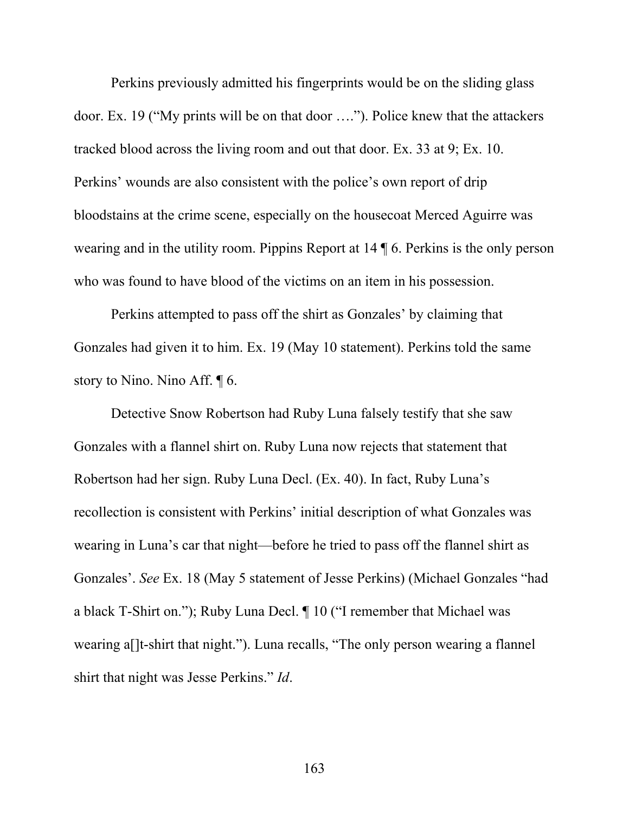Perkins previously admitted his fingerprints would be on the sliding glass door. Ex. 19 ("My prints will be on that door …."). Police knew that the attackers tracked blood across the living room and out that door. Ex. 33 at 9; Ex. 10. Perkins' wounds are also consistent with the police's own report of drip bloodstains at the crime scene, especially on the housecoat Merced Aguirre was wearing and in the utility room. Pippins Report at 14 ¶ 6. Perkins is the only person who was found to have blood of the victims on an item in his possession.

Perkins attempted to pass off the shirt as Gonzales' by claiming that Gonzales had given it to him. Ex. 19 (May 10 statement). Perkins told the same story to Nino. Nino Aff. ¶ 6.

Detective Snow Robertson had Ruby Luna falsely testify that she saw Gonzales with a flannel shirt on. Ruby Luna now rejects that statement that Robertson had her sign. Ruby Luna Decl. (Ex. 40). In fact, Ruby Luna's recollection is consistent with Perkins' initial description of what Gonzales was wearing in Luna's car that night—before he tried to pass off the flannel shirt as Gonzales'. *See* Ex. 18 (May 5 statement of Jesse Perkins) (Michael Gonzales "had a black T-Shirt on."); Ruby Luna Decl. ¶ 10 ("I remember that Michael was wearing a[]t-shirt that night."). Luna recalls, "The only person wearing a flannel shirt that night was Jesse Perkins." *Id*.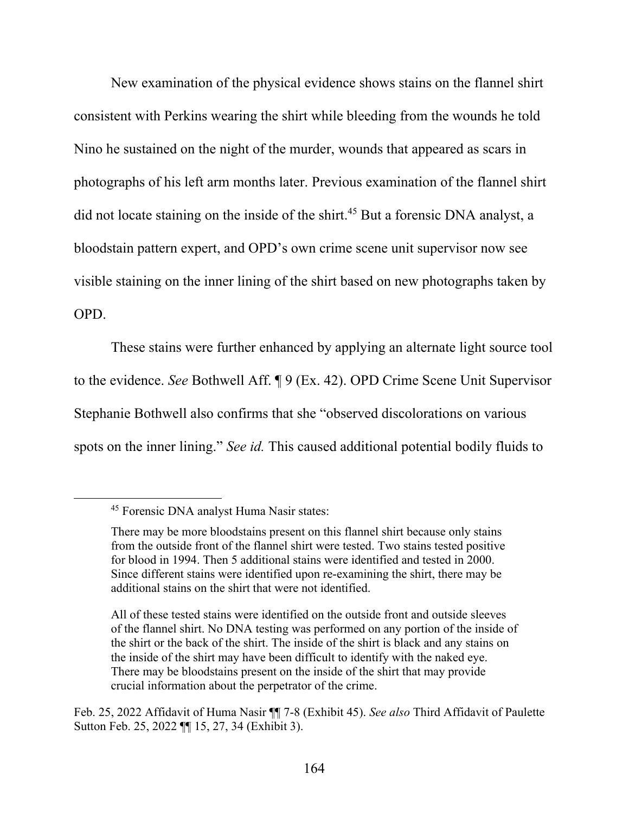New examination of the physical evidence shows stains on the flannel shirt consistent with Perkins wearing the shirt while bleeding from the wounds he told Nino he sustained on the night of the murder, wounds that appeared as scars in photographs of his left arm months later. Previous examination of the flannel shirt did not locate staining on the inside of the shirt.<sup>45</sup> But a forensic DNA analyst, a bloodstain pattern expert, and OPD's own crime scene unit supervisor now see visible staining on the inner lining of the shirt based on new photographs taken by OPD.

 These stains were further enhanced by applying an alternate light source tool to the evidence. *See* Bothwell Aff. ¶ 9 (Ex. 42). OPD Crime Scene Unit Supervisor Stephanie Bothwell also confirms that she "observed discolorations on various spots on the inner lining." *See id.* This caused additional potential bodily fluids to

<sup>45</sup> Forensic DNA analyst Huma Nasir states:

There may be more bloodstains present on this flannel shirt because only stains from the outside front of the flannel shirt were tested. Two stains tested positive for blood in 1994. Then 5 additional stains were identified and tested in 2000. Since different stains were identified upon re-examining the shirt, there may be additional stains on the shirt that were not identified.

All of these tested stains were identified on the outside front and outside sleeves of the flannel shirt. No DNA testing was performed on any portion of the inside of the shirt or the back of the shirt. The inside of the shirt is black and any stains on the inside of the shirt may have been difficult to identify with the naked eye. There may be bloodstains present on the inside of the shirt that may provide crucial information about the perpetrator of the crime.

Feb. 25, 2022 Affidavit of Huma Nasir ¶¶ 7-8 (Exhibit 45). *See also* Third Affidavit of Paulette Sutton Feb. 25, 2022 ¶¶ 15, 27, 34 (Exhibit 3).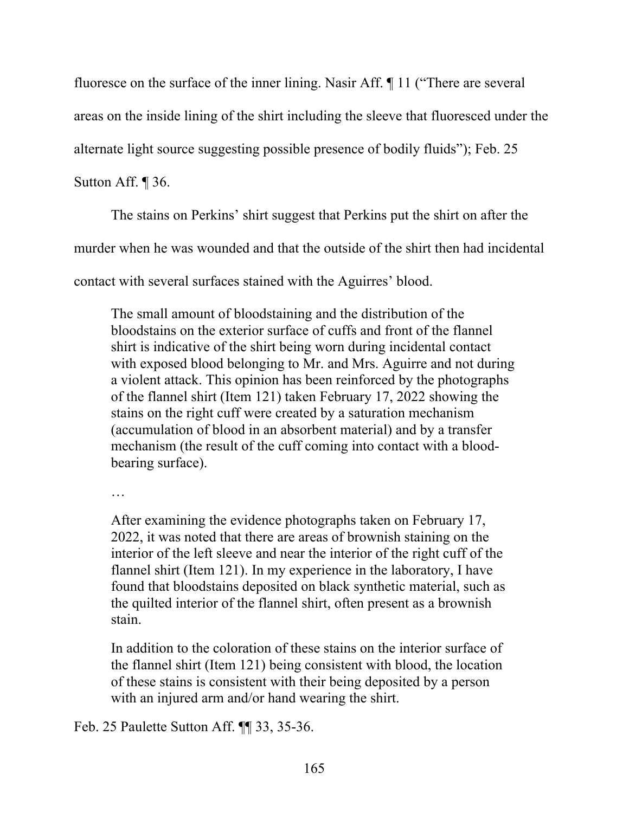fluoresce on the surface of the inner lining. Nasir Aff. ¶ 11 ("There are several

areas on the inside lining of the shirt including the sleeve that fluoresced under the

alternate light source suggesting possible presence of bodily fluids"); Feb. 25

Sutton Aff. ¶ 36.

The stains on Perkins' shirt suggest that Perkins put the shirt on after the

murder when he was wounded and that the outside of the shirt then had incidental

contact with several surfaces stained with the Aguirres' blood.

The small amount of bloodstaining and the distribution of the bloodstains on the exterior surface of cuffs and front of the flannel shirt is indicative of the shirt being worn during incidental contact with exposed blood belonging to Mr. and Mrs. Aguirre and not during a violent attack. This opinion has been reinforced by the photographs of the flannel shirt (Item 121) taken February 17, 2022 showing the stains on the right cuff were created by a saturation mechanism (accumulation of blood in an absorbent material) and by a transfer mechanism (the result of the cuff coming into contact with a bloodbearing surface).

…

After examining the evidence photographs taken on February 17, 2022, it was noted that there are areas of brownish staining on the interior of the left sleeve and near the interior of the right cuff of the flannel shirt (Item 121). In my experience in the laboratory, I have found that bloodstains deposited on black synthetic material, such as the quilted interior of the flannel shirt, often present as a brownish stain.

In addition to the coloration of these stains on the interior surface of the flannel shirt (Item 121) being consistent with blood, the location of these stains is consistent with their being deposited by a person with an injured arm and/or hand wearing the shirt.

Feb. 25 Paulette Sutton Aff. ¶¶ 33, 35-36.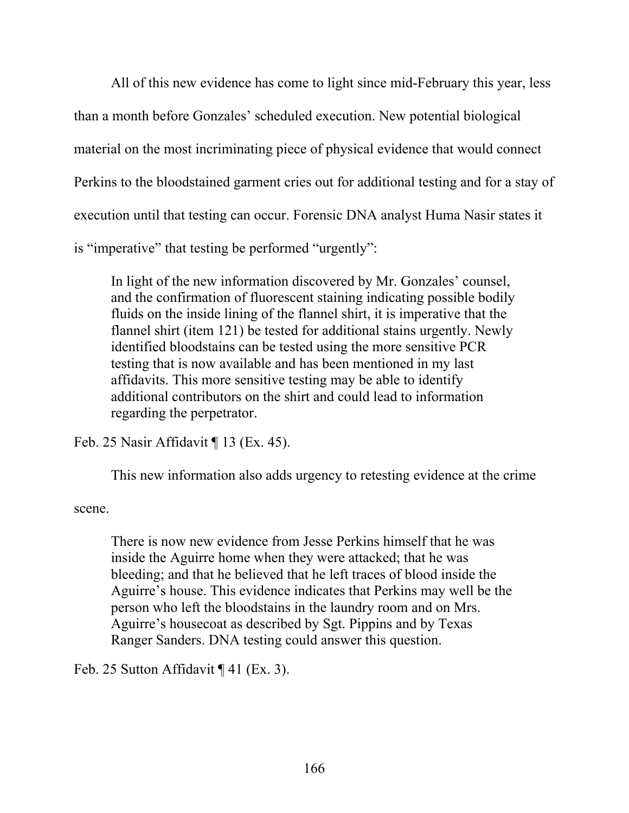All of this new evidence has come to light since mid-February this year, less than a month before Gonzales' scheduled execution. New potential biological material on the most incriminating piece of physical evidence that would connect Perkins to the bloodstained garment cries out for additional testing and for a stay of execution until that testing can occur. Forensic DNA analyst Huma Nasir states it is "imperative" that testing be performed "urgently":

In light of the new information discovered by Mr. Gonzales' counsel, and the confirmation of fluorescent staining indicating possible bodily fluids on the inside lining of the flannel shirt, it is imperative that the flannel shirt (item 121) be tested for additional stains urgently. Newly identified bloodstains can be tested using the more sensitive PCR testing that is now available and has been mentioned in my last affidavits. This more sensitive testing may be able to identify additional contributors on the shirt and could lead to information regarding the perpetrator.

Feb. 25 Nasir Affidavit ¶ 13 (Ex. 45).

This new information also adds urgency to retesting evidence at the crime

scene.

There is now new evidence from Jesse Perkins himself that he was inside the Aguirre home when they were attacked; that he was bleeding; and that he believed that he left traces of blood inside the Aguirre's house. This evidence indicates that Perkins may well be the person who left the bloodstains in the laundry room and on Mrs. Aguirre's housecoat as described by Sgt. Pippins and by Texas Ranger Sanders. DNA testing could answer this question.

Feb. 25 Sutton Affidavit ¶ 41 (Ex. 3).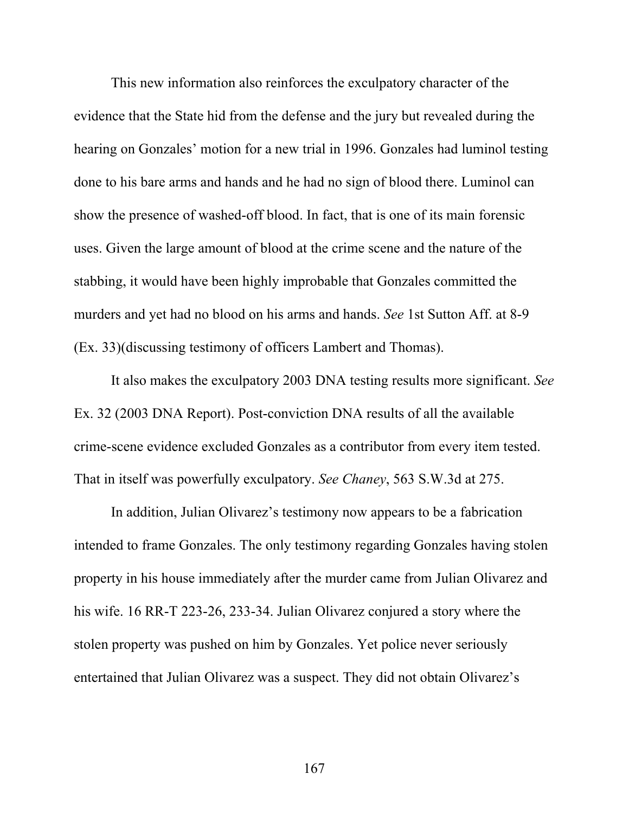This new information also reinforces the exculpatory character of the evidence that the State hid from the defense and the jury but revealed during the hearing on Gonzales' motion for a new trial in 1996. Gonzales had luminol testing done to his bare arms and hands and he had no sign of blood there. Luminol can show the presence of washed-off blood. In fact, that is one of its main forensic uses. Given the large amount of blood at the crime scene and the nature of the stabbing, it would have been highly improbable that Gonzales committed the murders and yet had no blood on his arms and hands. *See* 1st Sutton Aff. at 8-9 (Ex. 33)(discussing testimony of officers Lambert and Thomas).

It also makes the exculpatory 2003 DNA testing results more significant. *See*  Ex. 32 (2003 DNA Report). Post-conviction DNA results of all the available crime-scene evidence excluded Gonzales as a contributor from every item tested. That in itself was powerfully exculpatory. *See Chaney*, 563 S.W.3d at 275.

In addition, Julian Olivarez's testimony now appears to be a fabrication intended to frame Gonzales. The only testimony regarding Gonzales having stolen property in his house immediately after the murder came from Julian Olivarez and his wife. 16 RR-T 223-26, 233-34. Julian Olivarez conjured a story where the stolen property was pushed on him by Gonzales. Yet police never seriously entertained that Julian Olivarez was a suspect. They did not obtain Olivarez's

167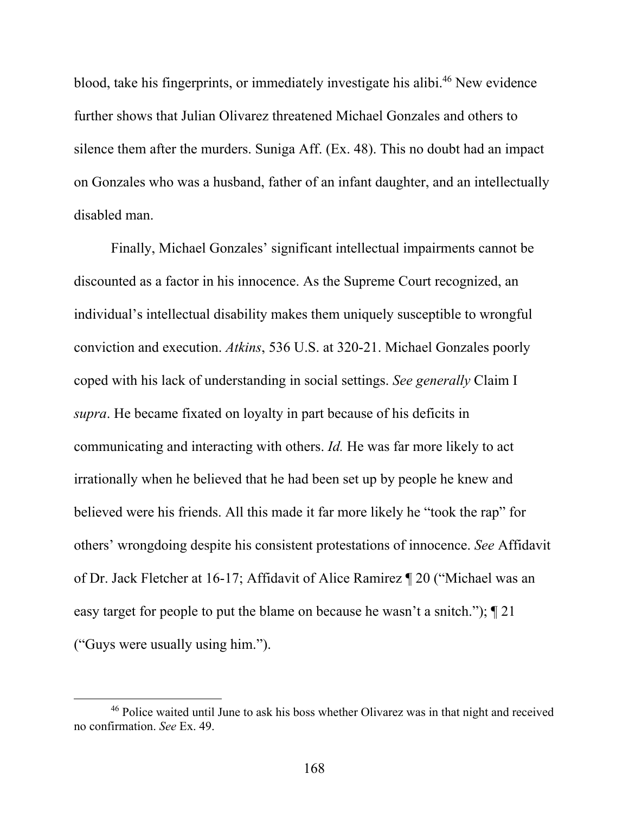blood, take his fingerprints, or immediately investigate his alibi.46 New evidence further shows that Julian Olivarez threatened Michael Gonzales and others to silence them after the murders. Suniga Aff. (Ex. 48). This no doubt had an impact on Gonzales who was a husband, father of an infant daughter, and an intellectually disabled man.

Finally, Michael Gonzales' significant intellectual impairments cannot be discounted as a factor in his innocence. As the Supreme Court recognized, an individual's intellectual disability makes them uniquely susceptible to wrongful conviction and execution. *Atkins*, 536 U.S. at 320-21. Michael Gonzales poorly coped with his lack of understanding in social settings. *See generally* Claim I *supra*. He became fixated on loyalty in part because of his deficits in communicating and interacting with others. *Id.* He was far more likely to act irrationally when he believed that he had been set up by people he knew and believed were his friends. All this made it far more likely he "took the rap" for others' wrongdoing despite his consistent protestations of innocence. *See* Affidavit of Dr. Jack Fletcher at 16-17; Affidavit of Alice Ramirez ¶ 20 ("Michael was an easy target for people to put the blame on because he wasn't a snitch."); ¶ 21 ("Guys were usually using him.").

<sup>46</sup> Police waited until June to ask his boss whether Olivarez was in that night and received no confirmation. *See* Ex. 49.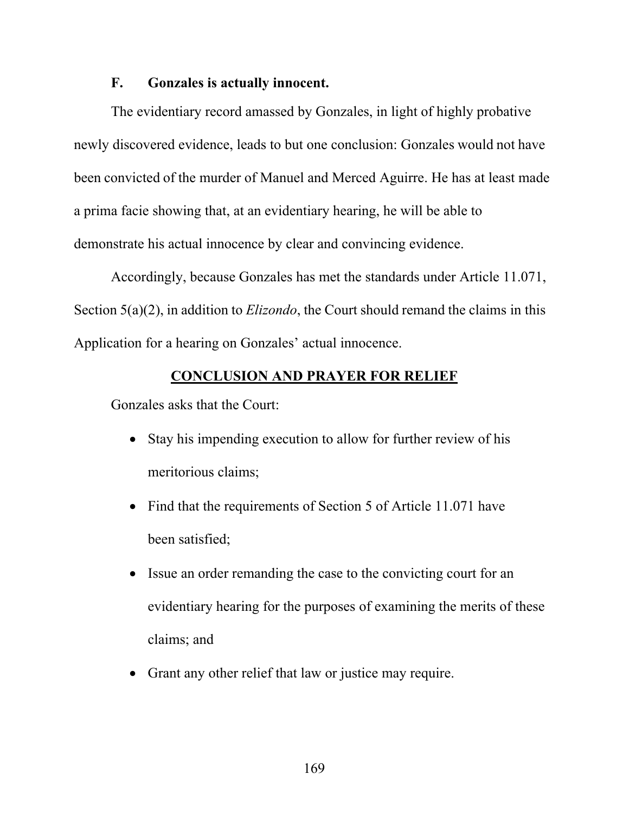## **F. Gonzales is actually innocent.**

The evidentiary record amassed by Gonzales, in light of highly probative newly discovered evidence, leads to but one conclusion: Gonzales would not have been convicted of the murder of Manuel and Merced Aguirre. He has at least made a prima facie showing that, at an evidentiary hearing, he will be able to demonstrate his actual innocence by clear and convincing evidence.

Accordingly, because Gonzales has met the standards under Article 11.071, Section 5(a)(2), in addition to *Elizondo*, the Court should remand the claims in this Application for a hearing on Gonzales' actual innocence.

## **CONCLUSION AND PRAYER FOR RELIEF**

Gonzales asks that the Court:

- Stay his impending execution to allow for further review of his meritorious claims;
- Find that the requirements of Section 5 of Article 11.071 have been satisfied;
- Issue an order remanding the case to the convicting court for an evidentiary hearing for the purposes of examining the merits of these claims; and
- Grant any other relief that law or justice may require.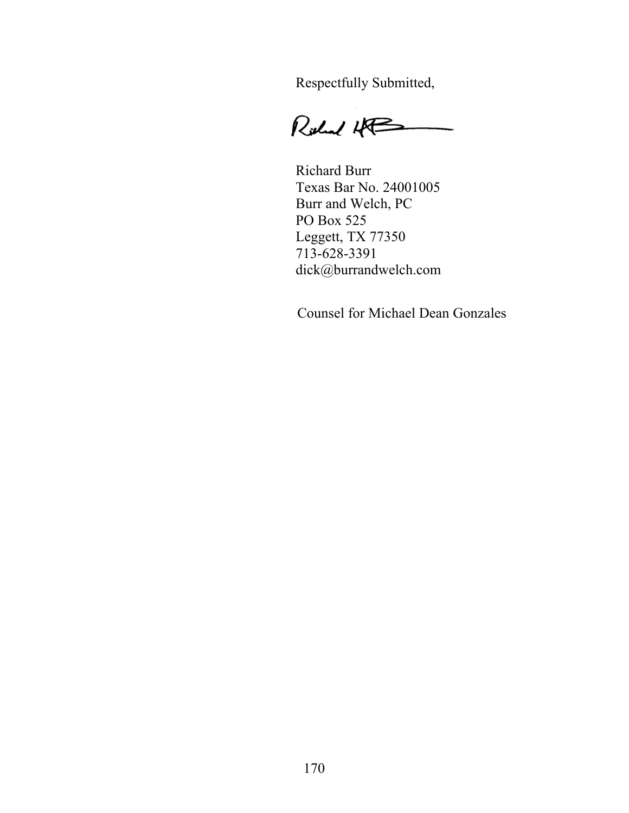Respectfully Submitted,

Richard HP  $\overline{\phantom{a}}$ 

Richard Burr Texas Bar No. 24001005 Burr and Welch, PC PO Box 525 Leggett, TX 77350 713-628-3391 dick@burrandwelch.com

Counsel for Michael Dean Gonzales